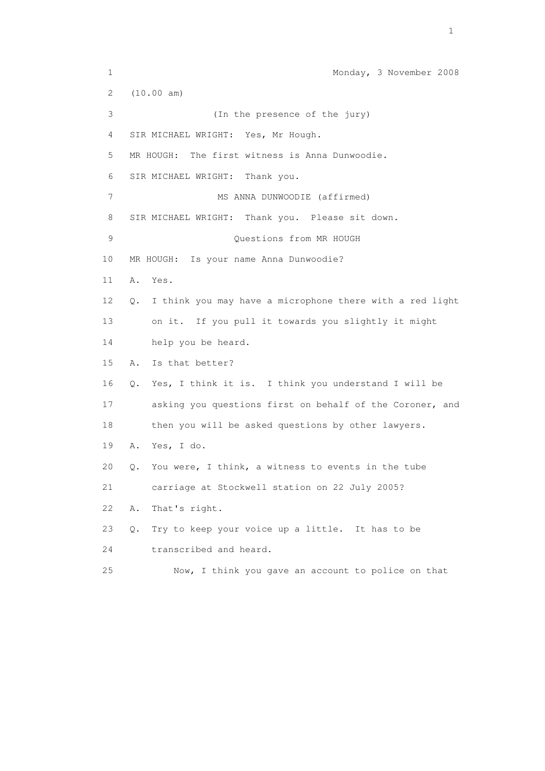1 Monday, 3 November 2008 2 (10.00 am) 3 (In the presence of the jury) 4 SIR MICHAEL WRIGHT: Yes, Mr Hough. 5 MR HOUGH: The first witness is Anna Dunwoodie. 6 SIR MICHAEL WRIGHT: Thank you. 7 MS ANNA DUNWOODIE (affirmed) 8 SIR MICHAEL WRIGHT: Thank you. Please sit down. 9 Ouestions from MR HOUGH 10 MR HOUGH: Is your name Anna Dunwoodie? 11 A. Yes. 12 Q. I think you may have a microphone there with a red light 13 on it. If you pull it towards you slightly it might 14 help you be heard. 15 A. Is that better? 16 Q. Yes, I think it is. I think you understand I will be 17 asking you questions first on behalf of the Coroner, and 18 then you will be asked questions by other lawyers. 19 A. Yes, I do. 20 Q. You were, I think, a witness to events in the tube 21 carriage at Stockwell station on 22 July 2005? 22 A. That's right. 23 Q. Try to keep your voice up a little. It has to be 24 transcribed and heard. 25 Now, I think you gave an account to police on that

the contract of the contract of the contract of the contract of the contract of the contract of the contract of the contract of the contract of the contract of the contract of the contract of the contract of the contract o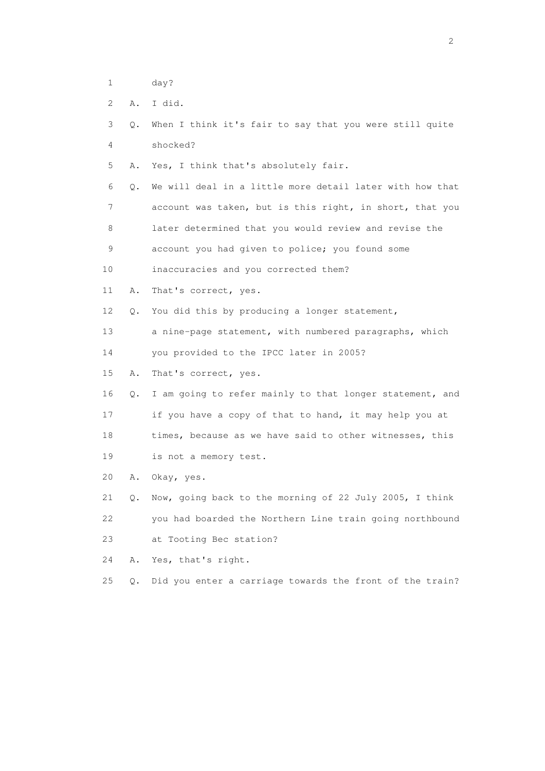- 1 day?
- 2 A. I did.
- 3 Q. When I think it's fair to say that you were still quite 4 shocked?
- 5 A. Yes, I think that's absolutely fair.
- 6 Q. We will deal in a little more detail later with how that 7 account was taken, but is this right, in short, that you 8 later determined that you would review and revise the 9 account you had given to police; you found some
- 10 inaccuracies and you corrected them?
- 11 A. That's correct, yes.
- 12 Q. You did this by producing a longer statement,
- 13 a nine-page statement, with numbered paragraphs, which
- 14 you provided to the IPCC later in 2005?
- 15 A. That's correct, yes.
- 16 Q. I am going to refer mainly to that longer statement, and 17 if you have a copy of that to hand, it may help you at
- 18 times, because as we have said to other witnesses, this
- 19 is not a memory test.
- 20 A. Okay, yes.

 21 Q. Now, going back to the morning of 22 July 2005, I think 22 you had boarded the Northern Line train going northbound 23 at Tooting Bec station?

24 A. Yes, that's right.

25 Q. Did you enter a carriage towards the front of the train?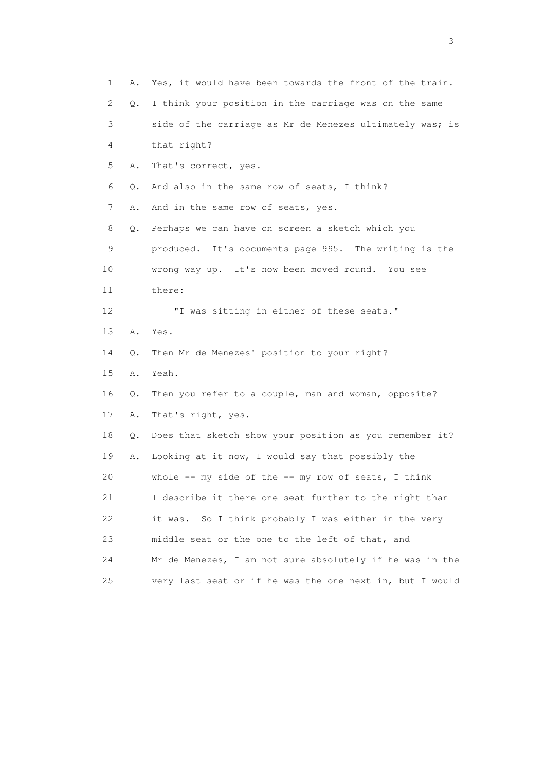| 1<br>Α.  | Yes, it would have been towards the front of the train.     |
|----------|-------------------------------------------------------------|
| 2        | I think your position in the carriage was on the same<br>Q. |
| 3        | side of the carriage as Mr de Menezes ultimately was; is    |
| 4        | that right?                                                 |
| 5<br>Α.  | That's correct, yes.                                        |
| 6<br>Q.  | And also in the same row of seats, I think?                 |
| 7<br>Α.  | And in the same row of seats, yes.                          |
| 8<br>Q.  | Perhaps we can have on screen a sketch which you            |
| 9        | produced. It's documents page 995. The writing is the       |
| 10       | wrong way up. It's now been moved round. You see            |
| 11       | there:                                                      |
| 12       | "I was sitting in either of these seats."                   |
| 13<br>Α. | Yes.                                                        |
| 14<br>Q. | Then Mr de Menezes' position to your right?                 |
| 15<br>Α. | Yeah.                                                       |
| 16<br>Q. | Then you refer to a couple, man and woman, opposite?        |
| 17<br>Α. | That's right, yes.                                          |
| 18<br>Q. | Does that sketch show your position as you remember it?     |
| 19<br>Α. | Looking at it now, I would say that possibly the            |
| 20       | whole $--$ my side of the $--$ my row of seats, I think     |
| 21       | I describe it there one seat further to the right than      |
| 22       | So I think probably I was either in the very<br>it was.     |
| 23       | middle seat or the one to the left of that, and             |
| 24       | Mr de Menezes, I am not sure absolutely if he was in the    |
| 25       | very last seat or if he was the one next in, but I would    |

 $\sim$  3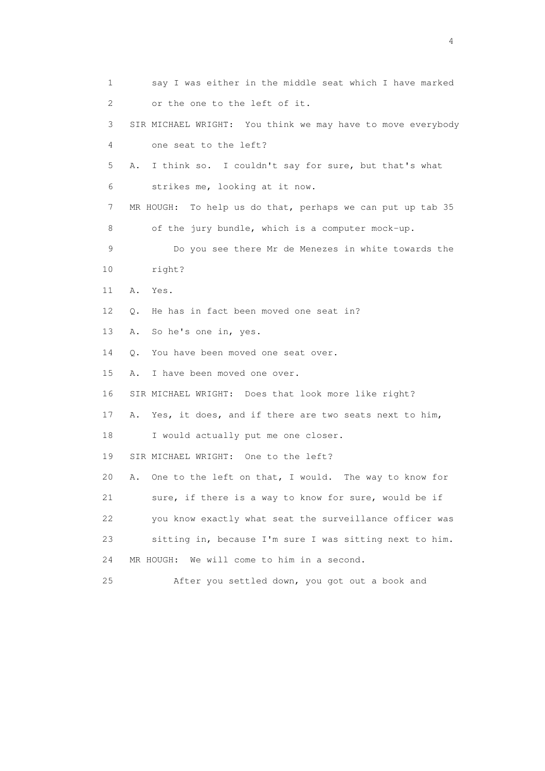1 say I was either in the middle seat which I have marked 2 or the one to the left of it. 3 SIR MICHAEL WRIGHT: You think we may have to move everybody 4 one seat to the left? 5 A. I think so. I couldn't say for sure, but that's what 6 strikes me, looking at it now. 7 MR HOUGH: To help us do that, perhaps we can put up tab 35 8 of the jury bundle, which is a computer mock-up. 9 Do you see there Mr de Menezes in white towards the 10 right? 11 A. Yes. 12 0. He has in fact been moved one seat in? 13 A. So he's one in, yes. 14 Q. You have been moved one seat over. 15 A. I have been moved one over. 16 SIR MICHAEL WRIGHT: Does that look more like right? 17 A. Yes, it does, and if there are two seats next to him, 18 I would actually put me one closer. 19 SIR MICHAEL WRIGHT: One to the left? 20 A. One to the left on that, I would. The way to know for 21 sure, if there is a way to know for sure, would be if 22 you know exactly what seat the surveillance officer was 23 sitting in, because I'm sure I was sitting next to him. 24 MR HOUGH: We will come to him in a second. 25 After you settled down, you got out a book and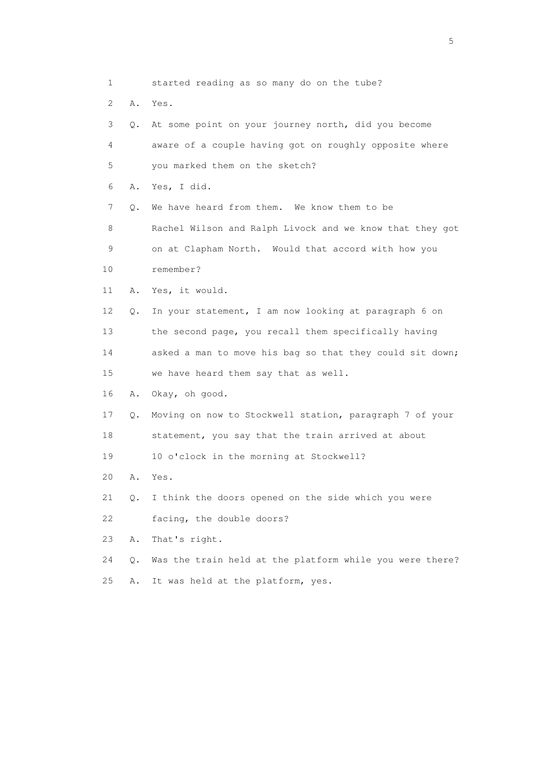1 started reading as so many do on the tube? 2 A. Yes. 3 Q. At some point on your journey north, did you become 4 aware of a couple having got on roughly opposite where 5 you marked them on the sketch? 6 A. Yes, I did. 7 Q. We have heard from them. We know them to be 8 Rachel Wilson and Ralph Livock and we know that they got 9 on at Clapham North. Would that accord with how you 10 remember? 11 A. Yes, it would. 12 Q. In your statement, I am now looking at paragraph 6 on 13 the second page, you recall them specifically having 14 asked a man to move his bag so that they could sit down; 15 we have heard them say that as well. 16 A. Okay, oh good. 17 Q. Moving on now to Stockwell station, paragraph 7 of your 18 statement, you say that the train arrived at about 19 10 o'clock in the morning at Stockwell? 20 A. Yes. 21 Q. I think the doors opened on the side which you were 22 facing, the double doors? 23 A. That's right. 24 Q. Was the train held at the platform while you were there? 25 A. It was held at the platform, yes.

 $\sim$  5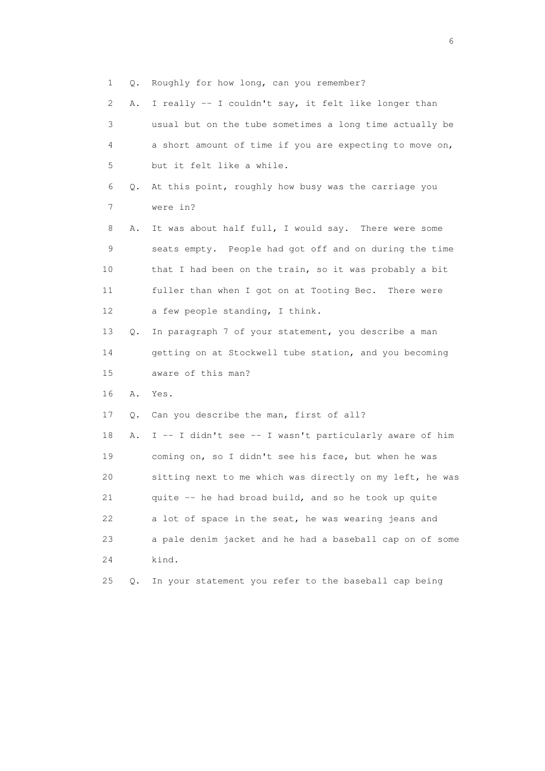1 Q. Roughly for how long, can you remember?

| 2               | Α. | I really -- I couldn't say, it felt like longer than     |
|-----------------|----|----------------------------------------------------------|
| 3               |    | usual but on the tube sometimes a long time actually be  |
| 4               |    | a short amount of time if you are expecting to move on,  |
| 5               |    | but it felt like a while.                                |
| 6               | Q. | At this point, roughly how busy was the carriage you     |
| 7               |    | were in?                                                 |
| 8               | Α. | It was about half full, I would say. There were some     |
| 9               |    | seats empty. People had got off and on during the time   |
| 10              |    | that I had been on the train, so it was probably a bit   |
| 11              |    | fuller than when I got on at Tooting Bec. There were     |
| 12 <sup>°</sup> |    | a few people standing, I think.                          |
| 13              | Q. | In paragraph 7 of your statement, you describe a man     |
| 14              |    | getting on at Stockwell tube station, and you becoming   |
| 15              |    | aware of this man?                                       |
| 16              | Α. | Yes.                                                     |
| 17              | Q. | Can you describe the man, first of all?                  |
| 18              | Α. | I -- I didn't see -- I wasn't particularly aware of him  |
| 19              |    | coming on, so I didn't see his face, but when he was     |
| 20              |    | sitting next to me which was directly on my left, he was |
| 21              |    | quite -- he had broad build, and so he took up quite     |
| 22              |    | a lot of space in the seat, he was wearing jeans and     |
| 23              |    | a pale denim jacket and he had a baseball cap on of some |
| 24              |    | kind.                                                    |
| 25              | Q. | In your statement you refer to the baseball cap being    |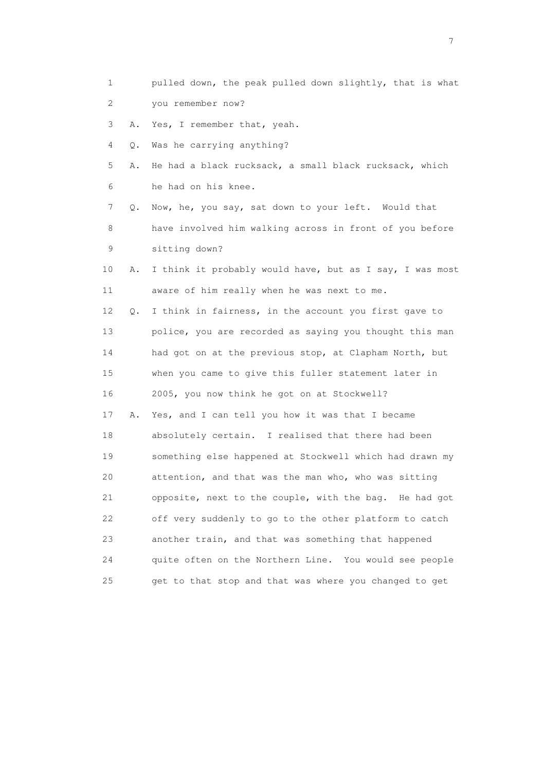1 pulled down, the peak pulled down slightly, that is what 2 you remember now? 3 A. Yes, I remember that, yeah. 4 Q. Was he carrying anything? 5 A. He had a black rucksack, a small black rucksack, which 6 he had on his knee. 7 Q. Now, he, you say, sat down to your left. Would that 8 have involved him walking across in front of you before 9 sitting down? 10 A. I think it probably would have, but as I say, I was most 11 aware of him really when he was next to me. 12 Q. I think in fairness, in the account you first gave to 13 police, you are recorded as saying you thought this man 14 had got on at the previous stop, at Clapham North, but 15 when you came to give this fuller statement later in 16 2005, you now think he got on at Stockwell? 17 A. Yes, and I can tell you how it was that I became 18 absolutely certain. I realised that there had been 19 something else happened at Stockwell which had drawn my 20 attention, and that was the man who, who was sitting 21 opposite, next to the couple, with the bag. He had got 22 off very suddenly to go to the other platform to catch 23 another train, and that was something that happened 24 quite often on the Northern Line. You would see people 25 get to that stop and that was where you changed to get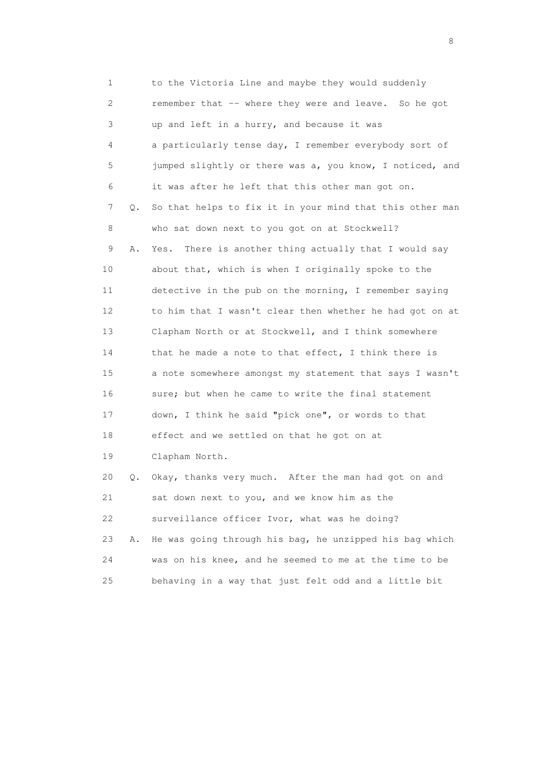1 to the Victoria Line and maybe they would suddenly 2 remember that -- where they were and leave. So he got 3 up and left in a hurry, and because it was 4 a particularly tense day, I remember everybody sort of 5 jumped slightly or there was a, you know, I noticed, and 6 it was after he left that this other man got on. 7 Q. So that helps to fix it in your mind that this other man 8 who sat down next to you got on at Stockwell? 9 A. Yes. There is another thing actually that I would say 10 about that, which is when I originally spoke to the 11 detective in the pub on the morning, I remember saying 12 to him that I wasn't clear then whether he had got on at 13 Clapham North or at Stockwell, and I think somewhere 14 that he made a note to that effect, I think there is 15 a note somewhere amongst my statement that says I wasn't 16 sure; but when he came to write the final statement 17 down, I think he said "pick one", or words to that 18 effect and we settled on that he got on at 19 Clapham North. 20 Q. Okay, thanks very much. After the man had got on and 21 sat down next to you, and we know him as the 22 surveillance officer Ivor, what was he doing? 23 A. He was going through his bag, he unzipped his bag which 24 was on his knee, and he seemed to me at the time to be 25 behaving in a way that just felt odd and a little bit

en de la construction de la construction de la construction de la construction de la construction de la constr<br>En 1980, en 1980, en 1980, en 1980, en 1980, en 1980, en 1980, en 1980, en 1980, en 1980, en 1980, en 1980, en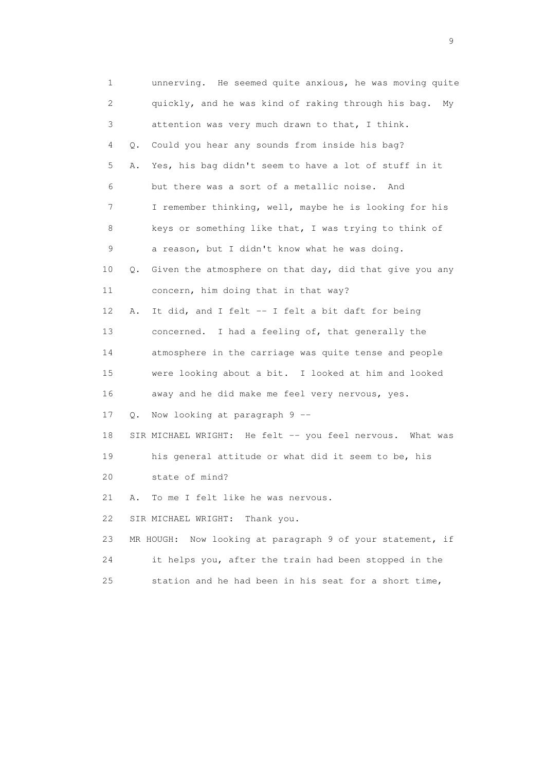1 unnerving. He seemed quite anxious, he was moving quite 2 quickly, and he was kind of raking through his bag. My 3 attention was very much drawn to that, I think. 4 Q. Could you hear any sounds from inside his bag? 5 A. Yes, his bag didn't seem to have a lot of stuff in it 6 but there was a sort of a metallic noise. And 7 I remember thinking, well, maybe he is looking for his 8 keys or something like that, I was trying to think of 9 a reason, but I didn't know what he was doing. 10 Q. Given the atmosphere on that day, did that give you any 11 concern, him doing that in that way? 12 A. It did, and I felt -- I felt a bit daft for being 13 concerned. I had a feeling of, that generally the 14 atmosphere in the carriage was quite tense and people 15 were looking about a bit. I looked at him and looked 16 away and he did make me feel very nervous, yes. 17 Q. Now looking at paragraph 9 -- 18 SIR MICHAEL WRIGHT: He felt -- you feel nervous. What was 19 his general attitude or what did it seem to be, his 20 state of mind? 21 A. To me I felt like he was nervous. 22 SIR MICHAEL WRIGHT: Thank you. 23 MR HOUGH: Now looking at paragraph 9 of your statement, if 24 it helps you, after the train had been stopped in the 25 station and he had been in his seat for a short time,

en de la construction de la construction de la construction de la construction de la construction de la constr<br>1911 : la construction de la construction de la construction de la construction de la construction de la const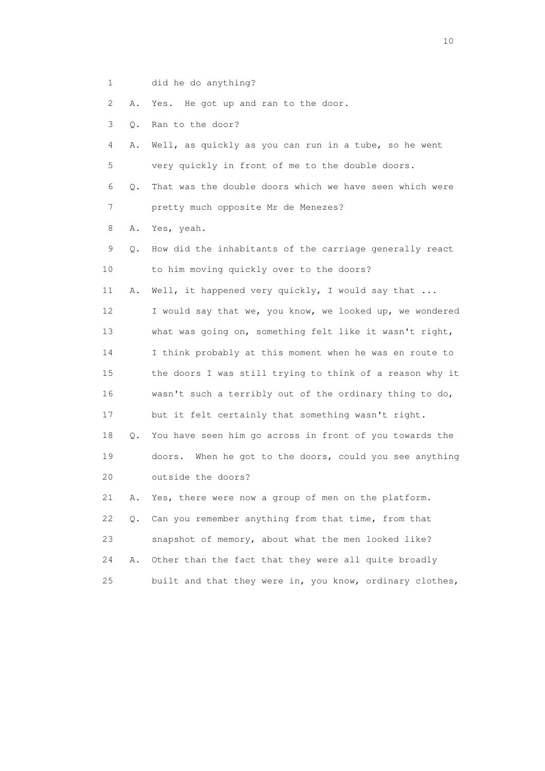1 did he do anything?

2 A. Yes. He got up and ran to the door.

3 Q. Ran to the door?

 4 A. Well, as quickly as you can run in a tube, so he went 5 very quickly in front of me to the double doors.

 6 Q. That was the double doors which we have seen which were 7 pretty much opposite Mr de Menezes?

8 A. Yes, yeah.

 9 Q. How did the inhabitants of the carriage generally react 10 to him moving quickly over to the doors?

11 A. Well, it happened very quickly, I would say that ...

 12 I would say that we, you know, we looked up, we wondered 13 what was going on, something felt like it wasn't right, 14 I think probably at this moment when he was en route to 15 the doors I was still trying to think of a reason why it 16 wasn't such a terribly out of the ordinary thing to do, 17 but it felt certainly that something wasn't right. 18 Q. You have seen him go across in front of you towards the 19 doors. When he got to the doors, could you see anything

20 outside the doors?

 21 A. Yes, there were now a group of men on the platform. 22 Q. Can you remember anything from that time, from that 23 snapshot of memory, about what the men looked like? 24 A. Other than the fact that they were all quite broadly 25 built and that they were in, you know, ordinary clothes,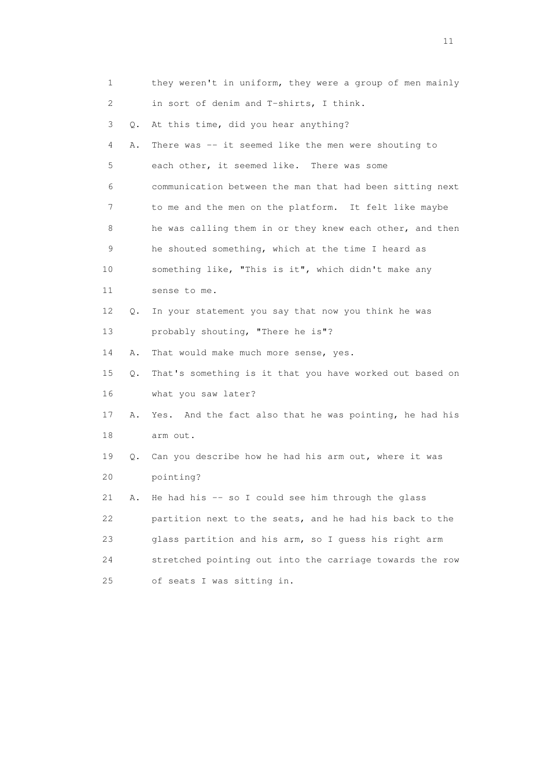| 1               |    | they weren't in uniform, they were a group of men mainly |
|-----------------|----|----------------------------------------------------------|
| 2               |    | in sort of denim and T-shirts, I think.                  |
| 3               | Q. | At this time, did you hear anything?                     |
| 4               | Α. | There was -- it seemed like the men were shouting to     |
| 5               |    | each other, it seemed like. There was some               |
| 6               |    | communication between the man that had been sitting next |
| 7               |    | to me and the men on the platform. It felt like maybe    |
| 8               |    | he was calling them in or they knew each other, and then |
| 9               |    | he shouted something, which at the time I heard as       |
| 10              |    | something like, "This is it", which didn't make any      |
| 11              |    | sense to me.                                             |
| 12 <sup>°</sup> | Q. | In your statement you say that now you think he was      |
| 13              |    | probably shouting, "There he is"?                        |
| 14              | Α. | That would make much more sense, yes.                    |
| 15              | Q. | That's something is it that you have worked out based on |
| 16              |    | what you saw later?                                      |
| 17              | Α. | Yes. And the fact also that he was pointing, he had his  |
| 18              |    | arm out.                                                 |
| 19              |    | Q. Can you describe how he had his arm out, where it was |
| 20              |    | pointing?                                                |
| 21              | Α. | He had his -- so I could see him through the glass       |
| 22              |    | partition next to the seats, and he had his back to the  |
| 23              |    | glass partition and his arm, so I guess his right arm    |
| 24              |    | stretched pointing out into the carriage towards the row |
| 25              |    | of seats I was sitting in.                               |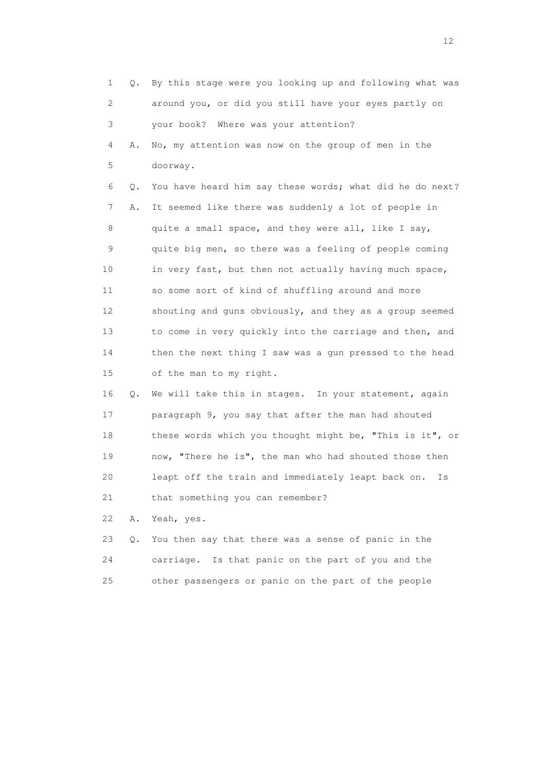1 Q. By this stage were you looking up and following what was 2 around you, or did you still have your eyes partly on 3 your book? Where was your attention? 4 A. No, my attention was now on the group of men in the 5 doorway. 6 Q. You have heard him say these words; what did he do next? 7 A. It seemed like there was suddenly a lot of people in 8 quite a small space, and they were all, like I say, 9 quite big men, so there was a feeling of people coming 10 in very fast, but then not actually having much space, 11 so some sort of kind of shuffling around and more 12 shouting and guns obviously, and they as a group seemed 13 to come in very quickly into the carriage and then, and 14 then the next thing I saw was a gun pressed to the head 15 of the man to my right. 16 Q. We will take this in stages. In your statement, again 17 paragraph 9, you say that after the man had shouted 18 these words which you thought might be, "This is it", or 19 now, "There he is", the man who had shouted those then 20 leapt off the train and immediately leapt back on. Is 21 that something you can remember? 22 A. Yeah, yes. 23 Q. You then say that there was a sense of panic in the

 24 carriage. Is that panic on the part of you and the 25 other passengers or panic on the part of the people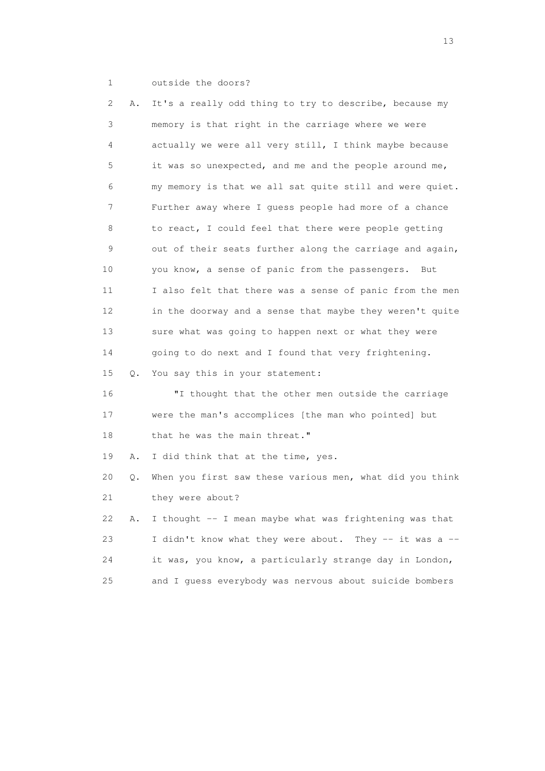1 outside the doors?

 2 A. It's a really odd thing to try to describe, because my 3 memory is that right in the carriage where we were 4 actually we were all very still, I think maybe because 5 it was so unexpected, and me and the people around me, 6 my memory is that we all sat quite still and were quiet. 7 Further away where I guess people had more of a chance 8 to react, I could feel that there were people getting 9 out of their seats further along the carriage and again, 10 you know, a sense of panic from the passengers. But 11 I also felt that there was a sense of panic from the men 12 in the doorway and a sense that maybe they weren't quite 13 sure what was going to happen next or what they were 14 going to do next and I found that very frightening. 15 Q. You say this in your statement: 16 "I thought that the other men outside the carriage 17 were the man's accomplices [the man who pointed] but 18 that he was the main threat." 19 A. I did think that at the time, yes. 20 Q. When you first saw these various men, what did you think 21 they were about? 22 A. I thought -- I mean maybe what was frightening was that 23 I didn't know what they were about. They -- it was a -- 24 it was, you know, a particularly strange day in London, 25 and I guess everybody was nervous about suicide bombers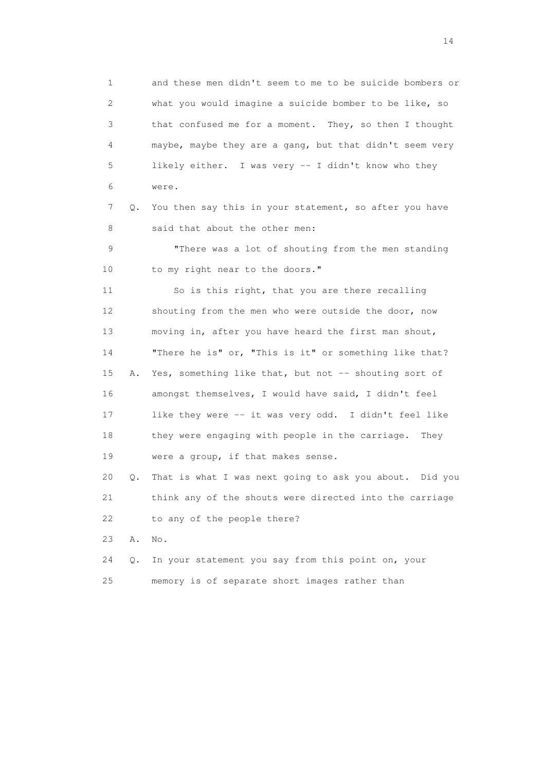1 and these men didn't seem to me to be suicide bombers or 2 what you would imagine a suicide bomber to be like, so 3 that confused me for a moment. They, so then I thought 4 maybe, maybe they are a gang, but that didn't seem very 5 likely either. I was very -- I didn't know who they 6 were.

 7 Q. You then say this in your statement, so after you have 8 said that about the other men:

 9 "There was a lot of shouting from the men standing 10 to my right near to the doors."

 11 So is this right, that you are there recalling 12 shouting from the men who were outside the door, now 13 moving in, after you have heard the first man shout, 14 "There he is" or, "This is it" or something like that? 15 A. Yes, something like that, but not -- shouting sort of 16 amongst themselves, I would have said, I didn't feel 17 like they were -- it was very odd. I didn't feel like 18 they were engaging with people in the carriage. They 19 were a group, if that makes sense.

 20 Q. That is what I was next going to ask you about. Did you 21 think any of the shouts were directed into the carriage 22 to any of the people there?

23 A. No.

 24 Q. In your statement you say from this point on, your 25 memory is of separate short images rather than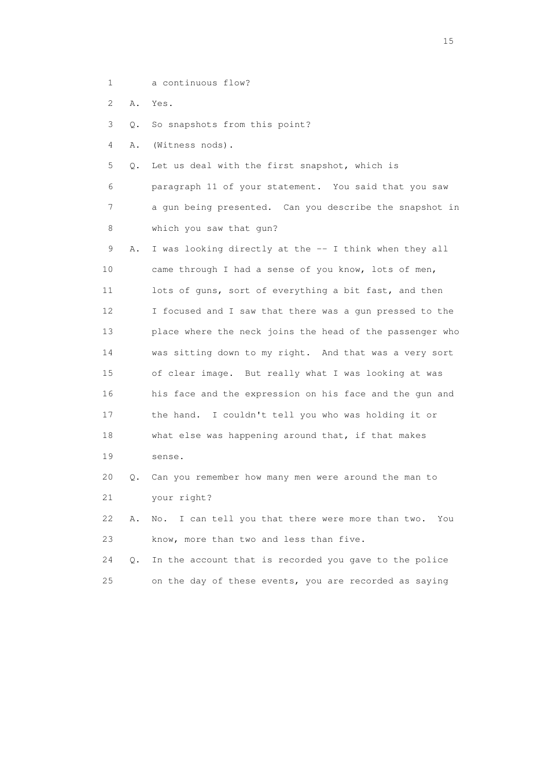- 1 a continuous flow?
- 2 A. Yes.

3 Q. So snapshots from this point?

4 A. (Witness nods).

21 your right?

5 Q. Let us deal with the first snapshot, which is

 6 paragraph 11 of your statement. You said that you saw 7 a gun being presented. Can you describe the snapshot in 8 which you saw that gun?

9 A. I was looking directly at the -- I think when they all 10 came through I had a sense of you know, lots of men, 11 lots of guns, sort of everything a bit fast, and then 12 I focused and I saw that there was a gun pressed to the 13 place where the neck joins the head of the passenger who 14 was sitting down to my right. And that was a very sort 15 of clear image. But really what I was looking at was 16 his face and the expression on his face and the gun and 17 the hand. I couldn't tell you who was holding it or 18 what else was happening around that, if that makes 19 sense.

20 Q. Can you remember how many men were around the man to

22 A. No. I can tell you that there were more than two. You

24 Q. In the account that is recorded you gave to the police

25 on the day of these events, you are recorded as saying

23 know, more than two and less than five.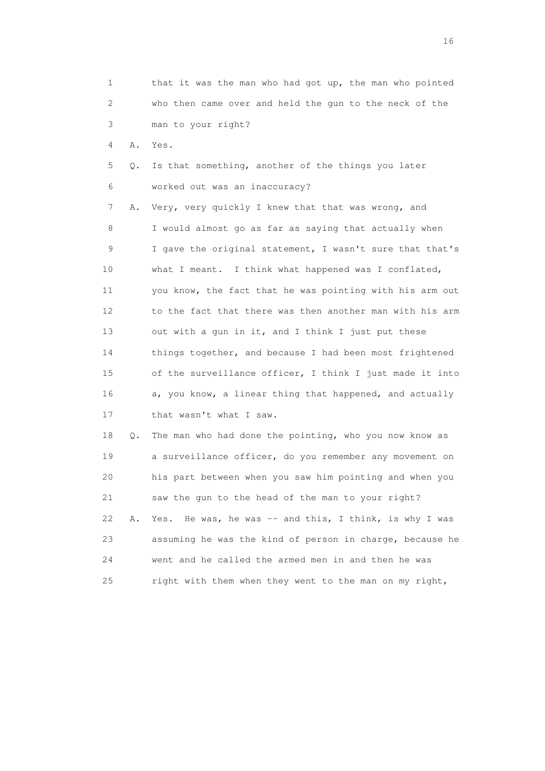| 1  |    | that it was the man who had got up, the man who pointed    |
|----|----|------------------------------------------------------------|
| 2  |    | who then came over and held the gun to the neck of the     |
| 3  |    | man to your right?                                         |
| 4  | Α. | Yes.                                                       |
| 5  | Q. | Is that something, another of the things you later         |
| 6  |    | worked out was an inaccuracy?                              |
| 7  | Α. | Very, very quickly I knew that that was wrong, and         |
| 8  |    | I would almost go as far as saying that actually when      |
| 9  |    | I gave the original statement, I wasn't sure that that's   |
| 10 |    | what I meant. I think what happened was I conflated,       |
| 11 |    | you know, the fact that he was pointing with his arm out   |
| 12 |    | to the fact that there was then another man with his arm   |
| 13 |    | out with a gun in it, and I think I just put these         |
| 14 |    | things together, and because I had been most frightened    |
| 15 |    | of the surveillance officer, I think I just made it into   |
| 16 |    | a, you know, a linear thing that happened, and actually    |
| 17 |    | that wasn't what I saw.                                    |
| 18 | Q. | The man who had done the pointing, who you now know as     |
| 19 |    | a surveillance officer, do you remember any movement on    |
| 20 |    | his part between when you saw him pointing and when you    |
| 21 |    | saw the gun to the head of the man to your right?          |
| 22 | Α. | He was, he was $-$ and this, I think, is why I was<br>Yes. |
| 23 |    | assuming he was the kind of person in charge, because he   |
| 24 |    | went and he called the armed men in and then he was        |
| 25 |    | right with them when they went to the man on my right,     |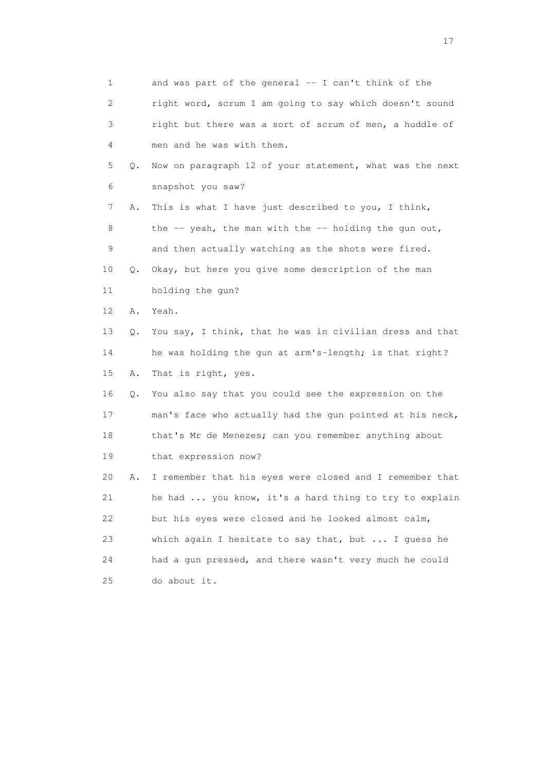1 and was part of the general -- I can't think of the 2 right word, scrum I am going to say which doesn't sound 3 right but there was a sort of scrum of men, a huddle of 4 men and he was with them. 5 Q. Now on paragraph 12 of your statement, what was the next 6 snapshot you saw? 7 A. This is what I have just described to you, I think, 8 the  $-$  yeah, the man with the  $-$  holding the gun out, 9 and then actually watching as the shots were fired. 10 Q. Okay, but here you give some description of the man 11 holding the gun? 12 A. Yeah. 13 Q. You say, I think, that he was in civilian dress and that 14 he was holding the gun at arm's-length; is that right? 15 A. That is right, yes. 16 Q. You also say that you could see the expression on the 17 man's face who actually had the gun pointed at his neck, 18 that's Mr de Menezes; can you remember anything about 19 that expression now? 20 A. I remember that his eyes were closed and I remember that 21 he had ... you know, it's a hard thing to try to explain 22 but his eyes were closed and he looked almost calm, 23 which again I hesitate to say that, but ... I guess he 24 had a gun pressed, and there wasn't very much he could 25 do about it.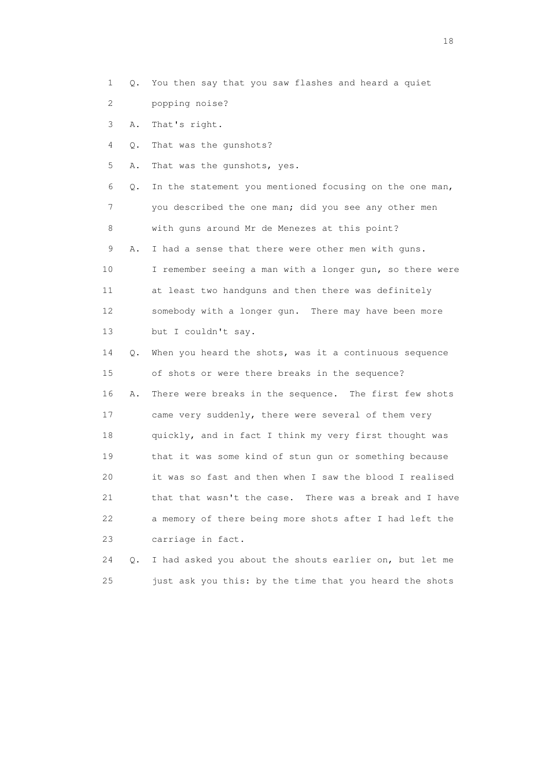- 1 Q. You then say that you saw flashes and heard a quiet
- 2 popping noise?
- 3 A. That's right.
- 4 Q. That was the gunshots?
- 5 A. That was the gunshots, yes.

 6 Q. In the statement you mentioned focusing on the one man, 7 you described the one man; did you see any other men 8 with guns around Mr de Menezes at this point? 9 A. I had a sense that there were other men with guns. 10 I remember seeing a man with a longer gun, so there were 11 at least two handguns and then there was definitely 12 somebody with a longer gun. There may have been more

13 but I couldn't say.

 14 Q. When you heard the shots, was it a continuous sequence 15 of shots or were there breaks in the sequence? 16 A. There were breaks in the sequence. The first few shots 17 came very suddenly, there were several of them very 18 quickly, and in fact I think my very first thought was 19 that it was some kind of stun gun or something because 20 it was so fast and then when I saw the blood I realised 21 that that wasn't the case. There was a break and I have 22 a memory of there being more shots after I had left the 23 carriage in fact.

 24 Q. I had asked you about the shouts earlier on, but let me 25 just ask you this: by the time that you heard the shots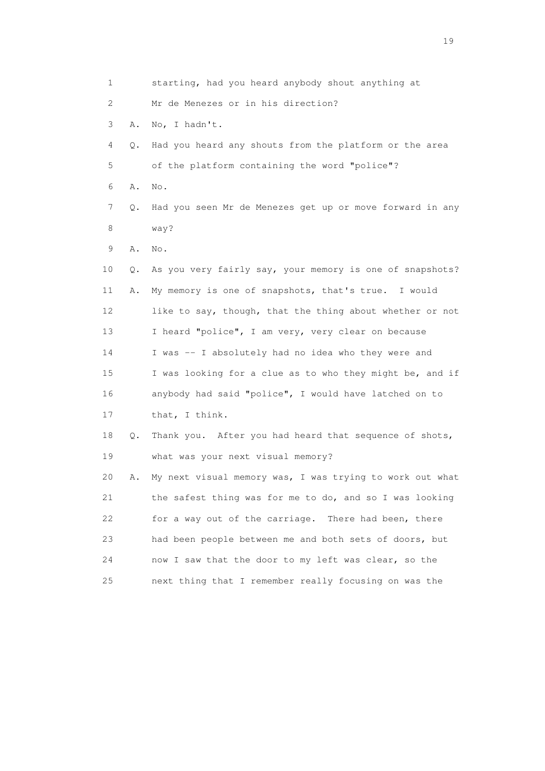| 1  |    | starting, had you heard anybody shout anything at        |
|----|----|----------------------------------------------------------|
| 2  |    | Mr de Menezes or in his direction?                       |
| 3  | Α. | No, I hadn't.                                            |
| 4  | Q. | Had you heard any shouts from the platform or the area   |
| 5  |    | of the platform containing the word "police"?            |
| 6  | Α. | No.                                                      |
| 7  | Q. | Had you seen Mr de Menezes get up or move forward in any |
| 8  |    | way?                                                     |
| 9  | Α. | No.                                                      |
| 10 | Q. | As you very fairly say, your memory is one of snapshots? |
| 11 | Α. | My memory is one of snapshots, that's true. I would      |
| 12 |    | like to say, though, that the thing about whether or not |
| 13 |    | I heard "police", I am very, very clear on because       |
| 14 |    | I was -- I absolutely had no idea who they were and      |
| 15 |    | I was looking for a clue as to who they might be, and if |
| 16 |    | anybody had said "police", I would have latched on to    |
| 17 |    | that, I think.                                           |
| 18 | Q. | Thank you. After you had heard that sequence of shots,   |
| 19 |    | what was your next visual memory?                        |
| 20 | Α. | My next visual memory was, I was trying to work out what |
| 21 |    | the safest thing was for me to do, and so I was looking  |
| 22 |    | for a way out of the carriage. There had been, there     |
| 23 |    | had been people between me and both sets of doors, but   |
| 24 |    | now I saw that the door to my left was clear, so the     |
| 25 |    | next thing that I remember really focusing on was the    |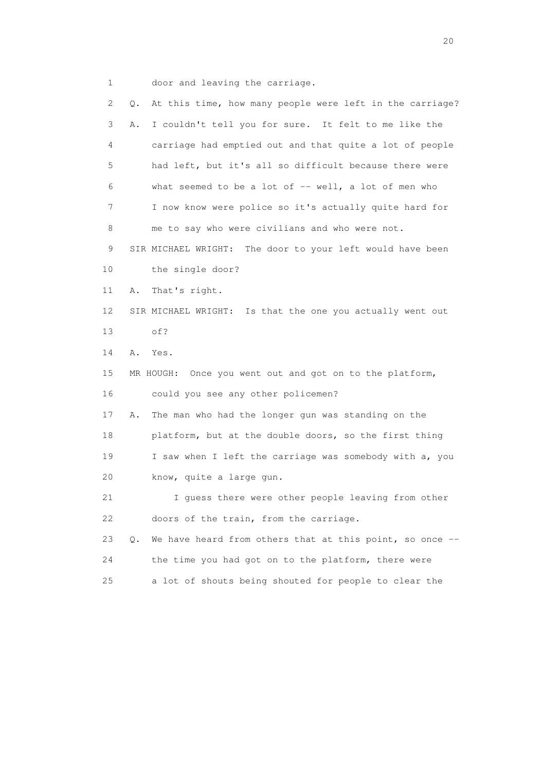1 door and leaving the carriage.

 2 Q. At this time, how many people were left in the carriage? 3 A. I couldn't tell you for sure. It felt to me like the 4 carriage had emptied out and that quite a lot of people 5 had left, but it's all so difficult because there were 6 what seemed to be a lot of -- well, a lot of men who 7 I now know were police so it's actually quite hard for 8 me to say who were civilians and who were not. 9 SIR MICHAEL WRIGHT: The door to your left would have been 10 the single door? 11 A. That's right. 12 SIR MICHAEL WRIGHT: Is that the one you actually went out 13 of? 14 A. Yes. 15 MR HOUGH: Once you went out and got on to the platform, 16 could you see any other policemen? 17 A. The man who had the longer gun was standing on the 18 platform, but at the double doors, so the first thing 19 I saw when I left the carriage was somebody with a, you 20 know, quite a large gun. 21 I guess there were other people leaving from other 22 doors of the train, from the carriage. 23 Q. We have heard from others that at this point, so once -- 24 the time you had got on to the platform, there were 25 a lot of shouts being shouted for people to clear the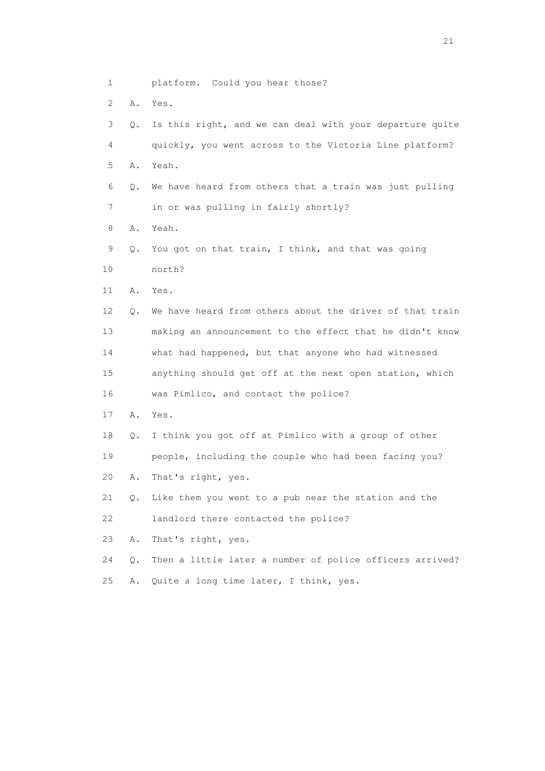- 1 platform. Could you hear those?
- 2 A. Yes.
- 3 Q. Is this right, and we can deal with your departure quite 4 quickly, you went across to the Victoria Line platform? 5 A. Yeah. 6 Q. We have heard from others that a train was just pulling 7 in or was pulling in fairly shortly? 8 A. Yeah. 9 Q. You got on that train, I think, and that was going 10 north? 11 A. Yes. 12 Q. We have heard from others about the driver of that train 13 making an announcement to the effect that he didn't know 14 what had happened, but that anyone who had witnessed 15 anything should get off at the next open station, which 16 was Pimlico, and contact the police? 17 A. Yes. 18 Q. I think you got off at Pimlico with a group of other 19 people, including the couple who had been facing you? 20 A. That's right, yes. 21 Q. Like them you went to a pub near the station and the 22 landlord there contacted the police? 23 A. That's right, yes. 24 Q. Then a little later a number of police officers arrived?
- 25 A. Quite a long time later, I think, yes.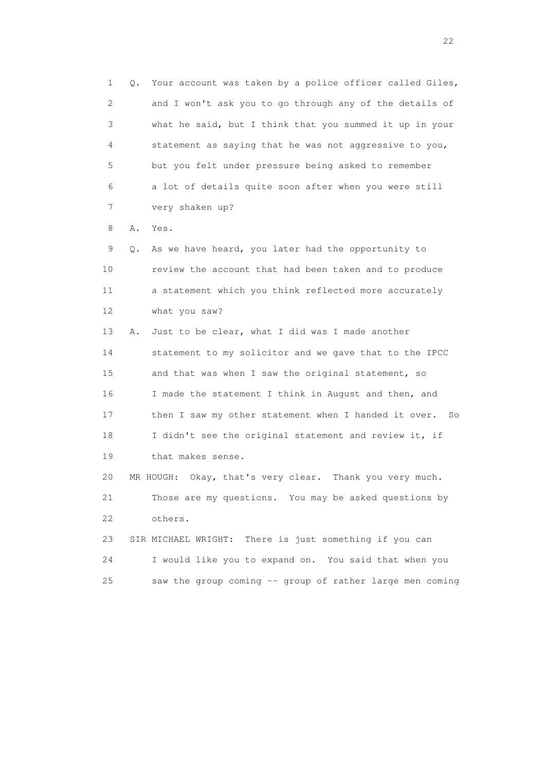1 Q. Your account was taken by a police officer called Giles, 2 and I won't ask you to go through any of the details of 3 what he said, but I think that you summed it up in your 4 statement as saying that he was not aggressive to you, 5 but you felt under pressure being asked to remember 6 a lot of details quite soon after when you were still 7 very shaken up?

8 A. Yes.

 9 Q. As we have heard, you later had the opportunity to 10 review the account that had been taken and to produce 11 a statement which you think reflected more accurately 12 what you saw?

 13 A. Just to be clear, what I did was I made another 14 statement to my solicitor and we gave that to the IPCC 15 and that was when I saw the original statement, so 16 I made the statement I think in August and then, and 17 then I saw my other statement when I handed it over. So 18 I didn't see the original statement and review it, if 19 that makes sense.

 20 MR HOUGH: Okay, that's very clear. Thank you very much. 21 Those are my questions. You may be asked questions by 22 others.

 23 SIR MICHAEL WRIGHT: There is just something if you can 24 I would like you to expand on. You said that when you 25 saw the group coming -- group of rather large men coming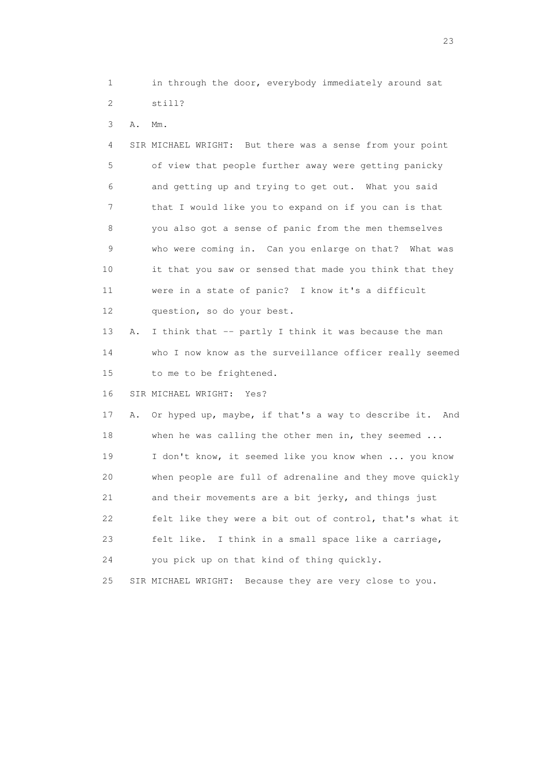1 in through the door, everybody immediately around sat 2 still?

3 A. Mm.

 4 SIR MICHAEL WRIGHT: But there was a sense from your point 5 of view that people further away were getting panicky 6 and getting up and trying to get out. What you said 7 that I would like you to expand on if you can is that 8 you also got a sense of panic from the men themselves 9 who were coming in. Can you enlarge on that? What was 10 it that you saw or sensed that made you think that they 11 were in a state of panic? I know it's a difficult 12 question, so do your best.

13 A. I think that -- partly I think it was because the man 14 who I now know as the surveillance officer really seemed 15 to me to be frightened.

16 SIR MICHAEL WRIGHT: Yes?

 17 A. Or hyped up, maybe, if that's a way to describe it. And 18 when he was calling the other men in, they seemed ... 19 I don't know, it seemed like you know when ... you know 20 when people are full of adrenaline and they move quickly 21 and their movements are a bit jerky, and things just 22 felt like they were a bit out of control, that's what it 23 felt like. I think in a small space like a carriage, 24 you pick up on that kind of thing quickly.

25 SIR MICHAEL WRIGHT: Because they are very close to you.

23 and 23 and 23 and 23 and 23 and 23 and 23 and 23 and 23 and 23 and 23 and 23 and 23 and 23 and 23 and 23 and 24 and 25 and 25 and 26 and 26 and 26 and 26 and 26 and 26 and 26 and 26 and 26 and 26 and 26 and 26 and 26 an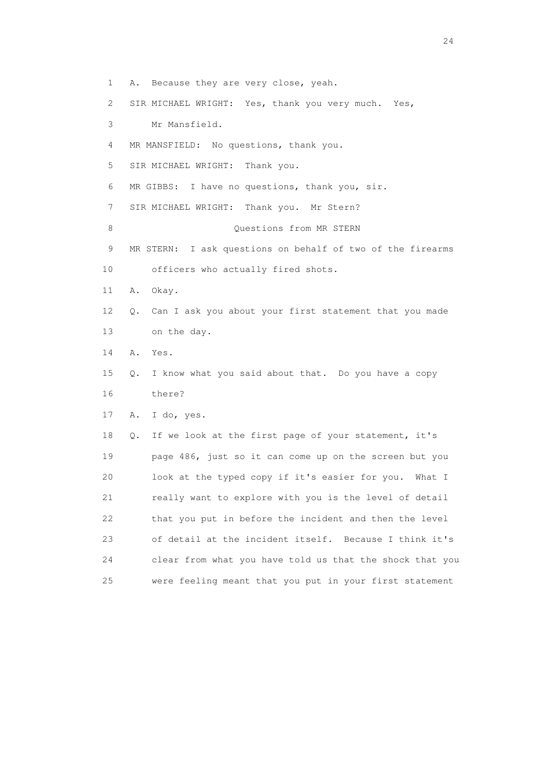1 A. Because they are very close, yeah. 2 SIR MICHAEL WRIGHT: Yes, thank you very much. Yes, 3 Mr Mansfield. 4 MR MANSFIELD: No questions, thank you. 5 SIR MICHAEL WRIGHT: Thank you. 6 MR GIBBS: I have no questions, thank you, sir. 7 SIR MICHAEL WRIGHT: Thank you. Mr Stern? 8 Ouestions from MR STERN 9 MR STERN: I ask questions on behalf of two of the firearms 10 officers who actually fired shots. 11 A. Okay. 12 Q. Can I ask you about your first statement that you made 13 on the day. 14 A. Yes. 15 Q. I know what you said about that. Do you have a copy 16 there? 17 A. I do, yes. 18 Q. If we look at the first page of your statement, it's 19 page 486, just so it can come up on the screen but you 20 look at the typed copy if it's easier for you. What I 21 really want to explore with you is the level of detail 22 that you put in before the incident and then the level 23 of detail at the incident itself. Because I think it's 24 clear from what you have told us that the shock that you 25 were feeling meant that you put in your first statement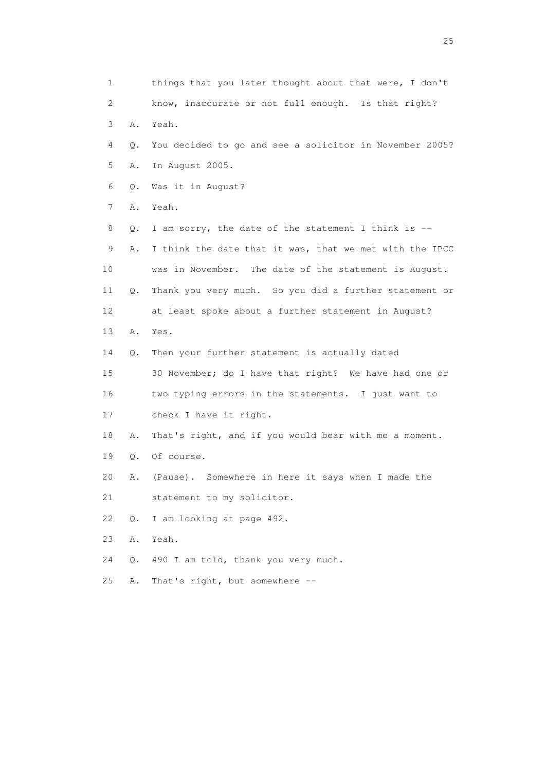1 things that you later thought about that were, I don't 2 know, inaccurate or not full enough. Is that right? 3 A. Yeah. 4 Q. You decided to go and see a solicitor in November 2005? 5 A. In August 2005. 6 Q. Was it in August? 7 A. Yeah. 8 Q. I am sorry, the date of the statement I think is -- 9 A. I think the date that it was, that we met with the IPCC 10 was in November. The date of the statement is August. 11 Q. Thank you very much. So you did a further statement or 12 at least spoke about a further statement in August? 13 A. Yes. 14 Q. Then your further statement is actually dated 15 30 November; do I have that right? We have had one or 16 two typing errors in the statements. I just want to 17 check I have it right. 18 A. That's right, and if you would bear with me a moment. 19 Q. Of course. 20 A. (Pause). Somewhere in here it says when I made the 21 statement to my solicitor. 22 Q. I am looking at page 492. 23 A. Yeah. 24 Q. 490 I am told, thank you very much. 25 A. That's right, but somewhere --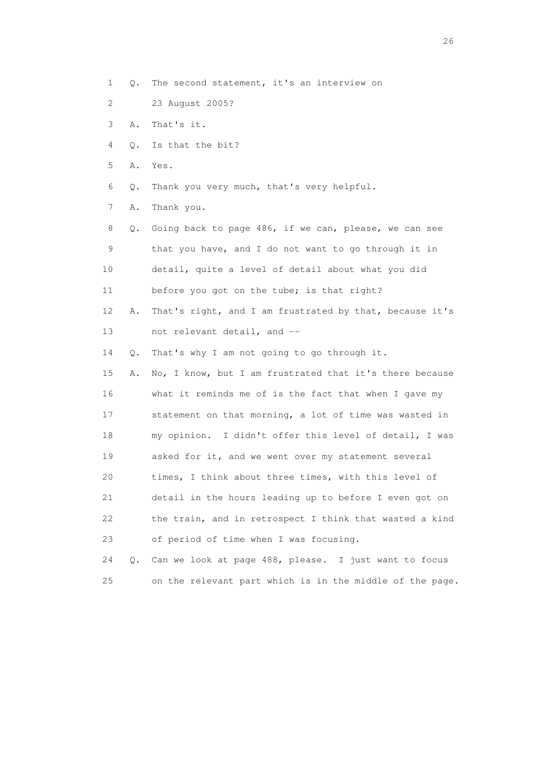- 1 Q. The second statement, it's an interview on
- 2 23 August 2005?
- 3 A. That's it.
- 4 Q. Is that the bit?
- 5 A. Yes.
- 6 Q. Thank you very much, that's very helpful.
- 7 A. Thank you.

 8 Q. Going back to page 486, if we can, please, we can see 9 that you have, and I do not want to go through it in 10 detail, quite a level of detail about what you did 11 before you got on the tube; is that right?

- 12 A. That's right, and I am frustrated by that, because it's 13 not relevant detail, and --
- 14 Q. That's why I am not going to go through it.
- 15 A. No, I know, but I am frustrated that it's there because 16 what it reminds me of is the fact that when I gave my 17 statement on that morning, a lot of time was wasted in 18 my opinion. I didn't offer this level of detail, I was 19 asked for it, and we went over my statement several 20 times, I think about three times, with this level of 21 detail in the hours leading up to before I even got on 22 the train, and in retrospect I think that wasted a kind 23 of period of time when I was focusing.

 24 Q. Can we look at page 488, please. I just want to focus 25 on the relevant part which is in the middle of the page.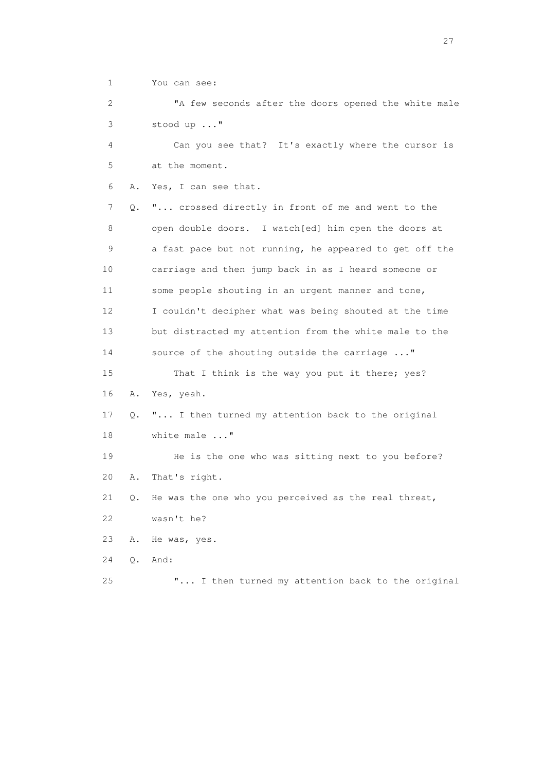1 You can see:

 2 "A few seconds after the doors opened the white male 3 stood up ..."

 4 Can you see that? It's exactly where the cursor is 5 at the moment.

6 A. Yes, I can see that.

 7 Q. "... crossed directly in front of me and went to the 8 open double doors. I watch[ed] him open the doors at 9 a fast pace but not running, he appeared to get off the 10 carriage and then jump back in as I heard someone or 11 some people shouting in an urgent manner and tone, 12 I couldn't decipher what was being shouted at the time 13 but distracted my attention from the white male to the 14 source of the shouting outside the carriage ..." 15 That I think is the way you put it there; yes? 16 A. Yes, yeah. 17 Q. "... I then turned my attention back to the original 18 white male ..." 19 He is the one who was sitting next to you before?

20 A. That's right.

 21 Q. He was the one who you perceived as the real threat, 22 wasn't he?

- 23 A. He was, yes.
- 24 Q. And:

25 "... I then turned my attention back to the original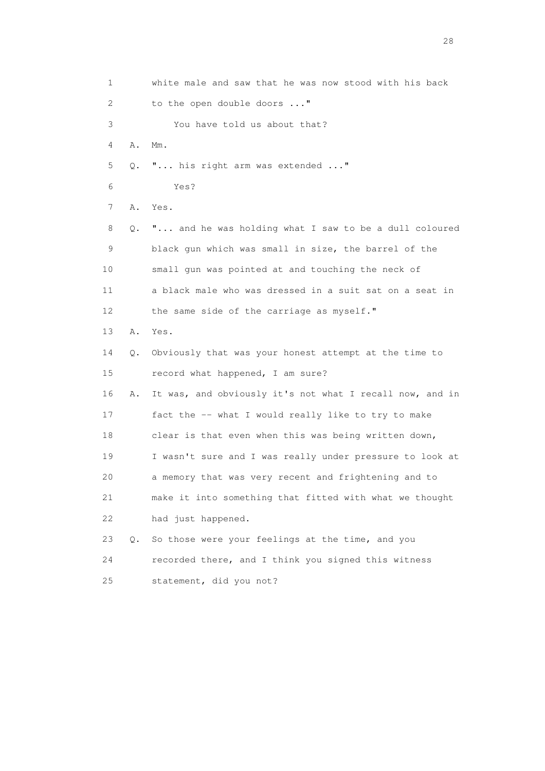1 white male and saw that he was now stood with his back 2 to the open double doors ..." 3 You have told us about that? 4 A. Mm. 5 Q. "... his right arm was extended ..." 6 Yes? 7 A. Yes. 8 Q. "... and he was holding what I saw to be a dull coloured 9 black gun which was small in size, the barrel of the 10 small gun was pointed at and touching the neck of 11 a black male who was dressed in a suit sat on a seat in 12 the same side of the carriage as myself." 13 A. Yes. 14 Q. Obviously that was your honest attempt at the time to 15 record what happened, I am sure? 16 A. It was, and obviously it's not what I recall now, and in 17 fact the -- what I would really like to try to make 18 clear is that even when this was being written down, 19 I wasn't sure and I was really under pressure to look at 20 a memory that was very recent and frightening and to 21 make it into something that fitted with what we thought 22 had just happened. 23 Q. So those were your feelings at the time, and you 24 recorded there, and I think you signed this witness 25 statement, did you not?

28 and 28 and 28 and 28 and 28 and 28 and 28 and 28 and 28 and 28 and 28 and 28 and 28 and 28 and 28 and 28 and 28 and 28 and 28 and 28 and 28 and 28 and 28 and 28 and 28 and 28 and 28 and 28 and 28 and 28 and 28 and 28 an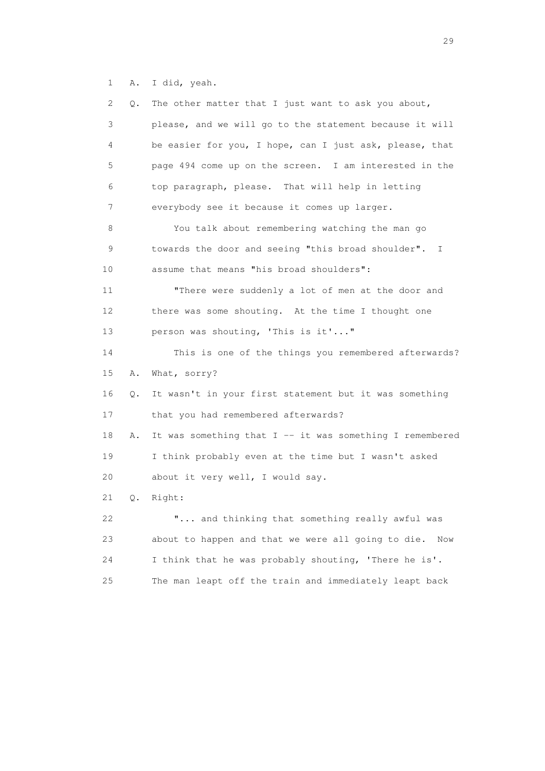1 A. I did, yeah.

| 2. | The other matter that I just want to ask you about,<br>Q.        |
|----|------------------------------------------------------------------|
| 3  | please, and we will go to the statement because it will          |
| 4  | be easier for you, I hope, can I just ask, please, that          |
| 5  | page 494 come up on the screen. I am interested in the           |
| 6  | top paragraph, please. That will help in letting                 |
| 7  | everybody see it because it comes up larger.                     |
| 8  | You talk about remembering watching the man go                   |
| 9  | towards the door and seeing "this broad shoulder". I             |
| 10 | assume that means "his broad shoulders":                         |
| 11 | "There were suddenly a lot of men at the door and                |
| 12 | there was some shouting. At the time I thought one               |
| 13 | person was shouting, 'This is it'"                               |
| 14 | This is one of the things you remembered afterwards?             |
| 15 | Α.<br>What, sorry?                                               |
| 16 | It wasn't in your first statement but it was something<br>Q.     |
| 17 | that you had remembered afterwards?                              |
| 18 | It was something that $I$ -- it was something I remembered<br>Α. |
| 19 | I think probably even at the time but I wasn't asked             |
| 20 | about it very well, I would say.                                 |
| 21 | Right:<br>Q.                                                     |
| 22 | " and thinking that something really awful was                   |
| 23 | about to happen and that we were all going to die.<br>Now        |
| 24 | I think that he was probably shouting, 'There he is'.            |
| 25 | The man leapt off the train and immediately leapt back           |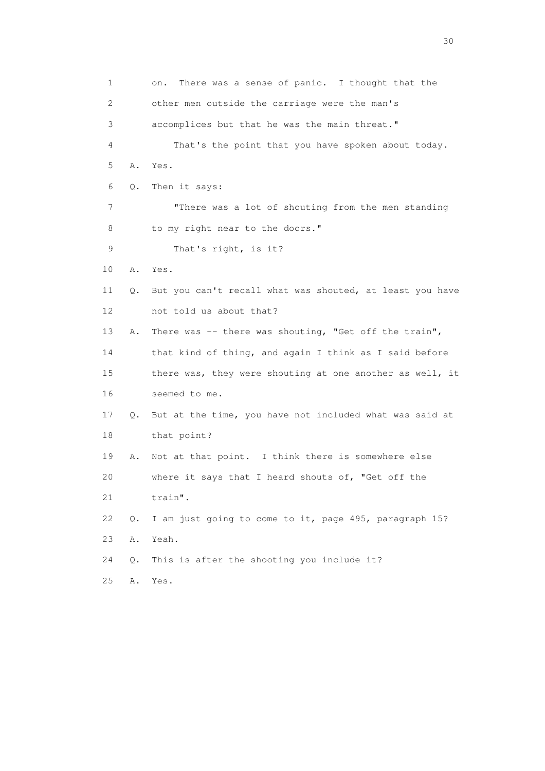1 on. There was a sense of panic. I thought that the 2 other men outside the carriage were the man's 3 accomplices but that he was the main threat." 4 That's the point that you have spoken about today. 5 A. Yes. 6 Q. Then it says: 7 "There was a lot of shouting from the men standing 8 to my right near to the doors." 9 That's right, is it? 10 A. Yes. 11 Q. But you can't recall what was shouted, at least you have 12 not told us about that? 13 A. There was -- there was shouting, "Get off the train", 14 that kind of thing, and again I think as I said before 15 there was, they were shouting at one another as well, it 16 seemed to me. 17 Q. But at the time, you have not included what was said at 18 that point? 19 A. Not at that point. I think there is somewhere else 20 where it says that I heard shouts of, "Get off the 21 train". 22 Q. I am just going to come to it, page 495, paragraph 15? 23 A. Yeah. 24 Q. This is after the shooting you include it? 25 A. Yes.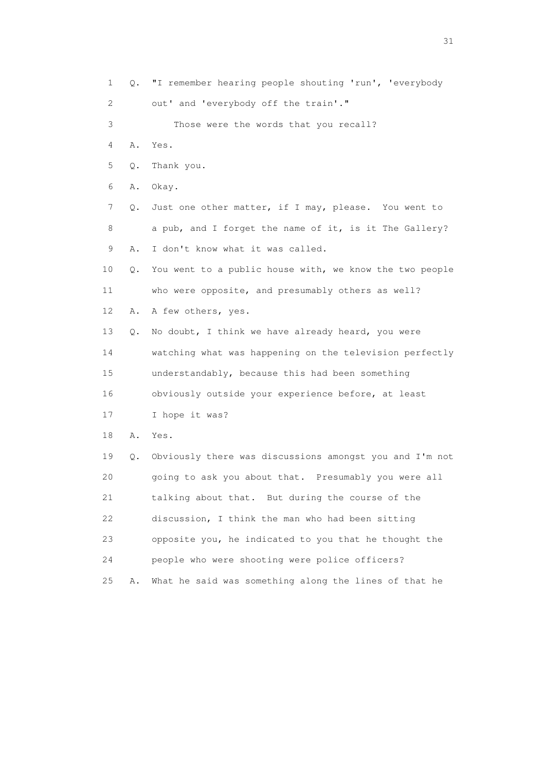1 Q. "I remember hearing people shouting 'run', 'everybody 2 out' and 'everybody off the train'." 3 Those were the words that you recall? 4 A. Yes. 5 Q. Thank you. 6 A. Okay. 7 Q. Just one other matter, if I may, please. You went to 8 a pub, and I forget the name of it, is it The Gallery? 9 A. I don't know what it was called. 10 Q. You went to a public house with, we know the two people 11 who were opposite, and presumably others as well? 12 A. A few others, yes. 13 Q. No doubt, I think we have already heard, you were 14 watching what was happening on the television perfectly 15 understandably, because this had been something 16 obviously outside your experience before, at least 17 I hope it was? 18 A. Yes. 19 Q. Obviously there was discussions amongst you and I'm not 20 going to ask you about that. Presumably you were all 21 talking about that. But during the course of the 22 discussion, I think the man who had been sitting 23 opposite you, he indicated to you that he thought the 24 people who were shooting were police officers? 25 A. What he said was something along the lines of that he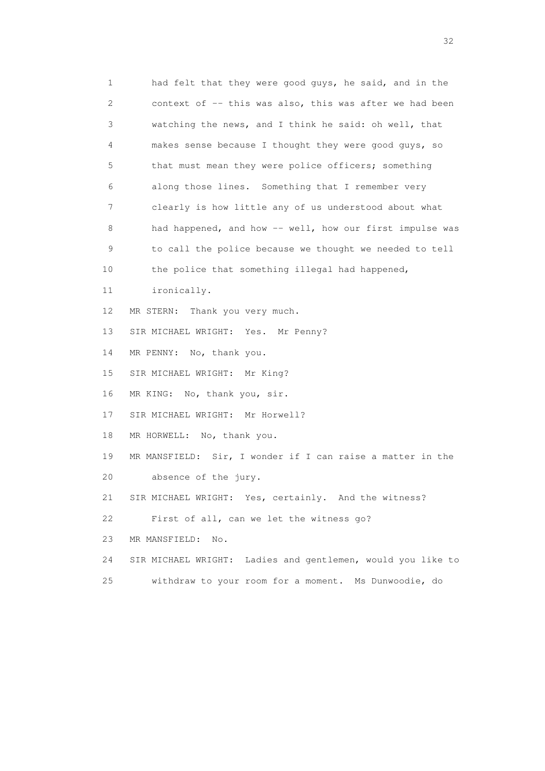1 had felt that they were good guys, he said, and in the 2 context of -- this was also, this was after we had been 3 watching the news, and I think he said: oh well, that 4 makes sense because I thought they were good guys, so 5 that must mean they were police officers; something 6 along those lines. Something that I remember very 7 clearly is how little any of us understood about what 8 had happened, and how -- well, how our first impulse was 9 to call the police because we thought we needed to tell 10 the police that something illegal had happened, 11 ironically. 12 MR STERN: Thank you very much. 13 SIR MICHAEL WRIGHT: Yes. Mr Penny? 14 MR PENNY: No, thank you. 15 SIR MICHAEL WRIGHT: Mr King? 16 MR KING: No, thank you, sir. 17 SIR MICHAEL WRIGHT: Mr Horwell? 18 MR HORWELL: No, thank you. 19 MR MANSFIELD: Sir, I wonder if I can raise a matter in the 20 absence of the jury. 21 SIR MICHAEL WRIGHT: Yes, certainly. And the witness? 22 First of all, can we let the witness go? 23 MR MANSFIELD: No. 24 SIR MICHAEL WRIGHT: Ladies and gentlemen, would you like to 25 withdraw to your room for a moment. Ms Dunwoodie, do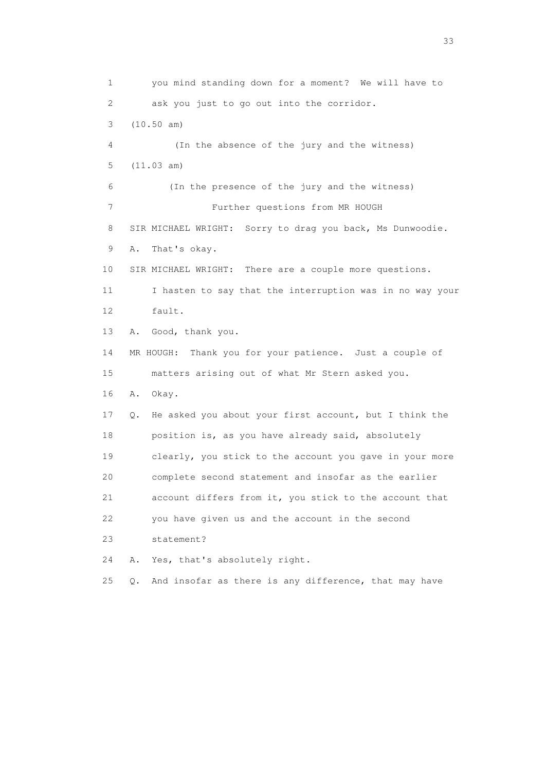1 you mind standing down for a moment? We will have to 2 ask you just to go out into the corridor. 3 (10.50 am) 4 (In the absence of the jury and the witness) 5 (11.03 am) 6 (In the presence of the jury and the witness) 7 Further questions from MR HOUGH 8 SIR MICHAEL WRIGHT: Sorry to drag you back, Ms Dunwoodie. 9 A. That's okay. 10 SIR MICHAEL WRIGHT: There are a couple more questions. 11 I hasten to say that the interruption was in no way your 12 fault. 13 A. Good, thank you. 14 MR HOUGH: Thank you for your patience. Just a couple of 15 matters arising out of what Mr Stern asked you. 16 A. Okay. 17 Q. He asked you about your first account, but I think the 18 position is, as you have already said, absolutely 19 clearly, you stick to the account you gave in your more 20 complete second statement and insofar as the earlier 21 account differs from it, you stick to the account that 22 you have given us and the account in the second 23 statement? 24 A. Yes, that's absolutely right. 25 Q. And insofar as there is any difference, that may have

<u>33</u> and the state of the state of the state of the state of the state of the state of the state of the state of the state of the state of the state of the state of the state of the state of the state of the state of the s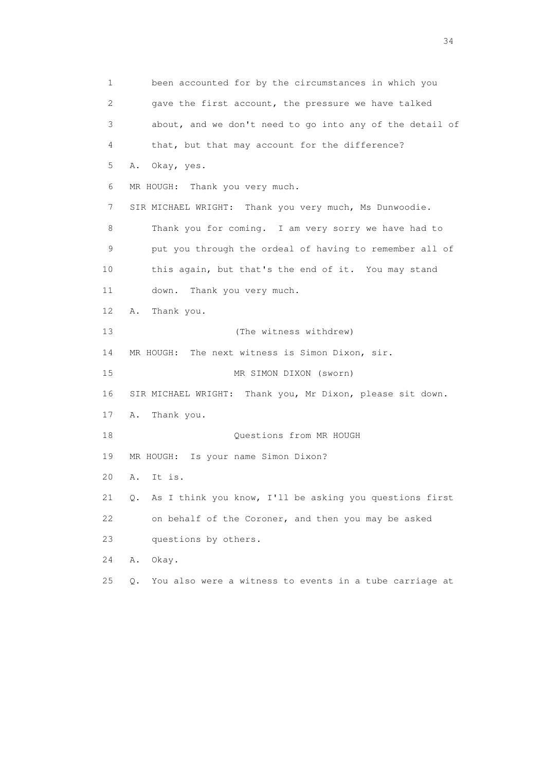1 been accounted for by the circumstances in which you 2 gave the first account, the pressure we have talked 3 about, and we don't need to go into any of the detail of 4 that, but that may account for the difference? 5 A. Okay, yes. 6 MR HOUGH: Thank you very much. 7 SIR MICHAEL WRIGHT: Thank you very much, Ms Dunwoodie. 8 Thank you for coming. I am very sorry we have had to 9 put you through the ordeal of having to remember all of 10 this again, but that's the end of it. You may stand 11 down. Thank you very much. 12 A. Thank you. 13 (The witness withdrew) 14 MR HOUGH: The next witness is Simon Dixon, sir. 15 MR SIMON DIXON (sworn) 16 SIR MICHAEL WRIGHT: Thank you, Mr Dixon, please sit down. 17 A. Thank you. 18 Cuestions from MR HOUGH 19 MR HOUGH: Is your name Simon Dixon? 20 A. It is. 21 Q. As I think you know, I'll be asking you questions first 22 on behalf of the Coroner, and then you may be asked 23 questions by others. 24 A. Okay. 25 Q. You also were a witness to events in a tube carriage at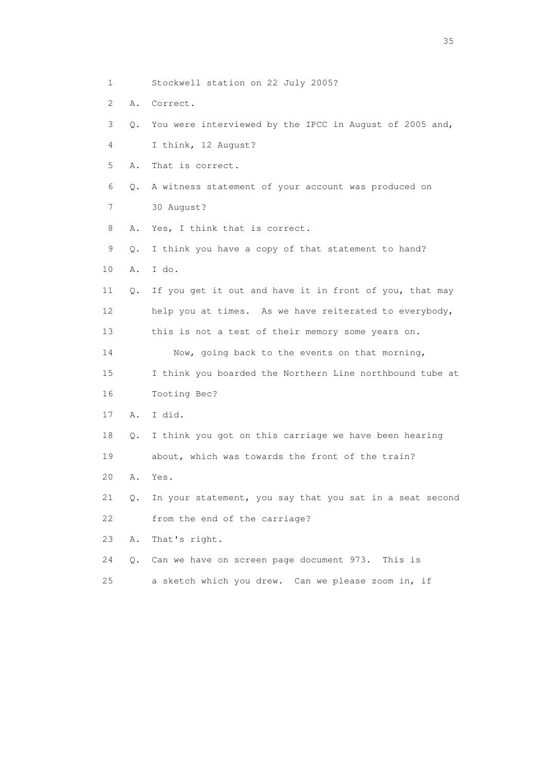- 1 Stockwell station on 22 July 2005?
- 2 A. Correct.
- 3 Q. You were interviewed by the IPCC in August of 2005 and,
- 4 I think, 12 August?
- 5 A. That is correct.
- 6 Q. A witness statement of your account was produced on
- 7 30 August?
- 8 A. Yes, I think that is correct.
- 9 Q. I think you have a copy of that statement to hand?
- 10 A. I do.
- 11 Q. If you get it out and have it in front of you, that may 12 help you at times. As we have reiterated to everybody, 13 this is not a test of their memory some years on.
- 14 Now, going back to the events on that morning,
- 15 I think you boarded the Northern Line northbound tube at 16 Tooting Bec?
- 17 A. I did.
- 18 Q. I think you got on this carriage we have been hearing 19 about, which was towards the front of the train?
- 20 A. Yes.
- 21 Q. In your statement, you say that you sat in a seat second 22 from the end of the carriage?
- 23 A. That's right.
- 24 Q. Can we have on screen page document 973. This is
- 25 a sketch which you drew. Can we please zoom in, if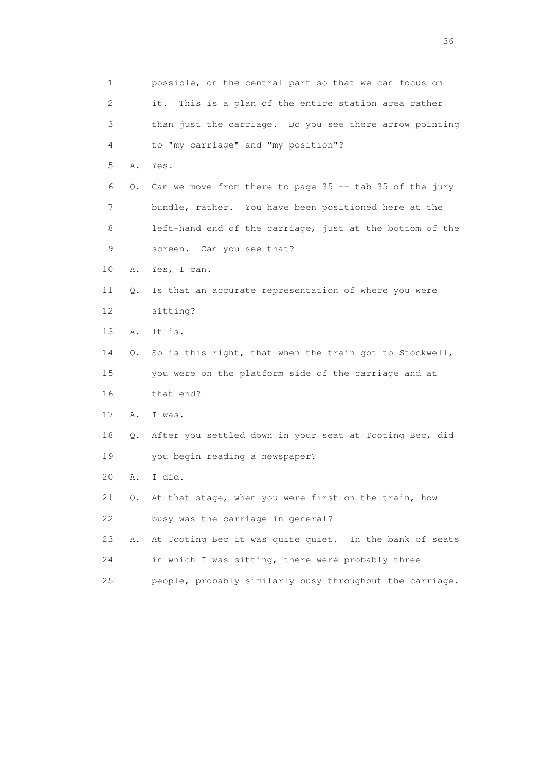1 possible, on the central part so that we can focus on 2 it. This is a plan of the entire station area rather 3 than just the carriage. Do you see there arrow pointing 4 to "my carriage" and "my position"? 5 A. Yes. 6 Q. Can we move from there to page 35 -- tab 35 of the jury 7 bundle, rather. You have been positioned here at the 8 left-hand end of the carriage, just at the bottom of the 9 screen. Can you see that? 10 A. Yes, I can. 11 Q. Is that an accurate representation of where you were 12 sitting? 13 A. It is. 14 Q. So is this right, that when the train got to Stockwell, 15 you were on the platform side of the carriage and at 16 that end? 17 A. I was. 18 Q. After you settled down in your seat at Tooting Bec, did 19 you begin reading a newspaper? 20 A. I did. 21 Q. At that stage, when you were first on the train, how 22 busy was the carriage in general? 23 A. At Tooting Bec it was quite quiet. In the bank of seats 24 in which I was sitting, there were probably three 25 people, probably similarly busy throughout the carriage.

 $36<sup>2</sup>$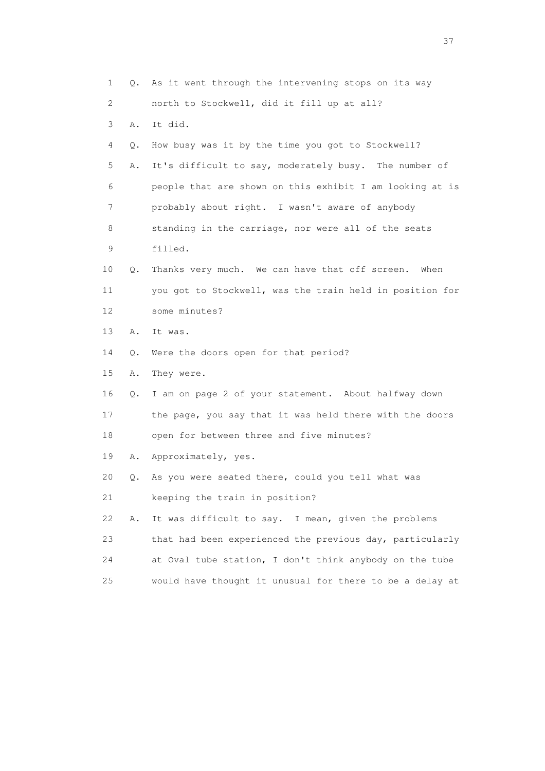1 Q. As it went through the intervening stops on its way 2 north to Stockwell, did it fill up at all? 3 A. It did. 4 Q. How busy was it by the time you got to Stockwell? 5 A. It's difficult to say, moderately busy. The number of 6 people that are shown on this exhibit I am looking at is 7 probably about right. I wasn't aware of anybody 8 standing in the carriage, nor were all of the seats 9 filled. 10 Q. Thanks very much. We can have that off screen. When 11 you got to Stockwell, was the train held in position for 12 some minutes? 13 A. It was. 14 Q. Were the doors open for that period? 15 A. They were. 16 Q. I am on page 2 of your statement. About halfway down 17 the page, you say that it was held there with the doors 18 open for between three and five minutes? 19 A. Approximately, yes. 20 Q. As you were seated there, could you tell what was 21 keeping the train in position? 22 A. It was difficult to say. I mean, given the problems 23 that had been experienced the previous day, particularly 24 at Oval tube station, I don't think anybody on the tube 25 would have thought it unusual for there to be a delay at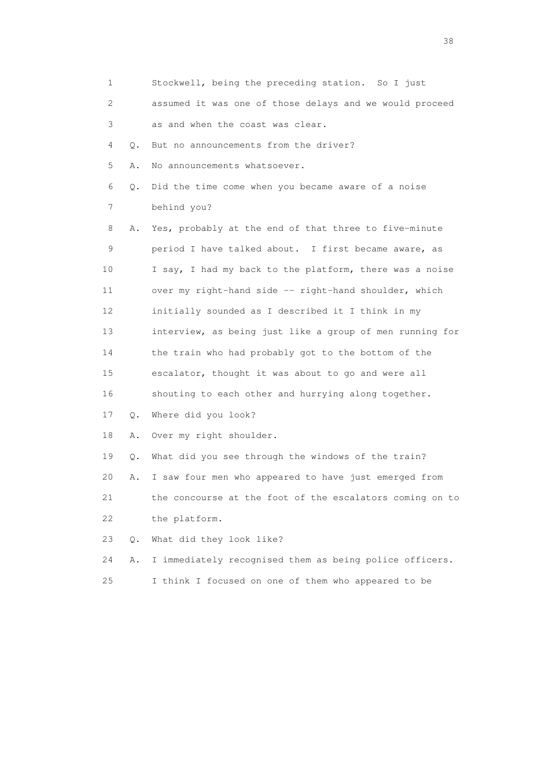| 1  |       | Stockwell, being the preceding station. So I just        |
|----|-------|----------------------------------------------------------|
| 2  |       | assumed it was one of those delays and we would proceed  |
| 3  |       | as and when the coast was clear.                         |
| 4  | Q.    | But no announcements from the driver?                    |
| 5  | Α.    | No announcements whatsoever.                             |
| 6  | Q.    | Did the time come when you became aware of a noise       |
| 7  |       | behind you?                                              |
| 8  | Α.    | Yes, probably at the end of that three to five-minute    |
| 9  |       | period I have talked about. I first became aware, as     |
| 10 |       | I say, I had my back to the platform, there was a noise  |
| 11 |       | over my right-hand side -- right-hand shoulder, which    |
| 12 |       | initially sounded as I described it I think in my        |
| 13 |       | interview, as being just like a group of men running for |
| 14 |       | the train who had probably got to the bottom of the      |
| 15 |       | escalator, thought it was about to go and were all       |
| 16 |       | shouting to each other and hurrying along together.      |
| 17 | $Q$ . | Where did you look?                                      |
| 18 | Α.    | Over my right shoulder.                                  |
| 19 | Q.    | What did you see through the windows of the train?       |
| 20 | Α.    | I saw four men who appeared to have just emerged from    |
| 21 |       | the concourse at the foot of the escalators coming on to |
| 22 |       | the platform.                                            |
| 23 | Q.    | What did they look like?                                 |
| 24 | Α.    | I immediately recognised them as being police officers.  |
| 25 |       | I think I focused on one of them who appeared to be      |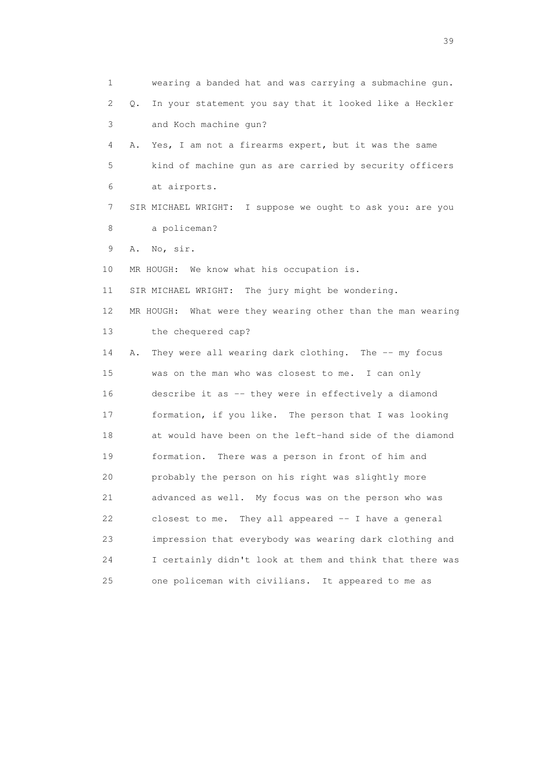1 wearing a banded hat and was carrying a submachine gun. 2 Q. In your statement you say that it looked like a Heckler 3 and Koch machine gun? 4 A. Yes, I am not a firearms expert, but it was the same 5 kind of machine gun as are carried by security officers 6 at airports. 7 SIR MICHAEL WRIGHT: I suppose we ought to ask you: are you 8 a policeman? 9 A. No, sir. 10 MR HOUGH: We know what his occupation is. 11 SIR MICHAEL WRIGHT: The jury might be wondering. 12 MR HOUGH: What were they wearing other than the man wearing 13 the chequered cap? 14 A. They were all wearing dark clothing. The -- my focus 15 was on the man who was closest to me. I can only 16 describe it as -- they were in effectively a diamond 17 formation, if you like. The person that I was looking 18 at would have been on the left-hand side of the diamond 19 formation. There was a person in front of him and 20 probably the person on his right was slightly more 21 advanced as well. My focus was on the person who was 22 closest to me. They all appeared -- I have a general 23 impression that everybody was wearing dark clothing and 24 I certainly didn't look at them and think that there was 25 one policeman with civilians. It appeared to me as

 $39<sup>2</sup>$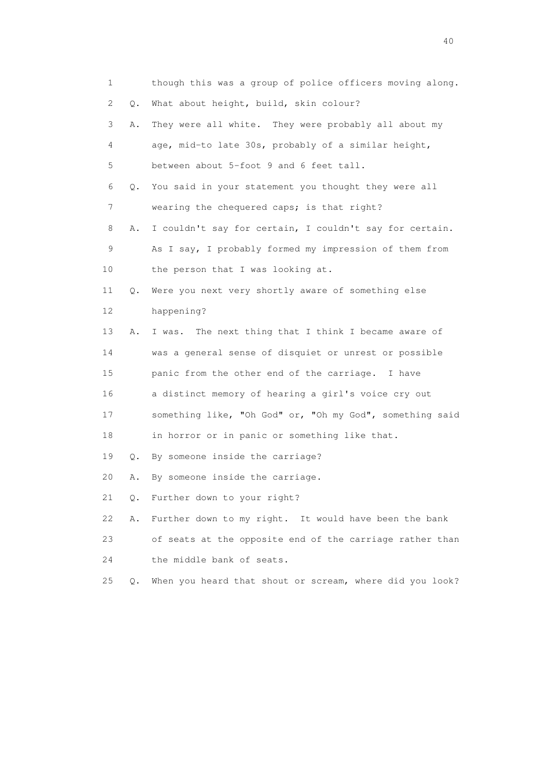| 1  |    | though this was a group of police officers moving along. |
|----|----|----------------------------------------------------------|
| 2  | О. | What about height, build, skin colour?                   |
| 3  | Α. | They were all white. They were probably all about my     |
| 4  |    | age, mid-to late 30s, probably of a similar height,      |
| 5  |    | between about 5-foot 9 and 6 feet tall.                  |
| 6  | Q. | You said in your statement you thought they were all     |
| 7  |    | wearing the chequered caps; is that right?               |
| 8  | Α. | I couldn't say for certain, I couldn't say for certain.  |
| 9  |    | As I say, I probably formed my impression of them from   |
| 10 |    | the person that I was looking at.                        |
| 11 | Q. | Were you next very shortly aware of something else       |
| 12 |    | happening?                                               |
| 13 | Α. | The next thing that I think I became aware of<br>I was.  |
| 14 |    | was a general sense of disquiet or unrest or possible    |
| 15 |    | panic from the other end of the carriage. I have         |
| 16 |    | a distinct memory of hearing a girl's voice cry out      |
| 17 |    | something like, "Oh God" or, "Oh my God", something said |
| 18 |    | in horror or in panic or something like that.            |
| 19 | Q. | By someone inside the carriage?                          |
| 20 | Α. | By someone inside the carriage.                          |
| 21 | Q. | Further down to your right?                              |
| 22 | Α. | Further down to my right. It would have been the bank    |
| 23 |    | of seats at the opposite end of the carriage rather than |
| 24 |    | the middle bank of seats.                                |
| 25 | Q. | When you heard that shout or scream, where did you look? |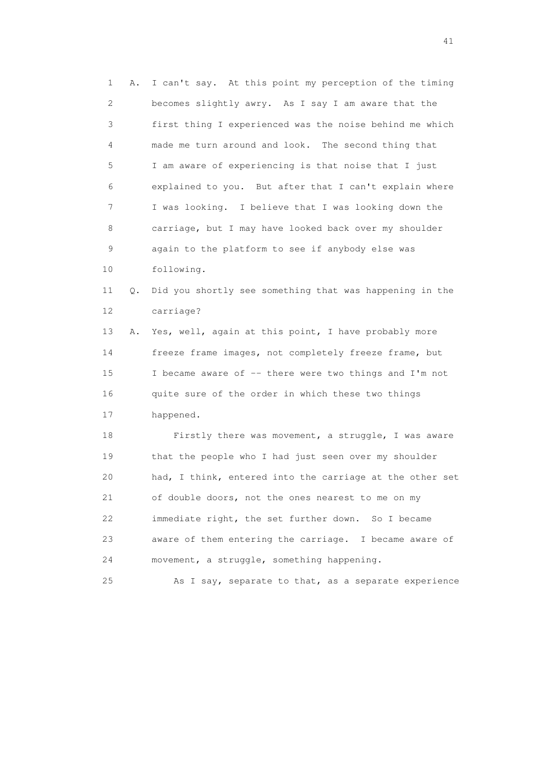1 A. I can't say. At this point my perception of the timing 2 becomes slightly awry. As I say I am aware that the 3 first thing I experienced was the noise behind me which 4 made me turn around and look. The second thing that 5 I am aware of experiencing is that noise that I just 6 explained to you. But after that I can't explain where 7 I was looking. I believe that I was looking down the 8 carriage, but I may have looked back over my shoulder 9 again to the platform to see if anybody else was 10 following. 11 Q. Did you shortly see something that was happening in the 12 carriage? 13 A. Yes, well, again at this point, I have probably more 14 freeze frame images, not completely freeze frame, but 15 I became aware of -- there were two things and I'm not 16 quite sure of the order in which these two things 17 happened. 18 Firstly there was movement, a struggle, I was aware 19 that the people who I had just seen over my shoulder 20 had, I think, entered into the carriage at the other set 21 of double doors, not the ones nearest to me on my 22 immediate right, the set further down. So I became 23 aware of them entering the carriage. I became aware of 24 movement, a struggle, something happening.

25 As I say, separate to that, as a separate experience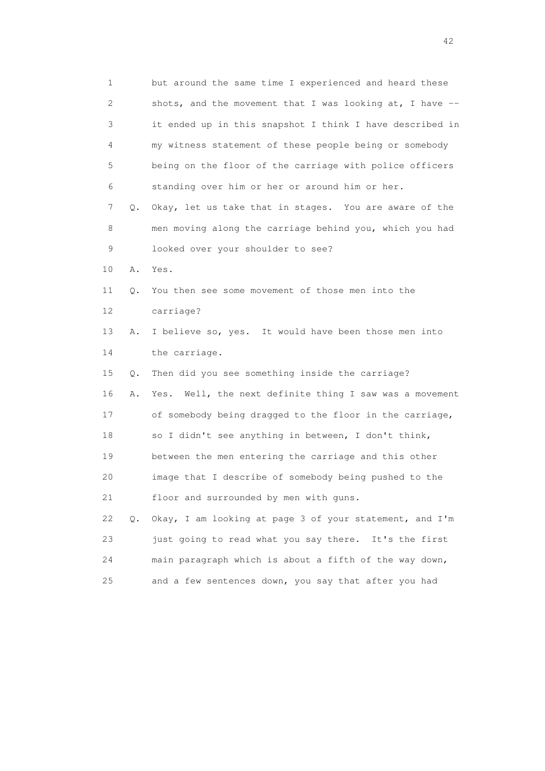1 but around the same time I experienced and heard these 2 shots, and the movement that I was looking at, I have -- 3 it ended up in this snapshot I think I have described in 4 my witness statement of these people being or somebody 5 being on the floor of the carriage with police officers 6 standing over him or her or around him or her. 7 Q. Okay, let us take that in stages. You are aware of the 8 men moving along the carriage behind you, which you had 9 looked over your shoulder to see? 10 A. Yes. 11 Q. You then see some movement of those men into the 12 carriage? 13 A. I believe so, yes. It would have been those men into 14 the carriage. 15 Q. Then did you see something inside the carriage? 16 A. Yes. Well, the next definite thing I saw was a movement 17 of somebody being dragged to the floor in the carriage, 18 so I didn't see anything in between, I don't think, 19 between the men entering the carriage and this other 20 image that I describe of somebody being pushed to the 21 floor and surrounded by men with guns. 22 Q. Okay, I am looking at page 3 of your statement, and I'm 23 just going to read what you say there. It's the first 24 main paragraph which is about a fifth of the way down, 25 and a few sentences down, you say that after you had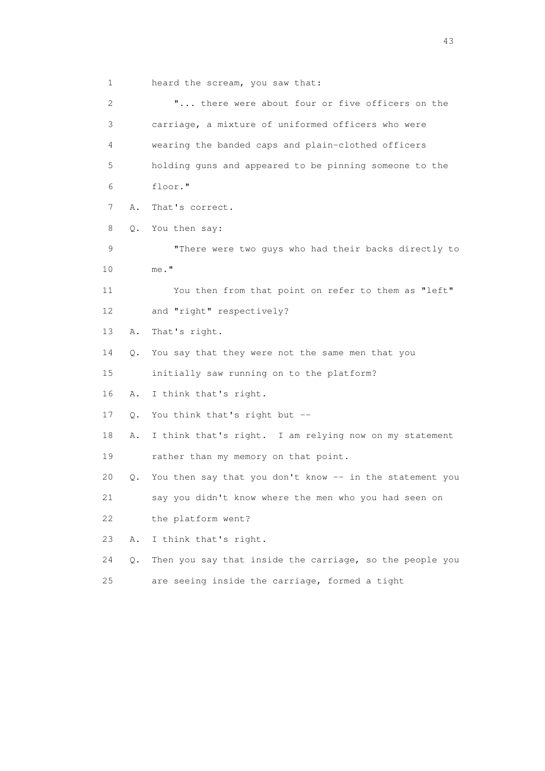1 heard the scream, you saw that:

 2 "... there were about four or five officers on the 3 carriage, a mixture of uniformed officers who were 4 wearing the banded caps and plain-clothed officers 5 holding guns and appeared to be pinning someone to the 6 floor." 7 A. That's correct. 8 Q. You then say: 9 "There were two guys who had their backs directly to 10 me." 11 You then from that point on refer to them as "left" 12 and "right" respectively? 13 A. That's right. 14 Q. You say that they were not the same men that you 15 initially saw running on to the platform? 16 A. I think that's right. 17 Q. You think that's right but -- 18 A. I think that's right. I am relying now on my statement 19 rather than my memory on that point. 20 Q. You then say that you don't know -- in the statement you 21 say you didn't know where the men who you had seen on 22 the platform went? 23 A. I think that's right. 24 Q. Then you say that inside the carriage, so the people you 25 are seeing inside the carriage, formed a tight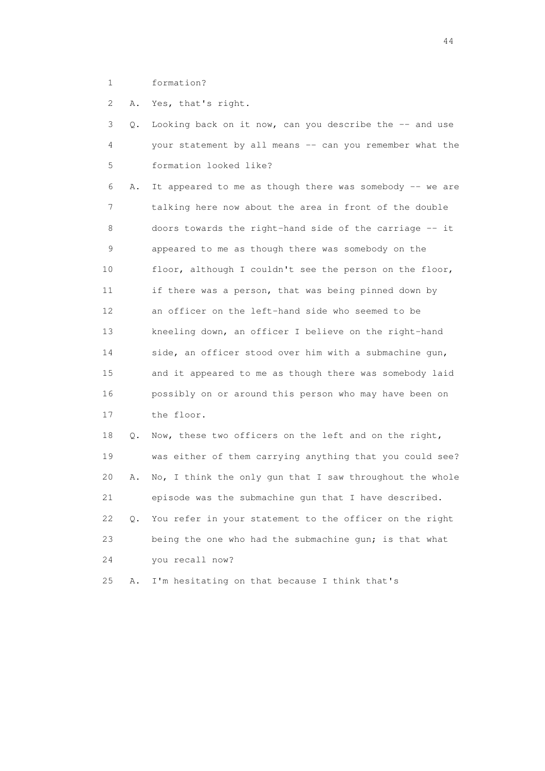1 formation?

2 A. Yes, that's right.

|  | 3 Q. Looking back on it now, can you describe the -- and use |
|--|--------------------------------------------------------------|
|  | your statement by all means -- can you remember what the     |
|  | 5 formation looked like?                                     |

 6 A. It appeared to me as though there was somebody -- we are 7 talking here now about the area in front of the double 8 doors towards the right-hand side of the carriage -- it 9 appeared to me as though there was somebody on the 10 floor, although I couldn't see the person on the floor, 11 if there was a person, that was being pinned down by 12 an officer on the left-hand side who seemed to be 13 kneeling down, an officer I believe on the right-hand 14 side, an officer stood over him with a submachine gun, 15 and it appeared to me as though there was somebody laid 16 possibly on or around this person who may have been on 17 the floor.

 18 Q. Now, these two officers on the left and on the right, 19 was either of them carrying anything that you could see? 20 A. No, I think the only gun that I saw throughout the whole 21 episode was the submachine gun that I have described. 22 Q. You refer in your statement to the officer on the right 23 being the one who had the submachine gun; is that what 24 you recall now?

25 A. I'm hesitating on that because I think that's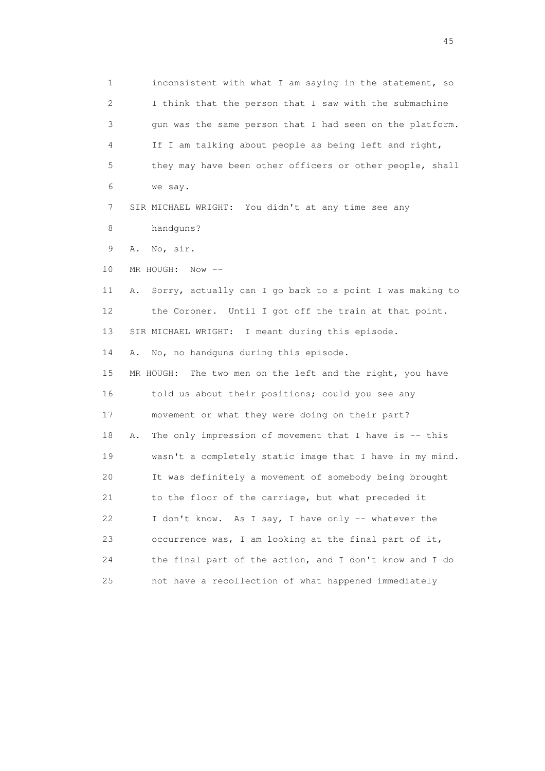1 inconsistent with what I am saying in the statement, so 2 I think that the person that I saw with the submachine 3 gun was the same person that I had seen on the platform. 4 If I am talking about people as being left and right, 5 they may have been other officers or other people, shall 6 we say. 7 SIR MICHAEL WRIGHT: You didn't at any time see any 8 handguns? 9 A. No, sir. 10 MR HOUGH: Now -- 11 A. Sorry, actually can I go back to a point I was making to 12 the Coroner. Until I got off the train at that point. 13 SIR MICHAEL WRIGHT: I meant during this episode. 14 A. No, no handguns during this episode. 15 MR HOUGH: The two men on the left and the right, you have 16 told us about their positions; could you see any 17 movement or what they were doing on their part? 18 A. The only impression of movement that I have is -- this 19 wasn't a completely static image that I have in my mind. 20 It was definitely a movement of somebody being brought 21 to the floor of the carriage, but what preceded it 22 I don't know. As I say, I have only -- whatever the 23 occurrence was, I am looking at the final part of it, 24 the final part of the action, and I don't know and I do 25 not have a recollection of what happened immediately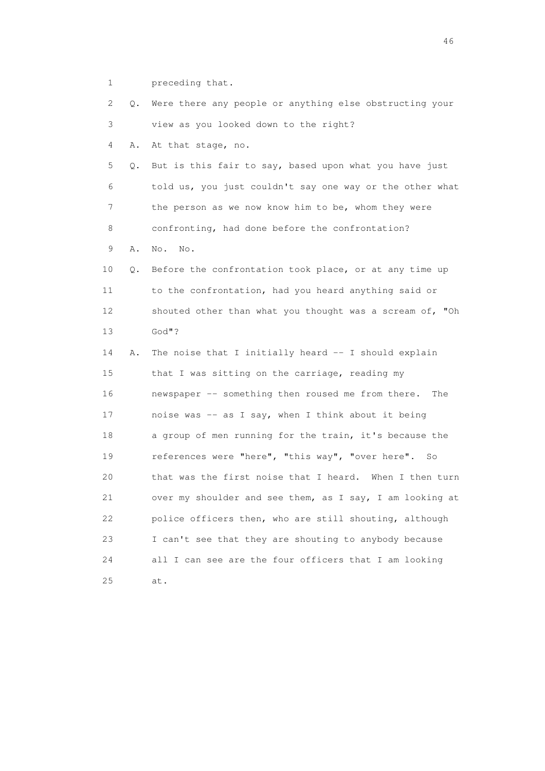1 preceding that.

 2 Q. Were there any people or anything else obstructing your 3 view as you looked down to the right?

4 A. At that stage, no.

 5 Q. But is this fair to say, based upon what you have just 6 told us, you just couldn't say one way or the other what 7 the person as we now know him to be, whom they were 8 confronting, had done before the confrontation?

9 A. No. No.

 10 Q. Before the confrontation took place, or at any time up 11 to the confrontation, had you heard anything said or 12 shouted other than what you thought was a scream of, "Oh 13 God"?

 14 A. The noise that I initially heard -- I should explain 15 that I was sitting on the carriage, reading my 16 newspaper -- something then roused me from there. The 17 noise was -- as I say, when I think about it being 18 a group of men running for the train, it's because the 19 references were "here", "this way", "over here". So 20 that was the first noise that I heard. When I then turn 21 over my shoulder and see them, as I say, I am looking at 22 police officers then, who are still shouting, although 23 I can't see that they are shouting to anybody because 24 all I can see are the four officers that I am looking 25 at.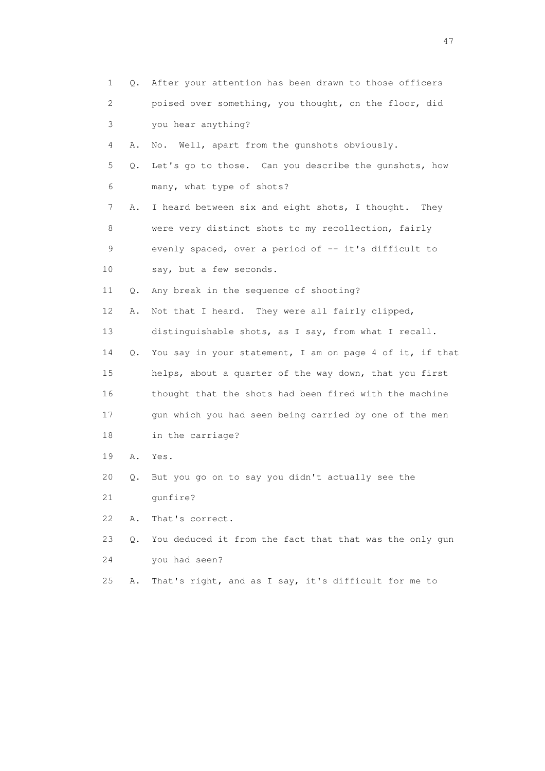| 1  | 0.        | After your attention has been drawn to those officers    |
|----|-----------|----------------------------------------------------------|
| 2  |           | poised over something, you thought, on the floor, did    |
| 3  |           | you hear anything?                                       |
| 4  | Α.        | Well, apart from the gunshots obviously.<br>No.          |
| 5  | Q.        | Let's go to those. Can you describe the qunshots, how    |
| 6  |           | many, what type of shots?                                |
| 7  | Α.        | I heard between six and eight shots, I thought.<br>They  |
| 8  |           | were very distinct shots to my recollection, fairly      |
| 9  |           | evenly spaced, over a period of -- it's difficult to     |
| 10 |           | say, but a few seconds.                                  |
| 11 | Q.        | Any break in the sequence of shooting?                   |
| 12 | Α.        | Not that I heard. They were all fairly clipped,          |
| 13 |           | distinguishable shots, as I say, from what I recall.     |
| 14 | Q.        | You say in your statement, I am on page 4 of it, if that |
| 15 |           | helps, about a quarter of the way down, that you first   |
| 16 |           | thought that the shots had been fired with the machine   |
| 17 |           | gun which you had seen being carried by one of the men   |
| 18 |           | in the carriage?                                         |
| 19 | Α.        | Yes.                                                     |
| 20 | Q.        | But you go on to say you didn't actually see the         |
| 21 |           | qunfire?                                                 |
| 22 | Α.        | That's correct.                                          |
| 23 | $\circ$ . | You deduced it from the fact that that was the only gun  |
| 24 |           | you had seen?                                            |
| 25 | Α.        | That's right, and as I say, it's difficult for me to     |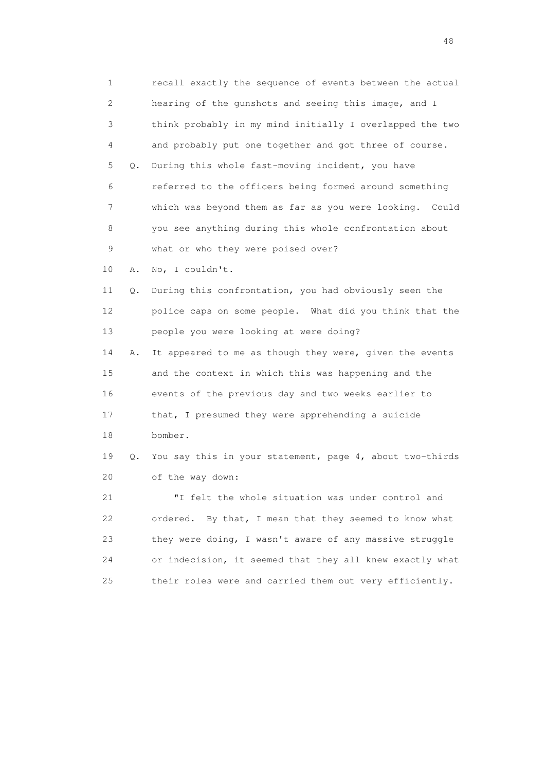1 recall exactly the sequence of events between the actual 2 hearing of the gunshots and seeing this image, and I 3 think probably in my mind initially I overlapped the two 4 and probably put one together and got three of course. 5 Q. During this whole fast-moving incident, you have 6 referred to the officers being formed around something 7 which was beyond them as far as you were looking. Could 8 you see anything during this whole confrontation about 9 what or who they were poised over? 10 A. No, I couldn't. 11 Q. During this confrontation, you had obviously seen the 12 police caps on some people. What did you think that the 13 people you were looking at were doing? 14 A. It appeared to me as though they were, given the events 15 and the context in which this was happening and the 16 events of the previous day and two weeks earlier to 17 that, I presumed they were apprehending a suicide 18 bomber. 19 Q. You say this in your statement, page 4, about two-thirds 20 of the way down: 21 "I felt the whole situation was under control and 22 ordered. By that, I mean that they seemed to know what 23 they were doing, I wasn't aware of any massive struggle 24 or indecision, it seemed that they all knew exactly what 25 their roles were and carried them out very efficiently.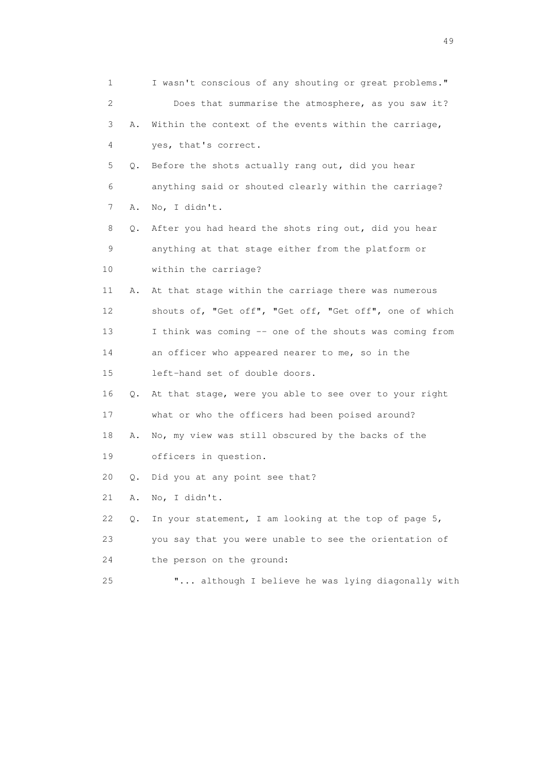| 1  |    | I wasn't conscious of any shouting or great problems."  |
|----|----|---------------------------------------------------------|
| 2  |    | Does that summarise the atmosphere, as you saw it?      |
| 3  | Α. | Within the context of the events within the carriage,   |
| 4  |    | yes, that's correct.                                    |
| 5  | Q. | Before the shots actually rang out, did you hear        |
| 6  |    | anything said or shouted clearly within the carriage?   |
| 7  | Α. | No, I didn't.                                           |
| 8  | Q. | After you had heard the shots ring out, did you hear    |
| 9  |    | anything at that stage either from the platform or      |
| 10 |    | within the carriage?                                    |
| 11 | Α. | At that stage within the carriage there was numerous    |
| 12 |    | shouts of, "Get off", "Get off, "Get off", one of which |
| 13 |    | I think was coming -- one of the shouts was coming from |
| 14 |    | an officer who appeared nearer to me, so in the         |
| 15 |    | left-hand set of double doors.                          |
| 16 | Q. | At that stage, were you able to see over to your right  |
| 17 |    | what or who the officers had been poised around?        |
| 18 | Α. | No, my view was still obscured by the backs of the      |
| 19 |    | officers in question.                                   |
| 20 | Q. | Did you at any point see that?                          |
| 21 | Α. | No, I didn't.                                           |
| 22 | Q. | In your statement, I am looking at the top of page 5,   |
| 23 |    | you say that you were unable to see the orientation of  |
| 24 |    | the person on the ground:                               |
| 25 |    | " although I believe he was lying diagonally with       |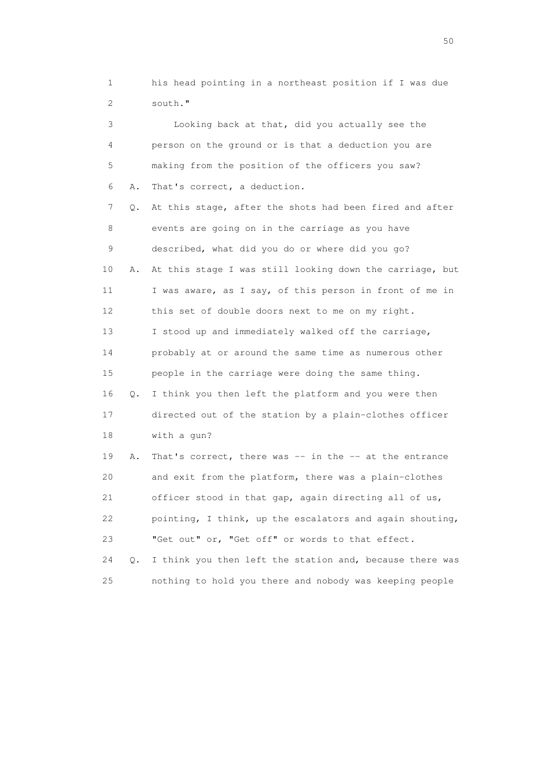1 his head pointing in a northeast position if I was due 2 south."

 3 Looking back at that, did you actually see the 4 person on the ground or is that a deduction you are 5 making from the position of the officers you saw? 6 A. That's correct, a deduction. 7 Q. At this stage, after the shots had been fired and after 8 events are going on in the carriage as you have 9 described, what did you do or where did you go? 10 A. At this stage I was still looking down the carriage, but 11 I was aware, as I say, of this person in front of me in 12 this set of double doors next to me on my right. 13 I stood up and immediately walked off the carriage, 14 probably at or around the same time as numerous other 15 people in the carriage were doing the same thing. 16 Q. I think you then left the platform and you were then 17 directed out of the station by a plain-clothes officer 18 with a gun? 19 A. That's correct, there was -- in the -- at the entrance 20 and exit from the platform, there was a plain-clothes 21 officer stood in that gap, again directing all of us, 22 pointing, I think, up the escalators and again shouting,

 23 "Get out" or, "Get off" or words to that effect. 24 Q. I think you then left the station and, because there was

25 nothing to hold you there and nobody was keeping people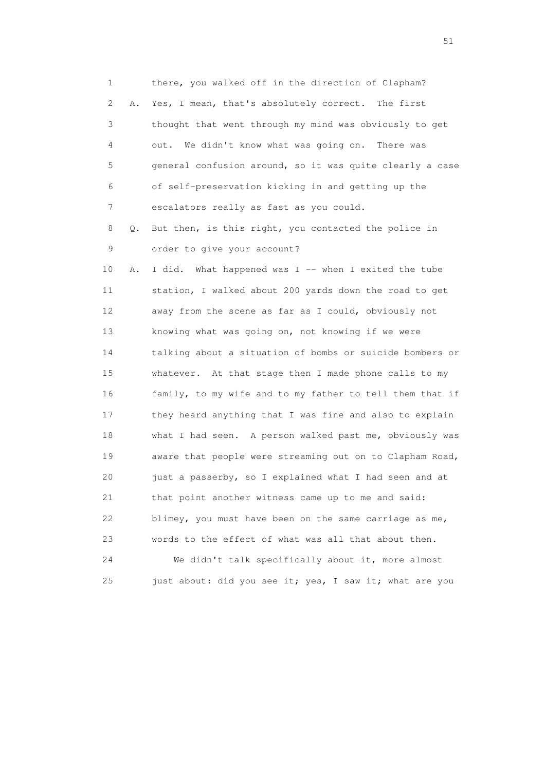1 there, you walked off in the direction of Clapham? 2 A. Yes, I mean, that's absolutely correct. The first 3 thought that went through my mind was obviously to get 4 out. We didn't know what was going on. There was 5 general confusion around, so it was quite clearly a case 6 of self-preservation kicking in and getting up the 7 escalators really as fast as you could. 8 Q. But then, is this right, you contacted the police in 9 order to give your account? 10 A. I did. What happened was I -- when I exited the tube 11 station, I walked about 200 yards down the road to get 12 away from the scene as far as I could, obviously not 13 knowing what was going on, not knowing if we were 14 talking about a situation of bombs or suicide bombers or 15 whatever. At that stage then I made phone calls to my 16 family, to my wife and to my father to tell them that if 17 they heard anything that I was fine and also to explain 18 what I had seen. A person walked past me, obviously was 19 aware that people were streaming out on to Clapham Road, 20 just a passerby, so I explained what I had seen and at 21 that point another witness came up to me and said: 22 blimey, you must have been on the same carriage as me, 23 words to the effect of what was all that about then. 24 We didn't talk specifically about it, more almost

25 just about: did you see it; yes, I saw it; what are you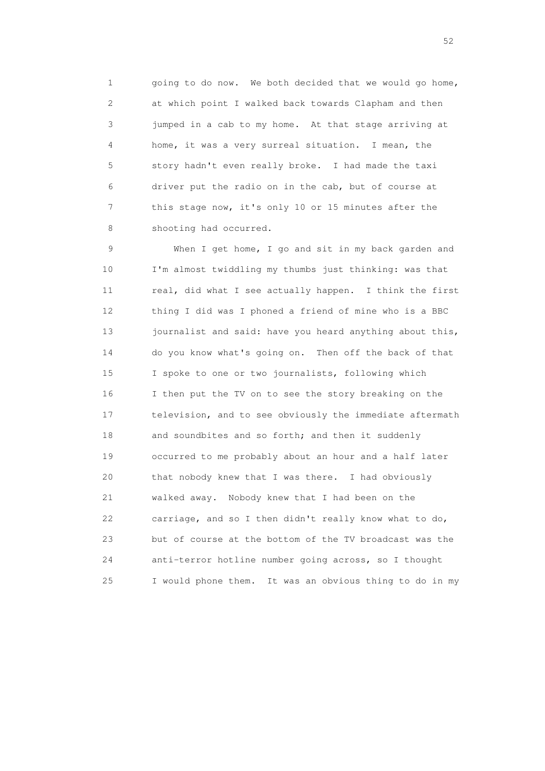1 going to do now. We both decided that we would go home, 2 at which point I walked back towards Clapham and then 3 jumped in a cab to my home. At that stage arriving at 4 home, it was a very surreal situation. I mean, the 5 story hadn't even really broke. I had made the taxi 6 driver put the radio on in the cab, but of course at 7 this stage now, it's only 10 or 15 minutes after the 8 shooting had occurred.

 9 When I get home, I go and sit in my back garden and 10 I'm almost twiddling my thumbs just thinking: was that 11 real, did what I see actually happen. I think the first 12 thing I did was I phoned a friend of mine who is a BBC 13 journalist and said: have you heard anything about this, 14 do you know what's going on. Then off the back of that 15 I spoke to one or two journalists, following which 16 I then put the TV on to see the story breaking on the 17 television, and to see obviously the immediate aftermath 18 and soundbites and so forth; and then it suddenly 19 occurred to me probably about an hour and a half later 20 that nobody knew that I was there. I had obviously 21 walked away. Nobody knew that I had been on the 22 carriage, and so I then didn't really know what to do, 23 but of course at the bottom of the TV broadcast was the 24 anti-terror hotline number going across, so I thought 25 I would phone them. It was an obvious thing to do in my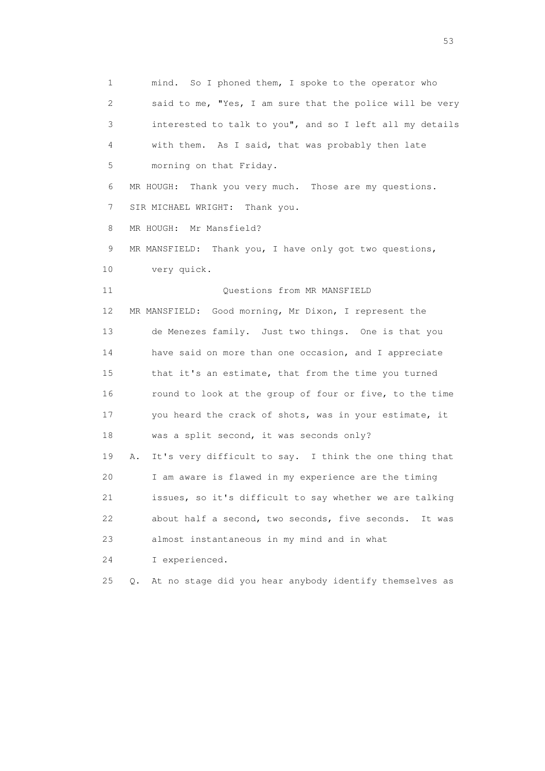1 mind. So I phoned them, I spoke to the operator who 2 said to me, "Yes, I am sure that the police will be very 3 interested to talk to you", and so I left all my details 4 with them. As I said, that was probably then late 5 morning on that Friday. 6 MR HOUGH: Thank you very much. Those are my questions. 7 SIR MICHAEL WRIGHT: Thank you. 8 MR HOUGH: Mr Mansfield? 9 MR MANSFIELD: Thank you, I have only got two questions, 10 very quick. 11 Ouestions from MR MANSFIELD 12 MR MANSFIELD: Good morning, Mr Dixon, I represent the 13 de Menezes family. Just two things. One is that you 14 have said on more than one occasion, and I appreciate 15 that it's an estimate, that from the time you turned 16 round to look at the group of four or five, to the time 17 you heard the crack of shots, was in your estimate, it 18 was a split second, it was seconds only? 19 A. It's very difficult to say. I think the one thing that 20 I am aware is flawed in my experience are the timing 21 issues, so it's difficult to say whether we are talking 22 about half a second, two seconds, five seconds. It was 23 almost instantaneous in my mind and in what 24 I experienced. 25 Q. At no stage did you hear anybody identify themselves as

 $\sim$  53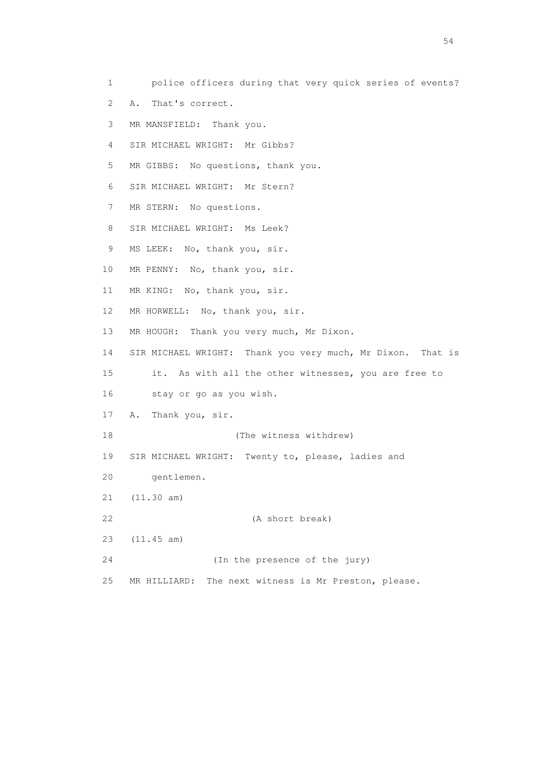1 police officers during that very quick series of events? 2 A. That's correct. 3 MR MANSFIELD: Thank you. 4 SIR MICHAEL WRIGHT: Mr Gibbs? 5 MR GIBBS: No questions, thank you. 6 SIR MICHAEL WRIGHT: Mr Stern? 7 MR STERN: No questions. 8 SIR MICHAEL WRIGHT: Ms Leek? 9 MS LEEK: No, thank you, sir. 10 MR PENNY: No, thank you, sir. 11 MR KING: No, thank you, sir. 12 MR HORWELL: No, thank you, sir. 13 MR HOUGH: Thank you very much, Mr Dixon. 14 SIR MICHAEL WRIGHT: Thank you very much, Mr Dixon. That is 15 it. As with all the other witnesses, you are free to 16 stay or go as you wish. 17 A. Thank you, sir. 18 (The witness withdrew) 19 SIR MICHAEL WRIGHT: Twenty to, please, ladies and 20 gentlemen. 21 (11.30 am) 22 (A short break) 23 (11.45 am)

25 MR HILLIARD: The next witness is Mr Preston, please.

24 (In the presence of the jury)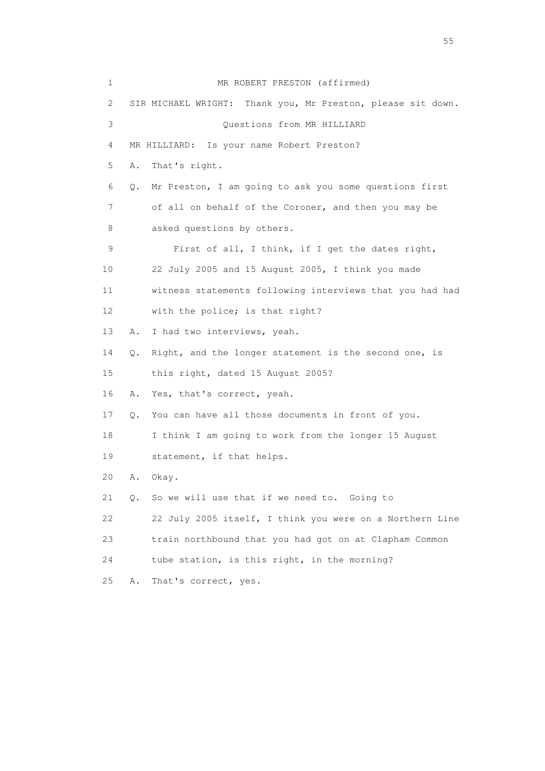| 1  |           | MR ROBERT PRESTON (affirmed)                                |
|----|-----------|-------------------------------------------------------------|
| 2  |           | SIR MICHAEL WRIGHT: Thank you, Mr Preston, please sit down. |
| 3  |           | Questions from MR HILLIARD                                  |
| 4  |           | MR HILLIARD: Is your name Robert Preston?                   |
| 5  | Α.        | That's right.                                               |
| 6  | Q.        | Mr Preston, I am going to ask you some questions first      |
| 7  |           | of all on behalf of the Coroner, and then you may be        |
| 8  |           | asked questions by others.                                  |
| 9  |           | First of all, I think, if I get the dates right,            |
| 10 |           | 22 July 2005 and 15 August 2005, I think you made           |
| 11 |           | witness statements following interviews that you had had    |
| 12 |           | with the police; is that right?                             |
| 13 | Α.        | I had two interviews, yeah.                                 |
| 14 | Q.        | Right, and the longer statement is the second one, is       |
| 15 |           | this right, dated 15 August 2005?                           |
| 16 | Α.        | Yes, that's correct, yeah.                                  |
| 17 | Q.        | You can have all those documents in front of you.           |
| 18 |           | I think I am going to work from the longer 15 August        |
| 19 |           | statement, if that helps.                                   |
| 20 | Α.        | Okay.                                                       |
| 21 | $\circ$ . | So we will use that if we need to. Going to                 |
| 22 |           | 22 July 2005 itself, I think you were on a Northern Line    |
| 23 |           | train northbound that you had got on at Clapham Common      |
| 24 |           | tube station, is this right, in the morning?                |
| 25 | Α.        | That's correct, yes.                                        |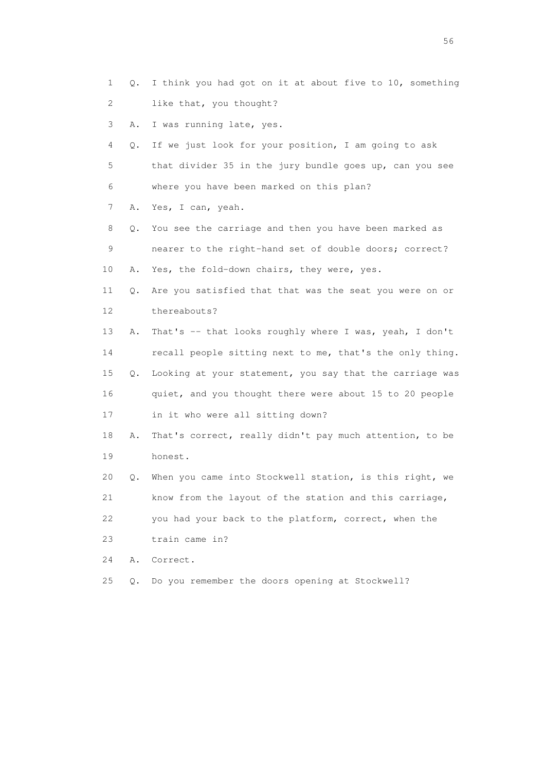- 1 Q. I think you had got on it at about five to 10, something 2 like that, you thought?
- 3 A. I was running late, yes.
- 4 Q. If we just look for your position, I am going to ask 5 that divider 35 in the jury bundle goes up, can you see 6 where you have been marked on this plan?
- 7 A. Yes, I can, yeah.
- 8 Q. You see the carriage and then you have been marked as 9 nearer to the right-hand set of double doors; correct? 10 A. Yes, the fold-down chairs, they were, yes.
- 11 Q. Are you satisfied that that was the seat you were on or 12 thereabouts?
- 13 A. That's -- that looks roughly where I was, yeah, I don't 14 recall people sitting next to me, that's the only thing. 15 Q. Looking at your statement, you say that the carriage was 16 quiet, and you thought there were about 15 to 20 people 17 in it who were all sitting down?
- 18 A. That's correct, really didn't pay much attention, to be 19 honest.
- 20 Q. When you came into Stockwell station, is this right, we 21 know from the layout of the station and this carriage, 22 you had your back to the platform, correct, when the
- 23 train came in?
- 24 A. Correct.
- 25 Q. Do you remember the doors opening at Stockwell?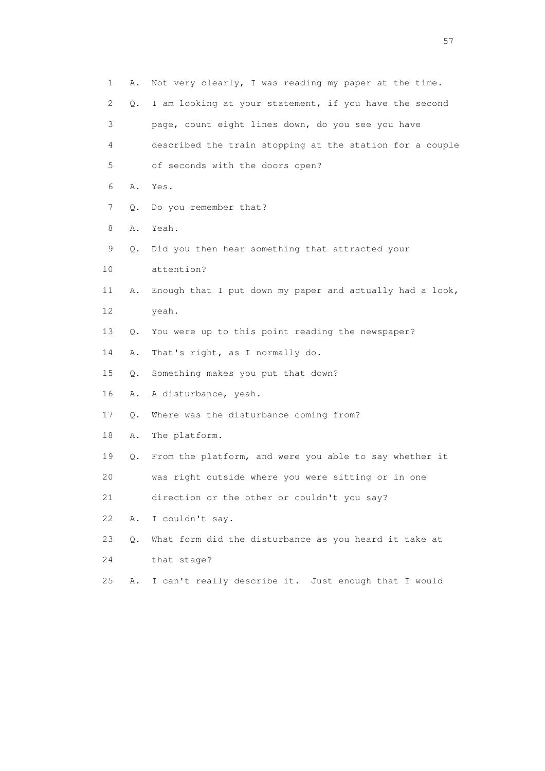| $\mathbf 1$ | Α. | Not very clearly, I was reading my paper at the time.    |
|-------------|----|----------------------------------------------------------|
| 2           | Q. | I am looking at your statement, if you have the second   |
| 3           |    | page, count eight lines down, do you see you have        |
| 4           |    | described the train stopping at the station for a couple |
| 5           |    | of seconds with the doors open?                          |
| 6           | Α. | Yes.                                                     |
| 7           | Q. | Do you remember that?                                    |
| 8           | Α. | Yeah.                                                    |
| 9           | Q. | Did you then hear something that attracted your          |
| 10          |    | attention?                                               |
| 11          | Α. | Enough that I put down my paper and actually had a look, |
| 12          |    | yeah.                                                    |
| 13          | Q. | You were up to this point reading the newspaper?         |
| 14          | Α. | That's right, as I normally do.                          |
| 15          | Q. | Something makes you put that down?                       |
| 16          | Α. | A disturbance, yeah.                                     |
| 17          | Q. | Where was the disturbance coming from?                   |
| 18          | Α. | The platform.                                            |
| 19          | Q. | From the platform, and were you able to say whether it   |
| 20          |    | was right outside where you were sitting or in one       |
| 21          |    | direction or the other or couldn't you say?              |
| 22          | Α. | I couldn't say.                                          |
| 23          | Q. | What form did the disturbance as you heard it take at    |
| 24          |    | that stage?                                              |
| 25          | Α. | I can't really describe it. Just enough that I would     |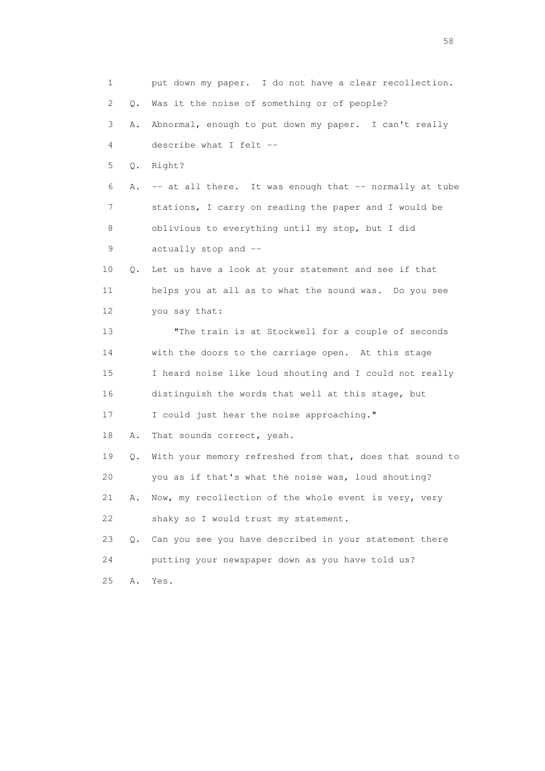1 put down my paper. I do not have a clear recollection. 2 Q. Was it the noise of something or of people? 3 A. Abnormal, enough to put down my paper. I can't really 4 describe what I felt -- 5 Q. Right? 6 A. -- at all there. It was enough that -- normally at tube 7 stations, I carry on reading the paper and I would be 8 oblivious to everything until my stop, but I did 9 actually stop and -- 10 Q. Let us have a look at your statement and see if that 11 helps you at all as to what the sound was. Do you see 12 you say that: 13 "The train is at Stockwell for a couple of seconds 14 with the doors to the carriage open. At this stage 15 I heard noise like loud shouting and I could not really 16 distinguish the words that well at this stage, but 17 I could just hear the noise approaching." 18 A. That sounds correct, yeah. 19 Q. With your memory refreshed from that, does that sound to 20 you as if that's what the noise was, loud shouting? 21 A. Now, my recollection of the whole event is very, very 22 shaky so I would trust my statement. 23 Q. Can you see you have described in your statement there 24 putting your newspaper down as you have told us? 25 A. Yes.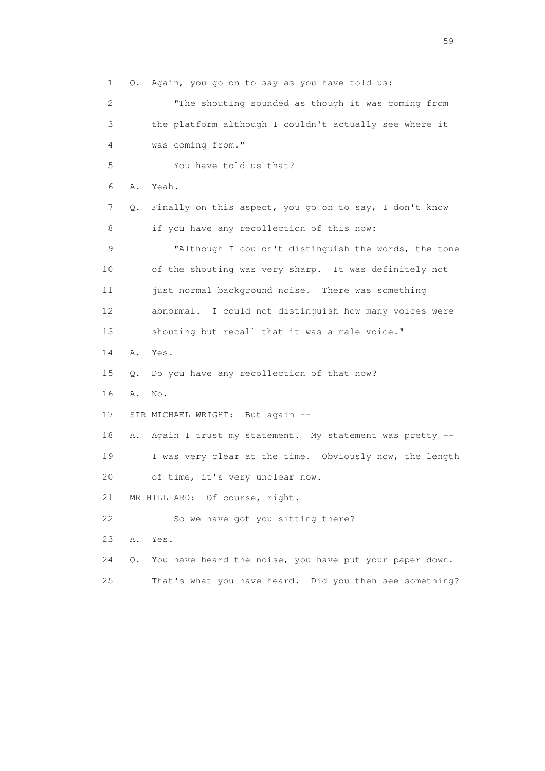1 Q. Again, you go on to say as you have told us: 2 "The shouting sounded as though it was coming from 3 the platform although I couldn't actually see where it 4 was coming from." 5 You have told us that? 6 A. Yeah. 7 Q. Finally on this aspect, you go on to say, I don't know 8 if you have any recollection of this now: 9 "Although I couldn't distinguish the words, the tone 10 of the shouting was very sharp. It was definitely not 11 just normal background noise. There was something 12 abnormal. I could not distinguish how many voices were 13 shouting but recall that it was a male voice." 14 A. Yes. 15 Q. Do you have any recollection of that now? 16 A. No. 17 SIR MICHAEL WRIGHT: But again -- 18 A. Again I trust my statement. My statement was pretty -- 19 I was very clear at the time. Obviously now, the length 20 of time, it's very unclear now. 21 MR HILLIARD: Of course, right. 22 So we have got you sitting there? 23 A. Yes. 24 Q. You have heard the noise, you have put your paper down. 25 That's what you have heard. Did you then see something?

 $59<sub>2</sub>$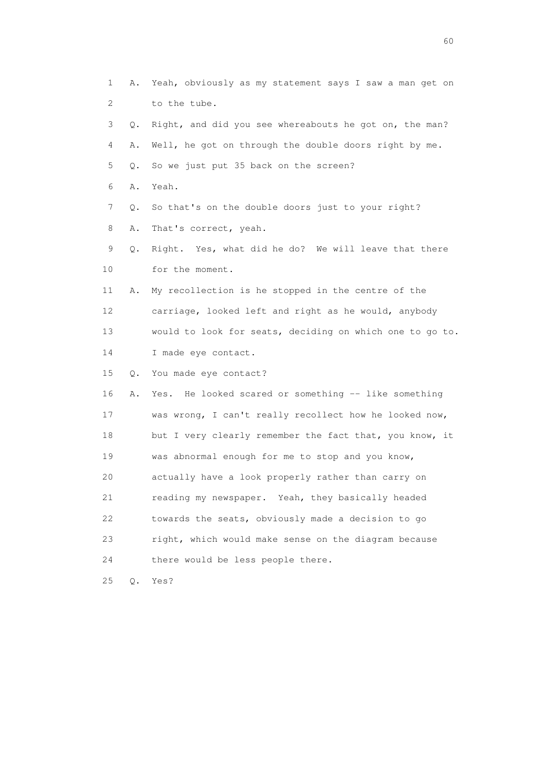1 A. Yeah, obviously as my statement says I saw a man get on 2 to the tube. 3 Q. Right, and did you see whereabouts he got on, the man? 4 A. Well, he got on through the double doors right by me. 5 Q. So we just put 35 back on the screen? 6 A. Yeah. 7 Q. So that's on the double doors just to your right? 8 A. That's correct, yeah. 9 Q. Right. Yes, what did he do? We will leave that there 10 for the moment. 11 A. My recollection is he stopped in the centre of the 12 carriage, looked left and right as he would, anybody 13 would to look for seats, deciding on which one to go to. 14 I made eye contact. 15 Q. You made eye contact? 16 A. Yes. He looked scared or something -- like something 17 was wrong, I can't really recollect how he looked now, 18 but I very clearly remember the fact that, you know, it 19 was abnormal enough for me to stop and you know, 20 actually have a look properly rather than carry on 21 reading my newspaper. Yeah, they basically headed 22 towards the seats, obviously made a decision to go 23 right, which would make sense on the diagram because 24 there would be less people there. 25 Q. Yes?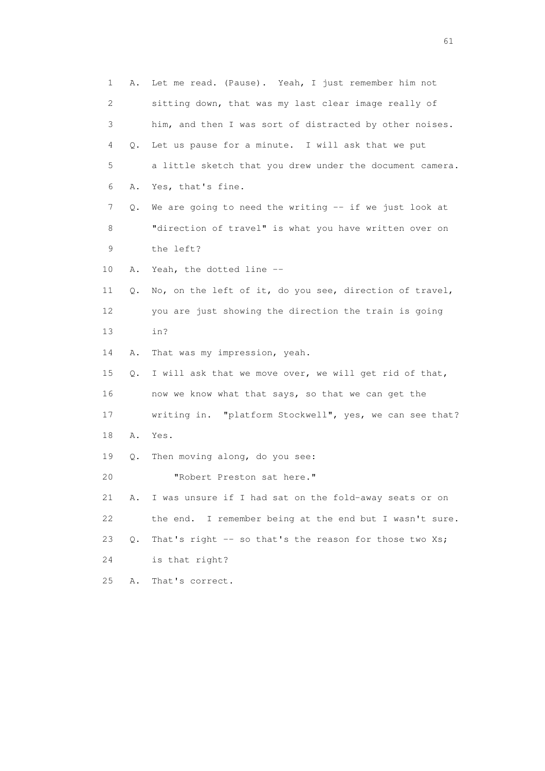1 A. Let me read. (Pause). Yeah, I just remember him not 2 sitting down, that was my last clear image really of 3 him, and then I was sort of distracted by other noises. 4 Q. Let us pause for a minute. I will ask that we put 5 a little sketch that you drew under the document camera. 6 A. Yes, that's fine. 7 Q. We are going to need the writing -- if we just look at 8 "direction of travel" is what you have written over on 9 the left? 10 A. Yeah, the dotted line -- 11 Q. No, on the left of it, do you see, direction of travel, 12 you are just showing the direction the train is going 13 in? 14 A. That was my impression, yeah. 15 Q. I will ask that we move over, we will get rid of that, 16 now we know what that says, so that we can get the 17 writing in. "platform Stockwell", yes, we can see that? 18 A. Yes. 19 Q. Then moving along, do you see: 20 "Robert Preston sat here." 21 A. I was unsure if I had sat on the fold-away seats or on 22 the end. I remember being at the end but I wasn't sure. 23 Q. That's right -- so that's the reason for those two Xs; 24 is that right? 25 A. That's correct.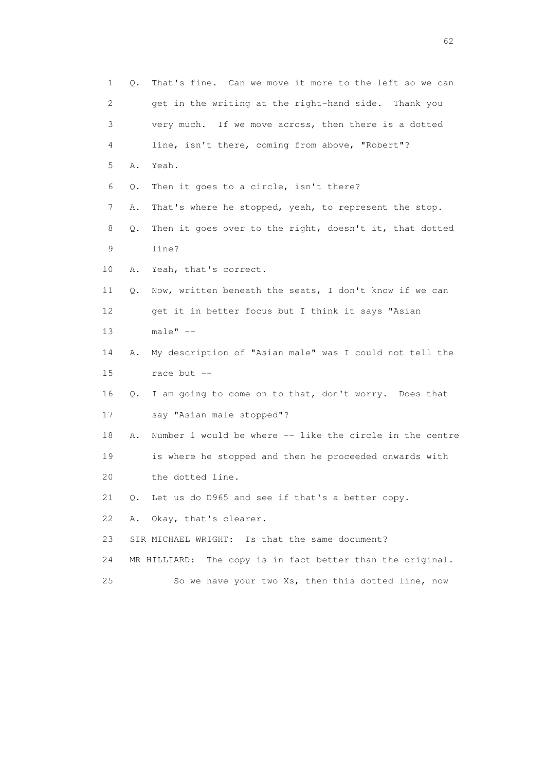| 1  | Q. | That's fine. Can we move it more to the left so we can        |
|----|----|---------------------------------------------------------------|
| 2  |    | get in the writing at the right-hand side. Thank you          |
| 3  |    | very much. If we move across, then there is a dotted          |
| 4  |    | line, isn't there, coming from above, "Robert"?               |
| 5  | Α. | Yeah.                                                         |
| 6  | Q. | Then it goes to a circle, isn't there?                        |
| 7  | Α. | That's where he stopped, yeah, to represent the stop.         |
| 8  | Q. | Then it goes over to the right, doesn't it, that dotted       |
| 9  |    | line?                                                         |
| 10 | Α. | Yeah, that's correct.                                         |
| 11 | Q. | Now, written beneath the seats, I don't know if we can        |
| 12 |    | get it in better focus but I think it says "Asian             |
| 13 |    | $male" --$                                                    |
| 14 | Α. | My description of "Asian male" was I could not tell the       |
| 15 |    | race but --                                                   |
| 16 | Q. | I am going to come on to that, don't worry. Does that         |
| 17 |    | say "Asian male stopped"?                                     |
| 18 | Α. | Number 1 would be where -- like the circle in the centre      |
| 19 |    | is where he stopped and then he proceeded onwards with        |
| 20 |    | the dotted line.                                              |
| 21 | Q. | Let us do D965 and see if that's a better copy.               |
| 22 | Α. | Okay, that's clearer.                                         |
| 23 |    | SIR MICHAEL WRIGHT: Is that the same document?                |
| 24 |    | The copy is in fact better than the original.<br>MR HILLIARD: |
| 25 |    | So we have your two Xs, then this dotted line, now            |

 $\sim$  62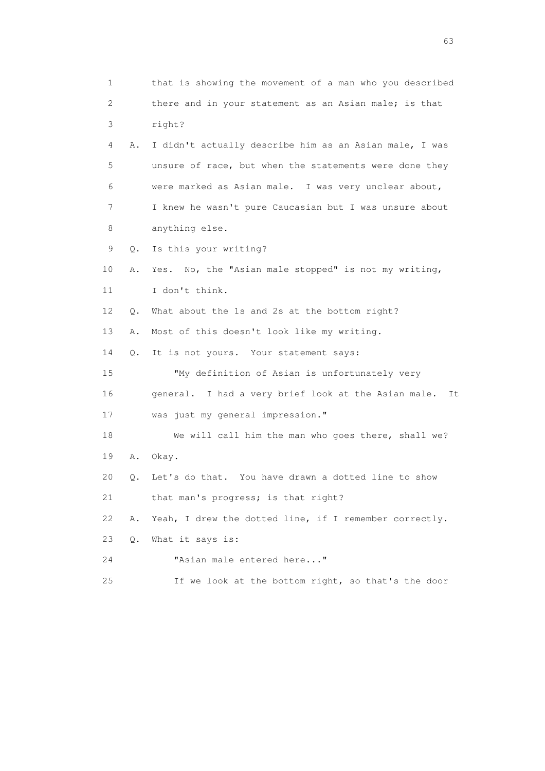1 that is showing the movement of a man who you described 2 there and in your statement as an Asian male; is that 3 right? 4 A. I didn't actually describe him as an Asian male, I was 5 unsure of race, but when the statements were done they 6 were marked as Asian male. I was very unclear about, 7 I knew he wasn't pure Caucasian but I was unsure about 8 anything else. 9 Q. Is this your writing? 10 A. Yes. No, the "Asian male stopped" is not my writing, 11 I don't think. 12 Q. What about the 1s and 2s at the bottom right? 13 A. Most of this doesn't look like my writing. 14 Q. It is not yours. Your statement says: 15 "My definition of Asian is unfortunately very 16 general. I had a very brief look at the Asian male. It 17 was just my general impression." 18 We will call him the man who goes there, shall we? 19 A. Okay. 20 Q. Let's do that. You have drawn a dotted line to show 21 that man's progress; is that right? 22 A. Yeah, I drew the dotted line, if I remember correctly. 23 Q. What it says is: 24 "Asian male entered here..." 25 If we look at the bottom right, so that's the door

experience of the contract of the contract of the contract of the contract of the contract of the contract of the contract of the contract of the contract of the contract of the contract of the contract of the contract of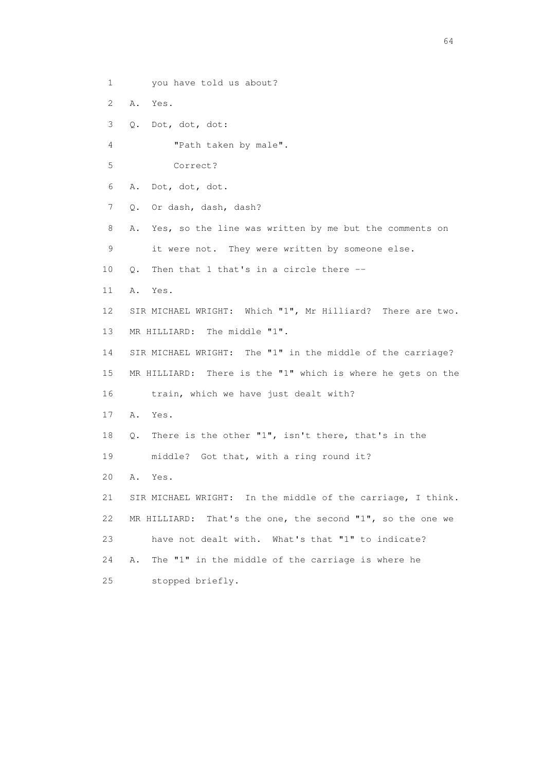- 1 you have told us about?
- 2 A. Yes.
- 3 Q. Dot, dot, dot:
- 4 "Path taken by male".
- 5 Correct?
- 6 A. Dot, dot, dot.
- 7 Q. Or dash, dash, dash?
- 8 A. Yes, so the line was written by me but the comments on 9 it were not. They were written by someone else.
- 10 Q. Then that 1 that's in a circle there --
- 11 A. Yes.
- 12 SIR MICHAEL WRIGHT: Which "1", Mr Hilliard? There are two. 13 MR HILLIARD: The middle "1".
- 14 SIR MICHAEL WRIGHT: The "1" in the middle of the carriage? 15 MR HILLIARD: There is the "1" which is where he gets on the 16 train, which we have just dealt with?
- 17 A. Yes.
- 18 Q. There is the other "1", isn't there, that's in the 19 middle? Got that, with a ring round it?
- 20 A. Yes.
- 21 SIR MICHAEL WRIGHT: In the middle of the carriage, I think. 22 MR HILLIARD: That's the one, the second "1", so the one we 23 have not dealt with. What's that "1" to indicate? 24 A. The "1" in the middle of the carriage is where he 25 stopped briefly.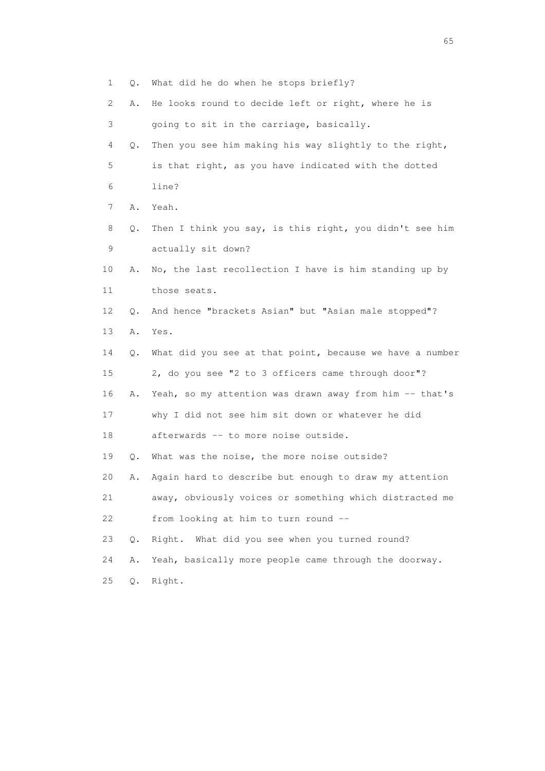1 Q. What did he do when he stops briefly?

2 A. He looks round to decide left or right, where he is

- 3 going to sit in the carriage, basically.
- 4 Q. Then you see him making his way slightly to the right, 5 is that right, as you have indicated with the dotted 6 line?
- 7 A. Yeah.
- 8 Q. Then I think you say, is this right, you didn't see him 9 actually sit down?
- 10 A. No, the last recollection I have is him standing up by 11 those seats.
- 12 Q. And hence "brackets Asian" but "Asian male stopped"?
- 13 A. Yes.
- 14 Q. What did you see at that point, because we have a number 15 2, do you see "2 to 3 officers came through door"? 16 A. Yeah, so my attention was drawn away from him -- that's 17 why I did not see him sit down or whatever he did 18 afterwards -- to more noise outside.
- 19 Q. What was the noise, the more noise outside?
- 20 A. Again hard to describe but enough to draw my attention
- 21 away, obviously voices or something which distracted me 22 from looking at him to turn round --
- 23 Q. Right. What did you see when you turned round?
- 24 A. Yeah, basically more people came through the doorway.
- 25 Q. Right.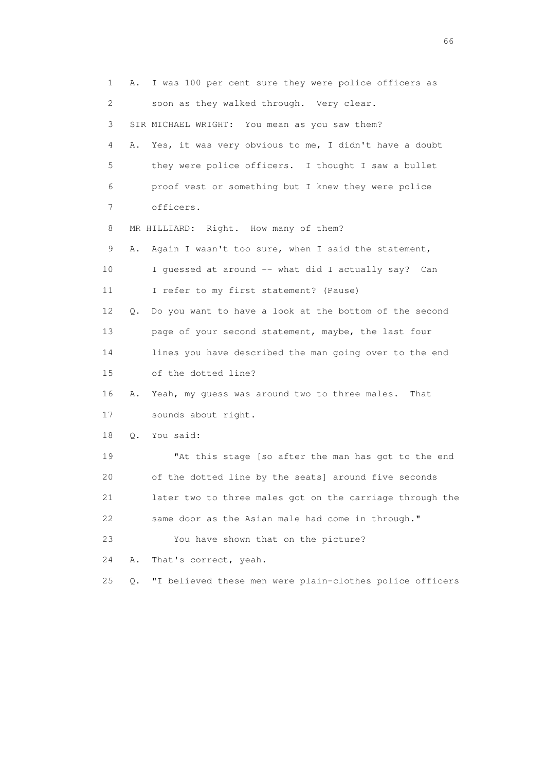1 A. I was 100 per cent sure they were police officers as 2 soon as they walked through. Very clear. 3 SIR MICHAEL WRIGHT: You mean as you saw them? 4 A. Yes, it was very obvious to me, I didn't have a doubt 5 they were police officers. I thought I saw a bullet 6 proof vest or something but I knew they were police 7 officers. 8 MR HILLIARD: Right. How many of them? 9 A. Again I wasn't too sure, when I said the statement, 10 I guessed at around -- what did I actually say? Can 11 I refer to my first statement? (Pause) 12 Q. Do you want to have a look at the bottom of the second 13 page of your second statement, maybe, the last four 14 lines you have described the man going over to the end 15 of the dotted line? 16 A. Yeah, my guess was around two to three males. That 17 sounds about right. 18 Q. You said: 19 "At this stage [so after the man has got to the end 20 of the dotted line by the seats] around five seconds 21 later two to three males got on the carriage through the 22 same door as the Asian male had come in through." 23 You have shown that on the picture? 24 A. That's correct, yeah. 25 Q. "I believed these men were plain-clothes police officers

 $\sim$  66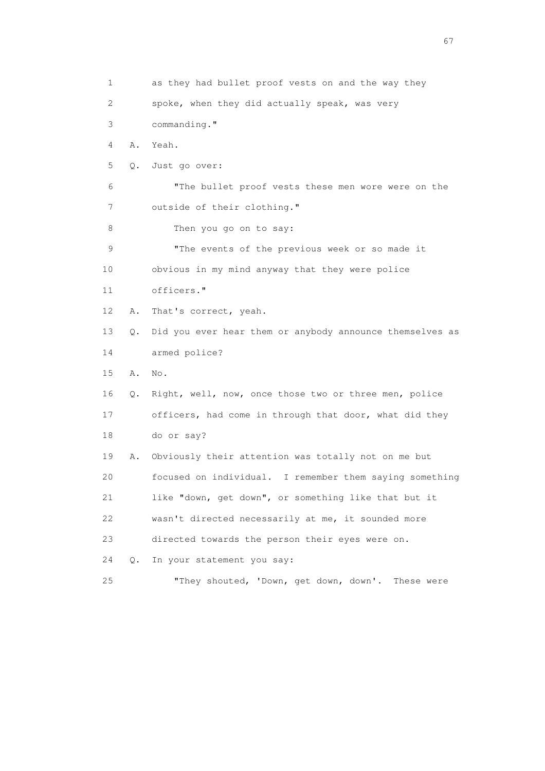1 as they had bullet proof vests on and the way they 2 spoke, when they did actually speak, was very 3 commanding." 4 A. Yeah. 5 Q. Just go over: 6 "The bullet proof vests these men wore were on the 7 outside of their clothing." 8 Then you go on to say: 9 "The events of the previous week or so made it 10 obvious in my mind anyway that they were police 11 officers." 12 A. That's correct, yeah. 13 Q. Did you ever hear them or anybody announce themselves as 14 armed police? 15 A. No. 16 Q. Right, well, now, once those two or three men, police 17 officers, had come in through that door, what did they 18 do or say? 19 A. Obviously their attention was totally not on me but 20 focused on individual. I remember them saying something 21 like "down, get down", or something like that but it 22 wasn't directed necessarily at me, it sounded more 23 directed towards the person their eyes were on. 24 Q. In your statement you say: 25 "They shouted, 'Down, get down, down'. These were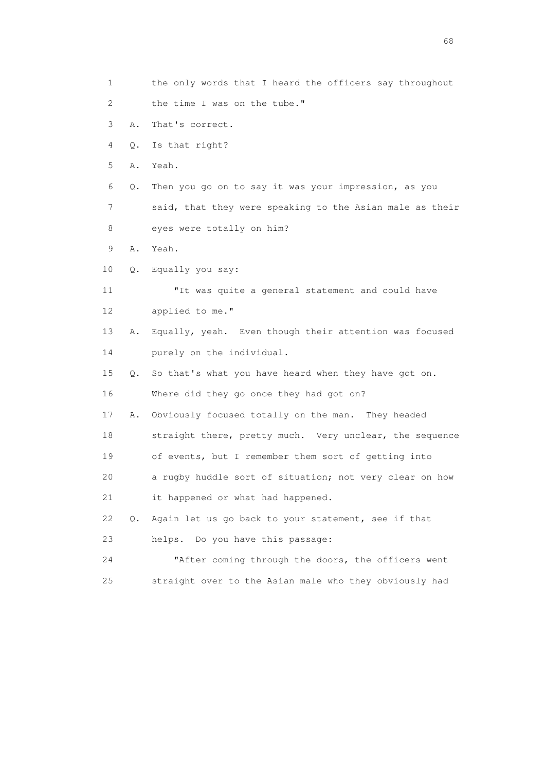1 the only words that I heard the officers say throughout 2 the time I was on the tube." 3 A. That's correct. 4 Q. Is that right? 5 A. Yeah. 6 Q. Then you go on to say it was your impression, as you 7 said, that they were speaking to the Asian male as their 8 eyes were totally on him? 9 A. Yeah. 10 Q. Equally you say: 11 "It was quite a general statement and could have 12 applied to me." 13 A. Equally, yeah. Even though their attention was focused 14 purely on the individual. 15 Q. So that's what you have heard when they have got on. 16 Where did they go once they had got on? 17 A. Obviously focused totally on the man. They headed 18 straight there, pretty much. Very unclear, the sequence 19 of events, but I remember them sort of getting into 20 a rugby huddle sort of situation; not very clear on how 21 it happened or what had happened. 22 Q. Again let us go back to your statement, see if that 23 helps. Do you have this passage: 24 "After coming through the doors, the officers went 25 straight over to the Asian male who they obviously had

entration of the contract of the contract of the contract of the contract of the contract of the contract of the contract of the contract of the contract of the contract of the contract of the contract of the contract of t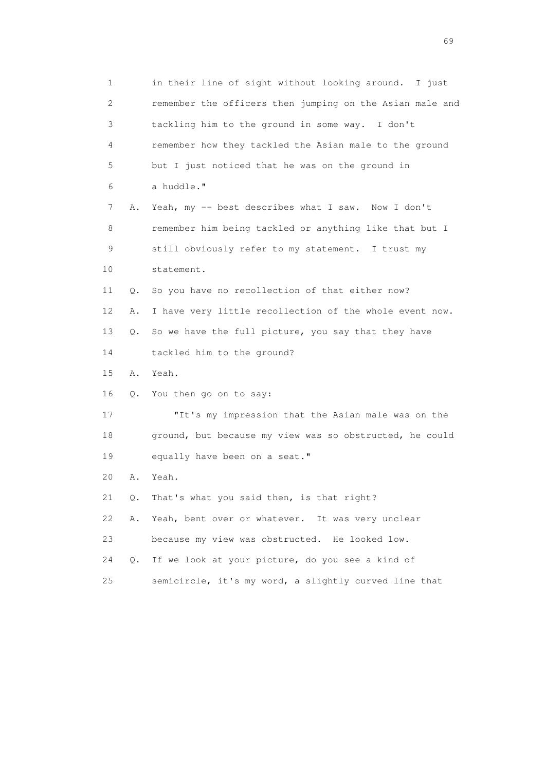1 in their line of sight without looking around. I just 2 remember the officers then jumping on the Asian male and 3 tackling him to the ground in some way. I don't 4 remember how they tackled the Asian male to the ground 5 but I just noticed that he was on the ground in 6 a huddle." 7 A. Yeah, my -- best describes what I saw. Now I don't 8 remember him being tackled or anything like that but I 9 still obviously refer to my statement. I trust my 10 statement. 11 Q. So you have no recollection of that either now? 12 A. I have very little recollection of the whole event now. 13 Q. So we have the full picture, you say that they have 14 tackled him to the ground? 15 A. Yeah. 16 Q. You then go on to say: 17 "It's my impression that the Asian male was on the 18 ground, but because my view was so obstructed, he could 19 equally have been on a seat." 20 A. Yeah. 21 Q. That's what you said then, is that right? 22 A. Yeah, bent over or whatever. It was very unclear 23 because my view was obstructed. He looked low. 24 Q. If we look at your picture, do you see a kind of 25 semicircle, it's my word, a slightly curved line that

entral de la construction de la construction de la construction de la construction de la construction de la co<br>1990 : la construction de la construction de la construction de la construction de la construction de la const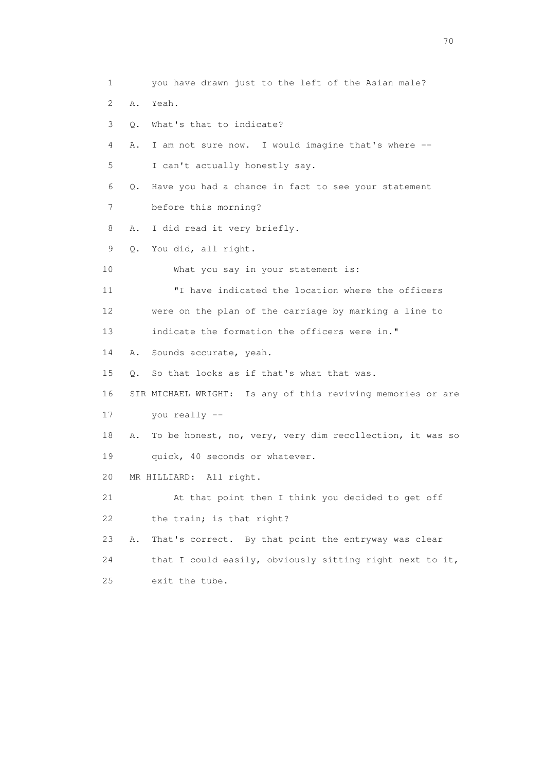1 you have drawn just to the left of the Asian male? 2 A. Yeah. 3 Q. What's that to indicate? 4 A. I am not sure now. I would imagine that's where -- 5 I can't actually honestly say. 6 Q. Have you had a chance in fact to see your statement 7 before this morning? 8 A. I did read it very briefly. 9 Q. You did, all right. 10 What you say in your statement is: 11 "I have indicated the location where the officers 12 were on the plan of the carriage by marking a line to 13 indicate the formation the officers were in." 14 A. Sounds accurate, yeah. 15 Q. So that looks as if that's what that was. 16 SIR MICHAEL WRIGHT: Is any of this reviving memories or are 17 you really -- 18 A. To be honest, no, very, very dim recollection, it was so 19 quick, 40 seconds or whatever. 20 MR HILLIARD: All right. 21 At that point then I think you decided to get off 22 the train; is that right? 23 A. That's correct. By that point the entryway was clear 24 that I could easily, obviously sitting right next to it, 25 exit the tube.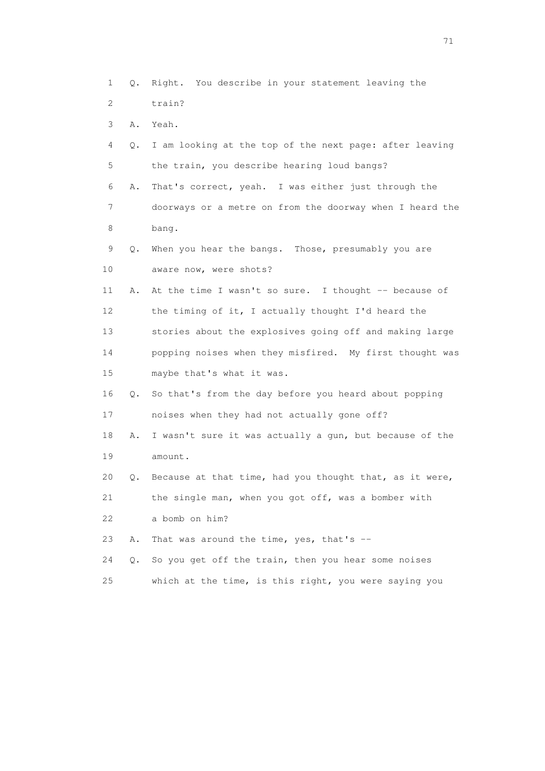1 Q. Right. You describe in your statement leaving the 2 train? 3 A. Yeah. 4 Q. I am looking at the top of the next page: after leaving 5 the train, you describe hearing loud bangs? 6 A. That's correct, yeah. I was either just through the 7 doorways or a metre on from the doorway when I heard the 8 bang. 9 Q. When you hear the bangs. Those, presumably you are 10 aware now, were shots? 11 A. At the time I wasn't so sure. I thought -- because of 12 the timing of it, I actually thought I'd heard the 13 stories about the explosives going off and making large 14 popping noises when they misfired. My first thought was 15 maybe that's what it was. 16 Q. So that's from the day before you heard about popping 17 noises when they had not actually gone off? 18 A. I wasn't sure it was actually a gun, but because of the 19 amount. 20 Q. Because at that time, had you thought that, as it were, 21 the single man, when you got off, was a bomber with 22 a bomb on him? 23 A. That was around the time, yes, that's -- 24 Q. So you get off the train, then you hear some noises 25 which at the time, is this right, you were saying you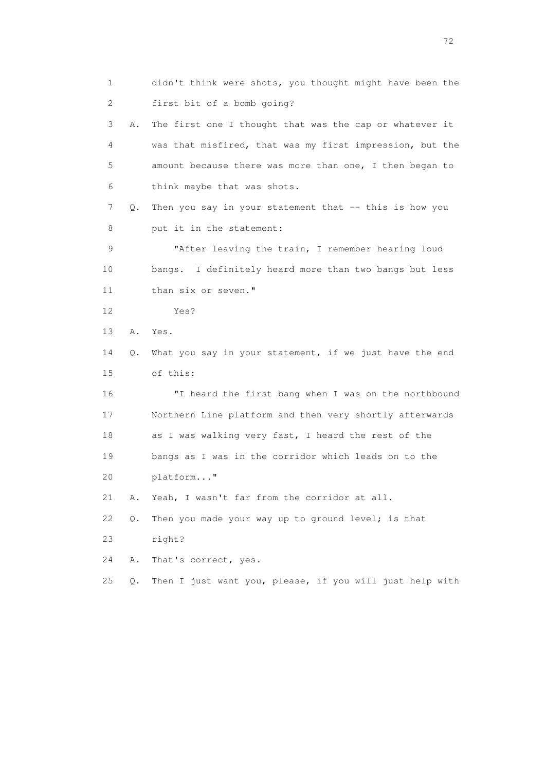1 didn't think were shots, you thought might have been the 2 first bit of a bomb going? 3 A. The first one I thought that was the cap or whatever it 4 was that misfired, that was my first impression, but the 5 amount because there was more than one, I then began to 6 think maybe that was shots. 7 Q. Then you say in your statement that -- this is how you 8 put it in the statement: 9 "After leaving the train, I remember hearing loud 10 bangs. I definitely heard more than two bangs but less 11 than six or seven." 12 Yes? 13 A. Yes. 14 Q. What you say in your statement, if we just have the end 15 of this: 16 "I heard the first bang when I was on the northbound 17 Northern Line platform and then very shortly afterwards 18 as I was walking very fast, I heard the rest of the 19 bangs as I was in the corridor which leads on to the 20 platform..." 21 A. Yeah, I wasn't far from the corridor at all. 22 Q. Then you made your way up to ground level; is that 23 right? 24 A. That's correct, yes. 25 Q. Then I just want you, please, if you will just help with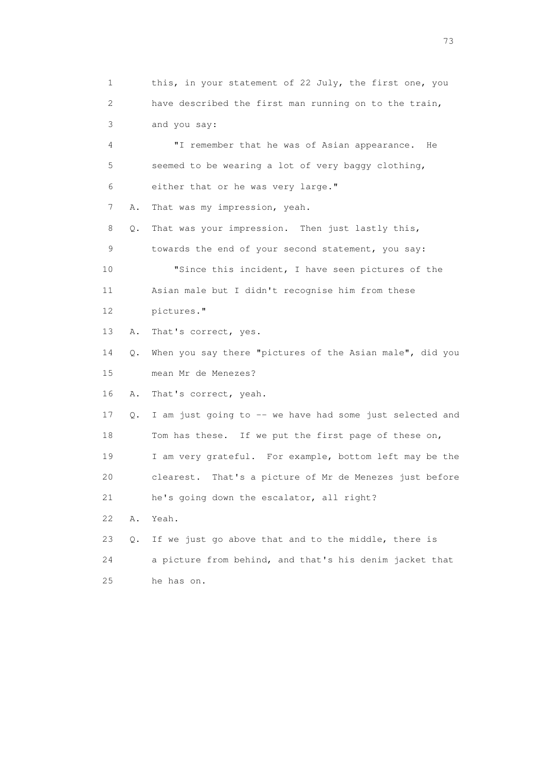1 this, in your statement of 22 July, the first one, you 2 have described the first man running on to the train, 3 and you say:

 4 "I remember that he was of Asian appearance. He 5 seemed to be wearing a lot of very baggy clothing, 6 either that or he was very large." 7 A. That was my impression, yeah. 8 Q. That was your impression. Then just lastly this, 9 towards the end of your second statement, you say: 10 "Since this incident, I have seen pictures of the 11 Asian male but I didn't recognise him from these 12 pictures." 13 A. That's correct, yes. 14 Q. When you say there "pictures of the Asian male", did you 15 mean Mr de Menezes? 16 A. That's correct, yeah. 17 Q. I am just going to -- we have had some just selected and 18 Tom has these. If we put the first page of these on, 19 I am very grateful. For example, bottom left may be the

 20 clearest. That's a picture of Mr de Menezes just before 21 he's going down the escalator, all right?

22 A. Yeah.

 23 Q. If we just go above that and to the middle, there is 24 a picture from behind, and that's his denim jacket that 25 he has on.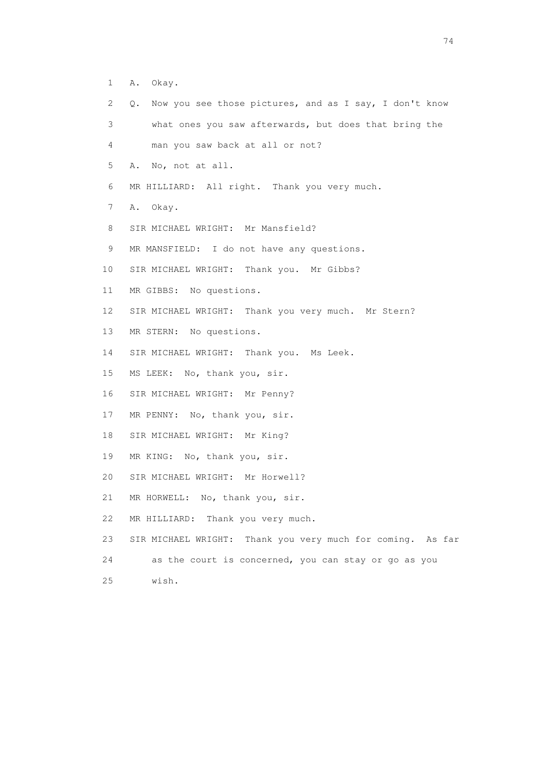- 1 A. Okay.
- 2 Q. Now you see those pictures, and as I say, I don't know
- 3 what ones you saw afterwards, but does that bring the
- 4 man you saw back at all or not?
- 5 A. No, not at all.
- 6 MR HILLIARD: All right. Thank you very much.
- 7 A. Okay.
- 8 SIR MICHAEL WRIGHT: Mr Mansfield?
- 9 MR MANSFIELD: I do not have any questions.
- 10 SIR MICHAEL WRIGHT: Thank you. Mr Gibbs?
- 11 MR GIBBS: No questions.
- 12 SIR MICHAEL WRIGHT: Thank you very much. Mr Stern?
- 13 MR STERN: No questions.
- 14 SIR MICHAEL WRIGHT: Thank you. Ms Leek.
- 15 MS LEEK: No, thank you, sir.
- 16 SIR MICHAEL WRIGHT: Mr Penny?
- 17 MR PENNY: No, thank you, sir.
- 18 SIR MICHAEL WRIGHT: Mr King?
- 19 MR KING: No, thank you, sir.
- 20 SIR MICHAEL WRIGHT: Mr Horwell?
- 21 MR HORWELL: No, thank you, sir.
- 22 MR HILLIARD: Thank you very much.
- 23 SIR MICHAEL WRIGHT: Thank you very much for coming. As far
- 24 as the court is concerned, you can stay or go as you
- 25 wish.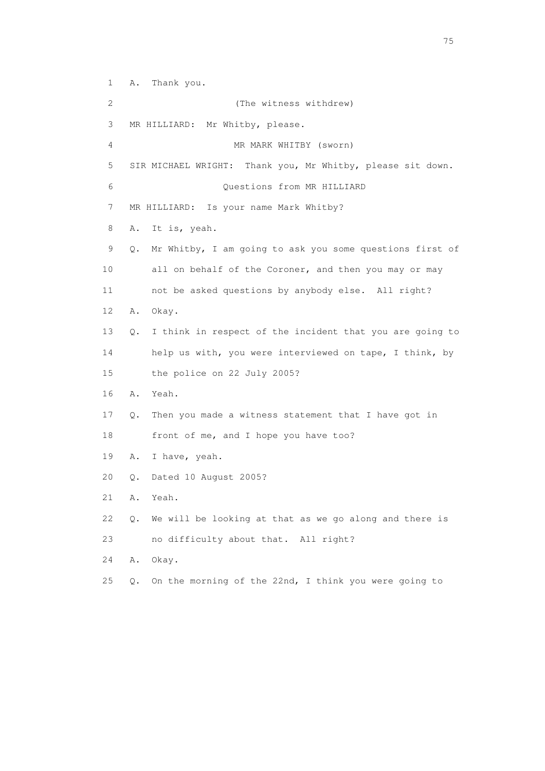1 A. Thank you. 2 (The witness withdrew) 3 MR HILLIARD: Mr Whitby, please. 4 MR MARK WHITBY (sworn) 5 SIR MICHAEL WRIGHT: Thank you, Mr Whitby, please sit down. 6 Questions from MR HILLIARD 7 MR HILLIARD: Is your name Mark Whitby? 8 A. It is, yeah. 9 Q. Mr Whitby, I am going to ask you some questions first of 10 all on behalf of the Coroner, and then you may or may 11 not be asked questions by anybody else. All right? 12 A. Okay. 13 Q. I think in respect of the incident that you are going to 14 help us with, you were interviewed on tape, I think, by 15 the police on 22 July 2005? 16 A. Yeah. 17 Q. Then you made a witness statement that I have got in 18 front of me, and I hope you have too? 19 A. I have, yeah. 20 Q. Dated 10 August 2005? 21 A. Yeah. 22 Q. We will be looking at that as we go along and there is 23 no difficulty about that. All right? 24 A. Okay. 25 Q. On the morning of the 22nd, I think you were going to

na matsay na katalog as na kasang na mga 175 may 2008. Ang isang isang nagsang nagsang nagsang nagsang nagsang<br>Tagapang nagsang nagsang nagsang nagsang nagsang nagsang nagsang nagsang nagsang nagsang nagsang nagsang nagsa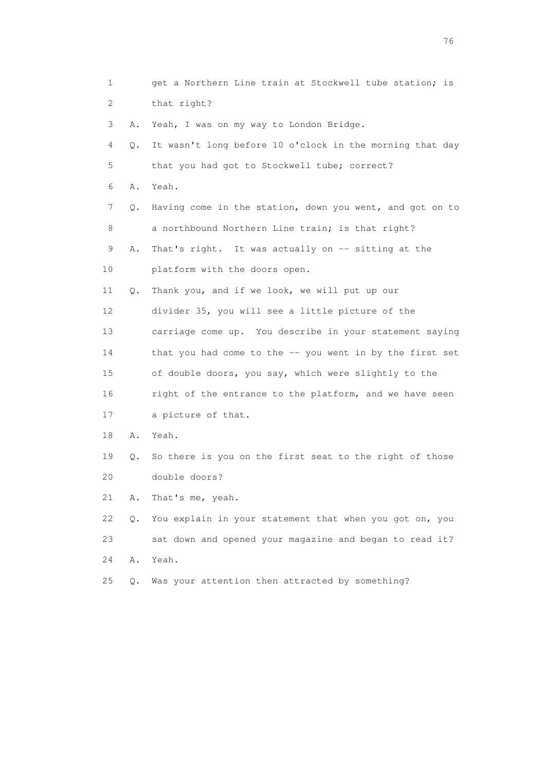1 get a Northern Line train at Stockwell tube station; is 2 that right? 3 A. Yeah, I was on my way to London Bridge. 4 Q. It wasn't long before 10 o'clock in the morning that day 5 that you had got to Stockwell tube; correct? 6 A. Yeah. 7 Q. Having come in the station, down you went, and got on to 8 a northbound Northern Line train; is that right? 9 A. That's right. It was actually on -- sitting at the 10 platform with the doors open. 11 Q. Thank you, and if we look, we will put up our 12 divider 35, you will see a little picture of the 13 carriage come up. You describe in your statement saying 14 that you had come to the -- you went in by the first set 15 of double doors, you say, which were slightly to the 16 right of the entrance to the platform, and we have seen 17 a picture of that. 18 A. Yeah. 19 Q. So there is you on the first seat to the right of those 20 double doors? 21 A. That's me, yeah. 22 Q. You explain in your statement that when you got on, you 23 sat down and opened your magazine and began to read it? 24 A. Yeah. 25 Q. Was your attention then attracted by something?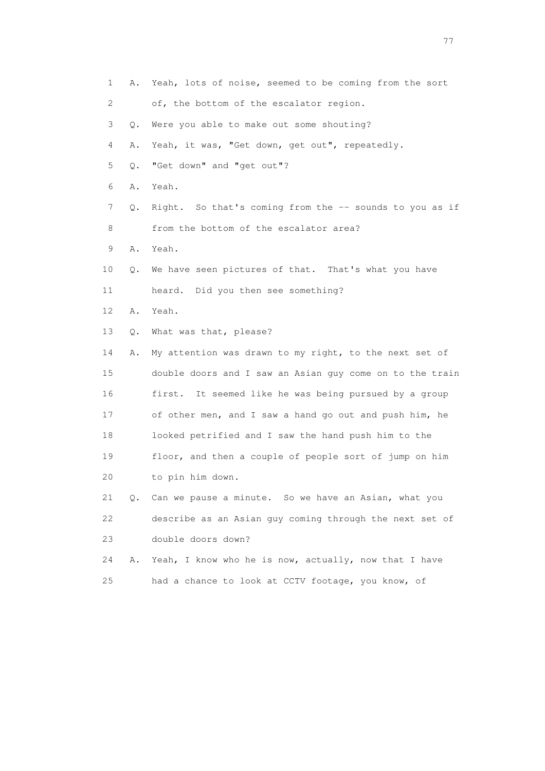1 A. Yeah, lots of noise, seemed to be coming from the sort 2 of, the bottom of the escalator region. 3 Q. Were you able to make out some shouting? 4 A. Yeah, it was, "Get down, get out", repeatedly. 5 Q. "Get down" and "get out"? 6 A. Yeah. 7 Q. Right. So that's coming from the -- sounds to you as if 8 from the bottom of the escalator area? 9 A. Yeah. 10 Q. We have seen pictures of that. That's what you have 11 heard. Did you then see something? 12 A. Yeah. 13 Q. What was that, please? 14 A. My attention was drawn to my right, to the next set of 15 double doors and I saw an Asian guy come on to the train 16 first. It seemed like he was being pursued by a group 17 of other men, and I saw a hand go out and push him, he 18 looked petrified and I saw the hand push him to the 19 floor, and then a couple of people sort of jump on him 20 to pin him down. 21 Q. Can we pause a minute. So we have an Asian, what you 22 describe as an Asian guy coming through the next set of 23 double doors down? 24 A. Yeah, I know who he is now, actually, now that I have 25 had a chance to look at CCTV footage, you know, of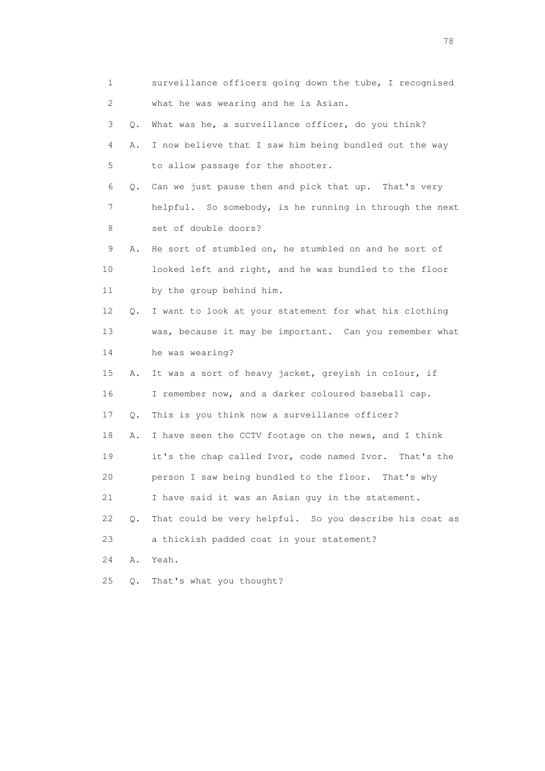| $\mathbf{1}$ |       | surveillance officers going down the tube, I recognised |
|--------------|-------|---------------------------------------------------------|
| 2            |       | what he was wearing and he is Asian.                    |
| 3            | Q.    | What was he, a surveillance officer, do you think?      |
| 4            | Α.    | I now believe that I saw him being bundled out the way  |
| 5            |       | to allow passage for the shooter.                       |
| 6            | Q.    | Can we just pause then and pick that up. That's very    |
| 7            |       | helpful. So somebody, is he running in through the next |
| 8            |       | set of double doors?                                    |
| 9            | Α.    | He sort of stumbled on, he stumbled on and he sort of   |
| 10           |       | looked left and right, and he was bundled to the floor  |
| 11           |       | by the group behind him.                                |
| 12           | Q.    | I want to look at your statement for what his clothing  |
| 13           |       | was, because it may be important. Can you remember what |
| 14           |       | he was wearing?                                         |
| 15           | Α.    | It was a sort of heavy jacket, greyish in colour, if    |
| 16           |       | I remember now, and a darker coloured baseball cap.     |
| 17           | Q.    | This is you think now a surveillance officer?           |
| 18           | Α.    | I have seen the CCTV footage on the news, and I think   |
| 19           |       | it's the chap called Ivor, code named Ivor. That's the  |
| 20           |       | person I saw being bundled to the floor.<br>That's why  |
| 21           |       | I have said it was an Asian guy in the statement.       |
| 22           | $Q$ . | That could be very helpful. So you describe his coat as |
| 23           |       | a thickish padded coat in your statement?               |
| 24           | Α.    | Yeah.                                                   |
| 25           | Q.    | That's what you thought?                                |

n and the state of the state of the state of the state of the state of the state of the state of the state of the state of the state of the state of the state of the state of the state of the state of the state of the stat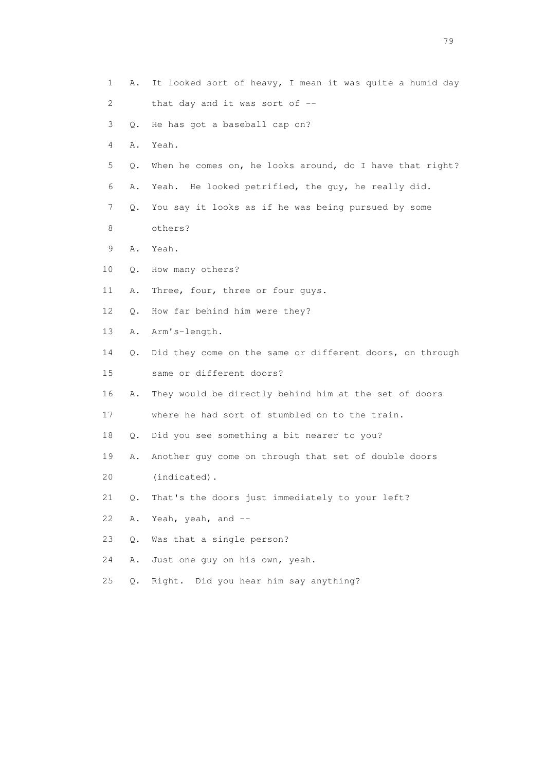1 A. It looked sort of heavy, I mean it was quite a humid day 2 that day and it was sort of -- 3 Q. He has got a baseball cap on? 4 A. Yeah. 5 Q. When he comes on, he looks around, do I have that right? 6 A. Yeah. He looked petrified, the guy, he really did. 7 Q. You say it looks as if he was being pursued by some 8 others? 9 A. Yeah. 10 Q. How many others? 11 A. Three, four, three or four guys. 12 Q. How far behind him were they? 13 A. Arm's-length. 14 Q. Did they come on the same or different doors, on through 15 same or different doors? 16 A. They would be directly behind him at the set of doors 17 where he had sort of stumbled on to the train. 18 Q. Did you see something a bit nearer to you? 19 A. Another guy come on through that set of double doors 20 (indicated). 21 Q. That's the doors just immediately to your left? 22 A. Yeah, yeah, and  $-$  23 Q. Was that a single person? 24 A. Just one guy on his own, yeah. 25 Q. Right. Did you hear him say anything?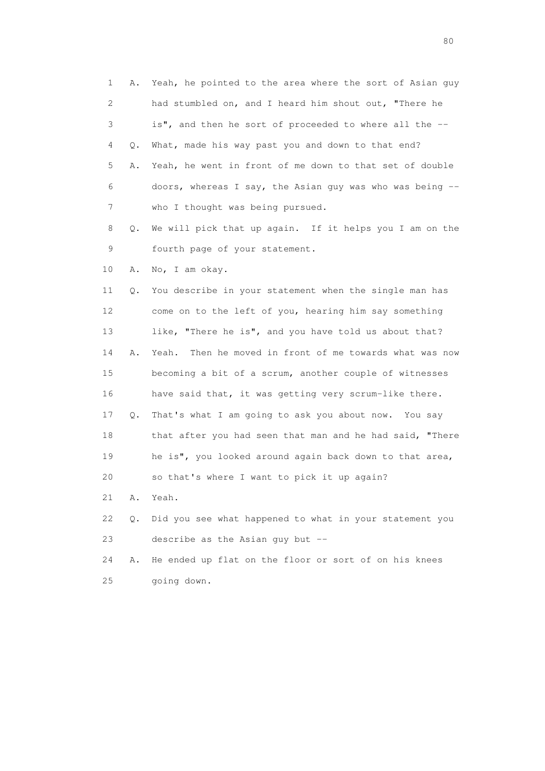| 1  | Α. | Yeah, he pointed to the area where the sort of Asian quy    |
|----|----|-------------------------------------------------------------|
| 2  |    | had stumbled on, and I heard him shout out, "There he       |
| 3  |    | is", and then he sort of proceeded to where all the --      |
| 4  | Q. | What, made his way past you and down to that end?           |
| 5  | Α. | Yeah, he went in front of me down to that set of double     |
| 6  |    | doors, whereas I say, the Asian guy was who was being $-$ - |
| 7  |    | who I thought was being pursued.                            |
| 8  | Q. | We will pick that up again. If it helps you I am on the     |
| 9  |    | fourth page of your statement.                              |
| 10 | Α. | No, I am okay.                                              |
| 11 | Q. | You describe in your statement when the single man has      |
| 12 |    | come on to the left of you, hearing him say something       |
| 13 |    | like, "There he is", and you have told us about that?       |
| 14 | Α. | Then he moved in front of me towards what was now<br>Yeah.  |
| 15 |    | becoming a bit of a scrum, another couple of witnesses      |
| 16 |    | have said that, it was getting very scrum-like there.       |
| 17 | Q. | That's what I am going to ask you about now. You say        |
| 18 |    | that after you had seen that man and he had said, "There    |
| 19 |    | he is", you looked around again back down to that area,     |
| 20 |    | so that's where I want to pick it up again?                 |
| 21 | Α. | Yeah.                                                       |
| 22 | Q. | Did you see what happened to what in your statement you     |
| 23 |    | describe as the Asian guy but --                            |
| 24 | Α. | He ended up flat on the floor or sort of on his knees       |
| 25 |    | going down.                                                 |

entration of the state of the state of the state of the state of the state of the state of the state of the state of the state of the state of the state of the state of the state of the state of the state of the state of t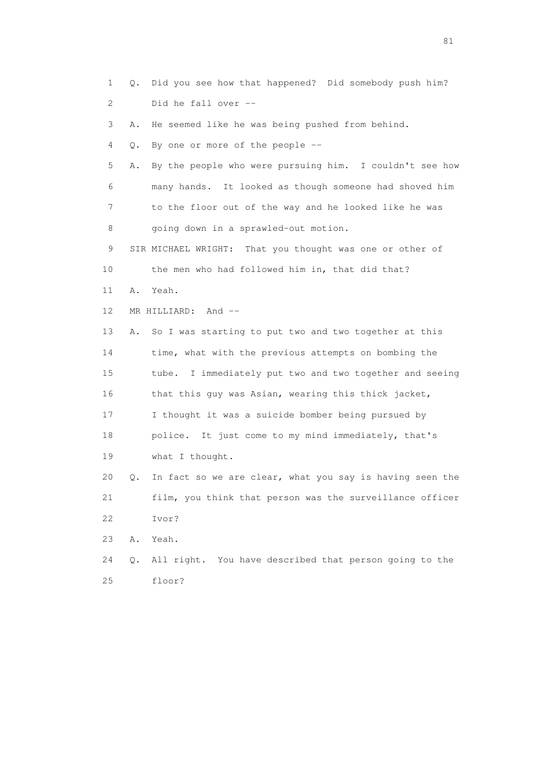1 Q. Did you see how that happened? Did somebody push him? 2 Did he fall over -- 3 A. He seemed like he was being pushed from behind. 4 Q. By one or more of the people -- 5 A. By the people who were pursuing him. I couldn't see how 6 many hands. It looked as though someone had shoved him 7 to the floor out of the way and he looked like he was 8 going down in a sprawled-out motion. 9 SIR MICHAEL WRIGHT: That you thought was one or other of 10 the men who had followed him in, that did that? 11 A. Yeah. 12 MR HILLIARD: And -- 13 A. So I was starting to put two and two together at this 14 time, what with the previous attempts on bombing the 15 tube. I immediately put two and two together and seeing 16 that this guy was Asian, wearing this thick jacket, 17 I thought it was a suicide bomber being pursued by 18 police. It just come to my mind immediately, that's 19 what I thought. 20 Q. In fact so we are clear, what you say is having seen the 21 film, you think that person was the surveillance officer 22 Ivor? 23 A. Yeah. 24 Q. All right. You have described that person going to the 25 floor?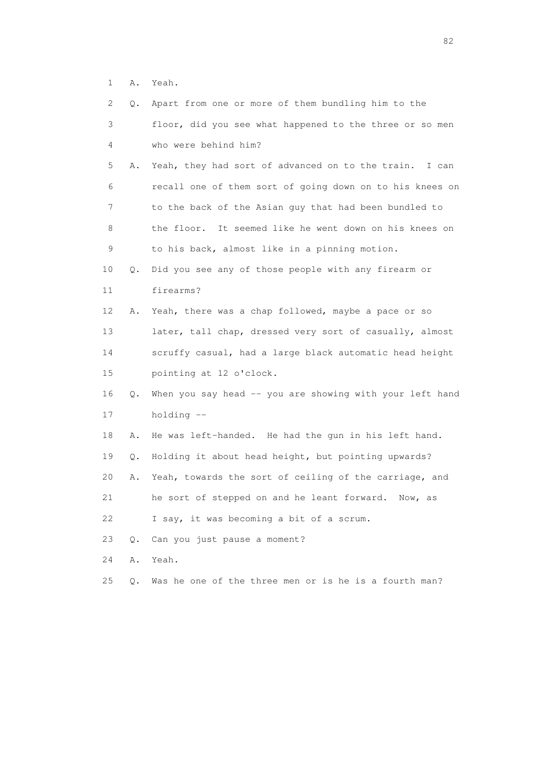1 A. Yeah.

| 2           | Q.    | Apart from one or more of them bundling him to the        |
|-------------|-------|-----------------------------------------------------------|
| 3           |       | floor, did you see what happened to the three or so men   |
| 4           |       | who were behind him?                                      |
| 5           | Α.    | Yeah, they had sort of advanced on to the train. I can    |
| 6           |       | recall one of them sort of going down on to his knees on  |
| 7           |       | to the back of the Asian guy that had been bundled to     |
| 8           |       | It seemed like he went down on his knees on<br>the floor. |
| $\mathsf 9$ |       | to his back, almost like in a pinning motion.             |
| 10          | Q.    | Did you see any of those people with any firearm or       |
| 11          |       | firearms?                                                 |
| 12          | Α.    | Yeah, there was a chap followed, maybe a pace or so       |
| 13          |       | later, tall chap, dressed very sort of casually, almost   |
| 14          |       | scruffy casual, had a large black automatic head height   |
| 15          |       | pointing at 12 o'clock.                                   |
| 16          | Q.    | When you say head -- you are showing with your left hand  |
| 17          |       | holding --                                                |
| 18          | Α.    | He was left-handed. He had the gun in his left hand.      |
| 19          | Q.    | Holding it about head height, but pointing upwards?       |
| 20          | Α.    | Yeah, towards the sort of ceiling of the carriage, and    |
| 21          |       | he sort of stepped on and he leant forward.<br>Now, as    |
| 22          |       | I say, it was becoming a bit of a scrum.                  |
| 23          | Q.    | Can you just pause a moment?                              |
| 24          | Α.    | Yeah.                                                     |
| 25          | $Q$ . | Was he one of the three men or is he is a fourth man?     |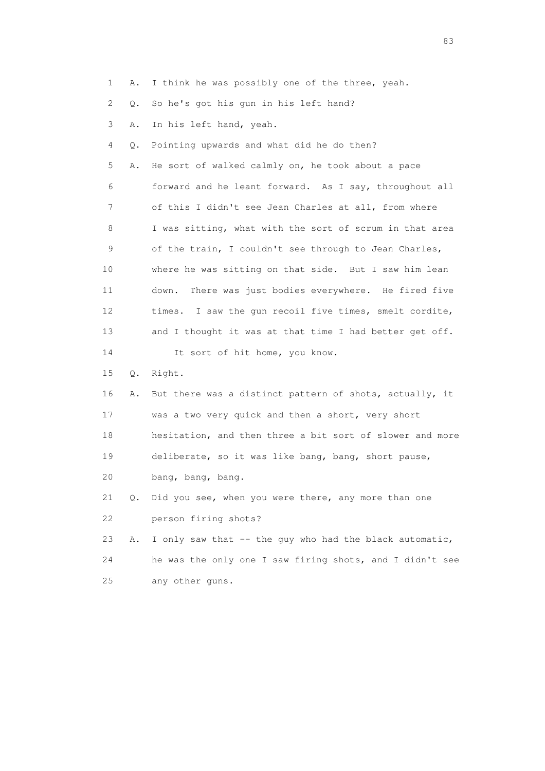1 A. I think he was possibly one of the three, yeah.

2 Q. So he's got his gun in his left hand?

3 A. In his left hand, yeah.

4 Q. Pointing upwards and what did he do then?

 5 A. He sort of walked calmly on, he took about a pace 6 forward and he leant forward. As I say, throughout all 7 of this I didn't see Jean Charles at all, from where 8 I was sitting, what with the sort of scrum in that area 9 of the train, I couldn't see through to Jean Charles, 10 where he was sitting on that side. But I saw him lean 11 down. There was just bodies everywhere. He fired five 12 times. I saw the gun recoil five times, smelt cordite, 13 and I thought it was at that time I had better get off. 14 It sort of hit home, you know.

15 Q. Right.

 16 A. But there was a distinct pattern of shots, actually, it 17 was a two very quick and then a short, very short 18 hesitation, and then three a bit sort of slower and more 19 deliberate, so it was like bang, bang, short pause, 20 bang, bang, bang.

 21 Q. Did you see, when you were there, any more than one 22 person firing shots?

23 A. I only saw that -- the guy who had the black automatic, 24 he was the only one I saw firing shots, and I didn't see 25 any other guns.

experience and the contract of the contract of the contract of the contract of the contract of the contract of the contract of the contract of the contract of the contract of the contract of the contract of the contract of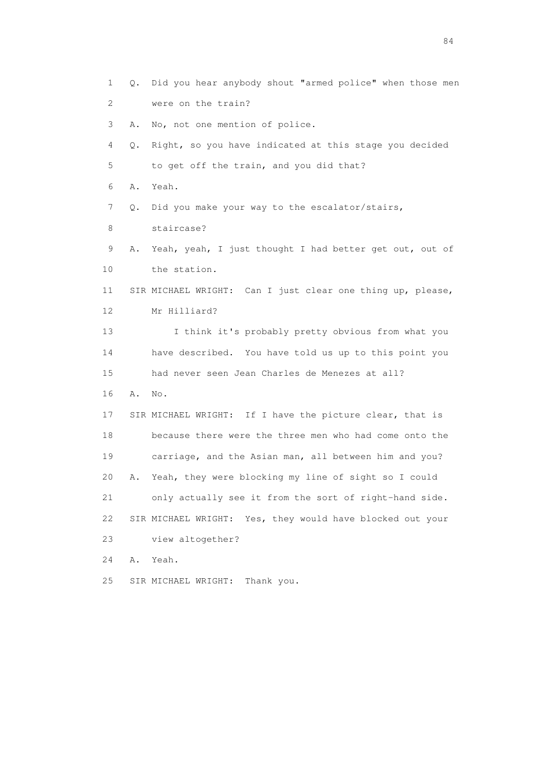1 Q. Did you hear anybody shout "armed police" when those men 2 were on the train? 3 A. No, not one mention of police. 4 Q. Right, so you have indicated at this stage you decided 5 to get off the train, and you did that? 6 A. Yeah. 7 Q. Did you make your way to the escalator/stairs, 8 staircase? 9 A. Yeah, yeah, I just thought I had better get out, out of 10 the station. 11 SIR MICHAEL WRIGHT: Can I just clear one thing up, please, 12 Mr Hilliard? 13 I think it's probably pretty obvious from what you 14 have described. You have told us up to this point you 15 had never seen Jean Charles de Menezes at all? 16 A. No. 17 SIR MICHAEL WRIGHT: If I have the picture clear, that is 18 because there were the three men who had come onto the 19 carriage, and the Asian man, all between him and you? 20 A. Yeah, they were blocking my line of sight so I could 21 only actually see it from the sort of right-hand side. 22 SIR MICHAEL WRIGHT: Yes, they would have blocked out your 23 view altogether? 24 A. Yeah. 25 SIR MICHAEL WRIGHT: Thank you.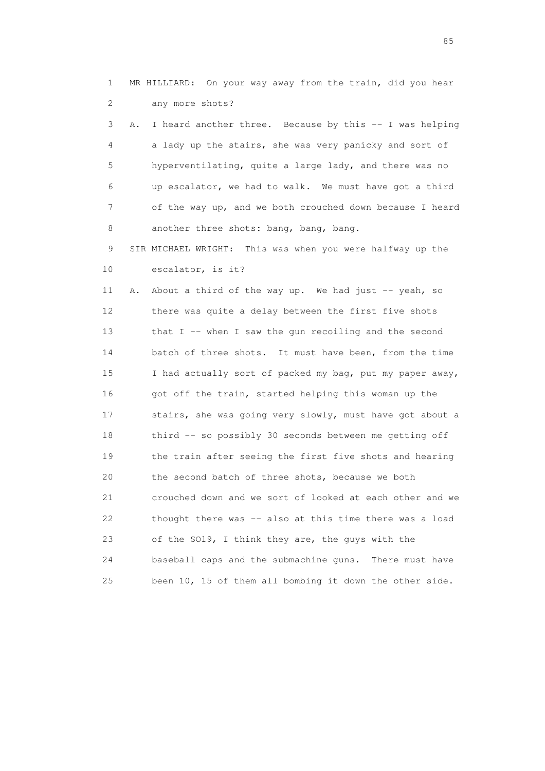1 MR HILLIARD: On your way away from the train, did you hear 2 any more shots?

 3 A. I heard another three. Because by this -- I was helping 4 a lady up the stairs, she was very panicky and sort of 5 hyperventilating, quite a large lady, and there was no 6 up escalator, we had to walk. We must have got a third 7 of the way up, and we both crouched down because I heard 8 another three shots: bang, bang, bang.

 9 SIR MICHAEL WRIGHT: This was when you were halfway up the 10 escalator, is it?

 11 A. About a third of the way up. We had just -- yeah, so 12 there was quite a delay between the first five shots 13 that I -- when I saw the gun recoiling and the second 14 batch of three shots. It must have been, from the time 15 I had actually sort of packed my bag, put my paper away, 16 got off the train, started helping this woman up the 17 stairs, she was going very slowly, must have got about a 18 third -- so possibly 30 seconds between me getting off 19 the train after seeing the first five shots and hearing 20 the second batch of three shots, because we both 21 crouched down and we sort of looked at each other and we 22 thought there was -- also at this time there was a load 23 of the SO19, I think they are, the guys with the 24 baseball caps and the submachine guns. There must have 25 been 10, 15 of them all bombing it down the other side.

experience of the contract of the contract of the contract of the contract of the contract of the contract of the contract of the contract of the contract of the contract of the contract of the contract of the contract of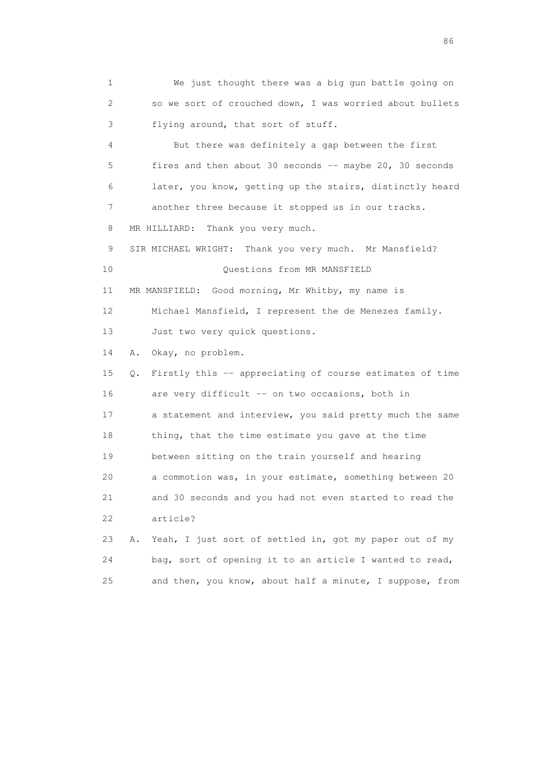1 We just thought there was a big gun battle going on 2 so we sort of crouched down, I was worried about bullets 3 flying around, that sort of stuff. 4 But there was definitely a gap between the first 5 fires and then about 30 seconds -- maybe 20, 30 seconds 6 later, you know, getting up the stairs, distinctly heard 7 another three because it stopped us in our tracks. 8 MR HILLIARD: Thank you very much. 9 SIR MICHAEL WRIGHT: Thank you very much. Mr Mansfield? 10 Questions from MR MANSFIELD 11 MR MANSFIELD: Good morning, Mr Whitby, my name is 12 Michael Mansfield, I represent the de Menezes family. 13 Just two very quick questions. 14 A. Okay, no problem. 15 Q. Firstly this -- appreciating of course estimates of time 16 are very difficult -- on two occasions, both in 17 a statement and interview, you said pretty much the same 18 thing, that the time estimate you gave at the time 19 between sitting on the train yourself and hearing 20 a commotion was, in your estimate, something between 20 21 and 30 seconds and you had not even started to read the 22 article? 23 A. Yeah, I just sort of settled in, got my paper out of my 24 bag, sort of opening it to an article I wanted to read,

25 and then, you know, about half a minute, I suppose, from

entration of the contract of the contract of the contract of the contract of the contract of the contract of the contract of the contract of the contract of the contract of the contract of the contract of the contract of t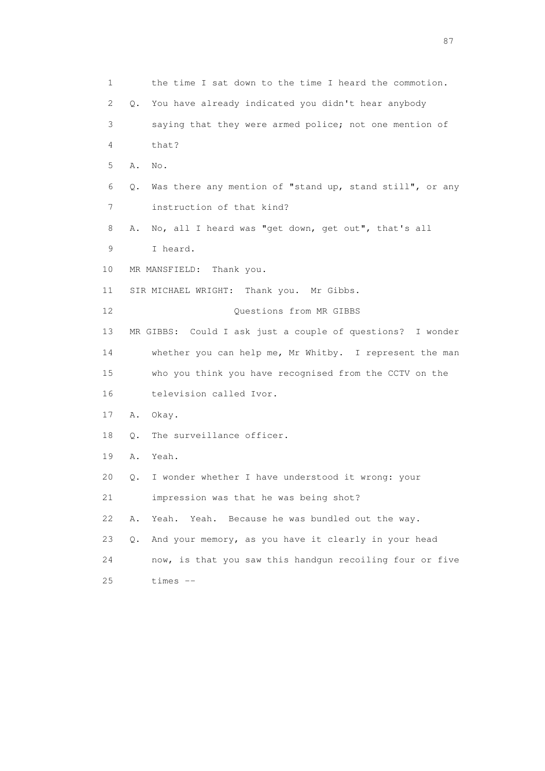1 the time I sat down to the time I heard the commotion. 2 Q. You have already indicated you didn't hear anybody 3 saying that they were armed police; not one mention of 4 that? 5 A. No. 6 Q. Was there any mention of "stand up, stand still", or any 7 instruction of that kind? 8 A. No, all I heard was "get down, get out", that's all 9 I heard. 10 MR MANSFIELD: Thank you. 11 SIR MICHAEL WRIGHT: Thank you. Mr Gibbs. 12 Ouestions from MR GIBBS 13 MR GIBBS: Could I ask just a couple of questions? I wonder 14 whether you can help me, Mr Whitby. I represent the man 15 who you think you have recognised from the CCTV on the 16 television called Ivor. 17 A. Okay. 18 O. The surveillance officer. 19 A. Yeah. 20 Q. I wonder whether I have understood it wrong: your 21 impression was that he was being shot? 22 A. Yeah. Yeah. Because he was bundled out the way. 23 Q. And your memory, as you have it clearly in your head 24 now, is that you saw this handgun recoiling four or five 25 times --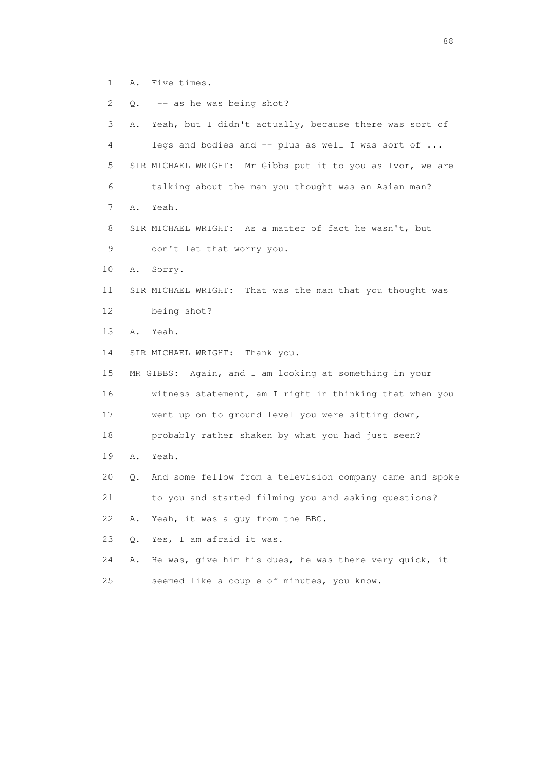- 1 A. Five times.
- 2 Q. -- as he was being shot?

| 3               | Α. | Yeah, but I didn't actually, because there was sort of     |
|-----------------|----|------------------------------------------------------------|
| 4               |    | legs and bodies and -- plus as well I was sort of          |
| 5               |    | SIR MICHAEL WRIGHT: Mr Gibbs put it to you as Ivor, we are |
| 6               |    | talking about the man you thought was an Asian man?        |
| 7               | Α. | Yeah.                                                      |
| 8               |    | SIR MICHAEL WRIGHT: As a matter of fact he wasn't, but     |
| 9               |    | don't let that worry you.                                  |
| 10              | Α. | Sorry.                                                     |
| 11              |    | SIR MICHAEL WRIGHT: That was the man that you thought was  |
| 12 <sup>°</sup> |    | being shot?                                                |
| 13              | Α. | Yeah.                                                      |
| 14              |    | SIR MICHAEL WRIGHT: Thank you.                             |
| 15              |    | MR GIBBS: Again, and I am looking at something in your     |
| 16              |    | witness statement, am I right in thinking that when you    |
| 17              |    | went up on to ground level you were sitting down,          |
| 18              |    | probably rather shaken by what you had just seen?          |
| 19              | Α. | Yeah.                                                      |
| 20              | О. | And some fellow from a television company came and spoke   |
| 21              |    | to you and started filming you and asking questions?       |
| 22              | Α. | Yeah, it was a guy from the BBC.                           |
| 23              | 0. | Yes, I am afraid it was.                                   |
| 24              | Α. | He was, give him his dues, he was there very quick, it     |
| 25              |    | seemed like a couple of minutes, you know.                 |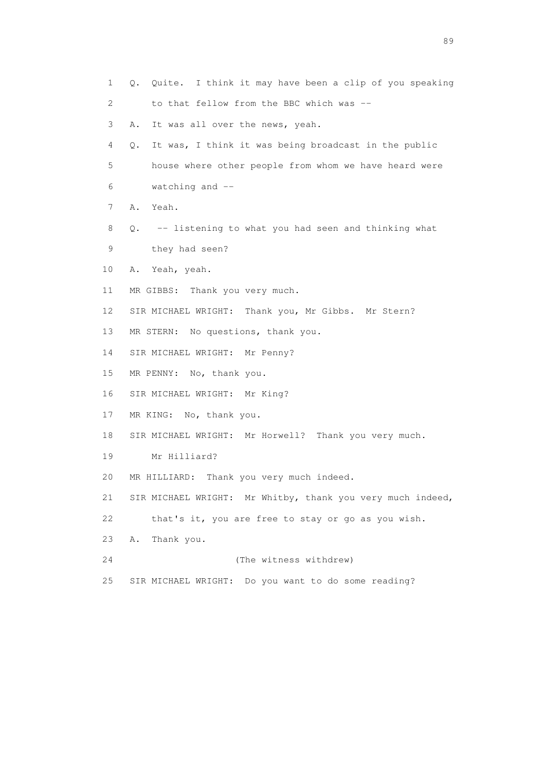| 1  | Q. Quite. I think it may have been a clip of you speaking     |
|----|---------------------------------------------------------------|
| 2  | to that fellow from the BBC which was --                      |
| 3  | It was all over the news, yeah.<br>Α.                         |
| 4  | $Q$ .<br>It was, I think it was being broadcast in the public |
| 5  | house where other people from whom we have heard were         |
| 6  | watching and $-$                                              |
| 7  | A. Yeah.                                                      |
| 8  | Q. -- listening to what you had seen and thinking what        |
| 9  | they had seen?                                                |
| 10 | Yeah, yeah.<br>Α.                                             |
| 11 | MR GIBBS: Thank you very much.                                |
| 12 | SIR MICHAEL WRIGHT: Thank you, Mr Gibbs. Mr Stern?            |
| 13 | MR STERN: No questions, thank you.                            |
| 14 | SIR MICHAEL WRIGHT: Mr Penny?                                 |
| 15 | MR PENNY: No, thank you.                                      |
| 16 | SIR MICHAEL WRIGHT: Mr King?                                  |
| 17 | MR KING: No, thank you.                                       |
| 18 | SIR MICHAEL WRIGHT: Mr Horwell? Thank you very much.          |
| 19 | Mr Hilliard?                                                  |
| 20 | MR HILLIARD: Thank you very much indeed.                      |
| 21 | SIR MICHAEL WRIGHT: Mr Whitby, thank you very much indeed,    |
| 22 | that's it, you are free to stay or go as you wish.            |
| 23 | Thank you.<br>Α.                                              |
| 24 | (The witness withdrew)                                        |
| 25 | SIR MICHAEL WRIGHT: Do you want to do some reading?           |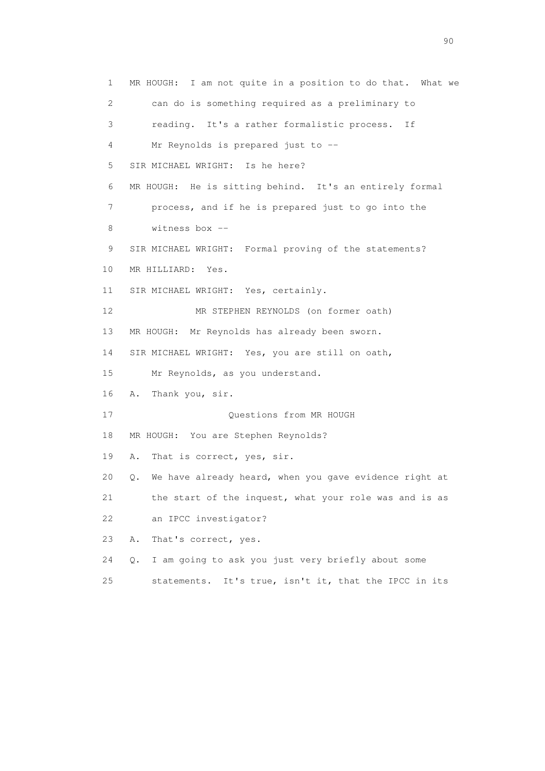1 MR HOUGH: I am not quite in a position to do that. What we 2 can do is something required as a preliminary to 3 reading. It's a rather formalistic process. If 4 Mr Reynolds is prepared just to -- 5 SIR MICHAEL WRIGHT: Is he here? 6 MR HOUGH: He is sitting behind. It's an entirely formal 7 process, and if he is prepared just to go into the 8 witness box -- 9 SIR MICHAEL WRIGHT: Formal proving of the statements? 10 MR HILLIARD: Yes. 11 SIR MICHAEL WRIGHT: Yes, certainly. 12 MR STEPHEN REYNOLDS (on former oath) 13 MR HOUGH: Mr Reynolds has already been sworn. 14 SIR MICHAEL WRIGHT: Yes, you are still on oath, 15 Mr Reynolds, as you understand. 16 A. Thank you, sir. 17 Ouestions from MR HOUGH 18 MR HOUGH: You are Stephen Reynolds? 19 A. That is correct, yes, sir. 20 Q. We have already heard, when you gave evidence right at 21 the start of the inquest, what your role was and is as 22 an IPCC investigator? 23 A. That's correct, yes. 24 Q. I am going to ask you just very briefly about some 25 statements. It's true, isn't it, that the IPCC in its

entration of the contract of the contract of the contract of the contract of the contract of the contract of the contract of the contract of the contract of the contract of the contract of the contract of the contract of t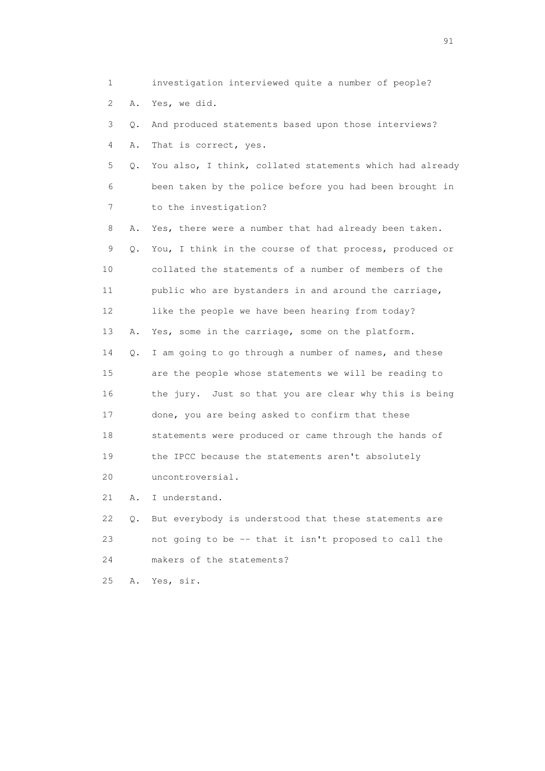1 investigation interviewed quite a number of people? 2 A. Yes, we did. 3 Q. And produced statements based upon those interviews? 4 A. That is correct, yes. 5 Q. You also, I think, collated statements which had already 6 been taken by the police before you had been brought in 7 to the investigation? 8 A. Yes, there were a number that had already been taken. 9 Q. You, I think in the course of that process, produced or 10 collated the statements of a number of members of the 11 public who are bystanders in and around the carriage, 12 like the people we have been hearing from today? 13 A. Yes, some in the carriage, some on the platform. 14 Q. I am going to go through a number of names, and these 15 are the people whose statements we will be reading to 16 the jury. Just so that you are clear why this is being 17 done, you are being asked to confirm that these 18 statements were produced or came through the hands of 19 the IPCC because the statements aren't absolutely 20 uncontroversial. 21 A. I understand. 22 Q. But everybody is understood that these statements are 23 not going to be -- that it isn't proposed to call the 24 makers of the statements?

25 A. Yes, sir.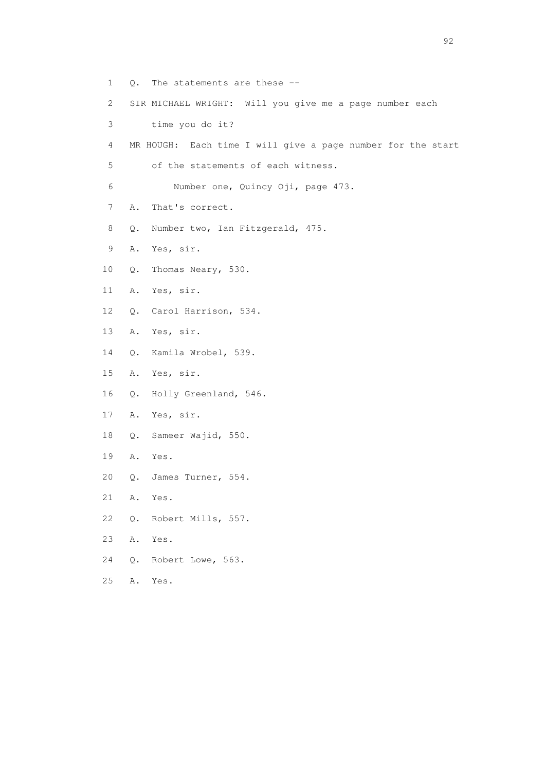- 1 Q. The statements are these --
- 2 SIR MICHAEL WRIGHT: Will you give me a page number each
- 3 time you do it?
- 4 MR HOUGH: Each time I will give a page number for the start
- 5 of the statements of each witness.
- 6 Number one, Quincy Oji, page 473.
- 7 A. That's correct.
- 8 Q. Number two, Ian Fitzgerald, 475.
- 9 A. Yes, sir.
- 10 Q. Thomas Neary, 530.
- 11 A. Yes, sir.
- 12 Q. Carol Harrison, 534.
- 13 A. Yes, sir.
- 14 Q. Kamila Wrobel, 539.
- 15 A. Yes, sir.
- 16 Q. Holly Greenland, 546.
- 17 A. Yes, sir.
- 18 Q. Sameer Wajid, 550.
- 19 A. Yes.
- 20 Q. James Turner, 554.
- 21 A. Yes.
- 22 Q. Robert Mills, 557.
- 23 A. Yes.
- 24 Q. Robert Lowe, 563.
- 25 A. Yes.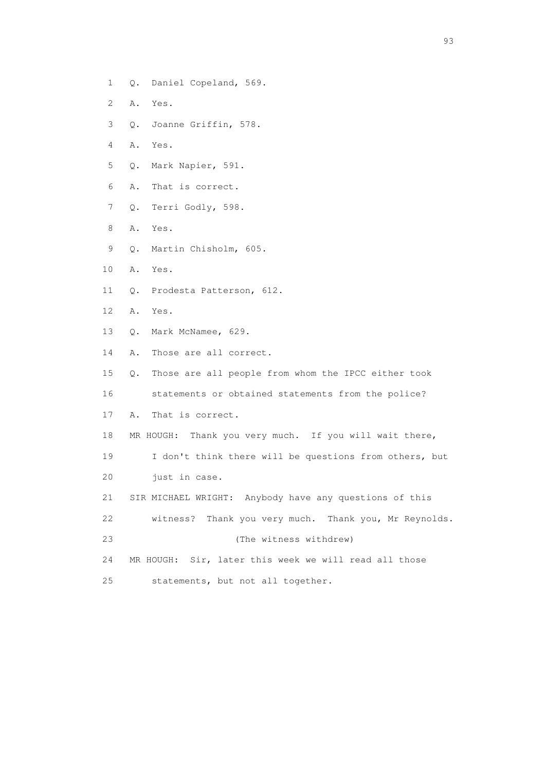- 1 Q. Daniel Copeland, 569.
- 2 A. Yes.
- 3 Q. Joanne Griffin, 578.
- 4 A. Yes.
- 5 Q. Mark Napier, 591.
- 6 A. That is correct.
- 7 Q. Terri Godly, 598.
- 8 A. Yes.
- 9 Q. Martin Chisholm, 605.
- 10 A. Yes.
- 11 Q. Prodesta Patterson, 612.
- 12 A. Yes.
- 13 Q. Mark McNamee, 629.
- 14 A. Those are all correct.
- 15 Q. Those are all people from whom the IPCC either took
- 16 statements or obtained statements from the police?
- 17 A. That is correct.
- 18 MR HOUGH: Thank you very much. If you will wait there,
- 19 I don't think there will be questions from others, but
- 20 just in case.
- 21 SIR MICHAEL WRIGHT: Anybody have any questions of this
- 22 witness? Thank you very much. Thank you, Mr Reynolds.
- 23 (The witness withdrew)
- 24 MR HOUGH: Sir, later this week we will read all those
- 25 statements, but not all together.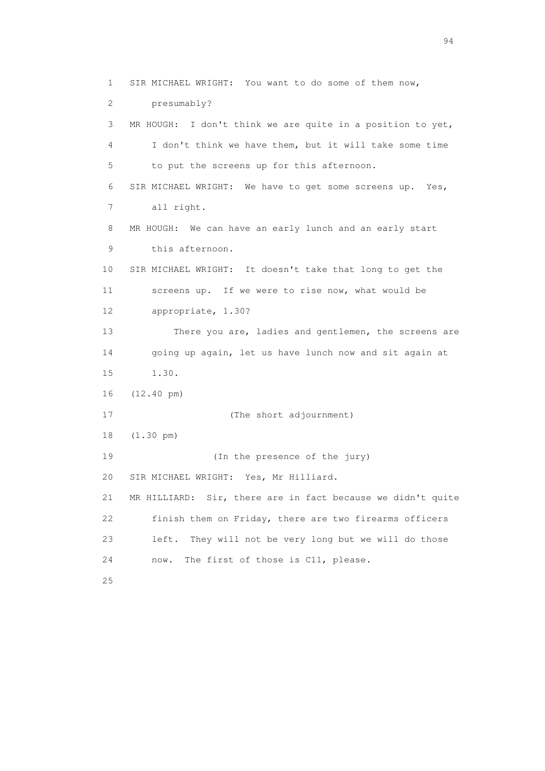1 SIR MICHAEL WRIGHT: You want to do some of them now, 2 presumably? 3 MR HOUGH: I don't think we are quite in a position to yet, 4 I don't think we have them, but it will take some time 5 to put the screens up for this afternoon. 6 SIR MICHAEL WRIGHT: We have to get some screens up. Yes, 7 all right. 8 MR HOUGH: We can have an early lunch and an early start 9 this afternoon. 10 SIR MICHAEL WRIGHT: It doesn't take that long to get the 11 screens up. If we were to rise now, what would be 12 appropriate, 1.30? 13 There you are, ladies and gentlemen, the screens are 14 going up again, let us have lunch now and sit again at 15 1.30. 16 (12.40 pm) 17 (The short adjournment) 18 (1.30 pm) 19 (In the presence of the jury) 20 SIR MICHAEL WRIGHT: Yes, Mr Hilliard. 21 MR HILLIARD: Sir, there are in fact because we didn't quite 22 finish them on Friday, there are two firearms officers 23 left. They will not be very long but we will do those 24 now. The first of those is C11, please. 25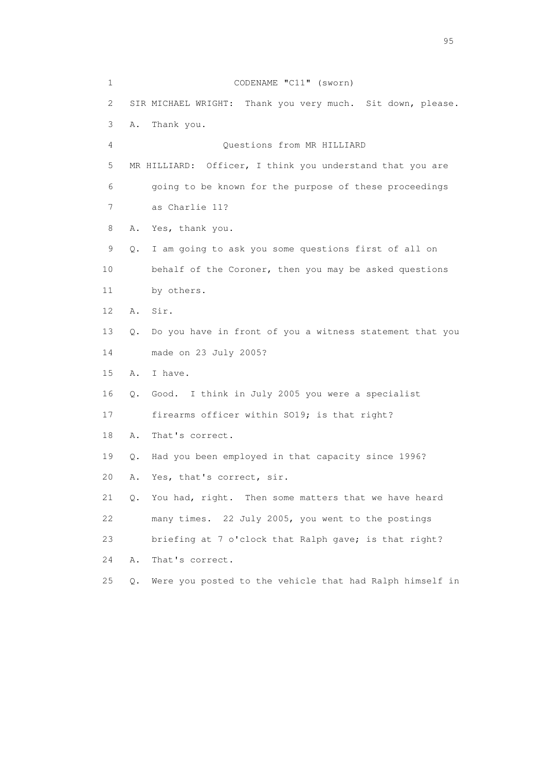1 CODENAME "C11" (sworn) 2 SIR MICHAEL WRIGHT: Thank you very much. Sit down, please. 3 A. Thank you. 4 Questions from MR HILLIARD 5 MR HILLIARD: Officer, I think you understand that you are 6 going to be known for the purpose of these proceedings 7 as Charlie 11? 8 A. Yes, thank you. 9 Q. I am going to ask you some questions first of all on 10 behalf of the Coroner, then you may be asked questions 11 by others. 12 A. Sir. 13 Q. Do you have in front of you a witness statement that you 14 made on 23 July 2005? 15 A. I have. 16 Q. Good. I think in July 2005 you were a specialist 17 firearms officer within SO19; is that right? 18 A. That's correct. 19 Q. Had you been employed in that capacity since 1996? 20 A. Yes, that's correct, sir. 21 Q. You had, right. Then some matters that we have heard 22 many times. 22 July 2005, you went to the postings 23 briefing at 7 o'clock that Ralph gave; is that right? 24 A. That's correct. 25 Q. Were you posted to the vehicle that had Ralph himself in

experience of the contract of the contract of the contract of the contract of the contract of the contract of the contract of the contract of the contract of the contract of the contract of the contract of the contract of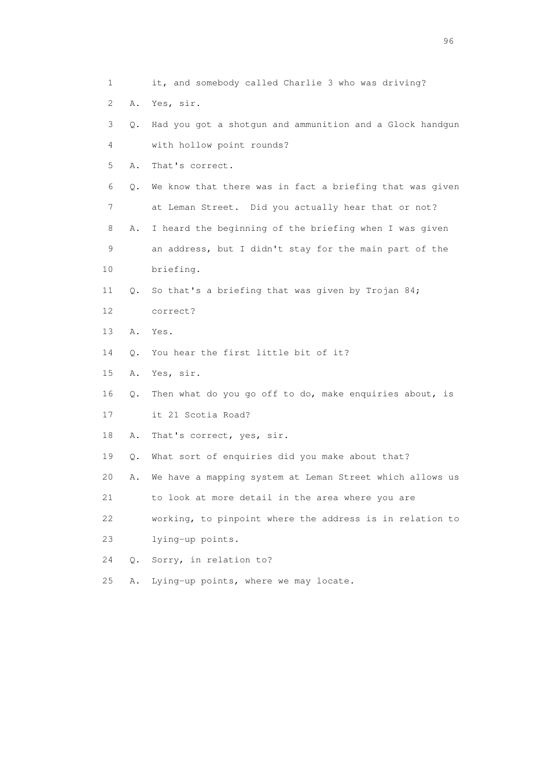1 it, and somebody called Charlie 3 who was driving? 2 A. Yes, sir. 3 Q. Had you got a shotgun and ammunition and a Glock handgun 4 with hollow point rounds? 5 A. That's correct. 6 Q. We know that there was in fact a briefing that was given 7 at Leman Street. Did you actually hear that or not? 8 A. I heard the beginning of the briefing when I was given 9 an address, but I didn't stay for the main part of the 10 briefing. 11 Q. So that's a briefing that was given by Trojan 84; 12 correct? 13 A. Yes. 14 Q. You hear the first little bit of it? 15 A. Yes, sir. 16 Q. Then what do you go off to do, make enquiries about, is 17 it 21 Scotia Road? 18 A. That's correct, yes, sir. 19 Q. What sort of enquiries did you make about that? 20 A. We have a mapping system at Leman Street which allows us 21 to look at more detail in the area where you are 22 working, to pinpoint where the address is in relation to 23 lying-up points. 24 Q. Sorry, in relation to? 25 A. Lying-up points, where we may locate.

<u>96 and the state of the state of the state of the state of the state of the state of the state of the state of the state of the state of the state of the state of the state of the state of the state of the state of the st</u>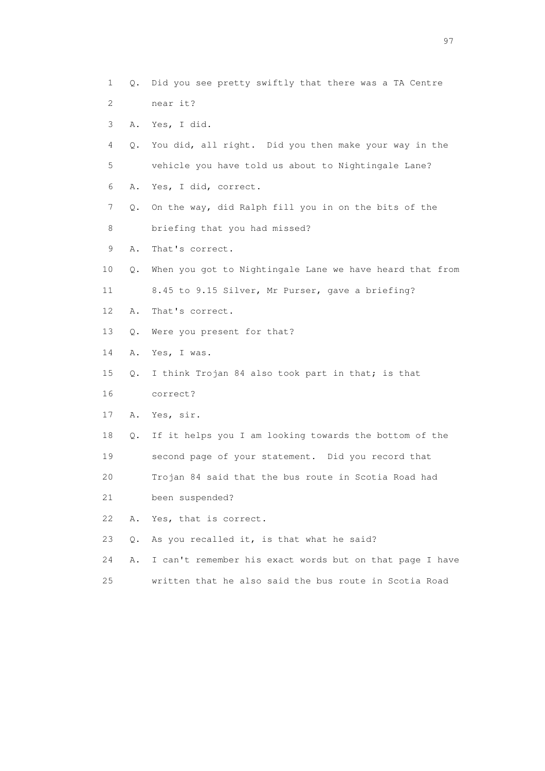1 Q. Did you see pretty swiftly that there was a TA Centre 2 near it? 3 A. Yes, I did. 4 Q. You did, all right. Did you then make your way in the 5 vehicle you have told us about to Nightingale Lane? 6 A. Yes, I did, correct. 7 Q. On the way, did Ralph fill you in on the bits of the 8 briefing that you had missed? 9 A. That's correct. 10 Q. When you got to Nightingale Lane we have heard that from 11 8.45 to 9.15 Silver, Mr Purser, gave a briefing? 12 A. That's correct. 13 Q. Were you present for that? 14 A. Yes, I was. 15 Q. I think Trojan 84 also took part in that; is that 16 correct? 17 A. Yes, sir. 18 Q. If it helps you I am looking towards the bottom of the 19 second page of your statement. Did you record that 20 Trojan 84 said that the bus route in Scotia Road had 21 been suspended? 22 A. Yes, that is correct. 23 Q. As you recalled it, is that what he said? 24 A. I can't remember his exact words but on that page I have

25 written that he also said the bus route in Scotia Road

experience of the contract of the contract of the contract of the contract of the contract of the contract of the contract of the contract of the contract of the contract of the contract of the contract of the contract of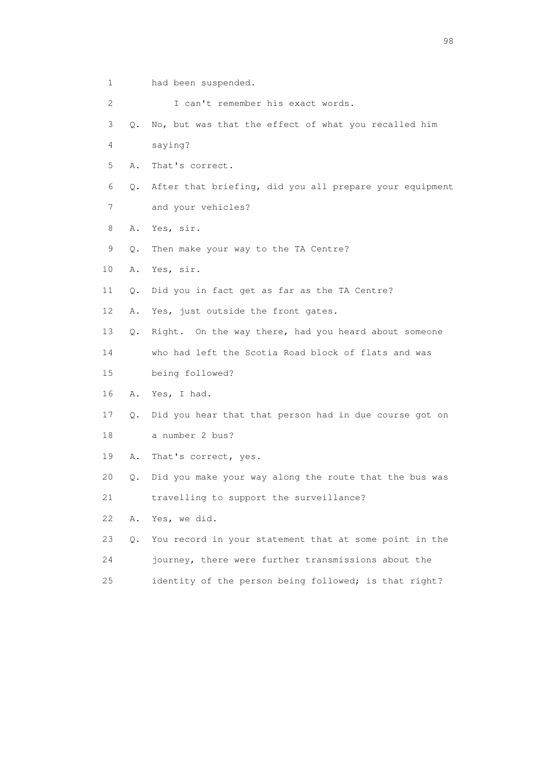1 had been suspended.

2 I can't remember his exact words.

- 3 Q. No, but was that the effect of what you recalled him
- 4 saying?
- 5 A. That's correct.
- 6 Q. After that briefing, did you all prepare your equipment
- 7 and your vehicles?
- 8 A. Yes, sir.
- 9 Q. Then make your way to the TA Centre?
- 10 A. Yes, sir.
- 11 Q. Did you in fact get as far as the TA Centre?
- 12 A. Yes, just outside the front gates.
- 13 Q. Right. On the way there, had you heard about someone
- 14 who had left the Scotia Road block of flats and was
- 15 being followed?
- 16 A. Yes, I had.
- 17 Q. Did you hear that that person had in due course got on
- 18 a number 2 bus?
- 19 A. That's correct, yes.
- 20 Q. Did you make your way along the route that the bus was
- 21 travelling to support the surveillance?
- 22 A. Yes, we did.
- 23 Q. You record in your statement that at some point in the 24 journey, there were further transmissions about the
- 25 identity of the person being followed; is that right?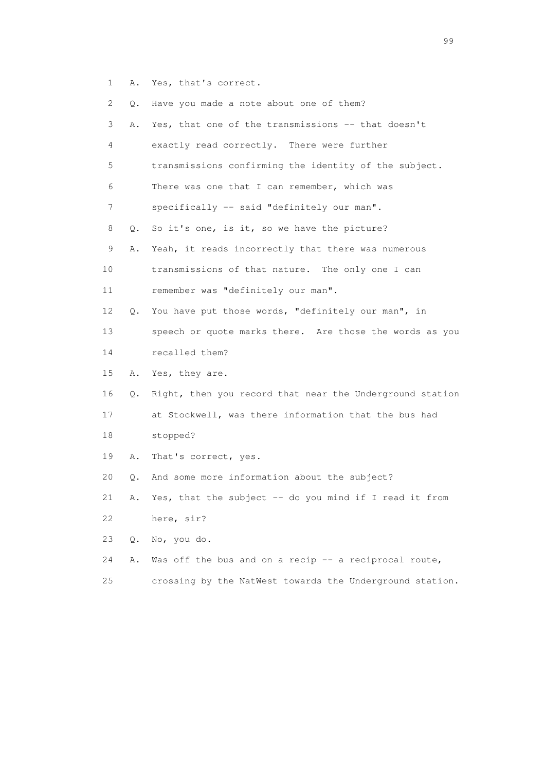1 A. Yes, that's correct.

| $\overline{2}$ | О. | Have you made a note about one of them?                  |
|----------------|----|----------------------------------------------------------|
| 3              | Α. | Yes, that one of the transmissions -- that doesn't       |
| 4              |    | exactly read correctly. There were further               |
| 5              |    | transmissions confirming the identity of the subject.    |
| 6              |    | There was one that I can remember, which was             |
| 7              |    | specifically -- said "definitely our man".               |
| 8              | Q. | So it's one, is it, so we have the picture?              |
| $\mathsf 9$    | Α. | Yeah, it reads incorrectly that there was numerous       |
| 10             |    | transmissions of that nature. The only one I can         |
| 11             |    | remember was "definitely our man".                       |
| 12             | Q. | You have put those words, "definitely our man", in       |
| 13             |    | speech or quote marks there. Are those the words as you  |
| 14             |    | recalled them?                                           |
| 15             | Α. | Yes, they are.                                           |
| 16             | Q. | Right, then you record that near the Underground station |
| 17             |    | at Stockwell, was there information that the bus had     |
| 18             |    | stopped?                                                 |
| 19             | Α. | That's correct, yes.                                     |
| 20             | Q. | And some more information about the subject?             |
| 21             | Α. | Yes, that the subject -- do you mind if I read it from   |
| 22             |    | here, sir?                                               |
| 23             | Q. | No, you do.                                              |
| 24             | Α. | Was off the bus and on a recip -- a reciprocal route,    |
|                |    |                                                          |

25 crossing by the NatWest towards the Underground station.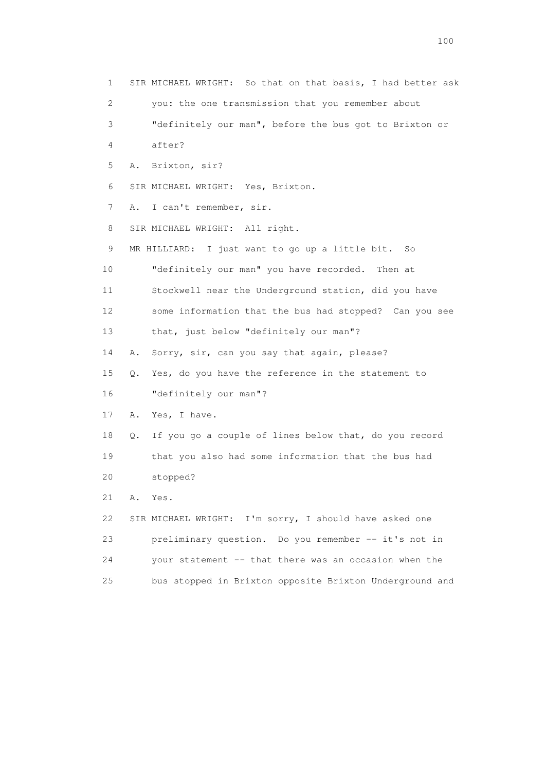1 SIR MICHAEL WRIGHT: So that on that basis, I had better ask 2 you: the one transmission that you remember about 3 "definitely our man", before the bus got to Brixton or 4 after? 5 A. Brixton, sir? 6 SIR MICHAEL WRIGHT: Yes, Brixton. 7 A. I can't remember, sir. 8 SIR MICHAEL WRIGHT: All right. 9 MR HILLIARD: I just want to go up a little bit. So 10 "definitely our man" you have recorded. Then at 11 Stockwell near the Underground station, did you have 12 some information that the bus had stopped? Can you see 13 that, just below "definitely our man"? 14 A. Sorry, sir, can you say that again, please? 15 Q. Yes, do you have the reference in the statement to 16 "definitely our man"? 17 A. Yes, I have. 18 Q. If you go a couple of lines below that, do you record 19 that you also had some information that the bus had 20 stopped? 21 A. Yes. 22 SIR MICHAEL WRIGHT: I'm sorry, I should have asked one 23 preliminary question. Do you remember -- it's not in 24 your statement -- that there was an occasion when the 25 bus stopped in Brixton opposite Brixton Underground and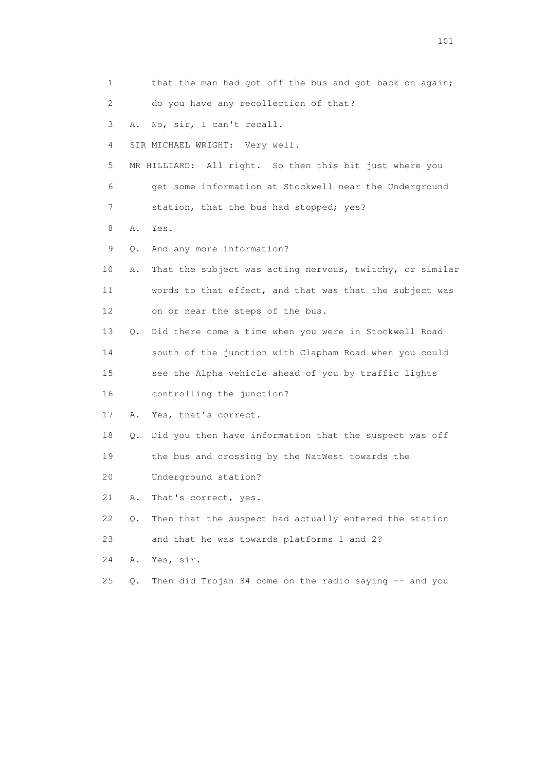1 that the man had got off the bus and got back on again; 2 do you have any recollection of that? 3 A. No, sir, I can't recall. 4 SIR MICHAEL WRIGHT: Very well. 5 MR HILLIARD: All right. So then this bit just where you 6 get some information at Stockwell near the Underground 7 station, that the bus had stopped; yes? 8 A. Yes. 9 Q. And any more information? 10 A. That the subject was acting nervous, twitchy, or similar 11 words to that effect, and that was that the subject was 12 on or near the steps of the bus. 13 Q. Did there come a time when you were in Stockwell Road 14 south of the junction with Clapham Road when you could 15 see the Alpha vehicle ahead of you by traffic lights 16 controlling the junction? 17 A. Yes, that's correct. 18 Q. Did you then have information that the suspect was off 19 the bus and crossing by the NatWest towards the 20 Underground station? 21 A. That's correct, yes. 22 Q. Then that the suspect had actually entered the station 23 and that he was towards platforms 1 and 2? 24 A. Yes, sir. 25 Q. Then did Trojan 84 come on the radio saying -- and you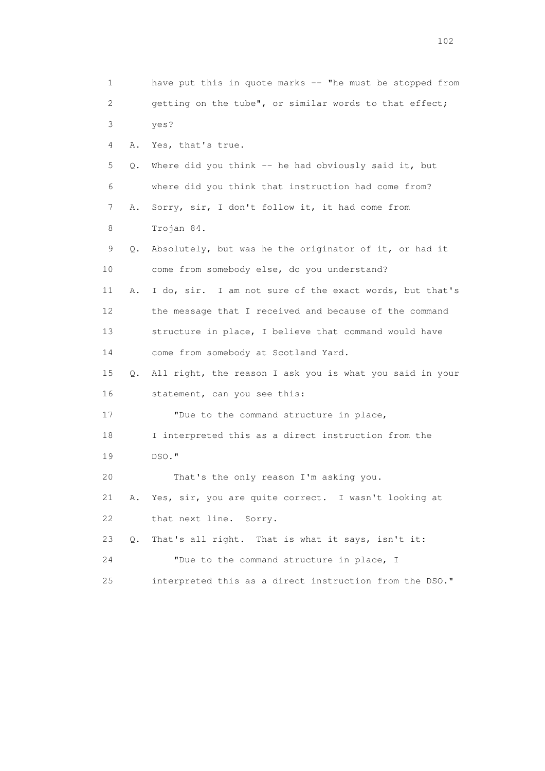1 have put this in quote marks -- "he must be stopped from 2 getting on the tube", or similar words to that effect; 3 yes? 4 A. Yes, that's true. 5 Q. Where did you think -- he had obviously said it, but 6 where did you think that instruction had come from? 7 A. Sorry, sir, I don't follow it, it had come from 8 Trojan 84. 9 Q. Absolutely, but was he the originator of it, or had it 10 come from somebody else, do you understand? 11 A. I do, sir. I am not sure of the exact words, but that's 12 the message that I received and because of the command 13 structure in place, I believe that command would have 14 come from somebody at Scotland Yard. 15 Q. All right, the reason I ask you is what you said in your 16 statement, can you see this: 17 "Due to the command structure in place, 18 I interpreted this as a direct instruction from the 19 DSO." 20 That's the only reason I'm asking you. 21 A. Yes, sir, you are quite correct. I wasn't looking at 22 that next line. Sorry. 23 Q. That's all right. That is what it says, isn't it: 24 "Due to the command structure in place, I 25 interpreted this as a direct instruction from the DSO."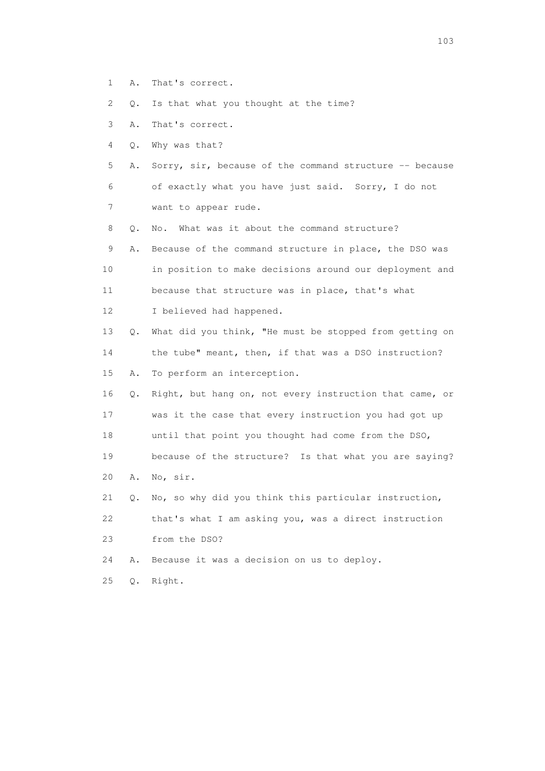1 A. That's correct.

2 Q. Is that what you thought at the time?

3 A. That's correct.

4 Q. Why was that?

 5 A. Sorry, sir, because of the command structure -- because 6 of exactly what you have just said. Sorry, I do not 7 want to appear rude.

8 0. No. What was it about the command structure?

 9 A. Because of the command structure in place, the DSO was 10 in position to make decisions around our deployment and 11 because that structure was in place, that's what 12 I believed had happened.

 13 Q. What did you think, "He must be stopped from getting on 14 the tube" meant, then, if that was a DSO instruction? 15 A. To perform an interception.

 16 Q. Right, but hang on, not every instruction that came, or 17 was it the case that every instruction you had got up 18 until that point you thought had come from the DSO, 19 because of the structure? Is that what you are saying? 20 A. No, sir.

 21 Q. No, so why did you think this particular instruction, 22 that's what I am asking you, was a direct instruction 23 from the DSO?

24 A. Because it was a decision on us to deploy.

25 Q. Right.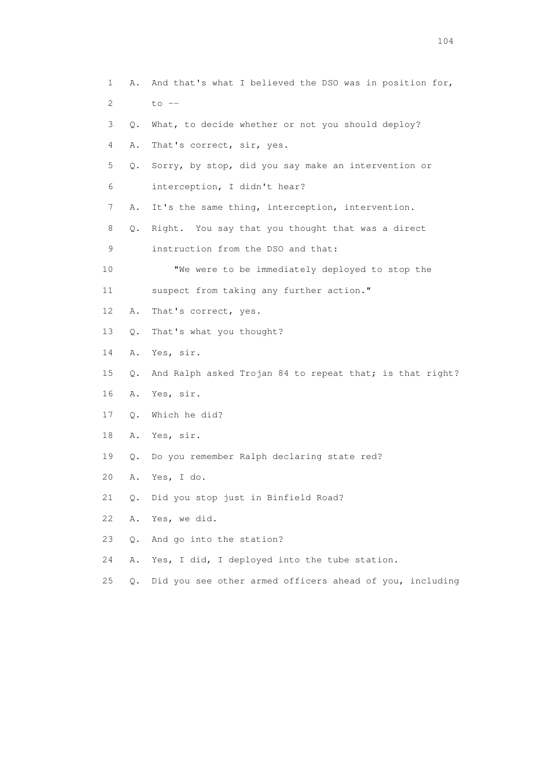1 A. And that's what I believed the DSO was in position for, 2 to -- 3 Q. What, to decide whether or not you should deploy? 4 A. That's correct, sir, yes. 5 Q. Sorry, by stop, did you say make an intervention or 6 interception, I didn't hear? 7 A. It's the same thing, interception, intervention. 8 Q. Right. You say that you thought that was a direct 9 instruction from the DSO and that: 10 "We were to be immediately deployed to stop the 11 suspect from taking any further action." 12 A. That's correct, yes. 13 Q. That's what you thought? 14 A. Yes, sir. 15 Q. And Ralph asked Trojan 84 to repeat that; is that right? 16 A. Yes, sir. 17 Q. Which he did? 18 A. Yes, sir. 19 Q. Do you remember Ralph declaring state red? 20 A. Yes, I do. 21 Q. Did you stop just in Binfield Road? 22 A. Yes, we did. 23 Q. And go into the station? 24 A. Yes, I did, I deployed into the tube station. 25 Q. Did you see other armed officers ahead of you, including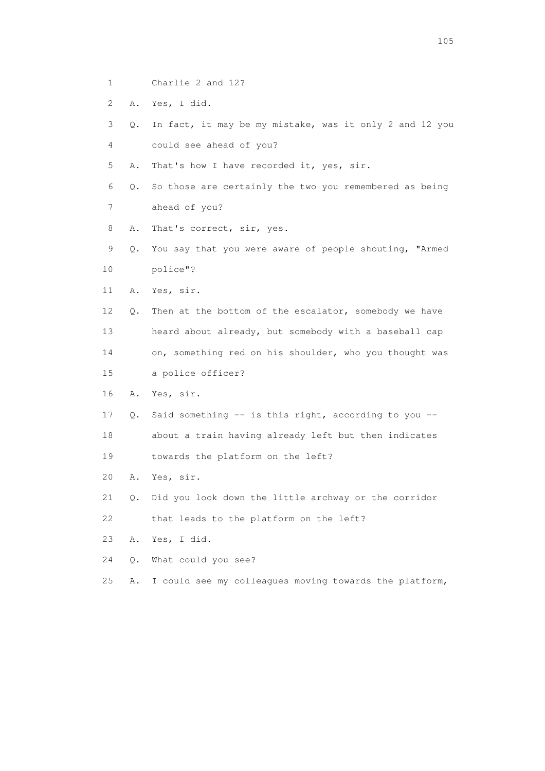- 1 Charlie 2 and 12?
- 2 A. Yes, I did.
- 3 Q. In fact, it may be my mistake, was it only 2 and 12 you 4 could see ahead of you?
- 5 A. That's how I have recorded it, yes, sir.
- 6 Q. So those are certainly the two you remembered as being 7 ahead of you?
- 8 A. That's correct, sir, yes.
- 9 Q. You say that you were aware of people shouting, "Armed 10 police"?
- 11 A. Yes, sir.
- 12 Q. Then at the bottom of the escalator, somebody we have 13 heard about already, but somebody with a baseball cap 14 on, something red on his shoulder, who you thought was
- 15 a police officer?
- 16 A. Yes, sir.
- 17 Q. Said something -- is this right, according to you --
- 18 about a train having already left but then indicates
- 19 towards the platform on the left?
- 20 A. Yes, sir.
- 21 Q. Did you look down the little archway or the corridor
- 22 that leads to the platform on the left?
- 23 A. Yes, I did.
- 24 Q. What could you see?
- 25 A. I could see my colleagues moving towards the platform,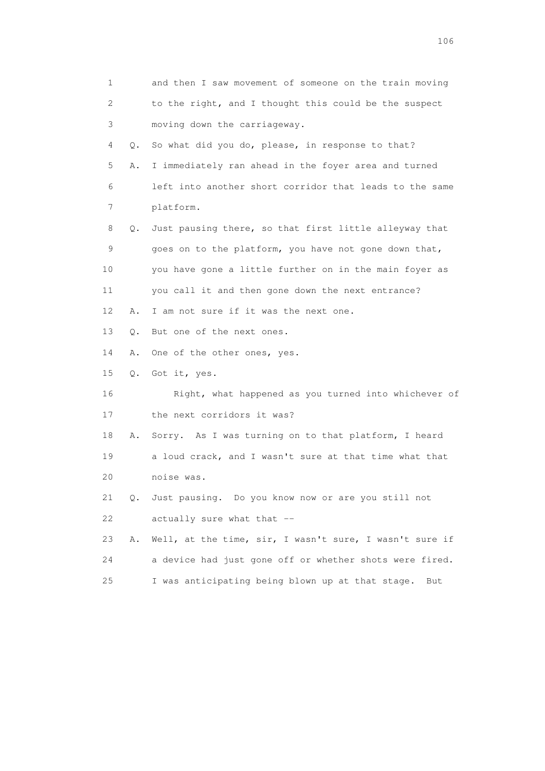| 1  |    | and then I saw movement of someone on the train moving  |
|----|----|---------------------------------------------------------|
| 2  |    | to the right, and I thought this could be the suspect   |
| 3  |    | moving down the carriageway.                            |
| 4  | Q. | So what did you do, please, in response to that?        |
| 5  | Α. | I immediately ran ahead in the foyer area and turned    |
| 6  |    | left into another short corridor that leads to the same |
| 7  |    | platform.                                               |
| 8  | О. | Just pausing there, so that first little alleyway that  |
| 9  |    | goes on to the platform, you have not gone down that,   |
| 10 |    | you have gone a little further on in the main foyer as  |
| 11 |    | you call it and then gone down the next entrance?       |
| 12 | Α. | I am not sure if it was the next one.                   |
| 13 | О. | But one of the next ones.                               |
| 14 | Α. | One of the other ones, yes.                             |
| 15 |    | Q. Got it, yes.                                         |
| 16 |    | Right, what happened as you turned into whichever of    |
| 17 |    | the next corridors it was?                              |
| 18 | Α. | Sorry. As I was turning on to that platform, I heard    |
| 19 |    | a loud crack, and I wasn't sure at that time what that  |
| 20 |    | noise was.                                              |
| 21 | Q. | Just pausing. Do you know now or are you still not      |
| 22 |    | actually sure what that --                              |
| 23 | Α. | Well, at the time, sir, I wasn't sure, I wasn't sure if |
| 24 |    | a device had just gone off or whether shots were fired. |
| 25 |    | I was anticipating being blown up at that stage.<br>But |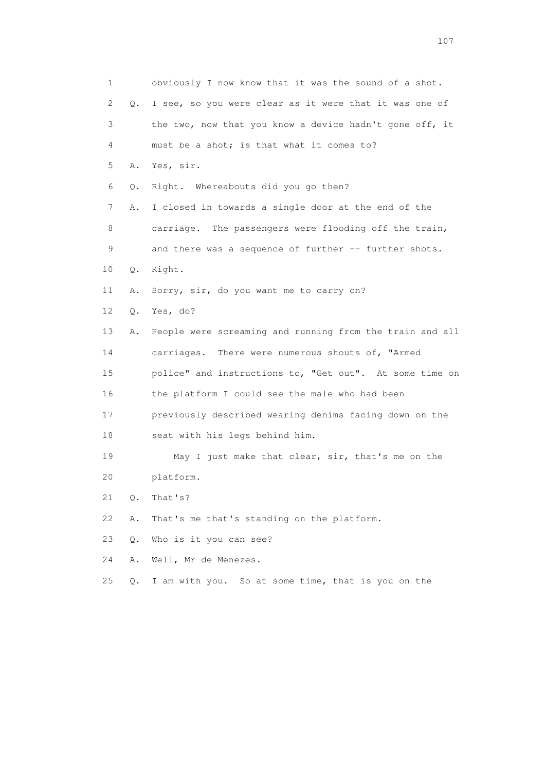1 obviously I now know that it was the sound of a shot. 2 Q. I see, so you were clear as it were that it was one of 3 the two, now that you know a device hadn't gone off, it 4 must be a shot; is that what it comes to? 5 A. Yes, sir. 6 Q. Right. Whereabouts did you go then? 7 A. I closed in towards a single door at the end of the 8 carriage. The passengers were flooding off the train, 9 and there was a sequence of further -- further shots. 10 Q. Right. 11 A. Sorry, sir, do you want me to carry on? 12 Q. Yes, do? 13 A. People were screaming and running from the train and all 14 carriages. There were numerous shouts of, "Armed 15 police" and instructions to, "Get out". At some time on 16 the platform I could see the male who had been 17 previously described wearing denims facing down on the 18 seat with his legs behind him. 19 May I just make that clear, sir, that's me on the 20 platform. 21 Q. That's? 22 A. That's me that's standing on the platform. 23 Q. Who is it you can see? 24 A. Well, Mr de Menezes. 25 Q. I am with you. So at some time, that is you on the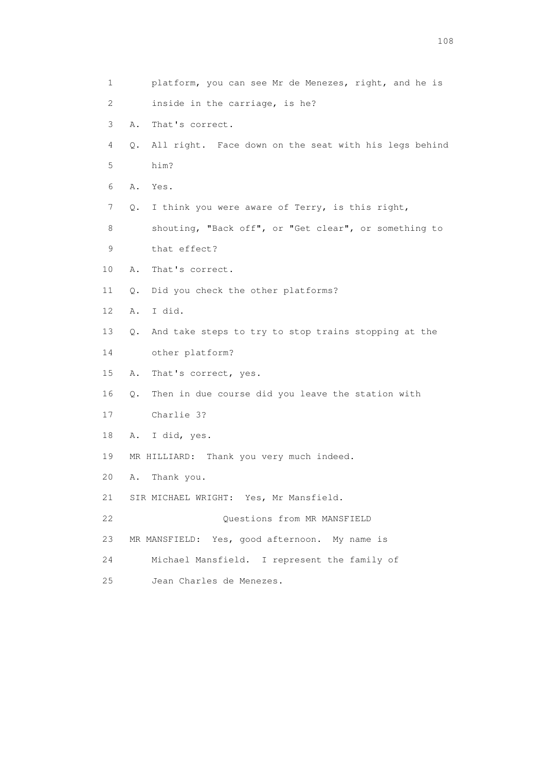| $\mathbf 1$     | platform, you can see Mr de Menezes, right, and he is       |
|-----------------|-------------------------------------------------------------|
| 2               | inside in the carriage, is he?                              |
| 3               | That's correct.<br>Α.                                       |
| 4               | All right. Face down on the seat with his legs behind<br>Q. |
| 5               | him?                                                        |
| 6               | A. Yes.                                                     |
| 7               | I think you were aware of Terry, is this right,<br>Q.       |
| 8               | shouting, "Back off", or "Get clear", or something to       |
| 9               | that effect?                                                |
| 10              | That's correct.<br>Α.                                       |
| 11              | Did you check the other platforms?<br>Q.                    |
| 12 <sup>°</sup> | I did.<br>Α.                                                |
| 13              | And take steps to try to stop trains stopping at the<br>Q.  |
| 14              | other platform?                                             |
| 15              | That's correct, yes.<br>Α.                                  |
| 16              | Then in due course did you leave the station with<br>Q.     |
| 17              | Charlie 3?                                                  |
| 18              | I did, yes.<br>Α.                                           |
| 19              | MR HILLIARD: Thank you very much indeed.                    |
| 20              | Thank you.<br>Α.                                            |
| 21              | SIR MICHAEL WRIGHT: Yes, Mr Mansfield.                      |
| 22              | Questions from MR MANSFIELD                                 |
| 23              | MR MANSFIELD: Yes, good afternoon. My name is               |
| 24              | Michael Mansfield. I represent the family of                |
| 25              | Jean Charles de Menezes.                                    |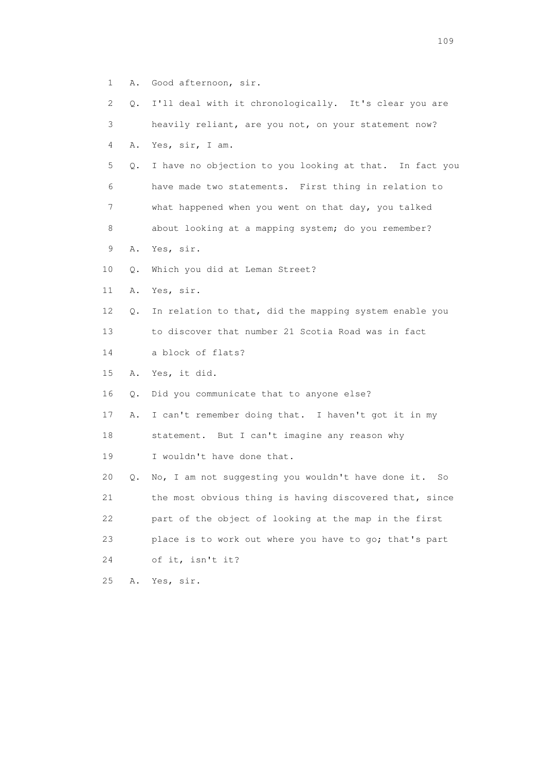- 1 A. Good afternoon, sir.
- 2 Q. I'll deal with it chronologically. It's clear you are 3 heavily reliant, are you not, on your statement now? 4 A. Yes, sir, I am.
- 5 Q. I have no objection to you looking at that. In fact you 6 have made two statements. First thing in relation to 7 what happened when you went on that day, you talked 8 about looking at a mapping system; do you remember?
- 9 A. Yes, sir.
- 10 Q. Which you did at Leman Street?
- 11 A. Yes, sir.
- 12 Q. In relation to that, did the mapping system enable you 13 to discover that number 21 Scotia Road was in fact
- 14 a block of flats?
- 15 A. Yes, it did.
- 16 Q. Did you communicate that to anyone else?
- 17 A. I can't remember doing that. I haven't got it in my
- 18 statement. But I can't imagine any reason why
- 19 I wouldn't have done that.

 20 Q. No, I am not suggesting you wouldn't have done it. So 21 the most obvious thing is having discovered that, since 22 part of the object of looking at the map in the first 23 place is to work out where you have to go; that's part 24 of it, isn't it?

25 A. Yes, sir.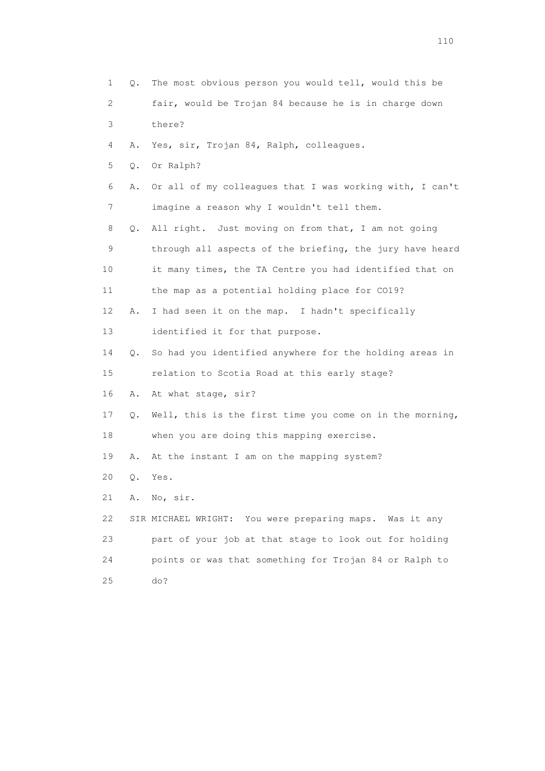| $\mathbf 1$ | Q.    | The most obvious person you would tell, would this be    |
|-------------|-------|----------------------------------------------------------|
| 2           |       | fair, would be Trojan 84 because he is in charge down    |
| 3           |       | there?                                                   |
| 4           | Α.    | Yes, sir, Trojan 84, Ralph, colleagues.                  |
| 5           | Q.    | Or Ralph?                                                |
| 6           | Α.    | Or all of my colleagues that I was working with, I can't |
| 7           |       | imagine a reason why I wouldn't tell them.               |
| 8           | Q.    | All right. Just moving on from that, I am not going      |
| 9           |       | through all aspects of the briefing, the jury have heard |
| 10          |       | it many times, the TA Centre you had identified that on  |
| 11          |       | the map as a potential holding place for CO19?           |
| 12          | Α.    | I had seen it on the map. I hadn't specifically          |
| 13          |       | identified it for that purpose.                          |
| 14          | Q.    | So had you identified anywhere for the holding areas in  |
| 15          |       | relation to Scotia Road at this early stage?             |
| 16          | Α.    | At what stage, sir?                                      |
| 17          | Q.    | Well, this is the first time you come on in the morning, |
| 18          |       | when you are doing this mapping exercise.                |
| 19          | Α.    | At the instant I am on the mapping system?               |
| 20          | $Q$ . | Yes.                                                     |
| 21          | Α.    | No, sir.                                                 |
| 22          |       | SIR MICHAEL WRIGHT: You were preparing maps. Was it any  |
| 23          |       | part of your job at that stage to look out for holding   |
| 24          |       | points or was that something for Trojan 84 or Ralph to   |
| 25          |       | do?                                                      |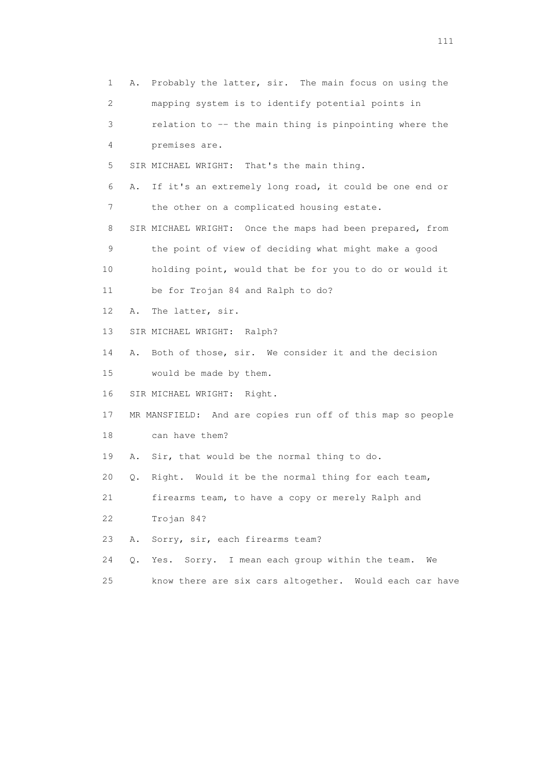1 A. Probably the latter, sir. The main focus on using the 2 mapping system is to identify potential points in 3 relation to -- the main thing is pinpointing where the 4 premises are. 5 SIR MICHAEL WRIGHT: That's the main thing. 6 A. If it's an extremely long road, it could be one end or 7 the other on a complicated housing estate. 8 SIR MICHAEL WRIGHT: Once the maps had been prepared, from 9 the point of view of deciding what might make a good 10 holding point, would that be for you to do or would it 11 be for Trojan 84 and Ralph to do? 12 A. The latter, sir. 13 SIR MICHAEL WRIGHT: Ralph? 14 A. Both of those, sir. We consider it and the decision 15 would be made by them. 16 SIR MICHAEL WRIGHT: Right. 17 MR MANSFIELD: And are copies run off of this map so people 18 can have them? 19 A. Sir, that would be the normal thing to do. 20 Q. Right. Would it be the normal thing for each team, 21 firearms team, to have a copy or merely Ralph and 22 Trojan 84? 23 A. Sorry, sir, each firearms team? 24 Q. Yes. Sorry. I mean each group within the team. We 25 know there are six cars altogether. Would each car have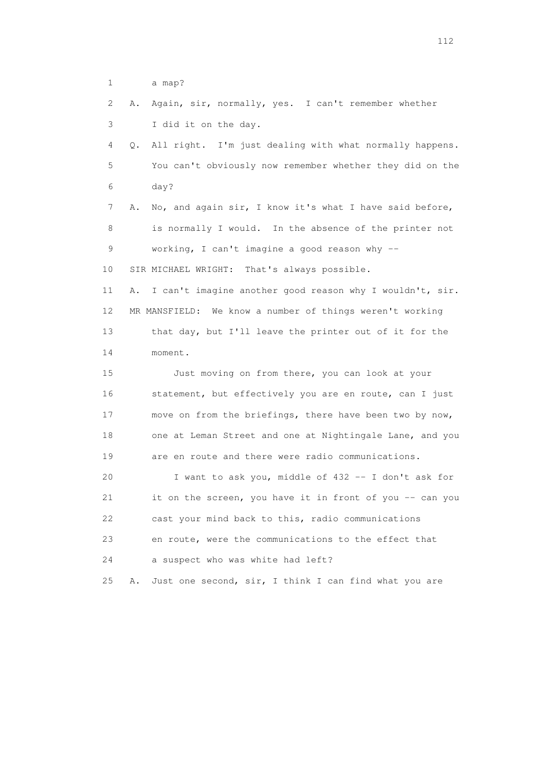1 a map?

| 2  | Α. | Again, sir, normally, yes. I can't remember whether      |
|----|----|----------------------------------------------------------|
| 3  |    | I did it on the day.                                     |
| 4  | Q. | All right. I'm just dealing with what normally happens.  |
| 5  |    | You can't obviously now remember whether they did on the |
| 6  |    | day?                                                     |
| 7  | Α. | No, and again sir, I know it's what I have said before,  |
| 8  |    | is normally I would. In the absence of the printer not   |
| 9  |    | working, I can't imagine a good reason why --            |
| 10 |    | SIR MICHAEL WRIGHT: That's always possible.              |
| 11 | Α. | I can't imagine another good reason why I wouldn't, sir. |
| 12 |    | MR MANSFIELD: We know a number of things weren't working |
| 13 |    | that day, but I'll leave the printer out of it for the   |
| 14 |    | moment.                                                  |
| 15 |    | Just moving on from there, you can look at your          |
| 16 |    | statement, but effectively you are en route, can I just  |
| 17 |    | move on from the briefings, there have been two by now,  |
| 18 |    | one at Leman Street and one at Nightingale Lane, and you |
| 19 |    | are en route and there were radio communications.        |
| 20 |    | I want to ask you, middle of 432 -- I don't ask for      |
| 21 |    | it on the screen, you have it in front of you -- can you |
| 22 |    | cast your mind back to this, radio communications        |
| 23 |    | en route, were the communications to the effect that     |
| 24 |    | a suspect who was white had left?                        |
| 25 | Α. | Just one second, sir, I think I can find what you are    |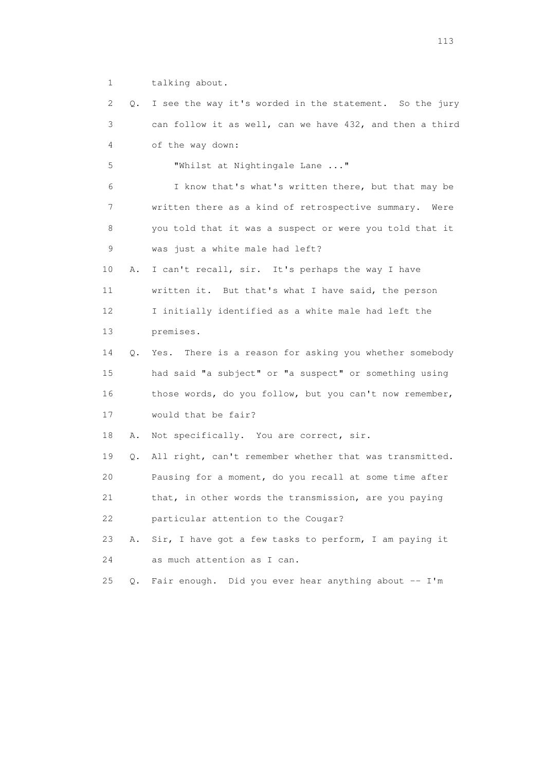1 talking about.

 2 Q. I see the way it's worded in the statement. So the jury 3 can follow it as well, can we have 432, and then a third 4 of the way down: 5 "Whilst at Nightingale Lane ..." 6 I know that's what's written there, but that may be 7 written there as a kind of retrospective summary. Were 8 you told that it was a suspect or were you told that it 9 was just a white male had left? 10 A. I can't recall, sir. It's perhaps the way I have 11 written it. But that's what I have said, the person 12 I initially identified as a white male had left the 13 premises. 14 Q. Yes. There is a reason for asking you whether somebody 15 had said "a subject" or "a suspect" or something using 16 those words, do you follow, but you can't now remember, 17 would that be fair? 18 A. Not specifically. You are correct, sir. 19 Q. All right, can't remember whether that was transmitted. 20 Pausing for a moment, do you recall at some time after 21 that, in other words the transmission, are you paying 22 particular attention to the Cougar? 23 A. Sir, I have got a few tasks to perform, I am paying it 24 as much attention as I can. 25 Q. Fair enough. Did you ever hear anything about -- I'm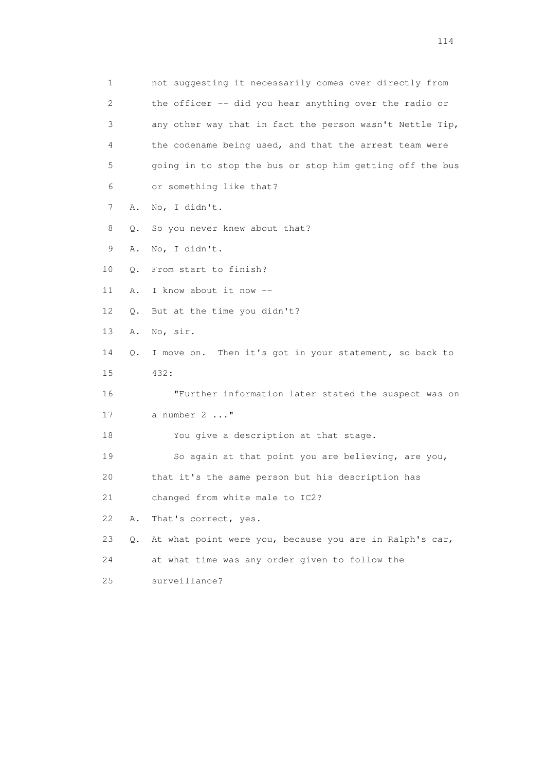1 not suggesting it necessarily comes over directly from 2 the officer -- did you hear anything over the radio or 3 any other way that in fact the person wasn't Nettle Tip, 4 the codename being used, and that the arrest team were 5 going in to stop the bus or stop him getting off the bus 6 or something like that? 7 A. No, I didn't. 8 Q. So you never knew about that? 9 A. No, I didn't. 10 Q. From start to finish? 11 A. I know about it now -- 12 Q. But at the time you didn't? 13 A. No, sir. 14 Q. I move on. Then it's got in your statement, so back to 15 432: 16 "Further information later stated the suspect was on 17 a number 2 ..." 18 You give a description at that stage. 19 So again at that point you are believing, are you, 20 that it's the same person but his description has 21 changed from white male to IC2? 22 A. That's correct, yes. 23 Q. At what point were you, because you are in Ralph's car, 24 at what time was any order given to follow the 25 surveillance?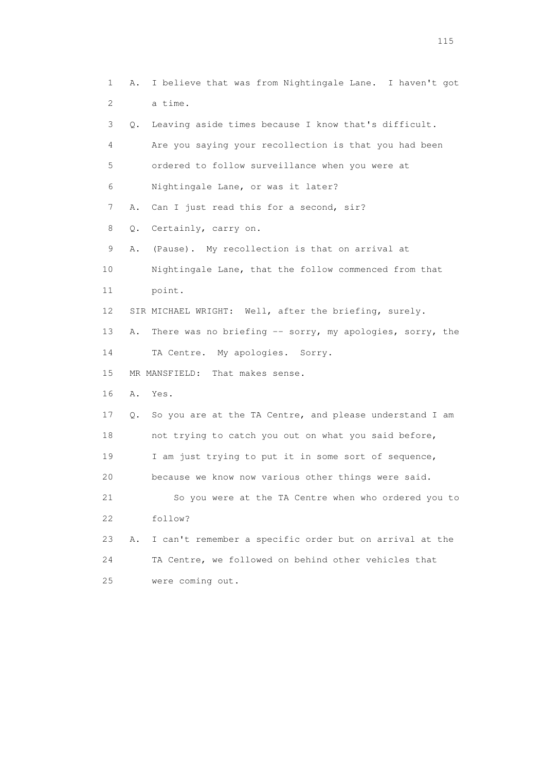1 A. I believe that was from Nightingale Lane. I haven't got 2 a time. 3 Q. Leaving aside times because I know that's difficult. 4 Are you saying your recollection is that you had been 5 ordered to follow surveillance when you were at 6 Nightingale Lane, or was it later? 7 A. Can I just read this for a second, sir? 8 Q. Certainly, carry on. 9 A. (Pause). My recollection is that on arrival at 10 Nightingale Lane, that the follow commenced from that 11 point. 12 SIR MICHAEL WRIGHT: Well, after the briefing, surely. 13 A. There was no briefing -- sorry, my apologies, sorry, the 14 TA Centre. My apologies. Sorry. 15 MR MANSFIELD: That makes sense. 16 A. Yes. 17 Q. So you are at the TA Centre, and please understand I am 18 not trying to catch you out on what you said before, 19 I am just trying to put it in some sort of sequence, 20 because we know now various other things were said. 21 So you were at the TA Centre when who ordered you to 22 follow? 23 A. I can't remember a specific order but on arrival at the 24 TA Centre, we followed on behind other vehicles that 25 were coming out.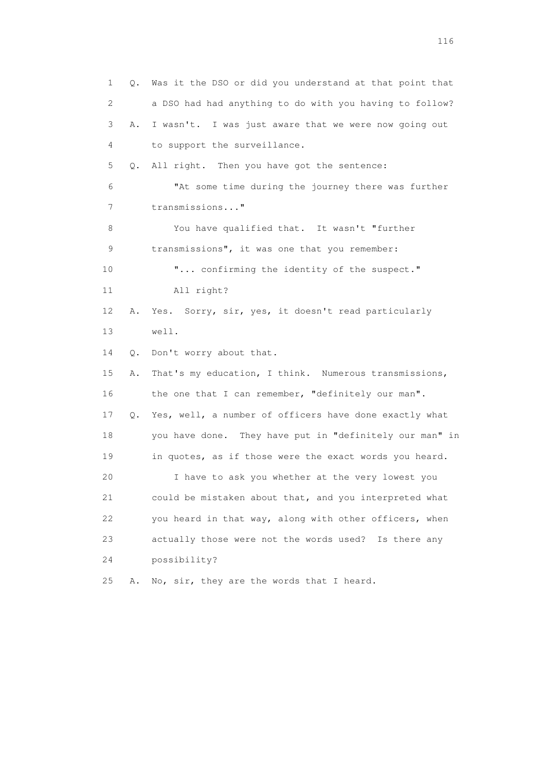1 Q. Was it the DSO or did you understand at that point that 2 a DSO had had anything to do with you having to follow? 3 A. I wasn't. I was just aware that we were now going out 4 to support the surveillance. 5 Q. All right. Then you have got the sentence: 6 "At some time during the journey there was further 7 transmissions..." 8 You have qualified that. It wasn't "further 9 transmissions", it was one that you remember: 10  $\ldots$  confirming the identity of the suspect." 11 All right? 12 A. Yes. Sorry, sir, yes, it doesn't read particularly 13 well. 14 Q. Don't worry about that. 15 A. That's my education, I think. Numerous transmissions, 16 the one that I can remember, "definitely our man". 17 Q. Yes, well, a number of officers have done exactly what 18 you have done. They have put in "definitely our man" in 19 in quotes, as if those were the exact words you heard. 20 I have to ask you whether at the very lowest you 21 could be mistaken about that, and you interpreted what 22 you heard in that way, along with other officers, when 23 actually those were not the words used? Is there any 24 possibility? 25 A. No, sir, they are the words that I heard.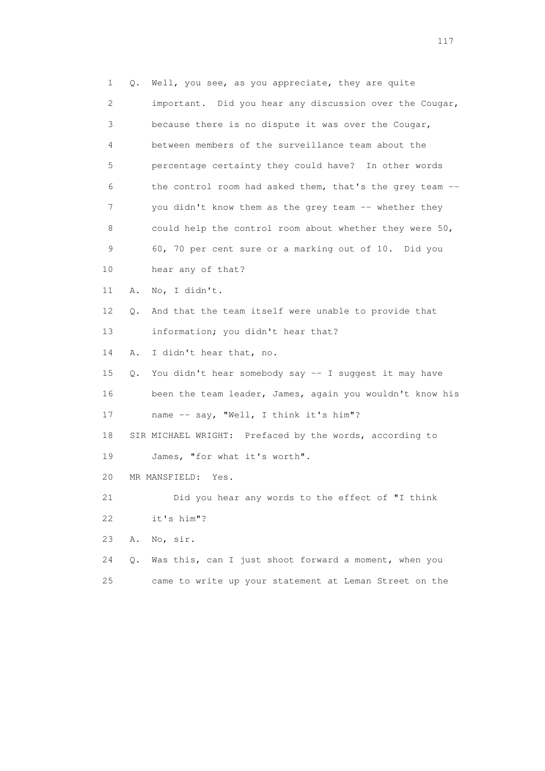1 Q. Well, you see, as you appreciate, they are quite 2 important. Did you hear any discussion over the Cougar, 3 because there is no dispute it was over the Cougar, 4 between members of the surveillance team about the 5 percentage certainty they could have? In other words 6 the control room had asked them, that's the grey team -- 7 you didn't know them as the grey team -- whether they 8 could help the control room about whether they were 50, 9 60, 70 per cent sure or a marking out of 10. Did you 10 hear any of that? 11 A. No, I didn't. 12 Q. And that the team itself were unable to provide that 13 information; you didn't hear that? 14 A. I didn't hear that, no. 15 Q. You didn't hear somebody say -- I suggest it may have 16 been the team leader, James, again you wouldn't know his 17 name -- say, "Well, I think it's him"? 18 SIR MICHAEL WRIGHT: Prefaced by the words, according to 19 James, "for what it's worth". 20 MR MANSFIELD: Yes. 21 Did you hear any words to the effect of "I think 22 it's him"? 23 A. No, sir. 24 Q. Was this, can I just shoot forward a moment, when you 25 came to write up your statement at Leman Street on the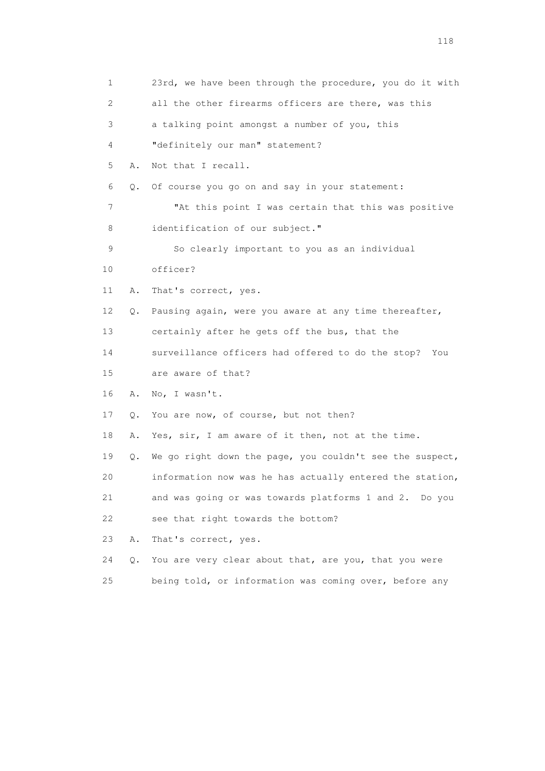| 1                         |    | 23rd, we have been through the procedure, you do it with |
|---------------------------|----|----------------------------------------------------------|
| $\mathbf{2}^{\mathsf{I}}$ |    | all the other firearms officers are there, was this      |
| 3                         |    | a talking point amongst a number of you, this            |
| 4                         |    | "definitely our man" statement?                          |
| 5                         | Α. | Not that I recall.                                       |
| 6                         | Q. | Of course you go on and say in your statement:           |
| 7                         |    | "At this point I was certain that this was positive      |
| 8                         |    | identification of our subject."                          |
| 9                         |    | So clearly important to you as an individual             |
| 10                        |    | officer?                                                 |
| 11                        | Α. | That's correct, yes.                                     |
| 12                        | Q. | Pausing again, were you aware at any time thereafter,    |
| 13                        |    | certainly after he gets off the bus, that the            |
| 14                        |    | surveillance officers had offered to do the stop? You    |
| 15                        |    | are aware of that?                                       |
| 16                        | Α. | No, I wasn't.                                            |
| 17                        | Q. | You are now, of course, but not then?                    |
| 18                        | Α. | Yes, sir, I am aware of it then, not at the time.        |
| 19                        | Q. | We go right down the page, you couldn't see the suspect, |
| 20                        |    | information now was he has actually entered the station, |
| 21                        |    | and was going or was towards platforms 1 and 2. Do you   |
| 22                        |    | see that right towards the bottom?                       |
| 23                        | Α. | That's correct, yes.                                     |
| 24                        | Q. | You are very clear about that, are you, that you were    |
| 25                        |    | being told, or information was coming over, before any   |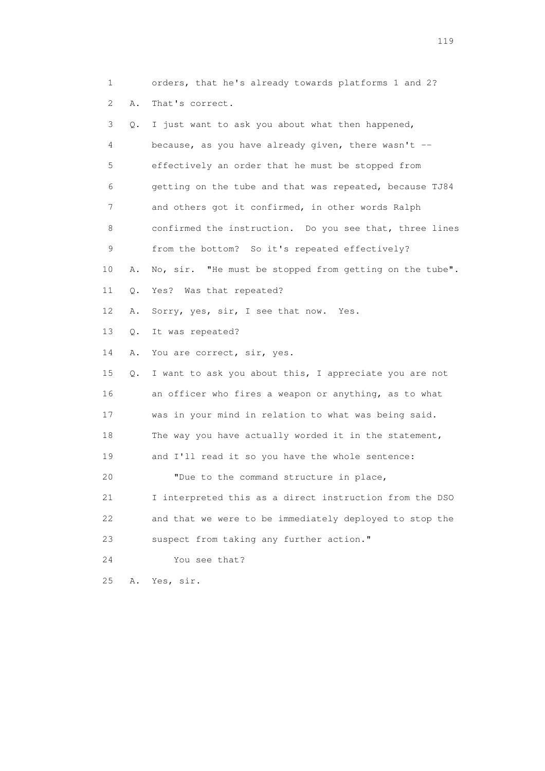1 orders, that he's already towards platforms 1 and 2? 2 A. That's correct. 3 Q. I just want to ask you about what then happened, 4 because, as you have already given, there wasn't -- 5 effectively an order that he must be stopped from 6 getting on the tube and that was repeated, because TJ84 7 and others got it confirmed, in other words Ralph 8 confirmed the instruction. Do you see that, three lines 9 from the bottom? So it's repeated effectively? 10 A. No, sir. "He must be stopped from getting on the tube". 11 Q. Yes? Was that repeated? 12 A. Sorry, yes, sir, I see that now. Yes. 13 Q. It was repeated? 14 A. You are correct, sir, yes. 15 Q. I want to ask you about this, I appreciate you are not 16 an officer who fires a weapon or anything, as to what 17 was in your mind in relation to what was being said. 18 The way you have actually worded it in the statement, 19 and I'll read it so you have the whole sentence: 20 "Due to the command structure in place, 21 I interpreted this as a direct instruction from the DSO 22 and that we were to be immediately deployed to stop the 23 suspect from taking any further action." 24 You see that? 25 A. Yes, sir.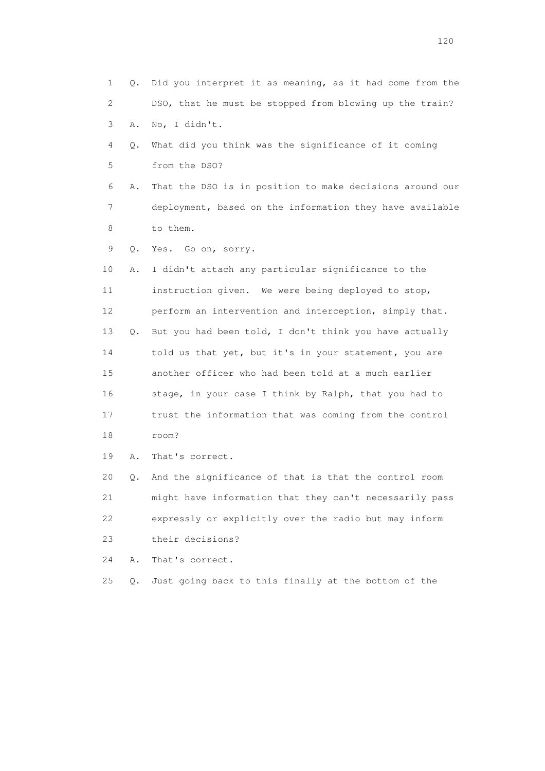| 1  | 0. | Did you interpret it as meaning, as it had come from the |
|----|----|----------------------------------------------------------|
| 2  |    | DSO, that he must be stopped from blowing up the train?  |
| 3  | Α. | No, I didn't.                                            |
| 4  | Q. | What did you think was the significance of it coming     |
| 5  |    | from the DSO?                                            |
| 6  | Α. | That the DSO is in position to make decisions around our |
| 7  |    | deployment, based on the information they have available |
| 8  |    | to them.                                                 |
| 9  | Q. | Yes. Go on, sorry.                                       |
| 10 | Α. | I didn't attach any particular significance to the       |
| 11 |    | instruction given. We were being deployed to stop,       |
| 12 |    | perform an intervention and interception, simply that.   |
| 13 | Q. | But you had been told, I don't think you have actually   |
| 14 |    | told us that yet, but it's in your statement, you are    |
| 15 |    | another officer who had been told at a much earlier      |
| 16 |    | stage, in your case I think by Ralph, that you had to    |
| 17 |    | trust the information that was coming from the control   |
| 18 |    | room?                                                    |
| 19 | Α. | That's correct.                                          |
| 20 | Q. | And the significance of that is that the control room    |
| 21 |    | might have information that they can't necessarily pass  |
| 22 |    | expressly or explicitly over the radio but may inform    |
| 23 |    | their decisions?                                         |
| 24 | Α. | That's correct.                                          |
| 25 | Q. | Just going back to this finally at the bottom of the     |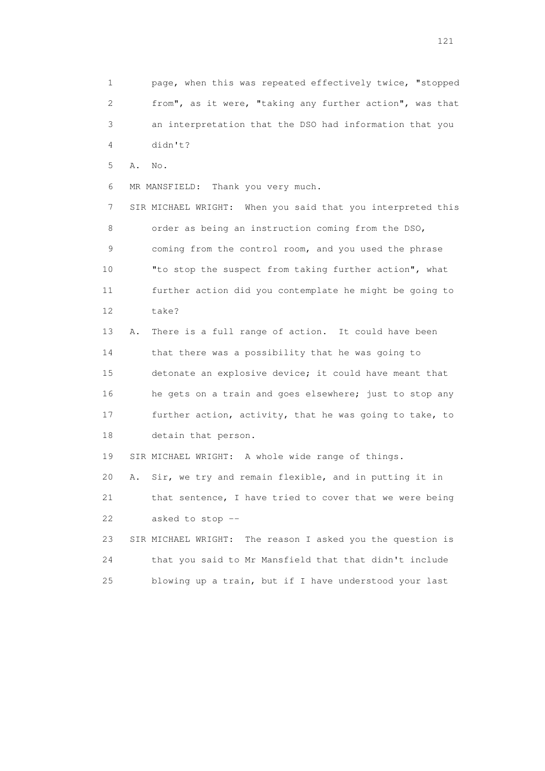1 page, when this was repeated effectively twice, "stopped 2 from", as it were, "taking any further action", was that 3 an interpretation that the DSO had information that you 4 didn't? 5 A. No. 6 MR MANSFIELD: Thank you very much. 7 SIR MICHAEL WRIGHT: When you said that you interpreted this 8 order as being an instruction coming from the DSO, 9 coming from the control room, and you used the phrase

 10 "to stop the suspect from taking further action", what 11 further action did you contemplate he might be going to 12 take?

 13 A. There is a full range of action. It could have been 14 that there was a possibility that he was going to 15 detonate an explosive device; it could have meant that 16 he gets on a train and goes elsewhere; just to stop any 17 further action, activity, that he was going to take, to 18 detain that person.

19 SIR MICHAEL WRIGHT: A whole wide range of things.

20 A. Sir, we try and remain flexible, and in putting it in

 21 that sentence, I have tried to cover that we were being 22 asked to stop --

 23 SIR MICHAEL WRIGHT: The reason I asked you the question is 24 that you said to Mr Mansfield that that didn't include 25 blowing up a train, but if I have understood your last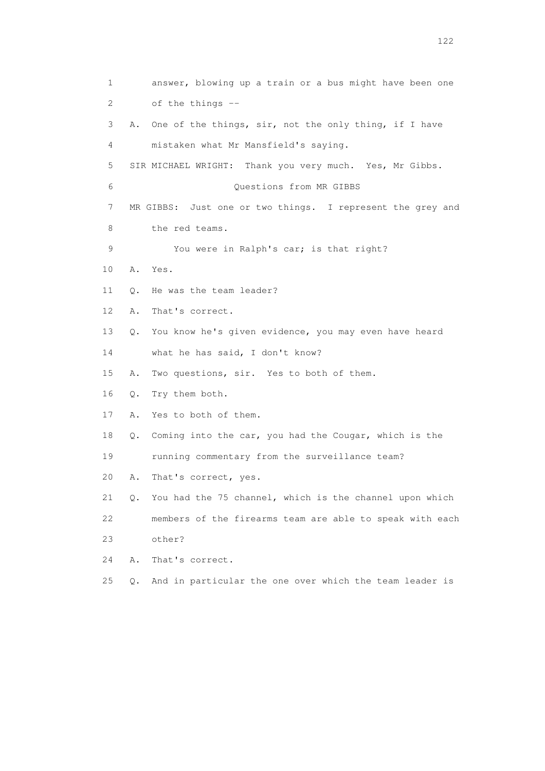1 answer, blowing up a train or a bus might have been one 2 of the things -- 3 A. One of the things, sir, not the only thing, if I have 4 mistaken what Mr Mansfield's saying. 5 SIR MICHAEL WRIGHT: Thank you very much. Yes, Mr Gibbs. 6 Questions from MR GIBBS 7 MR GIBBS: Just one or two things. I represent the grey and 8 the red teams. 9 You were in Ralph's car; is that right? 10 A. Yes. 11 O. He was the team leader? 12 A. That's correct. 13 Q. You know he's given evidence, you may even have heard 14 what he has said, I don't know? 15 A. Two questions, sir. Yes to both of them. 16 Q. Try them both. 17 A. Yes to both of them. 18 Q. Coming into the car, you had the Cougar, which is the 19 running commentary from the surveillance team? 20 A. That's correct, yes. 21 Q. You had the 75 channel, which is the channel upon which 22 members of the firearms team are able to speak with each 23 other? 24 A. That's correct. 25 Q. And in particular the one over which the team leader is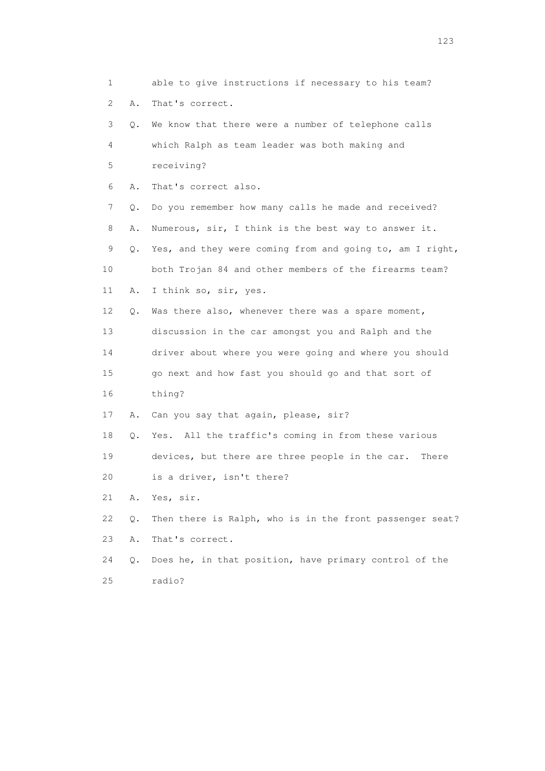1 able to give instructions if necessary to his team? 2 A. That's correct. 3 Q. We know that there were a number of telephone calls 4 which Ralph as team leader was both making and 5 receiving? 6 A. That's correct also. 7 Q. Do you remember how many calls he made and received? 8 A. Numerous, sir, I think is the best way to answer it. 9 Q. Yes, and they were coming from and going to, am I right, 10 both Trojan 84 and other members of the firearms team? 11 A. I think so, sir, yes. 12 Q. Was there also, whenever there was a spare moment, 13 discussion in the car amongst you and Ralph and the 14 driver about where you were going and where you should 15 go next and how fast you should go and that sort of 16 thing? 17 A. Can you say that again, please, sir? 18 Q. Yes. All the traffic's coming in from these various 19 devices, but there are three people in the car. There 20 is a driver, isn't there? 21 A. Yes, sir. 22 Q. Then there is Ralph, who is in the front passenger seat? 23 A. That's correct. 24 Q. Does he, in that position, have primary control of the 25 radio?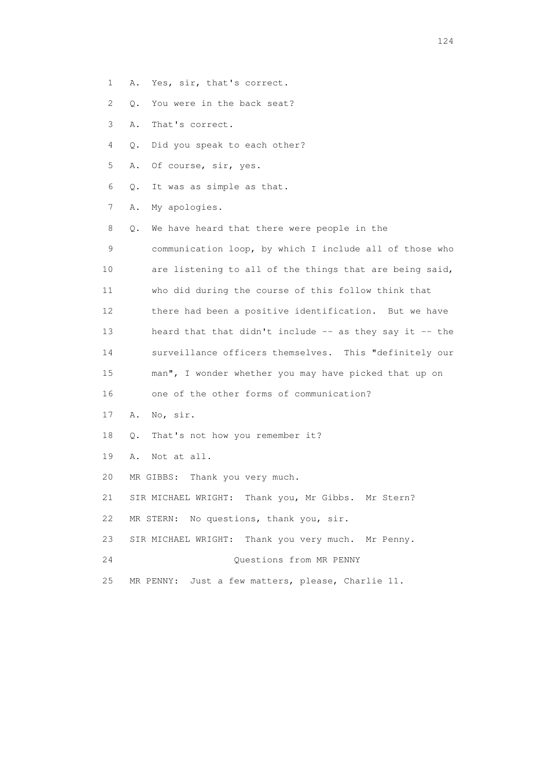- 1 A. Yes, sir, that's correct.
- 2 Q. You were in the back seat?
- 3 A. That's correct.
- 4 Q. Did you speak to each other?
- 5 A. Of course, sir, yes.
- 6 Q. It was as simple as that.
- 7 A. My apologies.

 8 Q. We have heard that there were people in the 9 communication loop, by which I include all of those who 10 are listening to all of the things that are being said, 11 who did during the course of this follow think that 12 there had been a positive identification. But we have 13 heard that that didn't include -- as they say it -- the 14 surveillance officers themselves. This "definitely our 15 man", I wonder whether you may have picked that up on 16 one of the other forms of communication? 17 A. No, sir. 18 Q. That's not how you remember it? 19 A. Not at all. 20 MR GIBBS: Thank you very much. 21 SIR MICHAEL WRIGHT: Thank you, Mr Gibbs. Mr Stern? 22 MR STERN: No questions, thank you, sir.

- 23 SIR MICHAEL WRIGHT: Thank you very much. Mr Penny.
- 24 Questions from MR PENNY
- 25 MR PENNY: Just a few matters, please, Charlie 11.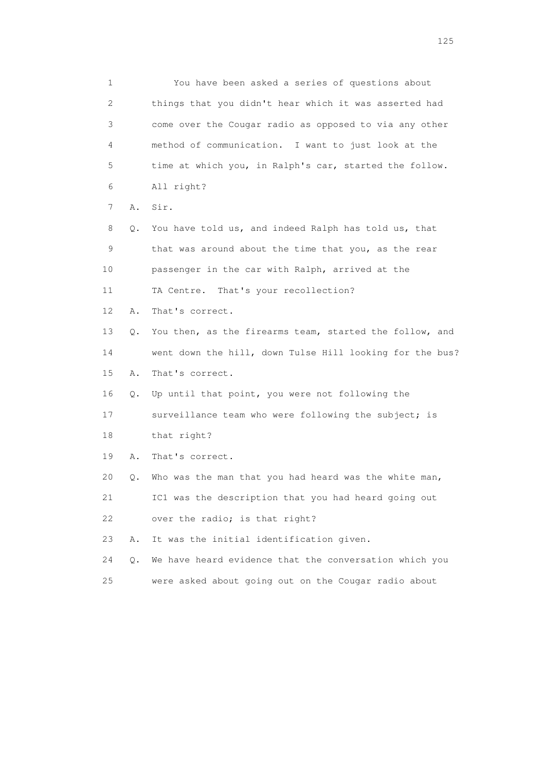1 You have been asked a series of questions about 2 things that you didn't hear which it was asserted had 3 come over the Cougar radio as opposed to via any other 4 method of communication. I want to just look at the 5 time at which you, in Ralph's car, started the follow. 6 All right? 7 A. Sir. 8 Q. You have told us, and indeed Ralph has told us, that 9 that was around about the time that you, as the rear 10 passenger in the car with Ralph, arrived at the 11 TA Centre. That's your recollection? 12 A. That's correct. 13 Q. You then, as the firearms team, started the follow, and 14 went down the hill, down Tulse Hill looking for the bus? 15 A. That's correct. 16 Q. Up until that point, you were not following the 17 surveillance team who were following the subject; is 18 that right? 19 A. That's correct. 20 Q. Who was the man that you had heard was the white man, 21 IC1 was the description that you had heard going out 22 over the radio; is that right? 23 A. It was the initial identification given. 24 Q. We have heard evidence that the conversation which you 25 were asked about going out on the Cougar radio about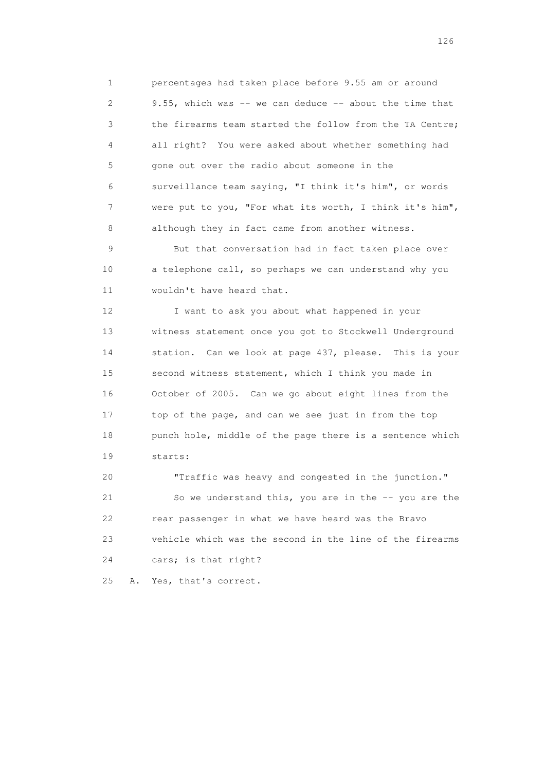1 percentages had taken place before 9.55 am or around 2 9.55, which was -- we can deduce -- about the time that 3 the firearms team started the follow from the TA Centre; 4 all right? You were asked about whether something had 5 gone out over the radio about someone in the 6 surveillance team saying, "I think it's him", or words 7 were put to you, "For what its worth, I think it's him", 8 although they in fact came from another witness.

 9 But that conversation had in fact taken place over 10 a telephone call, so perhaps we can understand why you 11 wouldn't have heard that.

 12 I want to ask you about what happened in your 13 witness statement once you got to Stockwell Underground 14 station. Can we look at page 437, please. This is your 15 second witness statement, which I think you made in 16 October of 2005. Can we go about eight lines from the 17 top of the page, and can we see just in from the top 18 punch hole, middle of the page there is a sentence which 19 starts:

 20 "Traffic was heavy and congested in the junction." 21 So we understand this, you are in the -- you are the 22 rear passenger in what we have heard was the Bravo 23 vehicle which was the second in the line of the firearms 24 cars; is that right?

25 A. Yes, that's correct.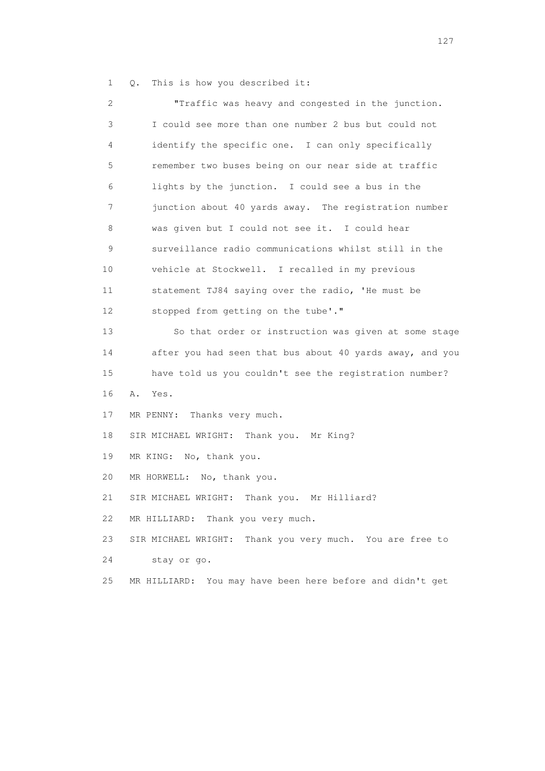1 Q. This is how you described it:

 2 "Traffic was heavy and congested in the junction. 3 I could see more than one number 2 bus but could not 4 identify the specific one. I can only specifically 5 remember two buses being on our near side at traffic 6 lights by the junction. I could see a bus in the 7 junction about 40 yards away. The registration number 8 was given but I could not see it. I could hear 9 surveillance radio communications whilst still in the 10 vehicle at Stockwell. I recalled in my previous 11 statement TJ84 saying over the radio, 'He must be 12 stopped from getting on the tube'." 13 So that order or instruction was given at some stage 14 after you had seen that bus about 40 yards away, and you 15 have told us you couldn't see the registration number? 16 A. Yes. 17 MR PENNY: Thanks very much. 18 SIR MICHAEL WRIGHT: Thank you. Mr King? 19 MR KING: No, thank you. 20 MR HORWELL: No, thank you. 21 SIR MICHAEL WRIGHT: Thank you. Mr Hilliard? 22 MR HILLIARD: Thank you very much. 23 SIR MICHAEL WRIGHT: Thank you very much. You are free to 24 stay or go. 25 MR HILLIARD: You may have been here before and didn't get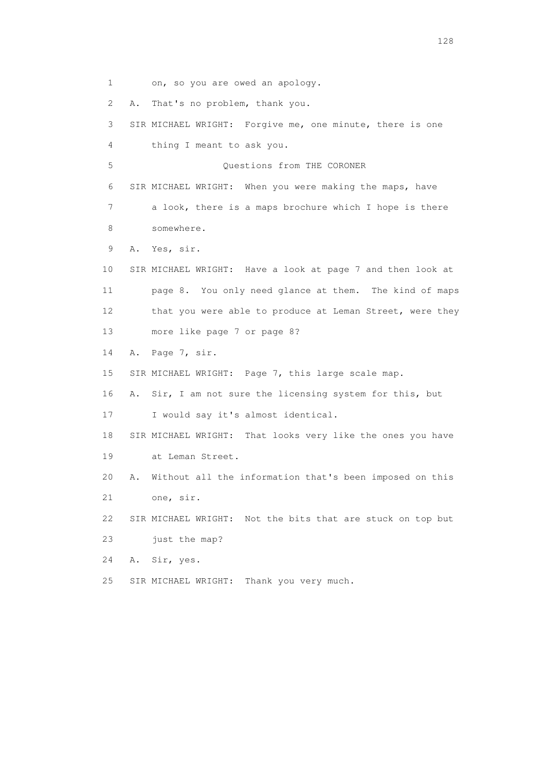1 on, so you are owed an apology. 2 A. That's no problem, thank you. 3 SIR MICHAEL WRIGHT: Forgive me, one minute, there is one 4 thing I meant to ask you. 5 Questions from THE CORONER 6 SIR MICHAEL WRIGHT: When you were making the maps, have 7 a look, there is a maps brochure which I hope is there 8 somewhere. 9 A. Yes, sir. 10 SIR MICHAEL WRIGHT: Have a look at page 7 and then look at 11 page 8. You only need glance at them. The kind of maps 12 that you were able to produce at Leman Street, were they 13 more like page 7 or page 8? 14 A. Page 7, sir. 15 SIR MICHAEL WRIGHT: Page 7, this large scale map. 16 A. Sir, I am not sure the licensing system for this, but 17 I would say it's almost identical. 18 SIR MICHAEL WRIGHT: That looks very like the ones you have 19 at Leman Street. 20 A. Without all the information that's been imposed on this 21 one, sir. 22 SIR MICHAEL WRIGHT: Not the bits that are stuck on top but 23 just the map? 24 A. Sir, yes. 25 SIR MICHAEL WRIGHT: Thank you very much.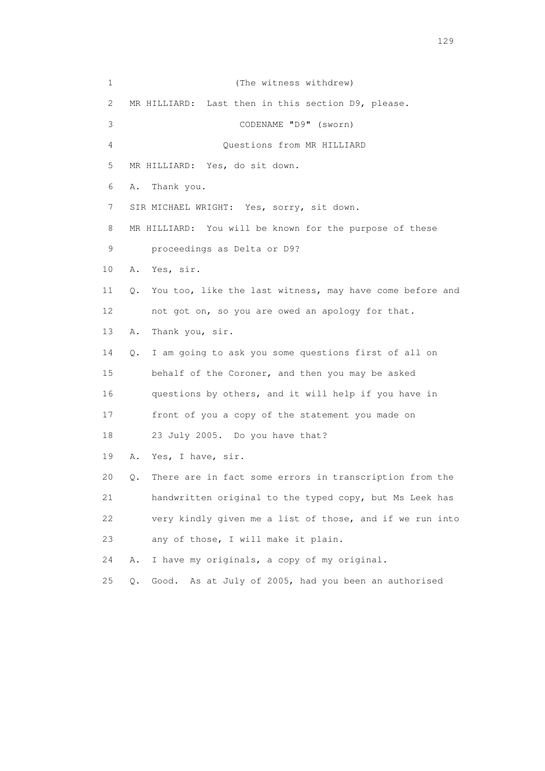1 (The witness withdrew) 2 MR HILLIARD: Last then in this section D9, please. 3 CODENAME "D9" (sworn) 4 Questions from MR HILLIARD 5 MR HILLIARD: Yes, do sit down. 6 A. Thank you. 7 SIR MICHAEL WRIGHT: Yes, sorry, sit down. 8 MR HILLIARD: You will be known for the purpose of these 9 proceedings as Delta or D9? 10 A. Yes, sir. 11 Q. You too, like the last witness, may have come before and 12 not got on, so you are owed an apology for that. 13 A. Thank you, sir. 14 Q. I am going to ask you some questions first of all on 15 behalf of the Coroner, and then you may be asked 16 questions by others, and it will help if you have in 17 front of you a copy of the statement you made on 18 23 July 2005. Do you have that? 19 A. Yes, I have, sir. 20 Q. There are in fact some errors in transcription from the 21 handwritten original to the typed copy, but Ms Leek has 22 very kindly given me a list of those, and if we run into 23 any of those, I will make it plain. 24 A. I have my originals, a copy of my original. 25 Q. Good. As at July of 2005, had you been an authorised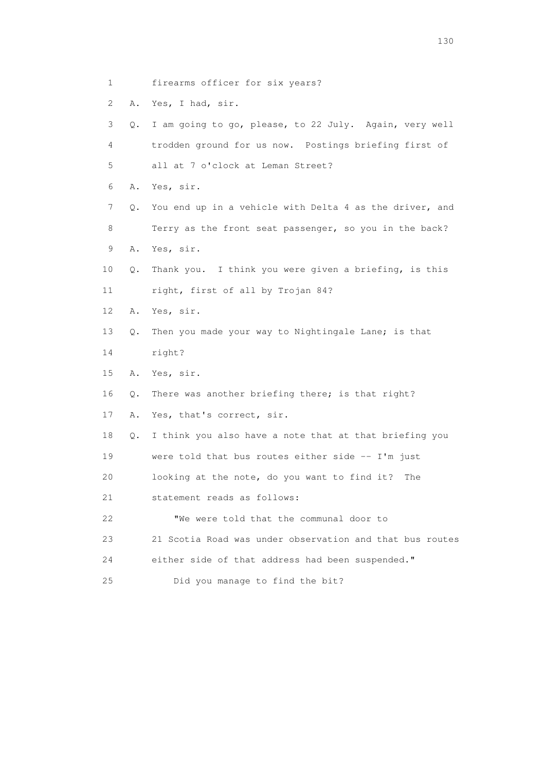- 1 firearms officer for six years?
- 2 A. Yes, I had, sir.
- 3 Q. I am going to go, please, to 22 July. Again, very well 4 trodden ground for us now. Postings briefing first of 5 all at 7 o'clock at Leman Street? 6 A. Yes, sir. 7 Q. You end up in a vehicle with Delta 4 as the driver, and
- 8 Terry as the front seat passenger, so you in the back? 9 A. Yes, sir.
- 10 Q. Thank you. I think you were given a briefing, is this 11 right, first of all by Trojan 84?
- 12 A. Yes, sir.
- 13 Q. Then you made your way to Nightingale Lane; is that
- 14 right?
- 15 A. Yes, sir.
- 16 Q. There was another briefing there; is that right?
- 17 A. Yes, that's correct, sir.
- 18 Q. I think you also have a note that at that briefing you 19 were told that bus routes either side -- I'm just
- 20 looking at the note, do you want to find it? The
- 21 statement reads as follows:
- 22 "We were told that the communal door to 23 21 Scotia Road was under observation and that bus routes 24 either side of that address had been suspended."
- 25 Did you manage to find the bit?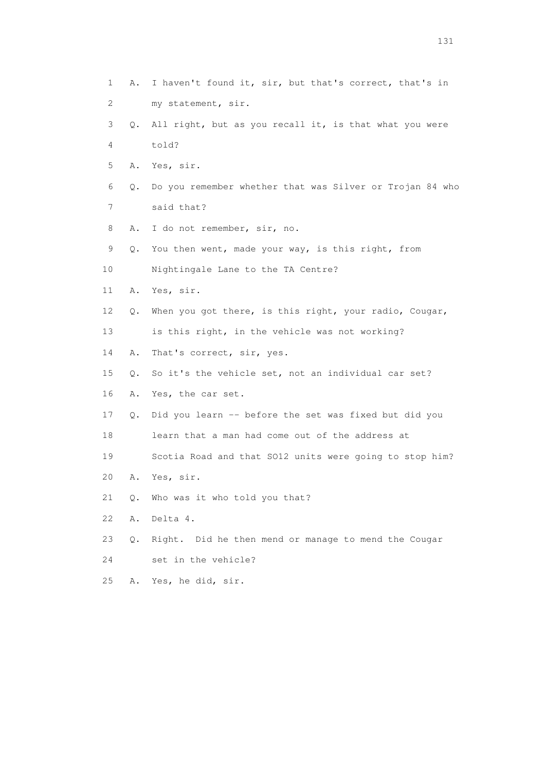1 A. I haven't found it, sir, but that's correct, that's in 2 my statement, sir. 3 Q. All right, but as you recall it, is that what you were 4 told? 5 A. Yes, sir. 6 Q. Do you remember whether that was Silver or Trojan 84 who 7 said that? 8 A. I do not remember, sir, no. 9 Q. You then went, made your way, is this right, from 10 Nightingale Lane to the TA Centre? 11 A. Yes, sir. 12 Q. When you got there, is this right, your radio, Cougar, 13 is this right, in the vehicle was not working? 14 A. That's correct, sir, yes. 15 Q. So it's the vehicle set, not an individual car set? 16 A. Yes, the car set. 17 Q. Did you learn -- before the set was fixed but did you 18 learn that a man had come out of the address at 19 Scotia Road and that SO12 units were going to stop him? 20 A. Yes, sir. 21 Q. Who was it who told you that? 22 A. Delta 4. 23 Q. Right. Did he then mend or manage to mend the Cougar 24 set in the vehicle? 25 A. Yes, he did, sir.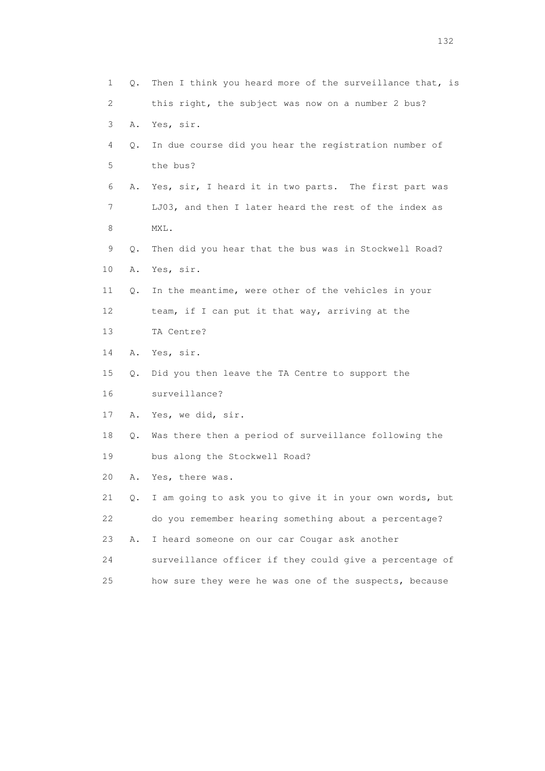| 1               | Q. | Then I think you heard more of the surveillance that, is |
|-----------------|----|----------------------------------------------------------|
| 2               |    | this right, the subject was now on a number 2 bus?       |
| 3               | Α. | Yes, sir.                                                |
| 4               | Q. | In due course did you hear the registration number of    |
| 5               |    | the bus?                                                 |
| 6               | Α. | Yes, sir, I heard it in two parts. The first part was    |
| 7               |    | LJ03, and then I later heard the rest of the index as    |
| 8               |    | MXL.                                                     |
| 9               | Q. | Then did you hear that the bus was in Stockwell Road?    |
| 10              | Α. | Yes, sir.                                                |
| 11              | Q. | In the meantime, were other of the vehicles in your      |
| 12 <sup>°</sup> |    | team, if I can put it that way, arriving at the          |
| 13              |    | TA Centre?                                               |
| 14              | Α. | Yes, sir.                                                |
| 15              | Q. | Did you then leave the TA Centre to support the          |
| 16              |    | surveillance?                                            |
| 17              | Α. | Yes, we did, sir.                                        |
| 18              | Q. | Was there then a period of surveillance following the    |
| 19              |    | bus along the Stockwell Road?                            |
| 20              | Α. | Yes, there was.                                          |
| 21              | Q. | I am going to ask you to give it in your own words, but  |
| 22              |    | do you remember hearing something about a percentage?    |
| 23              | Α. | I heard someone on our car Cougar ask another            |
| 24              |    | surveillance officer if they could give a percentage of  |
| 25              |    | how sure they were he was one of the suspects, because   |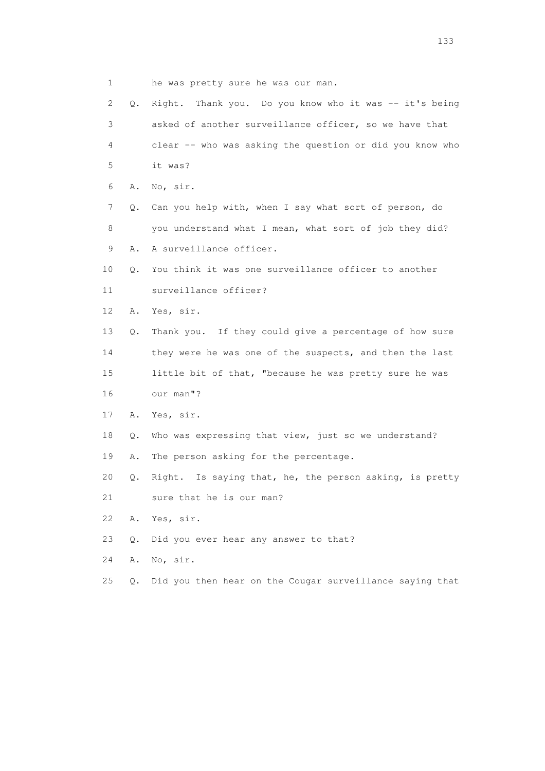1 he was pretty sure he was our man.

| $\mathbf{2}^{\mathsf{I}}$ | Q.    | Right. Thank you. Do you know who it was -- it's being   |
|---------------------------|-------|----------------------------------------------------------|
| 3                         |       | asked of another surveillance officer, so we have that   |
| 4                         |       | clear -- who was asking the question or did you know who |
| 5                         |       | it was?                                                  |
| 6                         | Α.    | No, sir.                                                 |
| 7                         | Q.    | Can you help with, when I say what sort of person, do    |
| 8                         |       | you understand what I mean, what sort of job they did?   |
| 9                         | Α.    | A surveillance officer.                                  |
| 10                        | Q.    | You think it was one surveillance officer to another     |
| 11                        |       | surveillance officer?                                    |
| 12 <sup>°</sup>           | Α.    | Yes, sir.                                                |
| 13                        | Q.    | Thank you. If they could give a percentage of how sure   |
| 14                        |       | they were he was one of the suspects, and then the last  |
| 15                        |       | little bit of that, "because he was pretty sure he was   |
| 16                        |       | our man"?                                                |
| 17                        | Α.    | Yes, sir.                                                |
| 18                        | Q.    | Who was expressing that view, just so we understand?     |
| 19                        | Α.    | The person asking for the percentage.                    |
| 20                        | Q.    | Right. Is saying that, he, the person asking, is pretty  |
| 21                        |       | sure that he is our man?                                 |
| 22                        | Α.    | Yes, sir.                                                |
| 23                        | $Q$ . | Did you ever hear any answer to that?                    |
| 24                        | Α.    | No, sir.                                                 |
| 25                        | $Q$ . | Did you then hear on the Cougar surveillance saying that |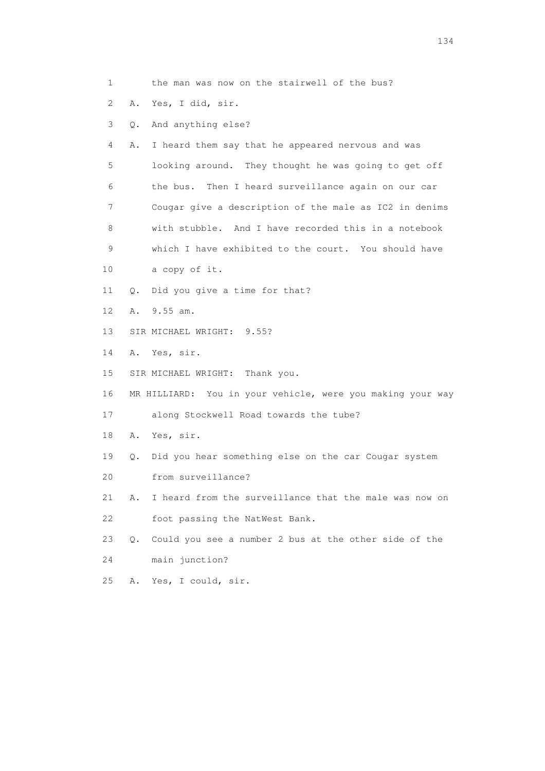|  |  | the man was now on the stairwell of the bus? |  |
|--|--|----------------------------------------------|--|
|--|--|----------------------------------------------|--|

- 2 A. Yes, I did, sir.
- 3 Q. And anything else?

 4 A. I heard them say that he appeared nervous and was 5 looking around. They thought he was going to get off 6 the bus. Then I heard surveillance again on our car 7 Cougar give a description of the male as IC2 in denims 8 with stubble. And I have recorded this in a notebook 9 which I have exhibited to the court. You should have

- 10 a copy of it.
- 11 Q. Did you give a time for that?
- 12 A. 9.55 am.
- 13 SIR MICHAEL WRIGHT: 9.55?
- 14 A. Yes, sir.
- 15 SIR MICHAEL WRIGHT: Thank you.
- 16 MR HILLIARD: You in your vehicle, were you making your way
- 17 along Stockwell Road towards the tube?
- 18 A. Yes, sir.
- 19 Q. Did you hear something else on the car Cougar system
- 20 from surveillance?
- 21 A. I heard from the surveillance that the male was now on 22 foot passing the NatWest Bank.
- 23 Q. Could you see a number 2 bus at the other side of the 24 main junction?
- 25 A. Yes, I could, sir.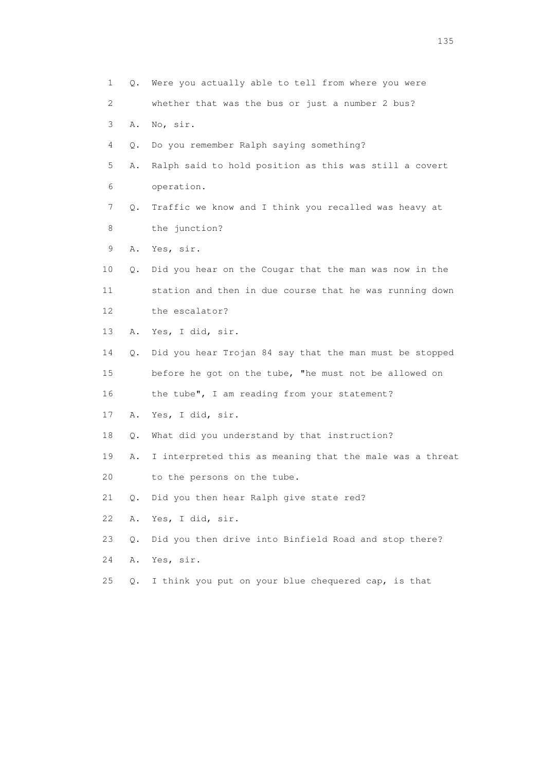1 Q. Were you actually able to tell from where you were 2 whether that was the bus or just a number 2 bus? 3 A. No, sir. 4 Q. Do you remember Ralph saying something? 5 A. Ralph said to hold position as this was still a covert 6 operation. 7 Q. Traffic we know and I think you recalled was heavy at 8 the junction? 9 A. Yes, sir. 10 Q. Did you hear on the Cougar that the man was now in the 11 station and then in due course that he was running down 12 the escalator? 13 A. Yes, I did, sir. 14 Q. Did you hear Trojan 84 say that the man must be stopped 15 before he got on the tube, "he must not be allowed on 16 the tube", I am reading from your statement? 17 A. Yes, I did, sir. 18 Q. What did you understand by that instruction? 19 A. I interpreted this as meaning that the male was a threat 20 to the persons on the tube. 21 Q. Did you then hear Ralph give state red? 22 A. Yes, I did, sir. 23 Q. Did you then drive into Binfield Road and stop there? 24 A. Yes, sir. 25 Q. I think you put on your blue chequered cap, is that

n 135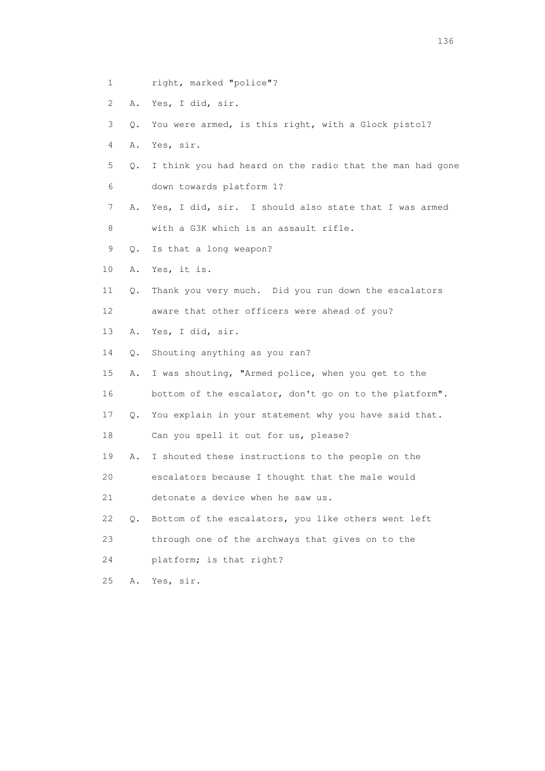- 1 right, marked "police"?
- 2 A. Yes, I did, sir.
- 3 Q. You were armed, is this right, with a Glock pistol?
- 4 A. Yes, sir.
- 5 Q. I think you had heard on the radio that the man had gone 6 down towards platform 1?
- 7 A. Yes, I did, sir. I should also state that I was armed 8 with a G3K which is an assault rifle.
- 9 Q. Is that a long weapon?
- 10 A. Yes, it is.
- 11 Q. Thank you very much. Did you run down the escalators 12 aware that other officers were ahead of you?
- 13 A. Yes, I did, sir.
- 14 Q. Shouting anything as you ran?
- 15 A. I was shouting, "Armed police, when you get to the 16 bottom of the escalator, don't go on to the platform".
- 17 Q. You explain in your statement why you have said that.
- 18 Can you spell it out for us, please?
- 19 A. I shouted these instructions to the people on the
- 20 escalators because I thought that the male would
- 21 detonate a device when he saw us.
- 22 Q. Bottom of the escalators, you like others went left
- 23 through one of the archways that gives on to the
- 24 platform; is that right?
- 25 A. Yes, sir.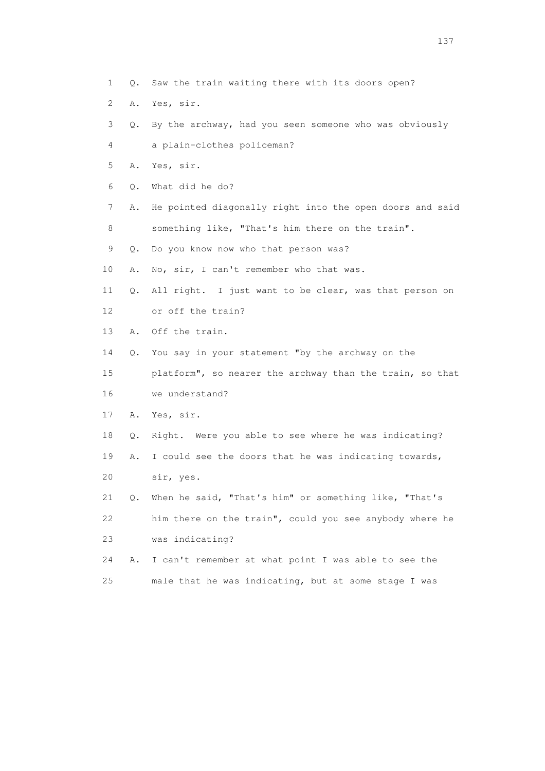- 1 Q. Saw the train waiting there with its doors open?
- 2 A. Yes, sir.
- 3 Q. By the archway, had you seen someone who was obviously
- 4 a plain-clothes policeman?
- 5 A. Yes, sir.
- 6 Q. What did he do?
- 7 A. He pointed diagonally right into the open doors and said 8 something like, "That's him there on the train".
- 9 Q. Do you know now who that person was?
- 10 A. No, sir, I can't remember who that was.
- 11 Q. All right. I just want to be clear, was that person on 12 or off the train?
- 13 A. Off the train.
- 14 Q. You say in your statement "by the archway on the
- 15 platform", so nearer the archway than the train, so that 16 we understand?
- 17 A. Yes, sir.
- 18 Q. Right. Were you able to see where he was indicating?
- 19 A. I could see the doors that he was indicating towards, 20 sir, yes.
- 21 Q. When he said, "That's him" or something like, "That's 22 him there on the train", could you see anybody where he 23 was indicating?
- 24 A. I can't remember at what point I was able to see the 25 male that he was indicating, but at some stage I was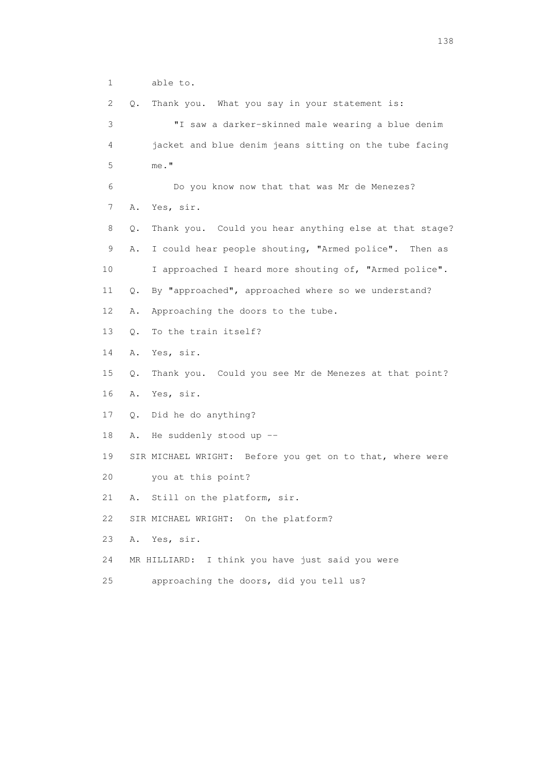1 able to.

 2 Q. Thank you. What you say in your statement is: 3 "I saw a darker-skinned male wearing a blue denim 4 jacket and blue denim jeans sitting on the tube facing 5 me." 6 Do you know now that that was Mr de Menezes? 7 A. Yes, sir. 8 Q. Thank you. Could you hear anything else at that stage? 9 A. I could hear people shouting, "Armed police". Then as 10 I approached I heard more shouting of, "Armed police". 11 Q. By "approached", approached where so we understand? 12 A. Approaching the doors to the tube. 13 Q. To the train itself? 14 A. Yes, sir. 15 Q. Thank you. Could you see Mr de Menezes at that point? 16 A. Yes, sir. 17 Q. Did he do anything? 18 A. He suddenly stood up -- 19 SIR MICHAEL WRIGHT: Before you get on to that, where were 20 you at this point? 21 A. Still on the platform, sir. 22 SIR MICHAEL WRIGHT: On the platform? 23 A. Yes, sir. 24 MR HILLIARD: I think you have just said you were 25 approaching the doors, did you tell us?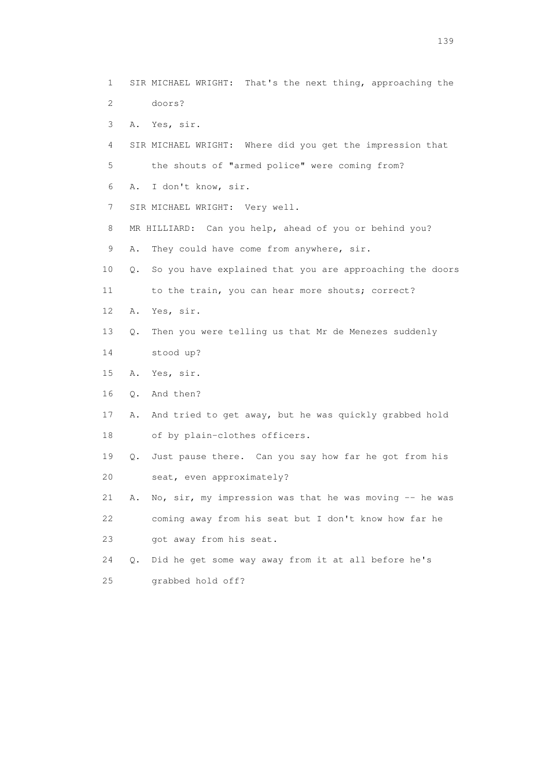1 SIR MICHAEL WRIGHT: That's the next thing, approaching the 2 doors? 3 A. Yes, sir. 4 SIR MICHAEL WRIGHT: Where did you get the impression that 5 the shouts of "armed police" were coming from? 6 A. I don't know, sir. 7 SIR MICHAEL WRIGHT: Very well. 8 MR HILLIARD: Can you help, ahead of you or behind you? 9 A. They could have come from anywhere, sir. 10 Q. So you have explained that you are approaching the doors 11 to the train, you can hear more shouts; correct? 12 A. Yes, sir. 13 Q. Then you were telling us that Mr de Menezes suddenly 14 stood up? 15 A. Yes, sir. 16 Q. And then? 17 A. And tried to get away, but he was quickly grabbed hold 18 of by plain-clothes officers. 19 Q. Just pause there. Can you say how far he got from his 20 seat, even approximately? 21 A. No, sir, my impression was that he was moving -- he was 22 coming away from his seat but I don't know how far he 23 got away from his seat. 24 Q. Did he get some way away from it at all before he's 25 grabbed hold off?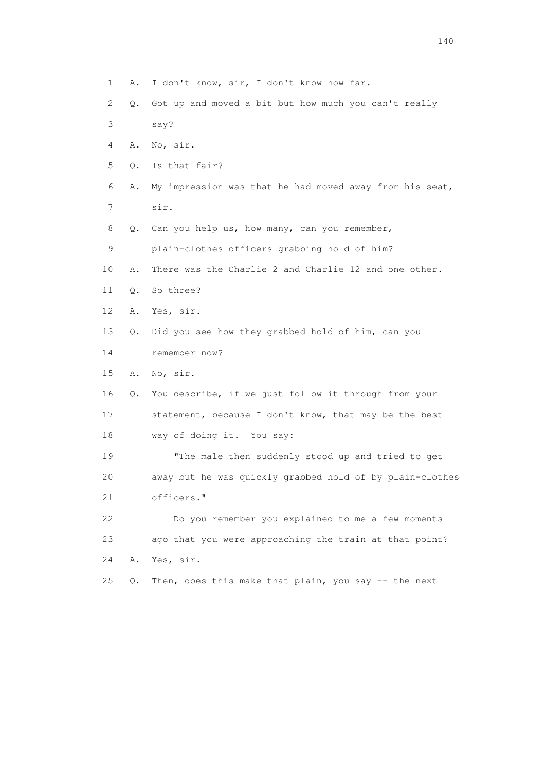- 1 A. I don't know, sir, I don't know how far.
- 2 Q. Got up and moved a bit but how much you can't really
- 3 say?
- 4 A. No, sir.
- 5 Q. Is that fair?
- 6 A. My impression was that he had moved away from his seat,
- 7 sir.
- 8 Q. Can you help us, how many, can you remember,
- 9 plain-clothes officers grabbing hold of him?
- 10 A. There was the Charlie 2 and Charlie 12 and one other.
- 11 Q. So three?
- 12 A. Yes, sir.
- 13 Q. Did you see how they grabbed hold of him, can you
- 14 remember now?
- 15 A. No, sir.
- 16 Q. You describe, if we just follow it through from your 17 statement, because I don't know, that may be the best 18 way of doing it. You say:
- 19 "The male then suddenly stood up and tried to get 20 away but he was quickly grabbed hold of by plain-clothes 21 officers."
- 22 Do you remember you explained to me a few moments 23 ago that you were approaching the train at that point? 24 A. Yes, sir.
- 25  $Q$ . Then, does this make that plain, you say  $-$  the next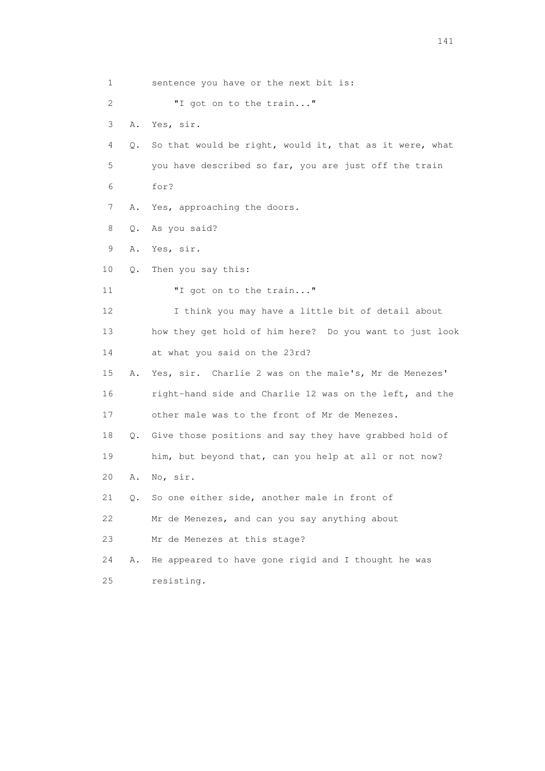1 sentence you have or the next bit is: 2 **"I** got on to the train..." 3 A. Yes, sir. 4 Q. So that would be right, would it, that as it were, what 5 you have described so far, you are just off the train 6 for? 7 A. Yes, approaching the doors. 8 Q. As you said? 9 A. Yes, sir. 10 Q. Then you say this: 11 **"**I got on to the train..." 12 I think you may have a little bit of detail about 13 how they get hold of him here? Do you want to just look 14 at what you said on the 23rd? 15 A. Yes, sir. Charlie 2 was on the male's, Mr de Menezes' 16 right-hand side and Charlie 12 was on the left, and the 17 other male was to the front of Mr de Menezes. 18 Q. Give those positions and say they have grabbed hold of 19 him, but beyond that, can you help at all or not now? 20 A. No, sir. 21 Q. So one either side, another male in front of 22 Mr de Menezes, and can you say anything about 23 Mr de Menezes at this stage? 24 A. He appeared to have gone rigid and I thought he was 25 resisting.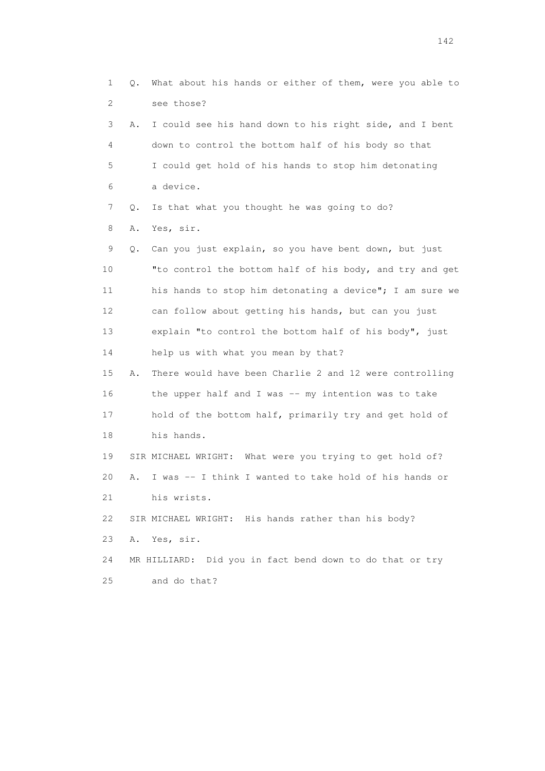1 Q. What about his hands or either of them, were you able to 2 see those? 3 A. I could see his hand down to his right side, and I bent 4 down to control the bottom half of his body so that 5 I could get hold of his hands to stop him detonating 6 a device. 7 Q. Is that what you thought he was going to do? 8 A. Yes, sir. 9 Q. Can you just explain, so you have bent down, but just 10 "to control the bottom half of his body, and try and get 11 his hands to stop him detonating a device"; I am sure we 12 can follow about getting his hands, but can you just 13 explain "to control the bottom half of his body", just 14 help us with what you mean by that? 15 A. There would have been Charlie 2 and 12 were controlling 16 the upper half and I was -- my intention was to take 17 hold of the bottom half, primarily try and get hold of 18 his hands. 19 SIR MICHAEL WRIGHT: What were you trying to get hold of? 20 A. I was -- I think I wanted to take hold of his hands or 21 his wrists. 22 SIR MICHAEL WRIGHT: His hands rather than his body? 23 A. Yes, sir. 24 MR HILLIARD: Did you in fact bend down to do that or try 25 and do that?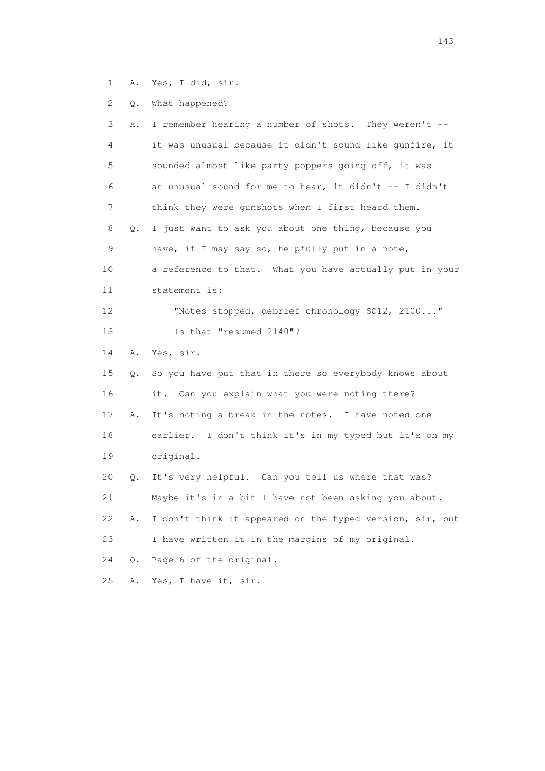1 A. Yes, I did, sir.

2 Q. What happened?

| 3               | Α. | I remember hearing a number of shots. They weren't --    |
|-----------------|----|----------------------------------------------------------|
| 4               |    | it was unusual because it didn't sound like gunfire, it  |
| 5               |    | sounded almost like party poppers going off, it was      |
| 6               |    | an unusual sound for me to hear, it didn't -- I didn't   |
| 7               |    | think they were gunshots when I first heard them.        |
| 8               | О. | I just want to ask you about one thing, because you      |
| 9               |    | have, if I may say so, helpfully put in a note,          |
| 10              |    | a reference to that. What you have actually put in your  |
| 11              |    | statement is:                                            |
| 12 <sup>°</sup> |    | "Notes stopped, debrief chronology S012, 2100"           |
| 13              |    | Is that "resumed 2140"?                                  |
| 14              | Α. | Yes, sir.                                                |
| 15              | О. | So you have put that in there so everybody knows about   |
| 16              |    | it. Can you explain what you were noting there?          |
| 17              | Α. | It's noting a break in the notes. I have noted one       |
| 18              |    | earlier. I don't think it's in my typed but it's on my   |
| 19              |    | original.                                                |
| 20              | Q. | It's very helpful. Can you tell us where that was?       |
| 21              |    | Maybe it's in a bit I have not been asking you about.    |
| 22              | Α. | I don't think it appeared on the typed version, sir, but |
| 23              |    | I have written it in the margins of my original.         |
| 24              | Q. | Page 6 of the original.                                  |
| 25              | Α. | Yes, I have it, sir.                                     |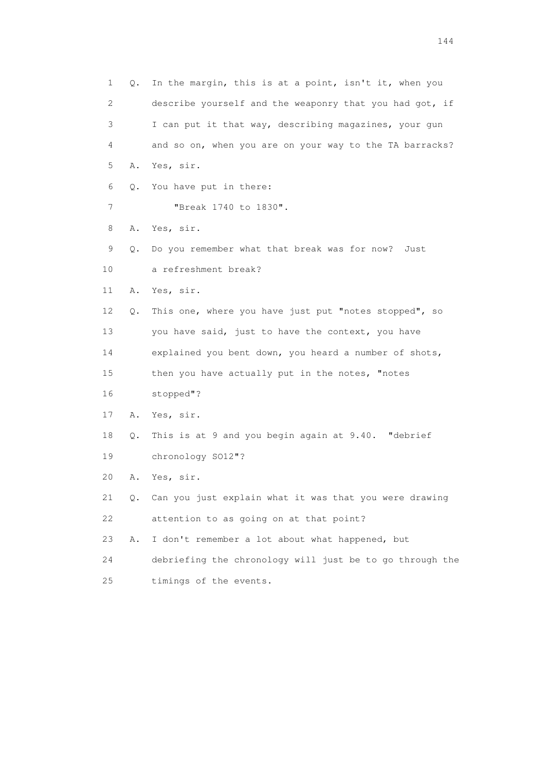1 Q. In the margin, this is at a point, isn't it, when you 2 describe yourself and the weaponry that you had got, if 3 I can put it that way, describing magazines, your gun 4 and so on, when you are on your way to the TA barracks? 5 A. Yes, sir. 6 Q. You have put in there: 7 "Break 1740 to 1830". 8 A. Yes, sir. 9 Q. Do you remember what that break was for now? Just 10 a refreshment break? 11 A. Yes, sir. 12 Q. This one, where you have just put "notes stopped", so 13 you have said, just to have the context, you have 14 explained you bent down, you heard a number of shots, 15 then you have actually put in the notes, "notes 16 stopped"? 17 A. Yes, sir. 18 Q. This is at 9 and you begin again at 9.40. "debrief 19 chronology SO12"? 20 A. Yes, sir. 21 Q. Can you just explain what it was that you were drawing 22 attention to as going on at that point? 23 A. I don't remember a lot about what happened, but 24 debriefing the chronology will just be to go through the 25 timings of the events.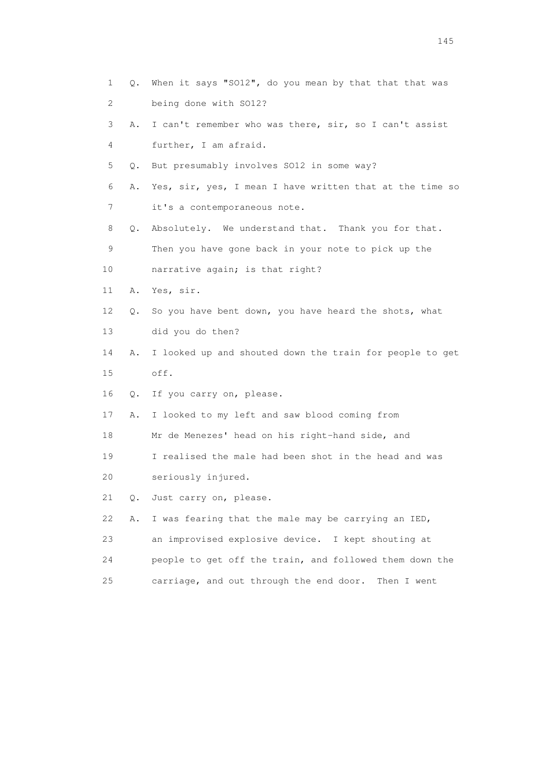1 Q. When it says "SO12", do you mean by that that that was 2 being done with SO12? 3 A. I can't remember who was there, sir, so I can't assist 4 further, I am afraid. 5 Q. But presumably involves SO12 in some way? 6 A. Yes, sir, yes, I mean I have written that at the time so 7 it's a contemporaneous note. 8 Q. Absolutely. We understand that. Thank you for that. 9 Then you have gone back in your note to pick up the 10 narrative again; is that right? 11 A. Yes, sir. 12 Q. So you have bent down, you have heard the shots, what 13 did you do then? 14 A. I looked up and shouted down the train for people to get 15 off. 16 Q. If you carry on, please. 17 A. I looked to my left and saw blood coming from 18 Mr de Menezes' head on his right-hand side, and 19 I realised the male had been shot in the head and was 20 seriously injured. 21 Q. Just carry on, please. 22 A. I was fearing that the male may be carrying an IED, 23 an improvised explosive device. I kept shouting at 24 people to get off the train, and followed them down the 25 carriage, and out through the end door. Then I went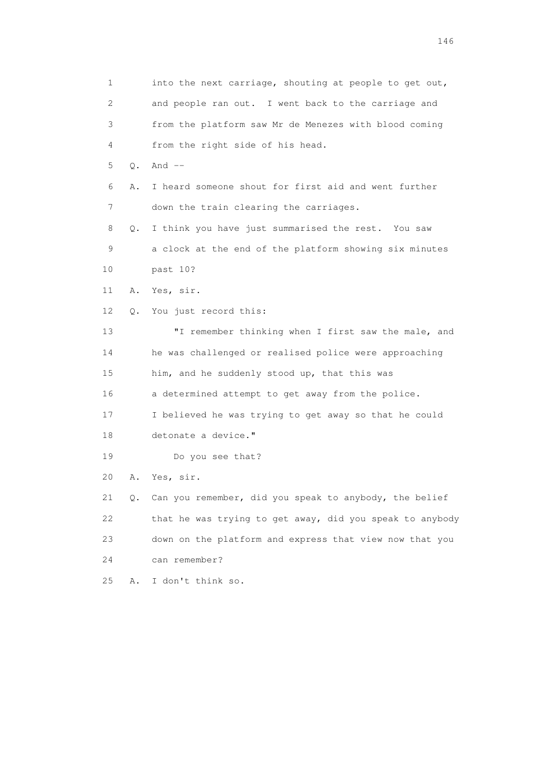1 into the next carriage, shouting at people to get out, 2 and people ran out. I went back to the carriage and 3 from the platform saw Mr de Menezes with blood coming 4 from the right side of his head. 5 Q. And -- 6 A. I heard someone shout for first aid and went further 7 down the train clearing the carriages. 8 Q. I think you have just summarised the rest. You saw 9 a clock at the end of the platform showing six minutes 10 past 10? 11 A. Yes, sir. 12 Q. You just record this: 13 "I remember thinking when I first saw the male, and 14 he was challenged or realised police were approaching 15 him, and he suddenly stood up, that this was 16 a determined attempt to get away from the police. 17 I believed he was trying to get away so that he could 18 detonate a device." 19 Do you see that? 20 A. Yes, sir. 21 Q. Can you remember, did you speak to anybody, the belief 22 that he was trying to get away, did you speak to anybody 23 down on the platform and express that view now that you 24 can remember? 25 A. I don't think so.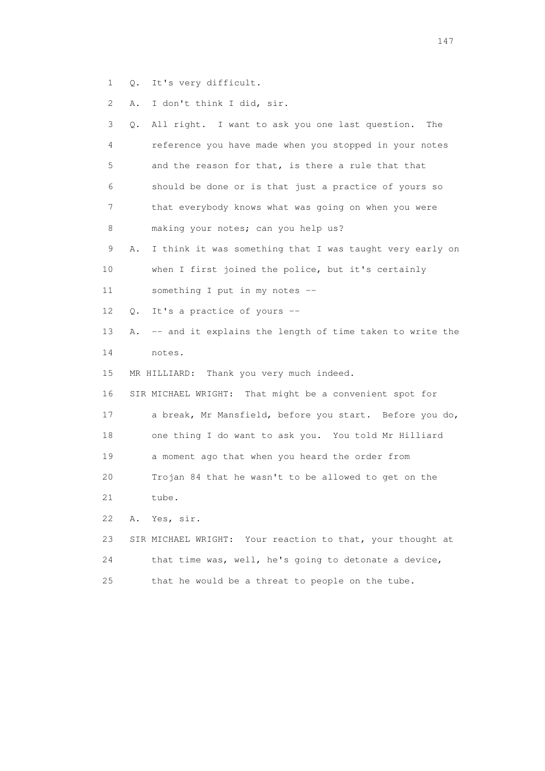1 Q. It's very difficult.

2 A. I don't think I did, sir.

| 3  | Q. | All right. I want to ask you one last question.<br>The     |
|----|----|------------------------------------------------------------|
| 4  |    | reference you have made when you stopped in your notes     |
| 5  |    | and the reason for that, is there a rule that that         |
| 6  |    | should be done or is that just a practice of yours so      |
| 7  |    | that everybody knows what was going on when you were       |
| 8  |    | making your notes; can you help us?                        |
| 9  | Α. | I think it was something that I was taught very early on   |
| 10 |    | when I first joined the police, but it's certainly         |
| 11 |    | something I put in my notes --                             |
| 12 | Q. | It's a practice of yours --                                |
| 13 | Α. | -- and it explains the length of time taken to write the   |
| 14 |    | notes.                                                     |
| 15 |    | MR HILLIARD: Thank you very much indeed.                   |
| 16 |    | SIR MICHAEL WRIGHT: That might be a convenient spot for    |
| 17 |    | a break, Mr Mansfield, before you start. Before you do,    |
| 18 |    | one thing I do want to ask you. You told Mr Hilliard       |
| 19 |    | a moment ago that when you heard the order from            |
| 20 |    | Trojan 84 that he wasn't to be allowed to get on the       |
| 21 |    | tube.                                                      |
| 22 | Α. | Yes, sir.                                                  |
| 23 |    | SIR MICHAEL WRIGHT: Your reaction to that, your thought at |
| 24 |    | that time was, well, he's going to detonate a device,      |
| 25 |    | that he would be a threat to people on the tube.           |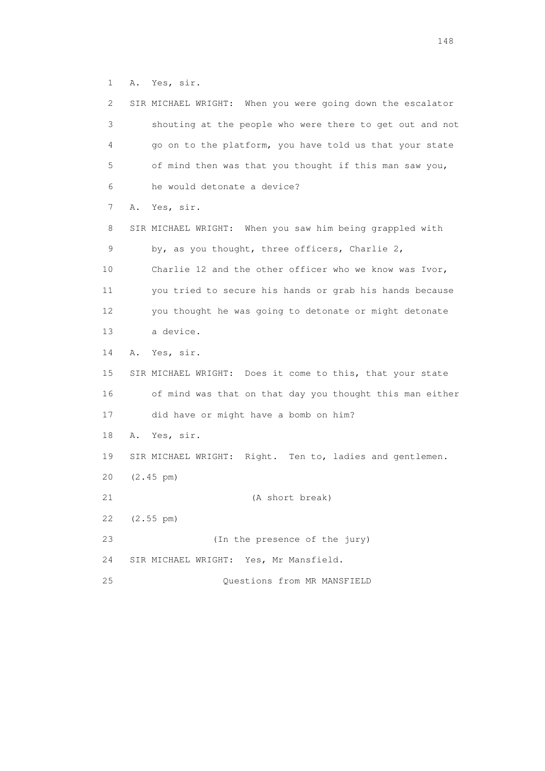1 A. Yes, sir.

| 2  | SIR MICHAEL WRIGHT: When you were going down the escalator |
|----|------------------------------------------------------------|
| 3  | shouting at the people who were there to get out and not   |
| 4  | go on to the platform, you have told us that your state    |
| 5  | of mind then was that you thought if this man saw you,     |
| 6  | he would detonate a device?                                |
| 7  | Yes, sir.<br>Α.                                            |
| 8  | SIR MICHAEL WRIGHT: When you saw him being grappled with   |
| 9  | by, as you thought, three officers, Charlie 2,             |
| 10 | Charlie 12 and the other officer who we know was Ivor,     |
| 11 | you tried to secure his hands or grab his hands because    |
| 12 | you thought he was going to detonate or might detonate     |
| 13 | a device.                                                  |
| 14 | Yes, sir.<br>Α.                                            |
| 15 | SIR MICHAEL WRIGHT: Does it come to this, that your state  |
| 16 | of mind was that on that day you thought this man either   |
| 17 | did have or might have a bomb on him?                      |
| 18 | Yes, sir.<br>Α.                                            |
| 19 | SIR MICHAEL WRIGHT: Right. Ten to, ladies and gentlemen.   |
| 20 | $(2.45 \text{ pm})$                                        |
| 21 | (A short break)                                            |
| 22 | (2.55 pm)                                                  |
| 23 | (In the presence of the jury)                              |
| 24 | SIR MICHAEL WRIGHT: Yes, Mr Mansfield.                     |
| 25 | Questions from MR MANSFIELD                                |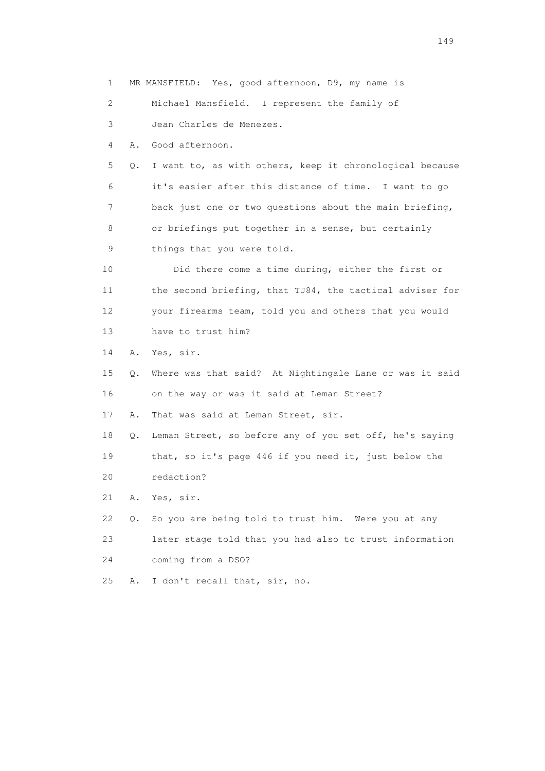1 MR MANSFIELD: Yes, good afternoon, D9, my name is 2 Michael Mansfield. I represent the family of 3 Jean Charles de Menezes. 4 A. Good afternoon. 5 Q. I want to, as with others, keep it chronological because 6 it's easier after this distance of time. I want to go 7 back just one or two questions about the main briefing, 8 or briefings put together in a sense, but certainly 9 things that you were told. 10 Did there come a time during, either the first or 11 the second briefing, that TJ84, the tactical adviser for 12 your firearms team, told you and others that you would 13 have to trust him? 14 A. Yes, sir. 15 Q. Where was that said? At Nightingale Lane or was it said 16 on the way or was it said at Leman Street? 17 A. That was said at Leman Street, sir. 18 Q. Leman Street, so before any of you set off, he's saying 19 that, so it's page 446 if you need it, just below the 20 redaction? 21 A. Yes, sir. 22 Q. So you are being told to trust him. Were you at any 23 later stage told that you had also to trust information 24 coming from a DSO? 25 A. I don't recall that, sir, no.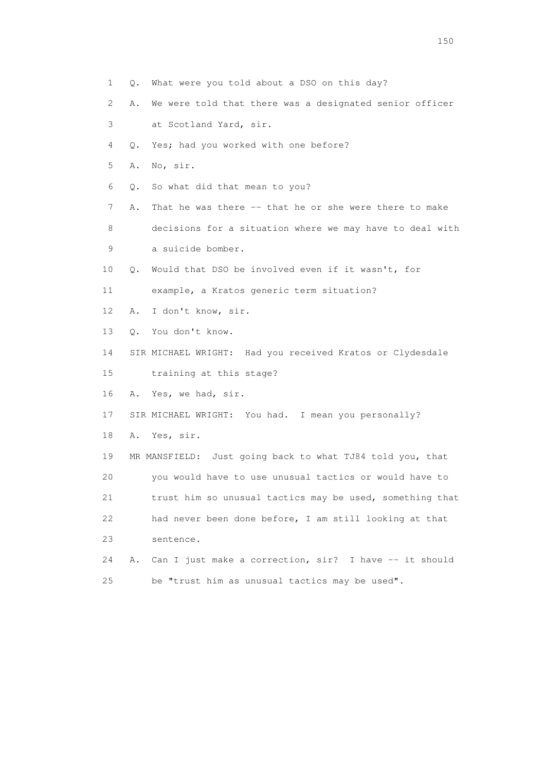1 Q. What were you told about a DSO on this day? 2 A. We were told that there was a designated senior officer 3 at Scotland Yard, sir. 4 Q. Yes; had you worked with one before? 5 A. No, sir. 6 Q. So what did that mean to you? 7 A. That he was there -- that he or she were there to make 8 decisions for a situation where we may have to deal with 9 a suicide bomber. 10 Q. Would that DSO be involved even if it wasn't, for 11 example, a Kratos generic term situation? 12 A. I don't know, sir. 13 Q. You don't know. 14 SIR MICHAEL WRIGHT: Had you received Kratos or Clydesdale 15 training at this stage? 16 A. Yes, we had, sir. 17 SIR MICHAEL WRIGHT: You had. I mean you personally? 18 A. Yes, sir. 19 MR MANSFIELD: Just going back to what TJ84 told you, that 20 you would have to use unusual tactics or would have to 21 trust him so unusual tactics may be used, something that 22 had never been done before, I am still looking at that 23 sentence. 24 A. Can I just make a correction, sir? I have -- it should 25 be "trust him as unusual tactics may be used".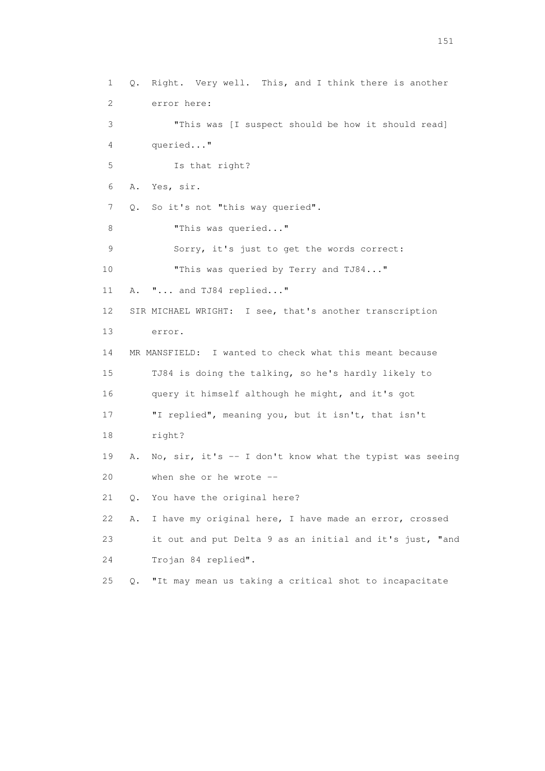1 Q. Right. Very well. This, and I think there is another 2 error here: 3 "This was [I suspect should be how it should read] 4 queried..." 5 Is that right? 6 A. Yes, sir. 7 Q. So it's not "this way queried". 8 This was queried..." 9 Sorry, it's just to get the words correct: 10 **"This was queried by Terry and TJ84..."**  11 A. "... and TJ84 replied..." 12 SIR MICHAEL WRIGHT: I see, that's another transcription 13 error. 14 MR MANSFIELD: I wanted to check what this meant because 15 TJ84 is doing the talking, so he's hardly likely to 16 query it himself although he might, and it's got 17 "I replied", meaning you, but it isn't, that isn't 18 right? 19 A. No, sir, it's -- I don't know what the typist was seeing 20 when she or he wrote -- 21 Q. You have the original here? 22 A. I have my original here, I have made an error, crossed 23 it out and put Delta 9 as an initial and it's just, "and 24 Trojan 84 replied". 25 Q. "It may mean us taking a critical shot to incapacitate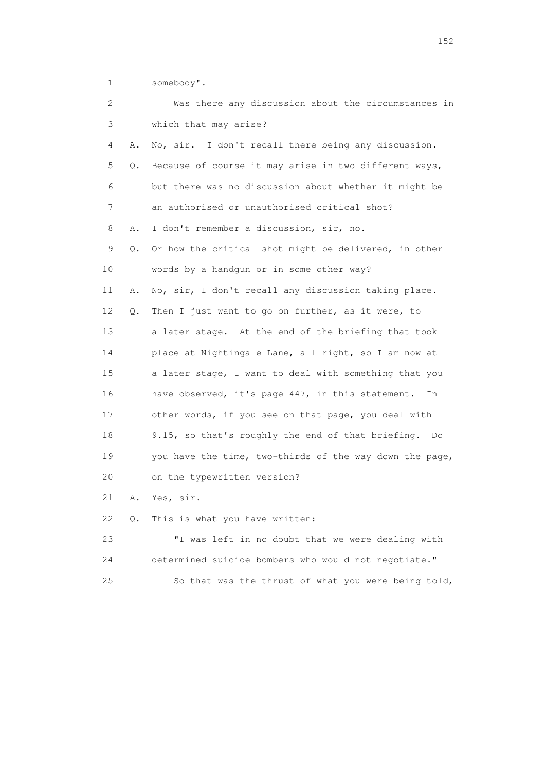1 somebody".

| 2  |    | Was there any discussion about the circumstances in     |
|----|----|---------------------------------------------------------|
| 3  |    | which that may arise?                                   |
| 4  | Α. | No, sir. I don't recall there being any discussion.     |
| 5  | Q. | Because of course it may arise in two different ways,   |
| 6  |    | but there was no discussion about whether it might be   |
| 7  |    | an authorised or unauthorised critical shot?            |
| 8  | Α. | I don't remember a discussion, sir, no.                 |
| 9  | Q. | Or how the critical shot might be delivered, in other   |
| 10 |    | words by a handgun or in some other way?                |
| 11 | Α. | No, sir, I don't recall any discussion taking place.    |
| 12 | Q. | Then I just want to go on further, as it were, to       |
| 13 |    | a later stage. At the end of the briefing that took     |
| 14 |    | place at Nightingale Lane, all right, so I am now at    |
| 15 |    | a later stage, I want to deal with something that you   |
| 16 |    | have observed, it's page 447, in this statement.<br>In  |
| 17 |    | other words, if you see on that page, you deal with     |
| 18 |    | 9.15, so that's roughly the end of that briefing. Do    |
| 19 |    | you have the time, two-thirds of the way down the page, |
| 20 |    | on the typewritten version?                             |
| 21 | Α. | Yes, sir.                                               |
| 22 | Q. | This is what you have written:                          |
|    |    |                                                         |

 23 "I was left in no doubt that we were dealing with 24 determined suicide bombers who would not negotiate." 25 So that was the thrust of what you were being told,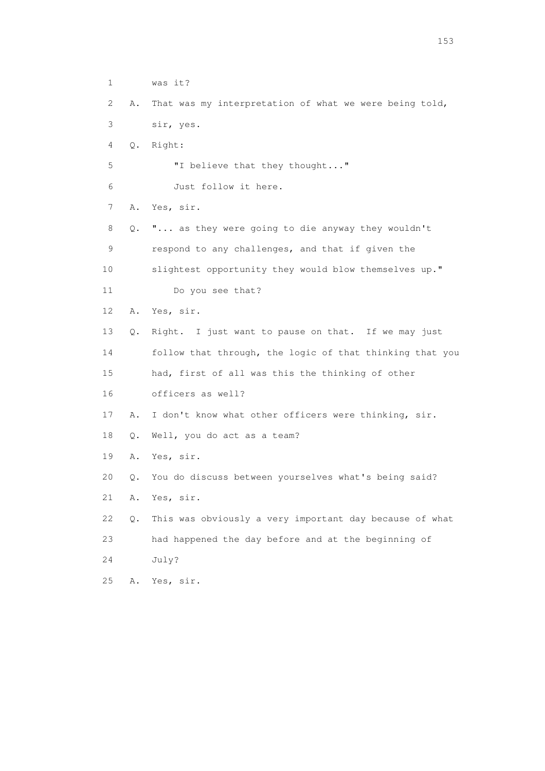1 was it? 2 A. That was my interpretation of what we were being told, 3 sir, yes. 4 Q. Right: 5 "I believe that they thought..." 6 Just follow it here. 7 A. Yes, sir. 8 Q. "... as they were going to die anyway they wouldn't 9 respond to any challenges, and that if given the 10 slightest opportunity they would blow themselves up." 11 Do you see that? 12 A. Yes, sir. 13 Q. Right. I just want to pause on that. If we may just 14 follow that through, the logic of that thinking that you 15 had, first of all was this the thinking of other 16 officers as well? 17 A. I don't know what other officers were thinking, sir. 18 Q. Well, you do act as a team? 19 A. Yes, sir. 20 Q. You do discuss between yourselves what's being said? 21 A. Yes, sir. 22 Q. This was obviously a very important day because of what 23 had happened the day before and at the beginning of 24 July? 25 A. Yes, sir.

<u>153</u>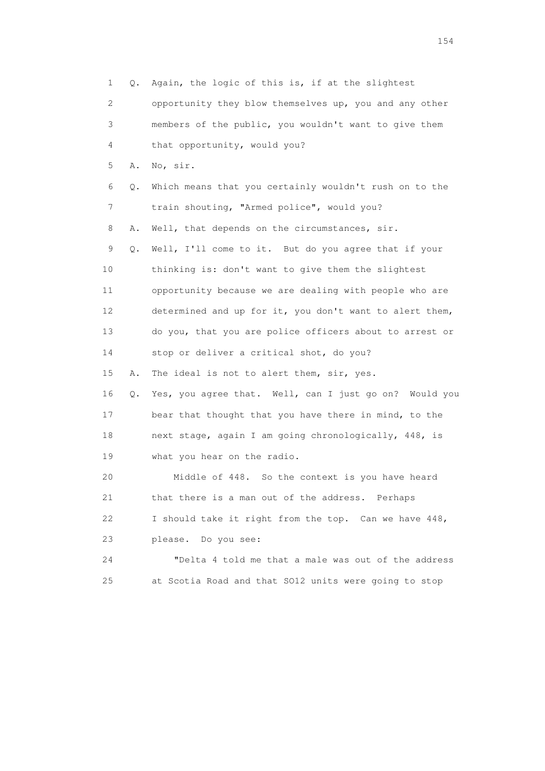1 Q. Again, the logic of this is, if at the slightest 2 opportunity they blow themselves up, you and any other 3 members of the public, you wouldn't want to give them 4 that opportunity, would you? 5 A. No, sir. 6 Q. Which means that you certainly wouldn't rush on to the 7 train shouting, "Armed police", would you? 8 A. Well, that depends on the circumstances, sir. 9 Q. Well, I'll come to it. But do you agree that if your 10 thinking is: don't want to give them the slightest 11 opportunity because we are dealing with people who are 12 determined and up for it, you don't want to alert them, 13 do you, that you are police officers about to arrest or 14 stop or deliver a critical shot, do you? 15 A. The ideal is not to alert them, sir, yes. 16 Q. Yes, you agree that. Well, can I just go on? Would you 17 bear that thought that you have there in mind, to the 18 next stage, again I am going chronologically, 448, is 19 what you hear on the radio. 20 Middle of 448. So the context is you have heard 21 that there is a man out of the address. Perhaps 22 I should take it right from the top. Can we have 448, 23 please. Do you see: 24 "Delta 4 told me that a male was out of the address 25 at Scotia Road and that SO12 units were going to stop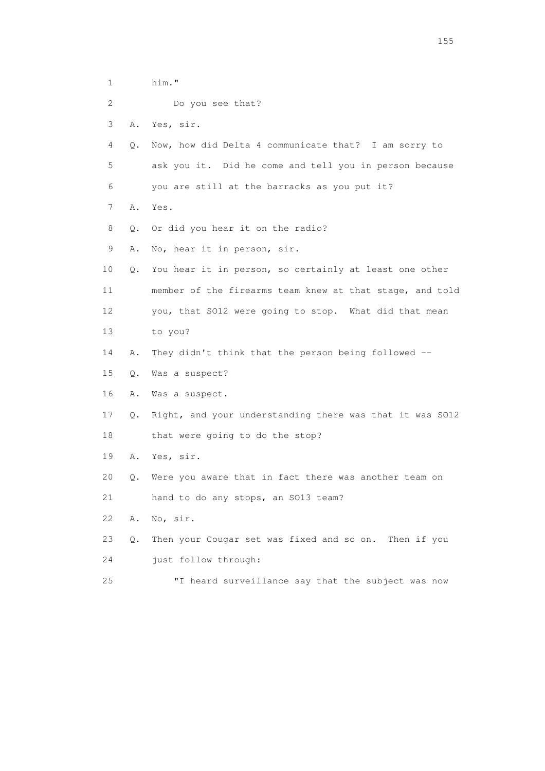1 him." 2 Do you see that? 3 A. Yes, sir. 4 Q. Now, how did Delta 4 communicate that? I am sorry to 5 ask you it. Did he come and tell you in person because 6 you are still at the barracks as you put it? 7 A. Yes. 8 Q. Or did you hear it on the radio? 9 A. No, hear it in person, sir. 10 Q. You hear it in person, so certainly at least one other 11 member of the firearms team knew at that stage, and told 12 you, that SO12 were going to stop. What did that mean 13 to you? 14 A. They didn't think that the person being followed -- 15 Q. Was a suspect? 16 A. Was a suspect. 17 Q. Right, and your understanding there was that it was SO12 18 that were going to do the stop? 19 A. Yes, sir. 20 Q. Were you aware that in fact there was another team on 21 hand to do any stops, an SO13 team? 22 A. No, sir. 23 Q. Then your Cougar set was fixed and so on. Then if you 24 just follow through: 25 "I heard surveillance say that the subject was now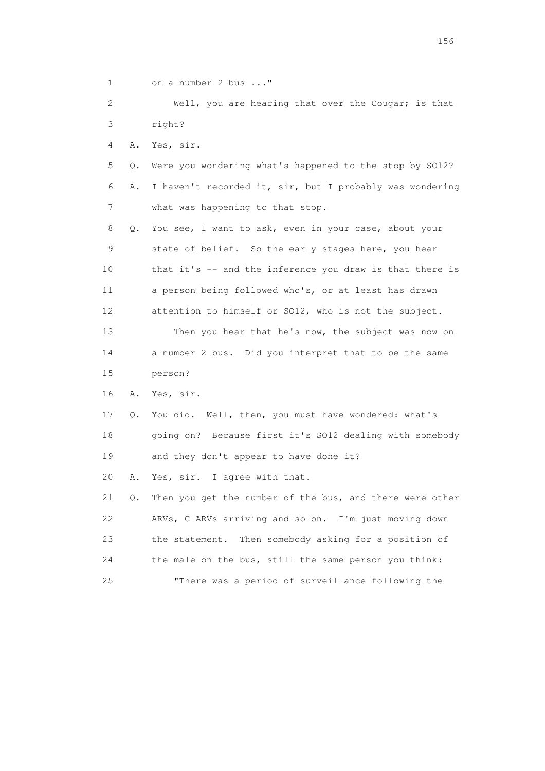1 on a number 2 bus ..."

 2 Well, you are hearing that over the Cougar; is that 3 right?

4 A. Yes, sir.

 5 Q. Were you wondering what's happened to the stop by SO12? 6 A. I haven't recorded it, sir, but I probably was wondering 7 what was happening to that stop.

 8 Q. You see, I want to ask, even in your case, about your 9 state of belief. So the early stages here, you hear 10 that it's -- and the inference you draw is that there is 11 a person being followed who's, or at least has drawn 12 attention to himself or SO12, who is not the subject. 13 Then you hear that he's now, the subject was now on 14 a number 2 bus. Did you interpret that to be the same 15 person?

16 A. Yes, sir.

 17 Q. You did. Well, then, you must have wondered: what's 18 going on? Because first it's SO12 dealing with somebody 19 and they don't appear to have done it?

20 A. Yes, sir. I agree with that.

 21 Q. Then you get the number of the bus, and there were other 22 ARVs, C ARVs arriving and so on. I'm just moving down 23 the statement. Then somebody asking for a position of 24 the male on the bus, still the same person you think: 25 "There was a period of surveillance following the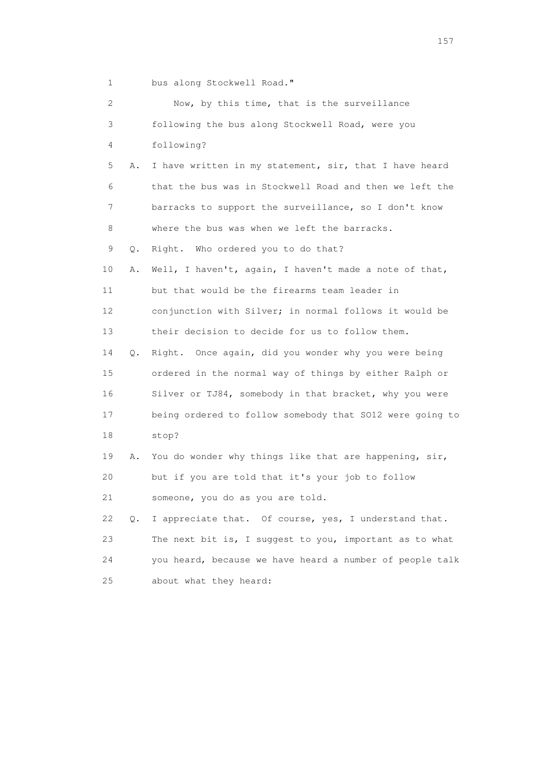1 bus along Stockwell Road."

| 2  |    | Now, by this time, that is the surveillance              |
|----|----|----------------------------------------------------------|
| 3  |    | following the bus along Stockwell Road, were you         |
| 4  |    | following?                                               |
| 5  | Α. | I have written in my statement, sir, that I have heard   |
| 6  |    | that the bus was in Stockwell Road and then we left the  |
| 7  |    | barracks to support the surveillance, so I don't know    |
| 8  |    | where the bus was when we left the barracks.             |
| 9  | Q. | Right. Who ordered you to do that?                       |
| 10 | Α. | Well, I haven't, again, I haven't made a note of that,   |
| 11 |    | but that would be the firearms team leader in            |
| 12 |    | conjunction with Silver; in normal follows it would be   |
| 13 |    | their decision to decide for us to follow them.          |
| 14 | Q. | Right. Once again, did you wonder why you were being     |
| 15 |    | ordered in the normal way of things by either Ralph or   |
| 16 |    | Silver or TJ84, somebody in that bracket, why you were   |
| 17 |    | being ordered to follow somebody that SO12 were going to |
| 18 |    | stop?                                                    |
| 19 | Α. | You do wonder why things like that are happening, sir,   |
| 20 |    | but if you are told that it's your job to follow         |
| 21 |    | someone, you do as you are told.                         |
| 22 | Q. | I appreciate that. Of course, yes, I understand that.    |
| 23 |    | The next bit is, I suggest to you, important as to what  |
| 24 |    | you heard, because we have heard a number of people talk |
| 25 |    | about what they heard:                                   |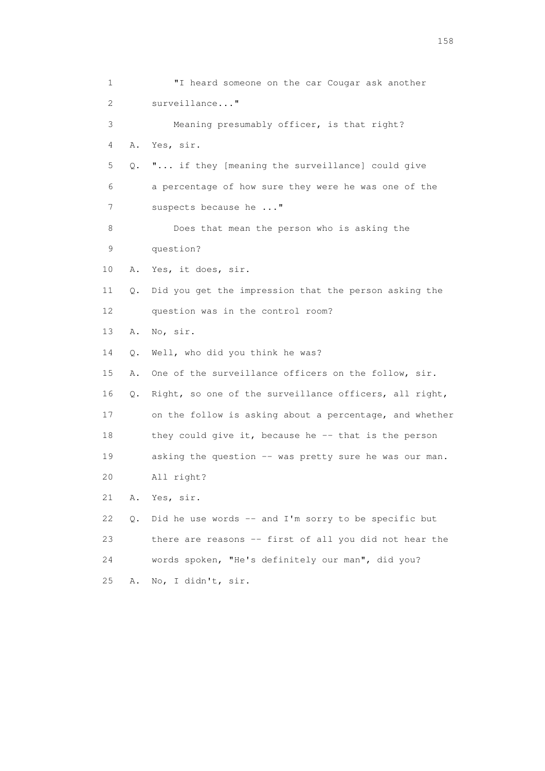1 "I heard someone on the car Cougar ask another 2 surveillance..." 3 Meaning presumably officer, is that right? 4 A. Yes, sir. 5 Q. "... if they [meaning the surveillance] could give 6 a percentage of how sure they were he was one of the 7 suspects because he ..." 8 Does that mean the person who is asking the 9 question? 10 A. Yes, it does, sir. 11 Q. Did you get the impression that the person asking the 12 question was in the control room? 13 A. No, sir. 14 Q. Well, who did you think he was? 15 A. One of the surveillance officers on the follow, sir. 16 Q. Right, so one of the surveillance officers, all right, 17 on the follow is asking about a percentage, and whether 18 they could give it, because he -- that is the person 19 asking the question -- was pretty sure he was our man. 20 All right? 21 A. Yes, sir. 22 Q. Did he use words -- and I'm sorry to be specific but 23 there are reasons -- first of all you did not hear the 24 words spoken, "He's definitely our man", did you? 25 A. No, I didn't, sir.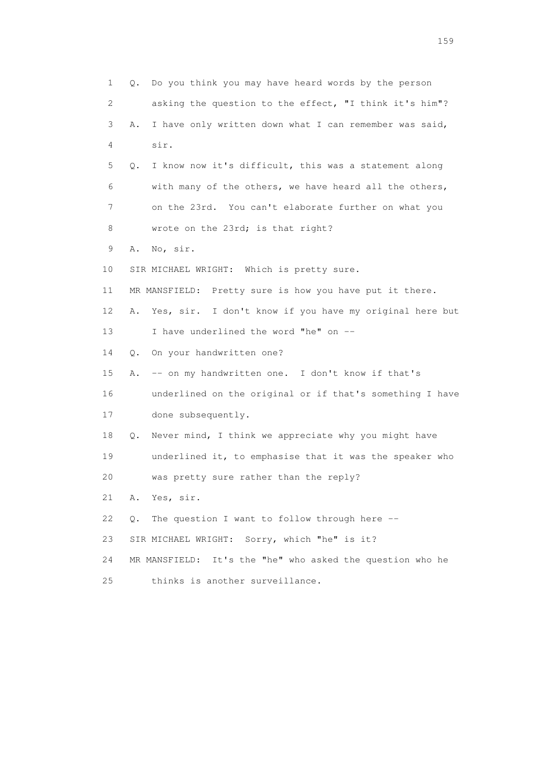1 Q. Do you think you may have heard words by the person 2 asking the question to the effect, "I think it's him"? 3 A. I have only written down what I can remember was said, 4 sir. 5 Q. I know now it's difficult, this was a statement along 6 with many of the others, we have heard all the others, 7 on the 23rd. You can't elaborate further on what you 8 wrote on the 23rd; is that right? 9 A. No, sir. 10 SIR MICHAEL WRIGHT: Which is pretty sure. 11 MR MANSFIELD: Pretty sure is how you have put it there. 12 A. Yes, sir. I don't know if you have my original here but 13 I have underlined the word "he" on -- 14 Q. On your handwritten one? 15 A. -- on my handwritten one. I don't know if that's 16 underlined on the original or if that's something I have 17 done subsequently. 18 Q. Never mind, I think we appreciate why you might have 19 underlined it, to emphasise that it was the speaker who 20 was pretty sure rather than the reply? 21 A. Yes, sir. 22 Q. The question I want to follow through here -- 23 SIR MICHAEL WRIGHT: Sorry, which "he" is it? 24 MR MANSFIELD: It's the "he" who asked the question who he 25 thinks is another surveillance.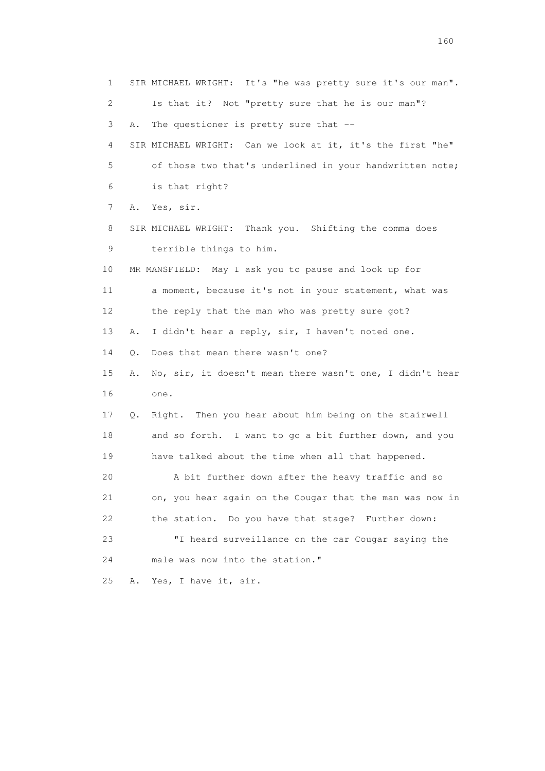1 SIR MICHAEL WRIGHT: It's "he was pretty sure it's our man". 2 Is that it? Not "pretty sure that he is our man"? 3 A. The questioner is pretty sure that -- 4 SIR MICHAEL WRIGHT: Can we look at it, it's the first "he" 5 of those two that's underlined in your handwritten note; 6 is that right? 7 A. Yes, sir. 8 SIR MICHAEL WRIGHT: Thank you. Shifting the comma does 9 terrible things to him. 10 MR MANSFIELD: May I ask you to pause and look up for 11 a moment, because it's not in your statement, what was 12 the reply that the man who was pretty sure got? 13 A. I didn't hear a reply, sir, I haven't noted one. 14 Q. Does that mean there wasn't one? 15 A. No, sir, it doesn't mean there wasn't one, I didn't hear 16 one. 17 Q. Right. Then you hear about him being on the stairwell 18 and so forth. I want to go a bit further down, and you 19 have talked about the time when all that happened. 20 A bit further down after the heavy traffic and so 21 on, you hear again on the Cougar that the man was now in 22 the station. Do you have that stage? Further down: 23 "I heard surveillance on the car Cougar saying the 24 male was now into the station." 25 A. Yes, I have it, sir.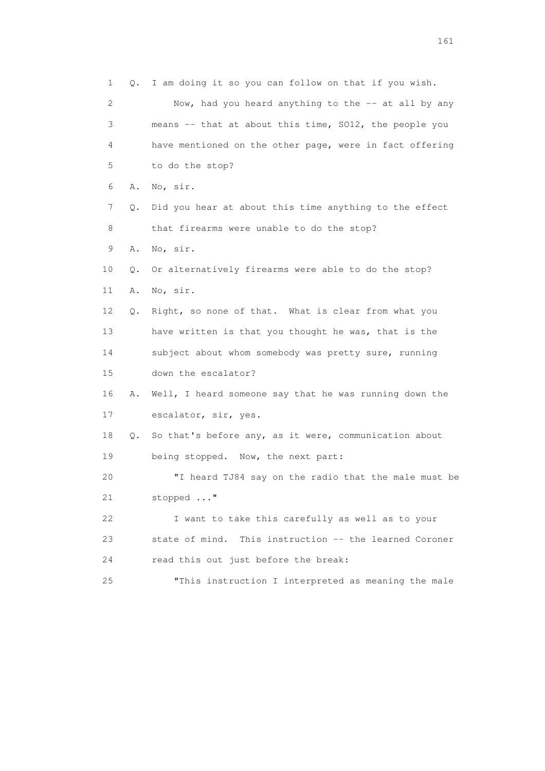1 Q. I am doing it so you can follow on that if you wish. 2 Now, had you heard anything to the -- at all by any 3 means -- that at about this time, SO12, the people you 4 have mentioned on the other page, were in fact offering 5 to do the stop? 6 A. No, sir. 7 Q. Did you hear at about this time anything to the effect 8 that firearms were unable to do the stop? 9 A. No, sir. 10 Q. Or alternatively firearms were able to do the stop? 11 A. No, sir. 12 Q. Right, so none of that. What is clear from what you 13 have written is that you thought he was, that is the 14 subject about whom somebody was pretty sure, running 15 down the escalator? 16 A. Well, I heard someone say that he was running down the 17 escalator, sir, yes. 18 Q. So that's before any, as it were, communication about 19 being stopped. Now, the next part: 20 "I heard TJ84 say on the radio that the male must be 21 stopped ..." 22 I want to take this carefully as well as to your 23 state of mind. This instruction -- the learned Coroner 24 read this out just before the break: 25 "This instruction I interpreted as meaning the male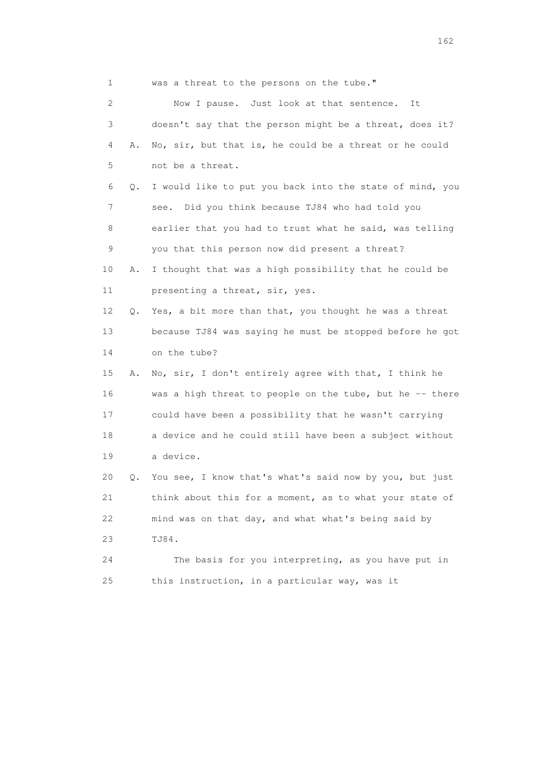1 was a threat to the persons on the tube." 2 Now I pause. Just look at that sentence. It 3 doesn't say that the person might be a threat, does it? 4 A. No, sir, but that is, he could be a threat or he could 5 not be a threat. 6 Q. I would like to put you back into the state of mind, you 7 see. Did you think because TJ84 who had told you 8 earlier that you had to trust what he said, was telling 9 you that this person now did present a threat? 10 A. I thought that was a high possibility that he could be 11 presenting a threat, sir, yes. 12 Q. Yes, a bit more than that, you thought he was a threat 13 because TJ84 was saying he must be stopped before he got 14 on the tube? 15 A. No, sir, I don't entirely agree with that, I think he 16 was a high threat to people on the tube, but he -- there 17 could have been a possibility that he wasn't carrying 18 a device and he could still have been a subject without 19 a device. 20 Q. You see, I know that's what's said now by you, but just 21 think about this for a moment, as to what your state of 22 mind was on that day, and what what's being said by 23 TJ84. 24 The basis for you interpreting, as you have put in 25 this instruction, in a particular way, was it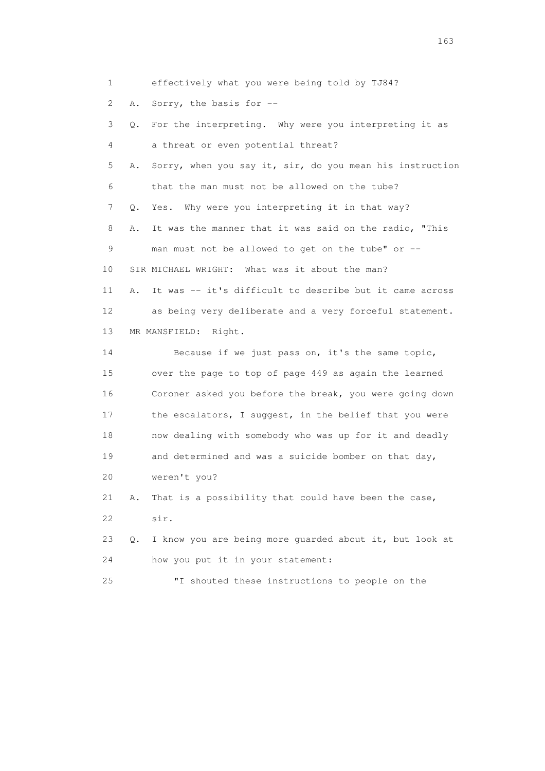1 effectively what you were being told by TJ84?

2 A. Sorry, the basis for --

 3 Q. For the interpreting. Why were you interpreting it as 4 a threat or even potential threat? 5 A. Sorry, when you say it, sir, do you mean his instruction 6 that the man must not be allowed on the tube? 7 Q. Yes. Why were you interpreting it in that way? 8 A. It was the manner that it was said on the radio, "This 9 man must not be allowed to get on the tube" or -- 10 SIR MICHAEL WRIGHT: What was it about the man? 11 A. It was -- it's difficult to describe but it came across 12 as being very deliberate and a very forceful statement. 13 MR MANSFIELD: Right. 14 Because if we just pass on, it's the same topic, 15 over the page to top of page 449 as again the learned 16 Coroner asked you before the break, you were going down 17 the escalators, I suggest, in the belief that you were 18 now dealing with somebody who was up for it and deadly 19 and determined and was a suicide bomber on that day, 20 weren't you? 21 A. That is a possibility that could have been the case, 22 sir. 23 Q. I know you are being more guarded about it, but look at 24 how you put it in your statement:

25 "I shouted these instructions to people on the

<u>163</u>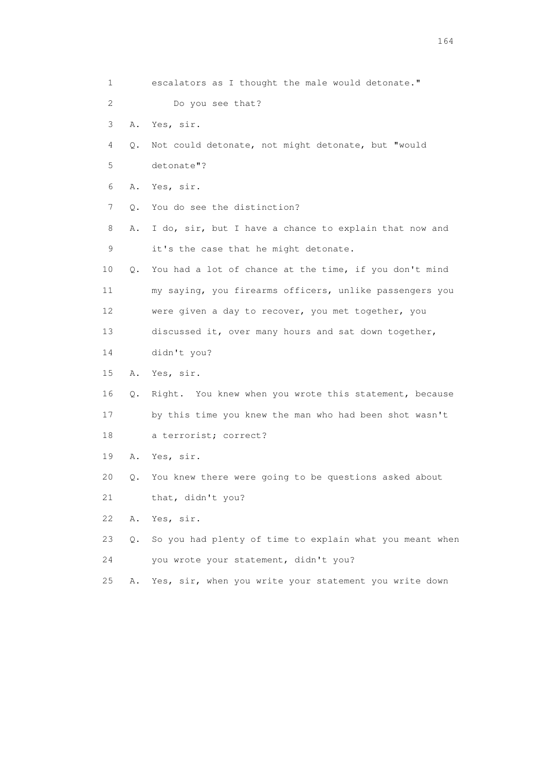| $\mathbf{1}$ |    | escalators as I thought the male would detonate."        |
|--------------|----|----------------------------------------------------------|
| 2            |    | Do you see that?                                         |
| 3            | Α. | Yes, sir.                                                |
| 4            | Q. | Not could detonate, not might detonate, but "would       |
| 5            |    | detonate"?                                               |
| 6            | Α. | Yes, sir.                                                |
| 7            | Q. | You do see the distinction?                              |
| 8            | Α. | I do, sir, but I have a chance to explain that now and   |
| $\mathsf 9$  |    | it's the case that he might detonate.                    |
| 10           | Q. | You had a lot of chance at the time, if you don't mind   |
| 11           |    | my saying, you firearms officers, unlike passengers you  |
| 12           |    | were given a day to recover, you met together, you       |
| 13           |    | discussed it, over many hours and sat down together,     |
| 14           |    | didn't you?                                              |
| 15           | Α. | Yes, sir.                                                |
| 16           | Q. | Right. You knew when you wrote this statement, because   |
| 17           |    | by this time you knew the man who had been shot wasn't   |
| 18           |    | a terrorist; correct?                                    |
| 19           | Α. | Yes, sir.                                                |
| 20           | Q. | You knew there were going to be questions asked about    |
| 21           |    | that, didn't you?                                        |
| 22           | Α. | Yes, sir.                                                |
| 23           | Q. | So you had plenty of time to explain what you meant when |
| 24           |    | you wrote your statement, didn't you?                    |
| 25           | Α. | Yes, sir, when you write your statement you write down   |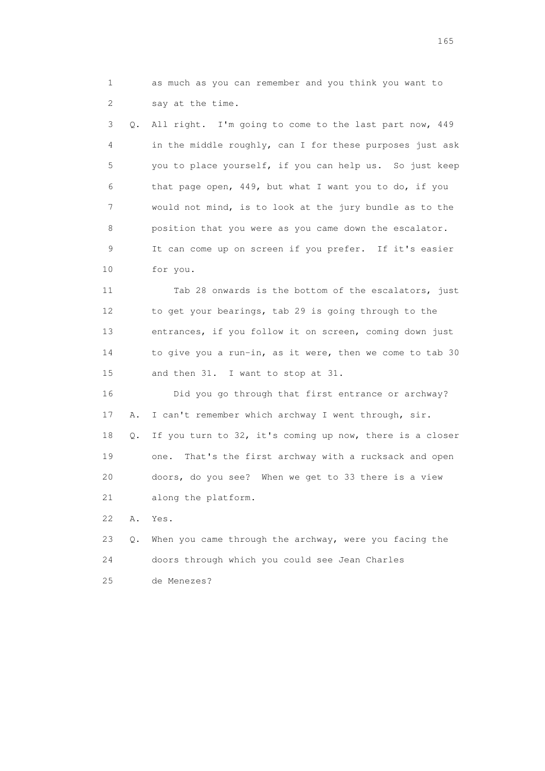1 as much as you can remember and you think you want to 2 say at the time.

 3 Q. All right. I'm going to come to the last part now, 449 4 in the middle roughly, can I for these purposes just ask 5 you to place yourself, if you can help us. So just keep 6 that page open, 449, but what I want you to do, if you 7 would not mind, is to look at the jury bundle as to the 8 position that you were as you came down the escalator. 9 It can come up on screen if you prefer. If it's easier 10 for you.

 11 Tab 28 onwards is the bottom of the escalators, just 12 to get your bearings, tab 29 is going through to the 13 entrances, if you follow it on screen, coming down just 14 to give you a run-in, as it were, then we come to tab 30 15 and then 31. I want to stop at 31.

 16 Did you go through that first entrance or archway? 17 A. I can't remember which archway I went through, sir. 18 Q. If you turn to 32, it's coming up now, there is a closer 19 one. That's the first archway with a rucksack and open 20 doors, do you see? When we get to 33 there is a view 21 along the platform.

22 A. Yes.

|    | 23 Q. When you came through the archway, were you facing the |
|----|--------------------------------------------------------------|
| 24 | doors through which you could see Jean Charles               |
| 25 | de Menezes?                                                  |

<u>165</u>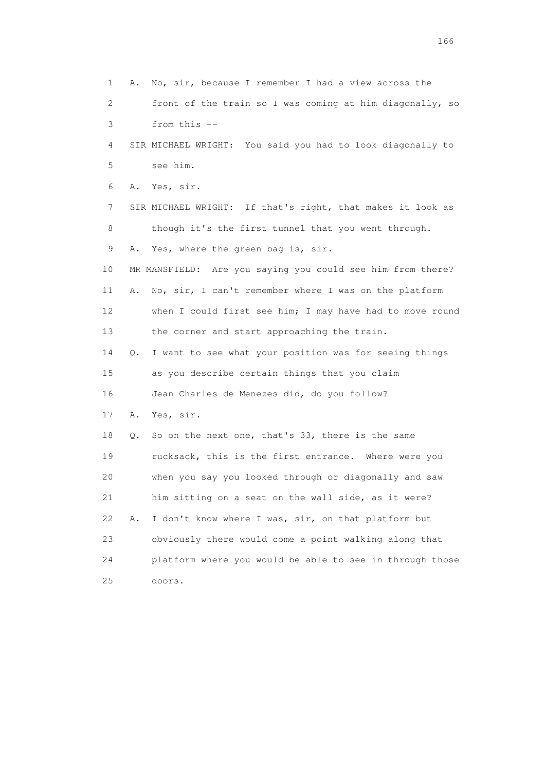1 A. No, sir, because I remember I had a view across the 2 front of the train so I was coming at him diagonally, so 3 from this -- 4 SIR MICHAEL WRIGHT: You said you had to look diagonally to 5 see him. 6 A. Yes, sir. 7 SIR MICHAEL WRIGHT: If that's right, that makes it look as 8 though it's the first tunnel that you went through. 9 A. Yes, where the green bag is, sir. 10 MR MANSFIELD: Are you saying you could see him from there? 11 A. No, sir, I can't remember where I was on the platform 12 when I could first see him; I may have had to move round 13 the corner and start approaching the train. 14 Q. I want to see what your position was for seeing things 15 as you describe certain things that you claim 16 Jean Charles de Menezes did, do you follow? 17 A. Yes, sir. 18 Q. So on the next one, that's 33, there is the same 19 rucksack, this is the first entrance. Where were you 20 when you say you looked through or diagonally and saw 21 him sitting on a seat on the wall side, as it were? 22 A. I don't know where I was, sir, on that platform but 23 obviously there would come a point walking along that 24 platform where you would be able to see in through those 25 doors.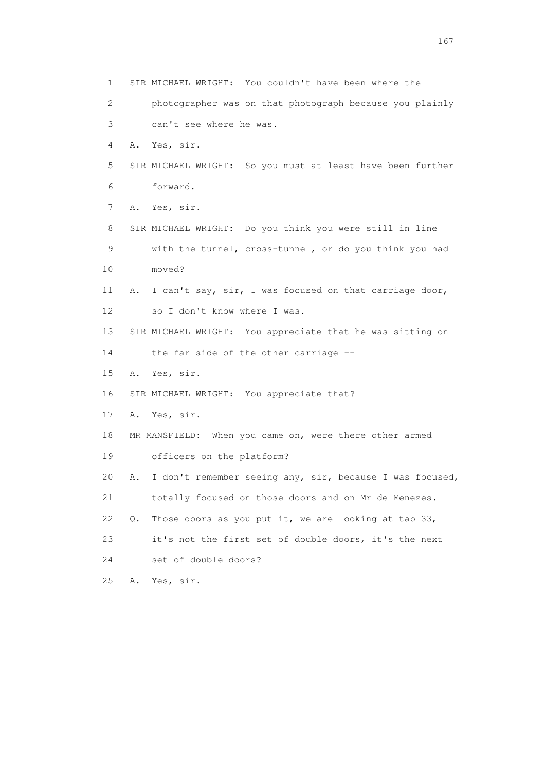1 SIR MICHAEL WRIGHT: You couldn't have been where the 2 photographer was on that photograph because you plainly 3 can't see where he was. 4 A. Yes, sir. 5 SIR MICHAEL WRIGHT: So you must at least have been further 6 forward. 7 A. Yes, sir. 8 SIR MICHAEL WRIGHT: Do you think you were still in line 9 with the tunnel, cross-tunnel, or do you think you had 10 moved? 11 A. I can't say, sir, I was focused on that carriage door, 12 so I don't know where I was. 13 SIR MICHAEL WRIGHT: You appreciate that he was sitting on 14 the far side of the other carriage -- 15 A. Yes, sir. 16 SIR MICHAEL WRIGHT: You appreciate that? 17 A. Yes, sir. 18 MR MANSFIELD: When you came on, were there other armed 19 officers on the platform? 20 A. I don't remember seeing any, sir, because I was focused, 21 totally focused on those doors and on Mr de Menezes. 22  $Q$ . Those doors as you put it, we are looking at tab 33, 23 it's not the first set of double doors, it's the next 24 set of double doors? 25 A. Yes, sir.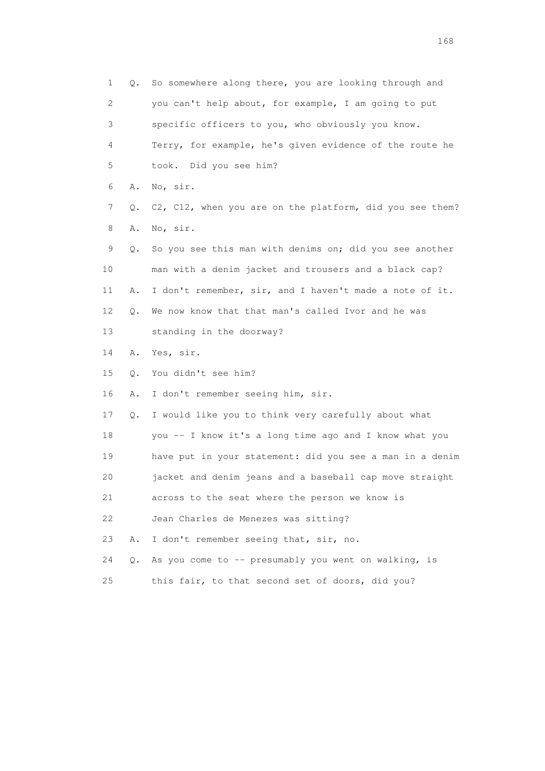1 Q. So somewhere along there, you are looking through and 2 you can't help about, for example, I am going to put 3 specific officers to you, who obviously you know. 4 Terry, for example, he's given evidence of the route he 5 took. Did you see him? 6 A. No, sir. 7 Q. C2, C12, when you are on the platform, did you see them? 8 A. No, sir. 9 Q. So you see this man with denims on; did you see another 10 man with a denim jacket and trousers and a black cap? 11 A. I don't remember, sir, and I haven't made a note of it. 12 Q. We now know that that man's called Ivor and he was 13 standing in the doorway? 14 A. Yes, sir. 15 Q. You didn't see him? 16 A. I don't remember seeing him, sir. 17 Q. I would like you to think very carefully about what 18 you -- I know it's a long time ago and I know what you 19 have put in your statement: did you see a man in a denim 20 jacket and denim jeans and a baseball cap move straight 21 across to the seat where the person we know is 22 Jean Charles de Menezes was sitting? 23 A. I don't remember seeing that, sir, no. 24 Q. As you come to -- presumably you went on walking, is 25 this fair, to that second set of doors, did you?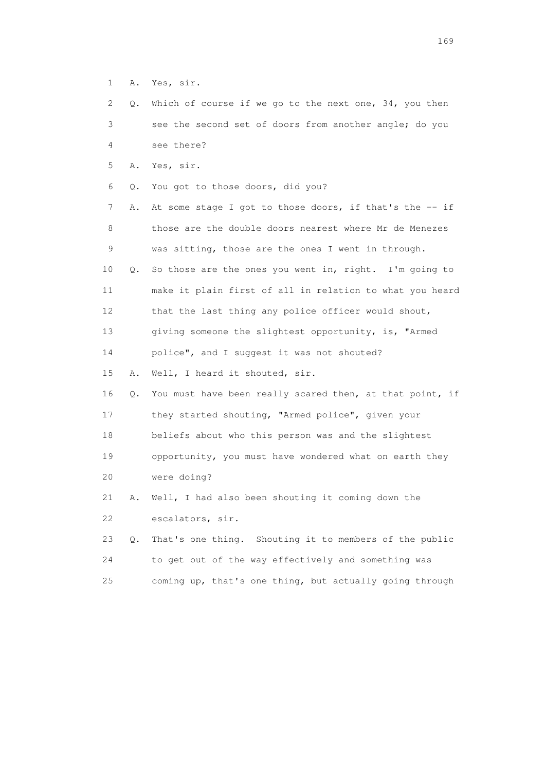1 A. Yes, sir.

| 2  | $\circ$ . | Which of course if we go to the next one, $34$ , you then  |
|----|-----------|------------------------------------------------------------|
| 3  |           | see the second set of doors from another angle; do you     |
| 4  |           | see there?                                                 |
| 5  |           | A. Yes, sir.                                               |
| 6  | 0.        | You got to those doors, did you?                           |
| 7  | Α.        | At some stage I got to those doors, if that's the $-$ - if |
| 8  |           | those are the double doors nearest where Mr de Menezes     |
| 9  |           | was sitting, those are the ones I went in through.         |
| 10 | Q.        | So those are the ones you went in, right. I'm going to     |
| 11 |           | make it plain first of all in relation to what you heard   |
| 12 |           | that the last thing any police officer would shout,        |
| 13 |           | giving someone the slightest opportunity, is, "Armed       |
| 14 |           | police", and I suggest it was not shouted?                 |
| 15 | Α.        | Well, I heard it shouted, sir.                             |
| 16 | $\circ$ . | You must have been really scared then, at that point, if   |
| 17 |           | they started shouting, "Armed police", given your          |

 18 beliefs about who this person was and the slightest 19 opportunity, you must have wondered what on earth they 20 were doing?

 21 A. Well, I had also been shouting it coming down the 22 escalators, sir.

 23 Q. That's one thing. Shouting it to members of the public 24 to get out of the way effectively and something was 25 coming up, that's one thing, but actually going through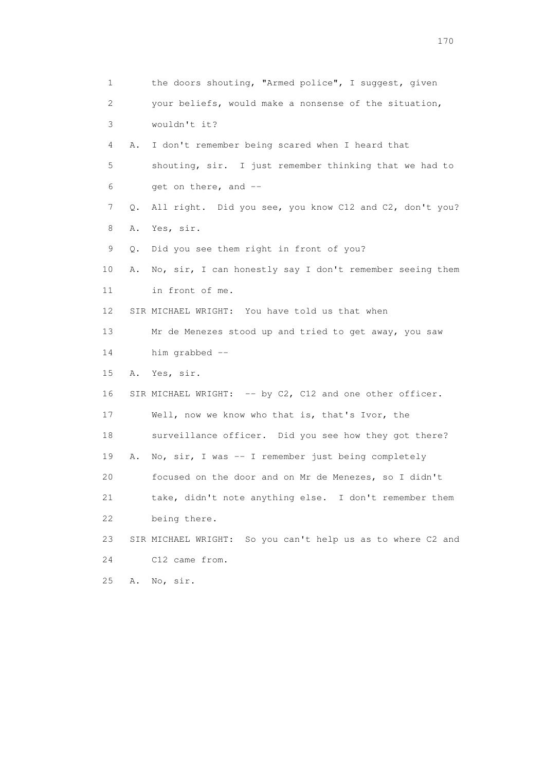1 the doors shouting, "Armed police", I suggest, given 2 your beliefs, would make a nonsense of the situation, 3 wouldn't it? 4 A. I don't remember being scared when I heard that 5 shouting, sir. I just remember thinking that we had to 6 get on there, and -- 7 Q. All right. Did you see, you know C12 and C2, don't you? 8 A. Yes, sir. 9 Q. Did you see them right in front of you? 10 A. No, sir, I can honestly say I don't remember seeing them 11 in front of me. 12 SIR MICHAEL WRIGHT: You have told us that when 13 Mr de Menezes stood up and tried to get away, you saw 14 him grabbed -- 15 A. Yes, sir. 16 SIR MICHAEL WRIGHT: -- by C2, C12 and one other officer. 17 Well, now we know who that is, that's Ivor, the 18 surveillance officer. Did you see how they got there? 19 A. No, sir, I was -- I remember just being completely 20 focused on the door and on Mr de Menezes, so I didn't 21 take, didn't note anything else. I don't remember them 22 being there. 23 SIR MICHAEL WRIGHT: So you can't help us as to where C2 and 24 C12 came from. 25 A. No, sir.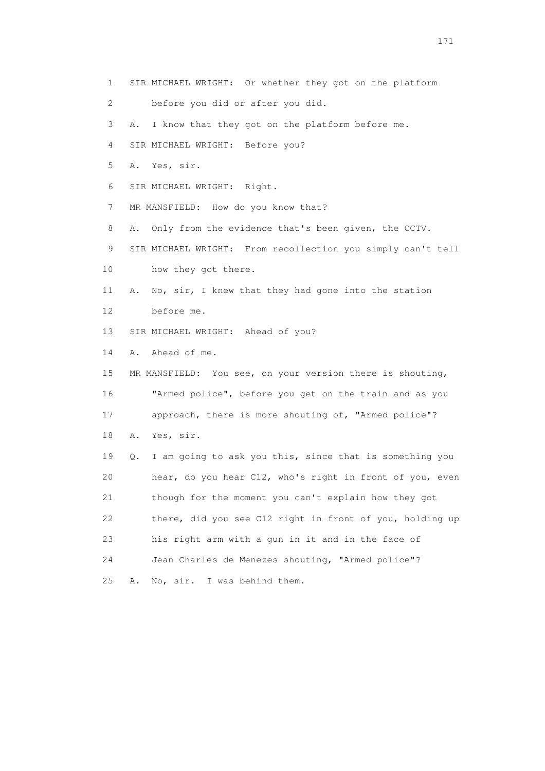- 1 SIR MICHAEL WRIGHT: Or whether they got on the platform
- 2 before you did or after you did.
- 3 A. I know that they got on the platform before me.
- 4 SIR MICHAEL WRIGHT: Before you?
- 5 A. Yes, sir.
- 6 SIR MICHAEL WRIGHT: Right.
- 7 MR MANSFIELD: How do you know that?
- 8 A. Only from the evidence that's been given, the CCTV.
- 9 SIR MICHAEL WRIGHT: From recollection you simply can't tell
- 10 how they got there.
- 11 A. No, sir, I knew that they had gone into the station 12 before me.
- 13 SIR MICHAEL WRIGHT: Ahead of you?
- 14 A. Ahead of me.
- 15 MR MANSFIELD: You see, on your version there is shouting, 16 "Armed police", before you get on the train and as you 17 approach, there is more shouting of, "Armed police"? 18 A. Yes, sir. 19 Q. I am going to ask you this, since that is something you 20 hear, do you hear C12, who's right in front of you, even 21 though for the moment you can't explain how they got 22 there, did you see C12 right in front of you, holding up 23 his right arm with a gun in it and in the face of
- 
- 24 Jean Charles de Menezes shouting, "Armed police"?
- 25 A. No, sir. I was behind them.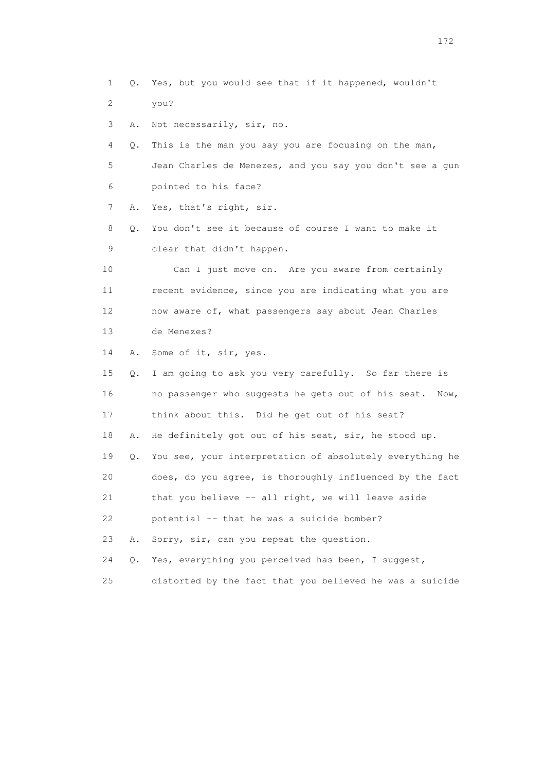1 Q. Yes, but you would see that if it happened, wouldn't 2 you? 3 A. Not necessarily, sir, no. 4 Q. This is the man you say you are focusing on the man, 5 Jean Charles de Menezes, and you say you don't see a gun 6 pointed to his face? 7 A. Yes, that's right, sir. 8 Q. You don't see it because of course I want to make it 9 clear that didn't happen. 10 Can I just move on. Are you aware from certainly 11 recent evidence, since you are indicating what you are 12 now aware of, what passengers say about Jean Charles 13 de Menezes? 14 A. Some of it, sir, yes. 15 Q. I am going to ask you very carefully. So far there is 16 no passenger who suggests he gets out of his seat. Now, 17 think about this. Did he get out of his seat? 18 A. He definitely got out of his seat, sir, he stood up. 19 Q. You see, your interpretation of absolutely everything he 20 does, do you agree, is thoroughly influenced by the fact 21 that you believe -- all right, we will leave aside 22 potential -- that he was a suicide bomber? 23 A. Sorry, sir, can you repeat the question. 24 Q. Yes, everything you perceived has been, I suggest, 25 distorted by the fact that you believed he was a suicide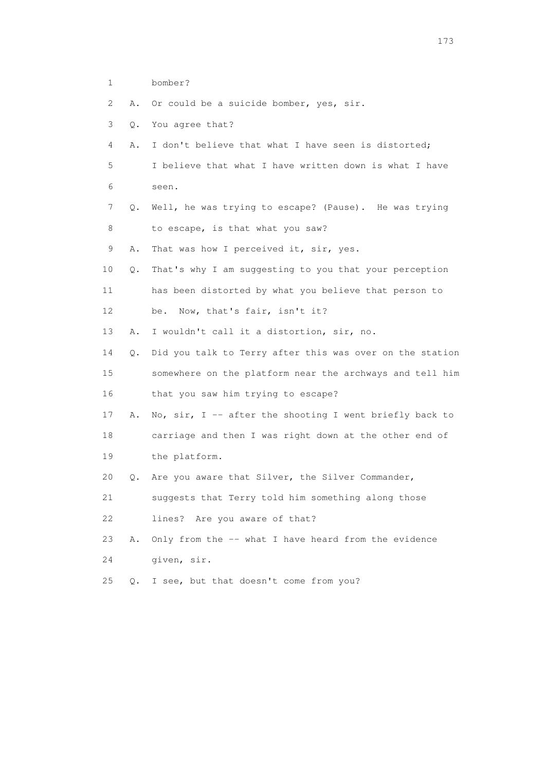- 1 bomber?
- 2 A. Or could be a suicide bomber, yes, sir.
- 3 Q. You agree that?
- 4 A. I don't believe that what I have seen is distorted;
- 5 I believe that what I have written down is what I have 6 seen.
- 7 Q. Well, he was trying to escape? (Pause). He was trying 8 to escape, is that what you saw?
- 9 A. That was how I perceived it, sir, yes.
- 10 Q. That's why I am suggesting to you that your perception 11 has been distorted by what you believe that person to 12 be. Now, that's fair, isn't it?
- 13 A. I wouldn't call it a distortion, sir, no.
- 14 Q. Did you talk to Terry after this was over on the station 15 somewhere on the platform near the archways and tell him 16 that you saw him trying to escape?
- 17 A. No, sir, I -- after the shooting I went briefly back to 18 carriage and then I was right down at the other end of 19 the platform.
- 20 Q. Are you aware that Silver, the Silver Commander,
- 21 suggests that Terry told him something along those 22 lines? Are you aware of that?
- 23 A. Only from the -- what I have heard from the evidence 24 given, sir.
- 25 Q. I see, but that doesn't come from you?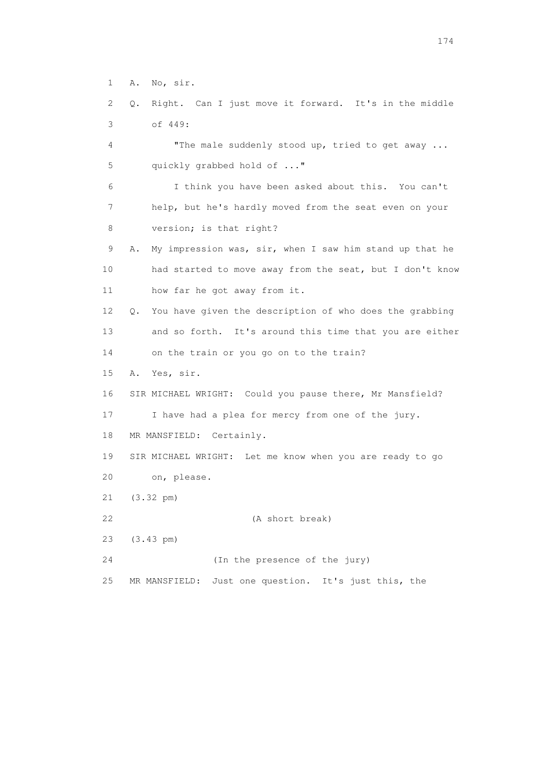- 1 A. No, sir.
- 2 Q. Right. Can I just move it forward. It's in the middle 3 of 449:
- 4 "The male suddenly stood up, tried to get away ... 5 quickly grabbed hold of ..."
- 6 I think you have been asked about this. You can't 7 help, but he's hardly moved from the seat even on your 8 version; is that right?
- 9 A. My impression was, sir, when I saw him stand up that he 10 had started to move away from the seat, but I don't know 11 how far he got away from it.
- 12 Q. You have given the description of who does the grabbing 13 and so forth. It's around this time that you are either
- 14 on the train or you go on to the train?
- 15 A. Yes, sir.
- 16 SIR MICHAEL WRIGHT: Could you pause there, Mr Mansfield?
- 17 I have had a plea for mercy from one of the jury.
- 18 MR MANSFIELD: Certainly.
- 19 SIR MICHAEL WRIGHT: Let me know when you are ready to go 20 on, please.
- 21 (3.32 pm)
- 22 (A short break)
- 23 (3.43 pm)
- 24 (In the presence of the jury)
- 25 MR MANSFIELD: Just one question. It's just this, the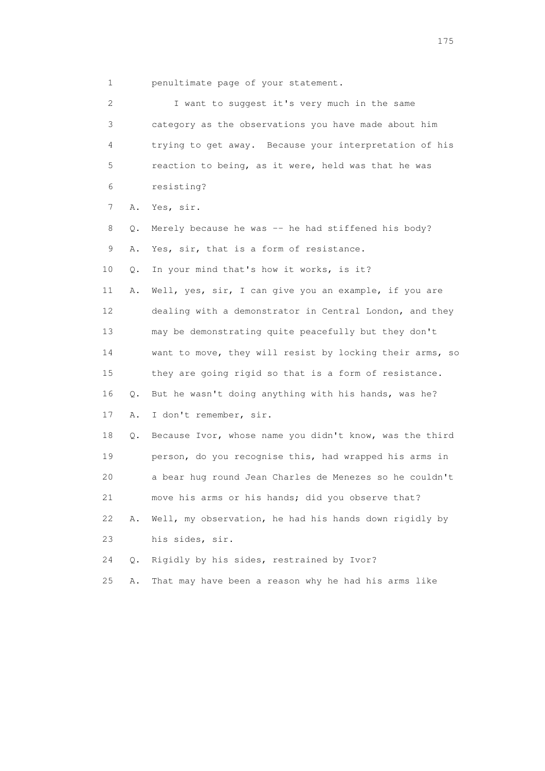1 penultimate page of your statement.

| 2  |    | I want to suggest it's very much in the same             |
|----|----|----------------------------------------------------------|
| 3  |    | category as the observations you have made about him     |
| 4  |    | trying to get away. Because your interpretation of his   |
| 5  |    | reaction to being, as it were, held was that he was      |
| 6  |    | resisting?                                               |
| 7  | Α. | Yes, sir.                                                |
| 8  | Q. | Merely because he was -- he had stiffened his body?      |
| 9  | Α. | Yes, sir, that is a form of resistance.                  |
| 10 | Q. | In your mind that's how it works, is it?                 |
| 11 | Α. | Well, yes, sir, I can give you an example, if you are    |
| 12 |    | dealing with a demonstrator in Central London, and they  |
| 13 |    | may be demonstrating quite peacefully but they don't     |
| 14 |    | want to move, they will resist by locking their arms, so |
| 15 |    | they are going rigid so that is a form of resistance.    |
| 16 | Q. | But he wasn't doing anything with his hands, was he?     |
| 17 | Α. | I don't remember, sir.                                   |
| 18 | Q. | Because Ivor, whose name you didn't know, was the third  |
| 19 |    | person, do you recognise this, had wrapped his arms in   |
| 20 |    | a bear hug round Jean Charles de Menezes so he couldn't  |
| 21 |    | move his arms or his hands; did you observe that?        |
| 22 | Α. | Well, my observation, he had his hands down rigidly by   |
| 23 |    | his sides, sir.                                          |
| 24 | О. | Rigidly by his sides, restrained by Ivor?                |
| 25 | Α. | That may have been a reason why he had his arms like     |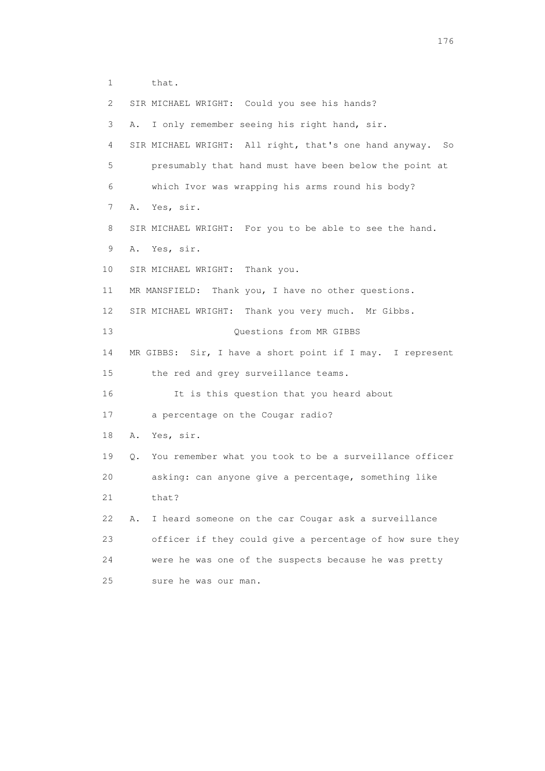1 that.

| 2  | SIR MICHAEL WRIGHT: Could you see his hands?                  |
|----|---------------------------------------------------------------|
| 3  | I only remember seeing his right hand, sir.<br>Α.             |
| 4  | SIR MICHAEL WRIGHT: All right, that's one hand anyway.<br>So  |
| 5  | presumably that hand must have been below the point at        |
| 6  | which Ivor was wrapping his arms round his body?              |
| 7  | Yes, sir.<br>Α.                                               |
| 8  | SIR MICHAEL WRIGHT: For you to be able to see the hand.       |
| 9  | Yes, sir.<br>Α.                                               |
| 10 | SIR MICHAEL WRIGHT: Thank you.                                |
| 11 | MR MANSFIELD: Thank you, I have no other questions.           |
| 12 | SIR MICHAEL WRIGHT: Thank you very much. Mr Gibbs.            |
| 13 | Questions from MR GIBBS                                       |
| 14 | MR GIBBS: Sir, I have a short point if I may. I represent     |
| 15 | the red and grey surveillance teams.                          |
| 16 | It is this question that you heard about                      |
| 17 | a percentage on the Cougar radio?                             |
| 18 | Yes, sir.<br>Α.                                               |
| 19 | You remember what you took to be a surveillance officer<br>Q. |
| 20 | asking: can anyone give a percentage, something like          |
| 21 | that?                                                         |
| 22 | I heard someone on the car Cougar ask a surveillance<br>Α.    |
| 23 | officer if they could give a percentage of how sure they      |
| 24 | were he was one of the suspects because he was pretty         |
| 25 | sure he was our man.                                          |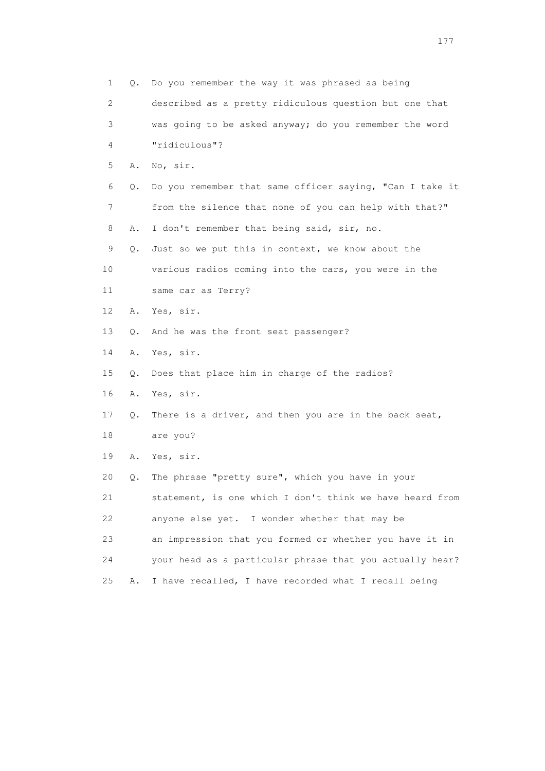| 1  | Q. | Do you remember the way it was phrased as being          |
|----|----|----------------------------------------------------------|
| 2  |    | described as a pretty ridiculous question but one that   |
| 3  |    | was going to be asked anyway; do you remember the word   |
| 4  |    | "ridiculous"?                                            |
| 5  | Α. | No, sir.                                                 |
| 6  | Q. | Do you remember that same officer saying, "Can I take it |
| 7  |    | from the silence that none of you can help with that?"   |
| 8  | Α. | I don't remember that being said, sir, no.               |
| 9  | Q. | Just so we put this in context, we know about the        |
| 10 |    | various radios coming into the cars, you were in the     |
| 11 |    | same car as Terry?                                       |
| 12 | Α. | Yes, sir.                                                |
| 13 | Q. | And he was the front seat passenger?                     |
| 14 | Α. | Yes, sir.                                                |
| 15 | Q. | Does that place him in charge of the radios?             |
| 16 | Α. | Yes, sir.                                                |
| 17 | Q. | There is a driver, and then you are in the back seat,    |
| 18 |    | are you?                                                 |
| 19 | Α. | Yes, sir.                                                |
| 20 | Q. | The phrase "pretty sure", which you have in your         |
| 21 |    | statement, is one which I don't think we have heard from |
| 22 |    | anyone else yet.<br>I wonder whether that may be         |
| 23 |    | an impression that you formed or whether you have it in  |
| 24 |    | your head as a particular phrase that you actually hear? |
| 25 | Α. | I have recalled, I have recorded what I recall being     |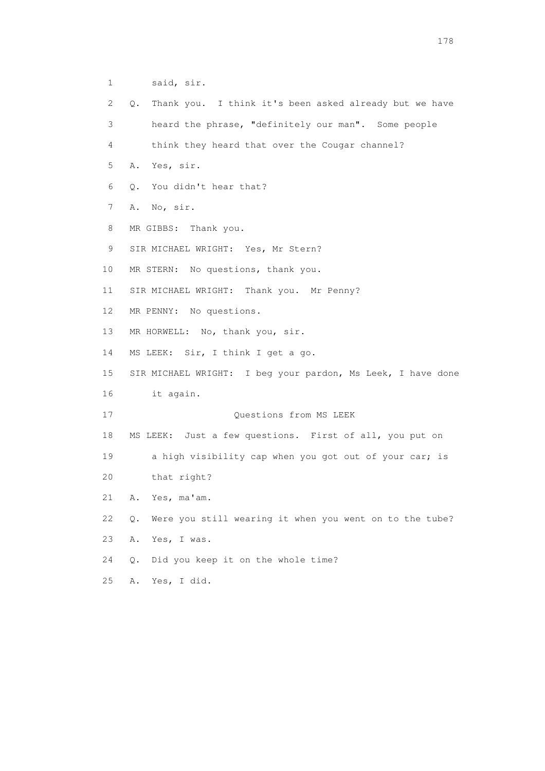1 said, sir. 2 Q. Thank you. I think it's been asked already but we have 3 heard the phrase, "definitely our man". Some people 4 think they heard that over the Cougar channel? 5 A. Yes, sir. 6 Q. You didn't hear that? 7 A. No, sir. 8 MR GIBBS: Thank you. 9 SIR MICHAEL WRIGHT: Yes, Mr Stern? 10 MR STERN: No questions, thank you. 11 SIR MICHAEL WRIGHT: Thank you. Mr Penny? 12 MR PENNY: No questions. 13 MR HORWELL: No, thank you, sir. 14 MS LEEK: Sir, I think I get a go. 15 SIR MICHAEL WRIGHT: I beg your pardon, Ms Leek, I have done 16 it again. 17 Ouestions from MS LEEK 18 MS LEEK: Just a few questions. First of all, you put on 19 a high visibility cap when you got out of your car; is 20 that right? 21 A. Yes, ma'am. 22 Q. Were you still wearing it when you went on to the tube? 23 A. Yes, I was. 24 Q. Did you keep it on the whole time? 25 A. Yes, I did.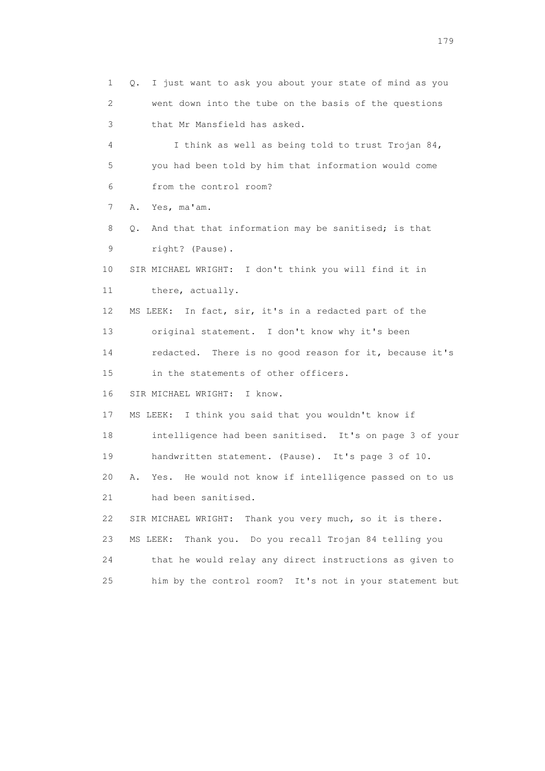1 Q. I just want to ask you about your state of mind as you 2 went down into the tube on the basis of the questions 3 that Mr Mansfield has asked. 4 I think as well as being told to trust Trojan 84, 5 you had been told by him that information would come 6 from the control room? 7 A. Yes, ma'am. 8 Q. And that that information may be sanitised; is that 9 right? (Pause). 10 SIR MICHAEL WRIGHT: I don't think you will find it in 11 there, actually. 12 MS LEEK: In fact, sir, it's in a redacted part of the 13 original statement. I don't know why it's been 14 redacted. There is no good reason for it, because it's 15 in the statements of other officers. 16 SIR MICHAEL WRIGHT: I know. 17 MS LEEK: I think you said that you wouldn't know if 18 intelligence had been sanitised. It's on page 3 of your 19 handwritten statement. (Pause). It's page 3 of 10. 20 A. Yes. He would not know if intelligence passed on to us 21 had been sanitised. 22 SIR MICHAEL WRIGHT: Thank you very much, so it is there. 23 MS LEEK: Thank you. Do you recall Trojan 84 telling you 24 that he would relay any direct instructions as given to 25 him by the control room? It's not in your statement but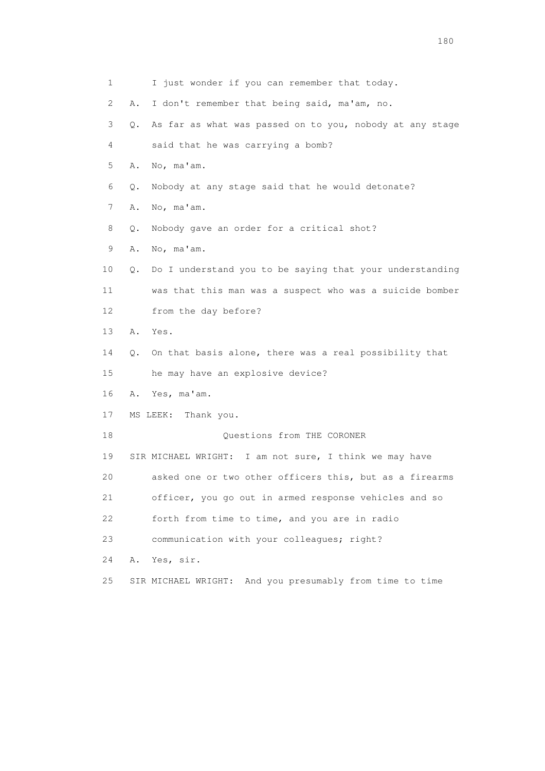| 1                         | I just wonder if you can remember that today.                  |
|---------------------------|----------------------------------------------------------------|
| $\mathbf{2}^{\mathsf{I}}$ | Α.<br>I don't remember that being said, ma'am, no.             |
| 3                         | As far as what was passed on to you, nobody at any stage<br>Q. |
| 4                         | said that he was carrying a bomb?                              |
| 5                         | No, ma'am.<br>Α.                                               |
| 6                         | Nobody at any stage said that he would detonate?<br>Q.         |
| 7                         | No, ma'am.<br>Α.                                               |
| 8                         | Nobody gave an order for a critical shot?<br>Q.                |
| 9                         | No, ma'am.<br>Α.                                               |
| 10                        | Do I understand you to be saying that your understanding<br>Q. |
| 11                        | was that this man was a suspect who was a suicide bomber       |
| 12                        | from the day before?                                           |
| 13                        | Α.<br>Yes.                                                     |
| 14                        | On that basis alone, there was a real possibility that<br>Q.   |
| 15                        | he may have an explosive device?                               |
| 16                        | Yes, ma'am.<br>A.                                              |
| 17                        | Thank you.<br>MS LEEK:                                         |
| 18                        | Questions from THE CORONER                                     |
| 19                        | SIR MICHAEL WRIGHT: I am not sure, I think we may have         |
| 20                        | asked one or two other officers this, but as a firearms        |
| 21                        | officer, you go out in armed response vehicles and so          |
| 22                        | forth from time to time, and you are in radio                  |
| 23                        | communication with your colleagues; right?                     |
| 24                        | Yes, sir.<br>Α.                                                |
| 25                        | SIR MICHAEL WRIGHT: And you presumably from time to time       |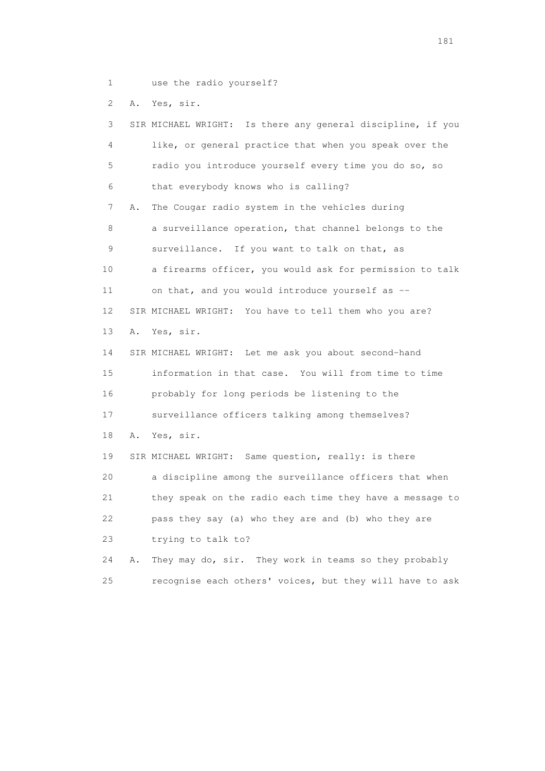1 use the radio yourself?

2 A. Yes, sir.

 3 SIR MICHAEL WRIGHT: Is there any general discipline, if you 4 like, or general practice that when you speak over the 5 radio you introduce yourself every time you do so, so 6 that everybody knows who is calling? 7 A. The Cougar radio system in the vehicles during 8 a surveillance operation, that channel belongs to the 9 surveillance. If you want to talk on that, as 10 a firearms officer, you would ask for permission to talk 11 on that, and you would introduce yourself as -- 12 SIR MICHAEL WRIGHT: You have to tell them who you are? 13 A. Yes, sir. 14 SIR MICHAEL WRIGHT: Let me ask you about second-hand 15 information in that case. You will from time to time 16 probably for long periods be listening to the 17 surveillance officers talking among themselves? 18 A. Yes, sir. 19 SIR MICHAEL WRIGHT: Same question, really: is there 20 a discipline among the surveillance officers that when 21 they speak on the radio each time they have a message to 22 pass they say (a) who they are and (b) who they are 23 trying to talk to? 24 A. They may do, sir. They work in teams so they probably 25 recognise each others' voices, but they will have to ask

181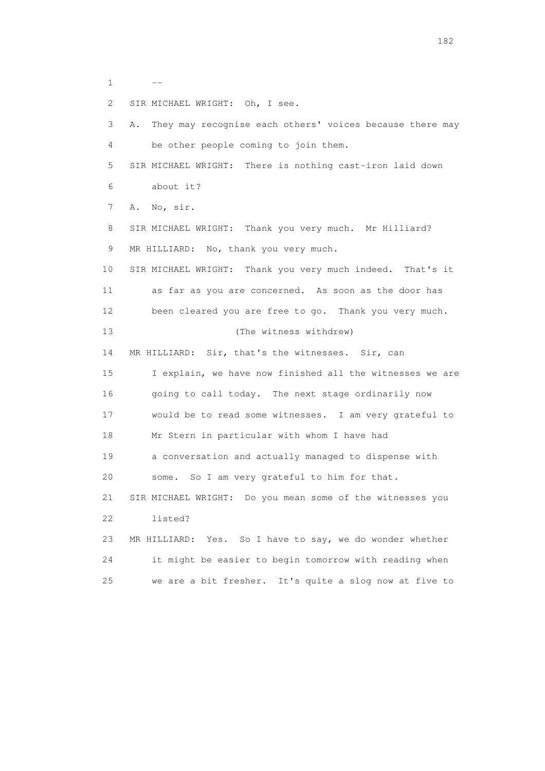1 --

2 SIR MICHAEL WRIGHT: Oh, I see.

 3 A. They may recognise each others' voices because there may 4 be other people coming to join them. 5 SIR MICHAEL WRIGHT: There is nothing cast-iron laid down 6 about it? 7 A. No, sir. 8 SIR MICHAEL WRIGHT: Thank you very much. Mr Hilliard? 9 MR HILLIARD: No, thank you very much. 10 SIR MICHAEL WRIGHT: Thank you very much indeed. That's it 11 as far as you are concerned. As soon as the door has 12 been cleared you are free to go. Thank you very much. 13 (The witness withdrew) 14 MR HILLIARD: Sir, that's the witnesses. Sir, can 15 I explain, we have now finished all the witnesses we are 16 going to call today. The next stage ordinarily now 17 would be to read some witnesses. I am very grateful to 18 Mr Stern in particular with whom I have had 19 a conversation and actually managed to dispense with 20 some. So I am very grateful to him for that. 21 SIR MICHAEL WRIGHT: Do you mean some of the witnesses you 22 listed? 23 MR HILLIARD: Yes. So I have to say, we do wonder whether 24 it might be easier to begin tomorrow with reading when 25 we are a bit fresher. It's quite a slog now at five to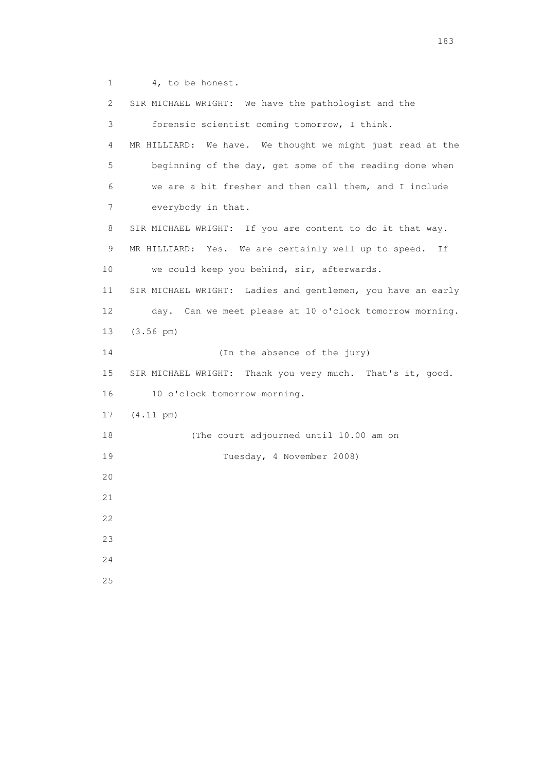1 4, to be honest.

 2 SIR MICHAEL WRIGHT: We have the pathologist and the 3 forensic scientist coming tomorrow, I think. 4 MR HILLIARD: We have. We thought we might just read at the 5 beginning of the day, get some of the reading done when 6 we are a bit fresher and then call them, and I include 7 everybody in that. 8 SIR MICHAEL WRIGHT: If you are content to do it that way. 9 MR HILLIARD: Yes. We are certainly well up to speed. If 10 we could keep you behind, sir, afterwards. 11 SIR MICHAEL WRIGHT: Ladies and gentlemen, you have an early 12 day. Can we meet please at 10 o'clock tomorrow morning. 13 (3.56 pm) 14 (In the absence of the jury) 15 SIR MICHAEL WRIGHT: Thank you very much. That's it, good. 16 10 o'clock tomorrow morning. 17 (4.11 pm) 18 (The court adjourned until 10.00 am on 19 Tuesday, 4 November 2008) 20 21 22 23 24 25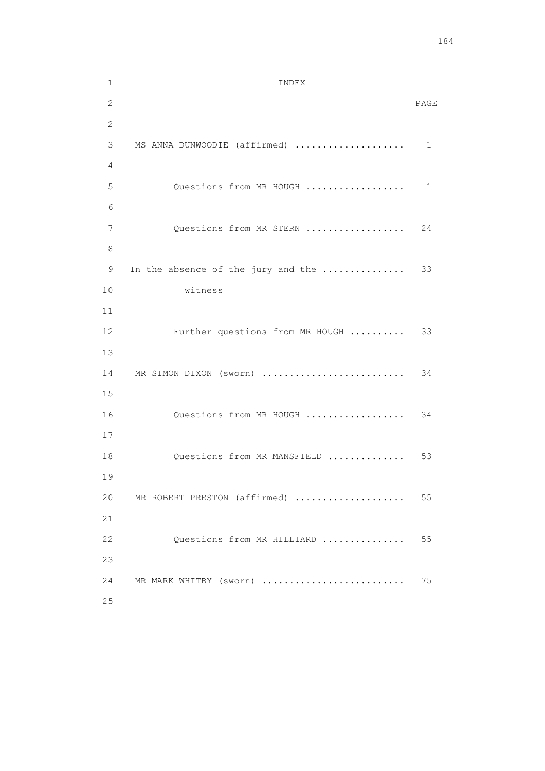1 INDEX 2 PAGE 2 3 MS ANNA DUNWOODIE (affirmed) .................... 1 4 5 Questions from MR HOUGH ....................... 1 6 7 Questions from MR STERN ................... 24 8 9 In the absence of the jury and the ................. 33 10 witness 11 12 Further questions from MR HOUGH .......... 33 13 14 MR SIMON DIXON (sworn) .......................... 34 15 16 Questions from MR HOUGH ...................... 34 17 18 Questions from MR MANSFIELD ................ 53 19 20 MR ROBERT PRESTON (affirmed) .................... 55 21 22 Questions from MR HILLIARD ................ 55 23 24 MR MARK WHITBY (sworn) .......................... 75 25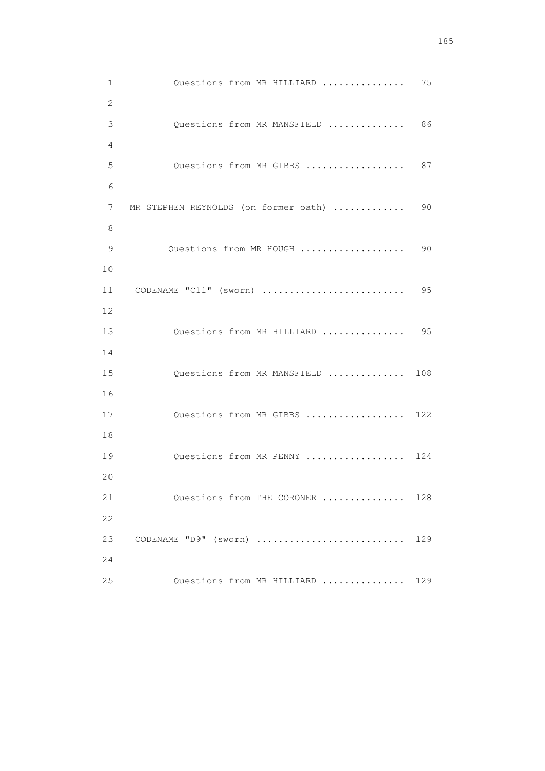| 75  | Questions from MR HILLIARD           | $\mathbf 1$  |
|-----|--------------------------------------|--------------|
|     |                                      | $\mathbf{2}$ |
| 86  | Questions from MR MANSFIELD          | 3            |
|     |                                      | 4            |
| 87  | Questions from MR GIBBS              | 5            |
|     |                                      | 6            |
| 90  | MR STEPHEN REYNOLDS (on former oath) | 7            |
|     |                                      | 8            |
| 90  | Questions from MR HOUGH              | 9            |
|     |                                      | 10           |
| 95  | CODENAME "C11" (sworn)               | 11           |
| 95  | Questions from MR HILLIARD           | 12<br>13     |
|     |                                      | 14           |
| 108 | Questions from MR MANSFIELD          | 15           |
|     |                                      | 16           |
| 122 | Questions from MR GIBBS              | 17           |
|     |                                      | 18           |
| 124 | Questions from MR PENNY              | 19           |
|     |                                      | 20           |
| 128 | Questions from THE CORONER           | 21           |
|     |                                      | 22           |
| 129 | CODENAME "D9" (sworn)                | 23           |
|     |                                      | 24           |
| 129 | Questions from MR HILLIARD           | 25           |